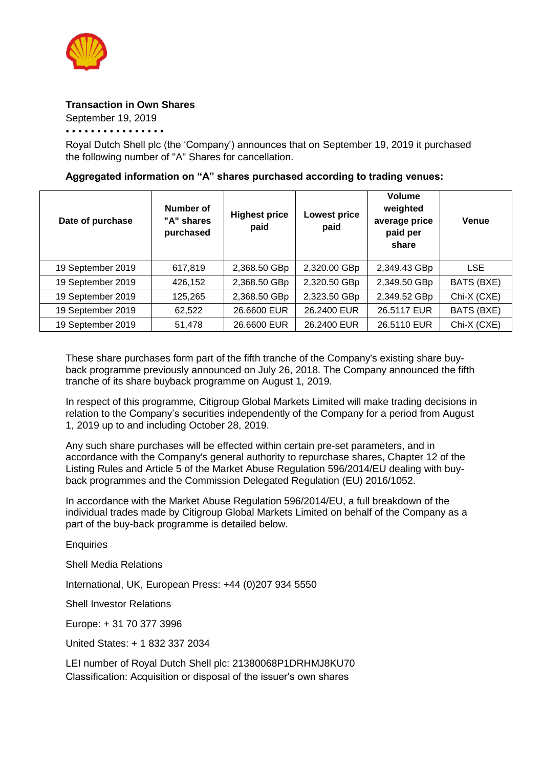

## **Transaction in Own Shares**

September 19, 2019

• • • • • • • • • • • • • • • •

Royal Dutch Shell plc (the 'Company') announces that on September 19, 2019 it purchased the following number of "A" Shares for cancellation.

## **Aggregated information on "A" shares purchased according to trading venues:**

| Date of purchase  | Number of<br>"A" shares<br>purchased | <b>Highest price</b><br>paid | <b>Lowest price</b><br>paid | Volume<br>weighted<br>average price<br>paid per<br>share | <b>Venue</b> |
|-------------------|--------------------------------------|------------------------------|-----------------------------|----------------------------------------------------------|--------------|
| 19 September 2019 | 617,819                              | 2,368.50 GBp                 | 2,320.00 GBp                | 2,349.43 GBp                                             | <b>LSE</b>   |
| 19 September 2019 | 426,152                              | 2,368.50 GBp                 | 2,320.50 GBp                | 2,349.50 GBp                                             | BATS (BXE)   |
| 19 September 2019 | 125,265                              | 2,368.50 GBp                 | 2,323.50 GBp                | 2,349.52 GBp                                             | Chi-X (CXE)  |
| 19 September 2019 | 62,522                               | 26.6600 EUR                  | 26.2400 EUR                 | 26.5117 EUR                                              | BATS (BXE)   |
| 19 September 2019 | 51,478                               | 26.6600 EUR                  | 26.2400 EUR                 | 26.5110 EUR                                              | Chi-X (CXE)  |

These share purchases form part of the fifth tranche of the Company's existing share buyback programme previously announced on July 26, 2018. The Company announced the fifth tranche of its share buyback programme on August 1, 2019.

In respect of this programme, Citigroup Global Markets Limited will make trading decisions in relation to the Company's securities independently of the Company for a period from August 1, 2019 up to and including October 28, 2019.

Any such share purchases will be effected within certain pre-set parameters, and in accordance with the Company's general authority to repurchase shares, Chapter 12 of the Listing Rules and Article 5 of the Market Abuse Regulation 596/2014/EU dealing with buyback programmes and the Commission Delegated Regulation (EU) 2016/1052.

In accordance with the Market Abuse Regulation 596/2014/EU, a full breakdown of the individual trades made by Citigroup Global Markets Limited on behalf of the Company as a part of the buy-back programme is detailed below.

**Enquiries** 

Shell Media Relations

International, UK, European Press: +44 (0)207 934 5550

Shell Investor Relations

Europe: + 31 70 377 3996

United States: + 1 832 337 2034

LEI number of Royal Dutch Shell plc: 21380068P1DRHMJ8KU70 Classification: Acquisition or disposal of the issuer's own shares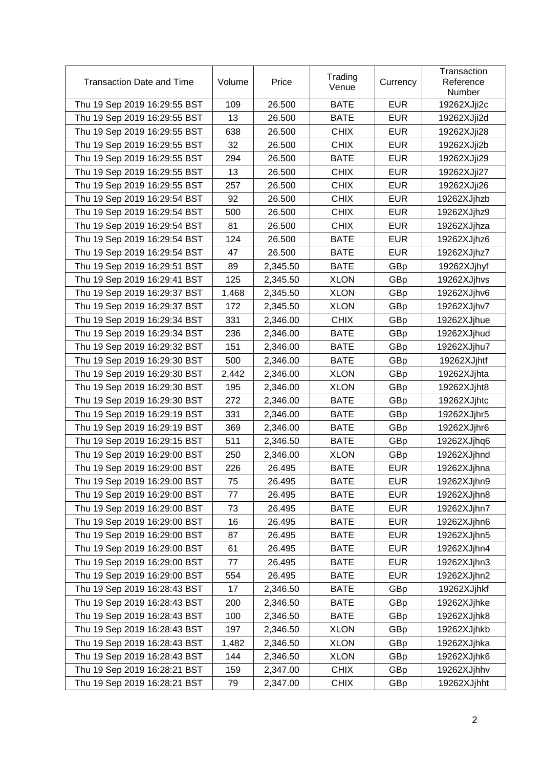| <b>Transaction Date and Time</b> | Volume | Price    | Trading<br>Venue | Currency   | Transaction<br>Reference<br>Number |
|----------------------------------|--------|----------|------------------|------------|------------------------------------|
| Thu 19 Sep 2019 16:29:55 BST     | 109    | 26.500   | <b>BATE</b>      | <b>EUR</b> | 19262XJji2c                        |
| Thu 19 Sep 2019 16:29:55 BST     | 13     | 26.500   | <b>BATE</b>      | <b>EUR</b> | 19262XJji2d                        |
| Thu 19 Sep 2019 16:29:55 BST     | 638    | 26.500   | <b>CHIX</b>      | <b>EUR</b> | 19262XJji28                        |
| Thu 19 Sep 2019 16:29:55 BST     | 32     | 26.500   | <b>CHIX</b>      | <b>EUR</b> | 19262XJji2b                        |
| Thu 19 Sep 2019 16:29:55 BST     | 294    | 26.500   | <b>BATE</b>      | <b>EUR</b> | 19262XJji29                        |
| Thu 19 Sep 2019 16:29:55 BST     | 13     | 26.500   | <b>CHIX</b>      | <b>EUR</b> | 19262XJji27                        |
| Thu 19 Sep 2019 16:29:55 BST     | 257    | 26.500   | <b>CHIX</b>      | <b>EUR</b> | 19262XJji26                        |
| Thu 19 Sep 2019 16:29:54 BST     | 92     | 26.500   | <b>CHIX</b>      | <b>EUR</b> | 19262XJjhzb                        |
| Thu 19 Sep 2019 16:29:54 BST     | 500    | 26.500   | <b>CHIX</b>      | <b>EUR</b> | 19262XJjhz9                        |
| Thu 19 Sep 2019 16:29:54 BST     | 81     | 26.500   | <b>CHIX</b>      | <b>EUR</b> | 19262XJjhza                        |
| Thu 19 Sep 2019 16:29:54 BST     | 124    | 26.500   | <b>BATE</b>      | <b>EUR</b> | 19262XJjhz6                        |
| Thu 19 Sep 2019 16:29:54 BST     | 47     | 26.500   | <b>BATE</b>      | <b>EUR</b> | 19262XJjhz7                        |
| Thu 19 Sep 2019 16:29:51 BST     | 89     | 2,345.50 | <b>BATE</b>      | GBp        | 19262XJjhyf                        |
| Thu 19 Sep 2019 16:29:41 BST     | 125    | 2,345.50 | <b>XLON</b>      | GBp        | 19262XJjhvs                        |
| Thu 19 Sep 2019 16:29:37 BST     | 1,468  | 2,345.50 | <b>XLON</b>      | GBp        | 19262XJjhv6                        |
| Thu 19 Sep 2019 16:29:37 BST     | 172    | 2,345.50 | <b>XLON</b>      | GBp        | 19262XJjhv7                        |
| Thu 19 Sep 2019 16:29:34 BST     | 331    | 2,346.00 | <b>CHIX</b>      | GBp        | 19262XJjhue                        |
| Thu 19 Sep 2019 16:29:34 BST     | 236    | 2,346.00 | <b>BATE</b>      | GBp        | 19262XJjhud                        |
| Thu 19 Sep 2019 16:29:32 BST     | 151    | 2,346.00 | <b>BATE</b>      | GBp        | 19262XJjhu7                        |
| Thu 19 Sep 2019 16:29:30 BST     | 500    | 2,346.00 | <b>BATE</b>      | GBp        | 19262XJjhtf                        |
| Thu 19 Sep 2019 16:29:30 BST     | 2,442  | 2,346.00 | <b>XLON</b>      | GBp        | 19262XJjhta                        |
| Thu 19 Sep 2019 16:29:30 BST     | 195    | 2,346.00 | <b>XLON</b>      | GBp        | 19262XJjht8                        |
| Thu 19 Sep 2019 16:29:30 BST     | 272    | 2,346.00 | <b>BATE</b>      | GBp        | 19262XJjhtc                        |
| Thu 19 Sep 2019 16:29:19 BST     | 331    | 2,346.00 | <b>BATE</b>      | GBp        | 19262XJjhr5                        |
| Thu 19 Sep 2019 16:29:19 BST     | 369    | 2,346.00 | <b>BATE</b>      | GBp        | 19262XJjhr6                        |
| Thu 19 Sep 2019 16:29:15 BST     | 511    | 2,346.50 | <b>BATE</b>      | GBp        | 19262XJjhq6                        |
| Thu 19 Sep 2019 16:29:00 BST     | 250    | 2,346.00 | <b>XLON</b>      | GBp        | 19262XJjhnd                        |
| Thu 19 Sep 2019 16:29:00 BST     | 226    | 26.495   | <b>BATE</b>      | <b>EUR</b> | 19262XJjhna                        |
| Thu 19 Sep 2019 16:29:00 BST     | 75     | 26.495   | <b>BATE</b>      | <b>EUR</b> | 19262XJjhn9                        |
| Thu 19 Sep 2019 16:29:00 BST     | 77     | 26.495   | <b>BATE</b>      | <b>EUR</b> | 19262XJjhn8                        |
| Thu 19 Sep 2019 16:29:00 BST     | 73     | 26.495   | <b>BATE</b>      | <b>EUR</b> | 19262XJjhn7                        |
| Thu 19 Sep 2019 16:29:00 BST     | 16     | 26.495   | <b>BATE</b>      | <b>EUR</b> | 19262XJjhn6                        |
| Thu 19 Sep 2019 16:29:00 BST     | 87     | 26.495   | <b>BATE</b>      | <b>EUR</b> | 19262XJjhn5                        |
| Thu 19 Sep 2019 16:29:00 BST     | 61     | 26.495   | <b>BATE</b>      | <b>EUR</b> | 19262XJjhn4                        |
| Thu 19 Sep 2019 16:29:00 BST     | 77     | 26.495   | <b>BATE</b>      | <b>EUR</b> | 19262XJjhn3                        |
| Thu 19 Sep 2019 16:29:00 BST     | 554    | 26.495   | <b>BATE</b>      | <b>EUR</b> | 19262XJjhn2                        |
| Thu 19 Sep 2019 16:28:43 BST     | 17     | 2,346.50 | <b>BATE</b>      | GBp        | 19262XJjhkf                        |
| Thu 19 Sep 2019 16:28:43 BST     | 200    | 2,346.50 | <b>BATE</b>      | GBp        | 19262XJjhke                        |
| Thu 19 Sep 2019 16:28:43 BST     | 100    | 2,346.50 | <b>BATE</b>      | GBp        | 19262XJjhk8                        |
| Thu 19 Sep 2019 16:28:43 BST     | 197    | 2,346.50 | <b>XLON</b>      | GBp        | 19262XJjhkb                        |
| Thu 19 Sep 2019 16:28:43 BST     | 1,482  | 2,346.50 | <b>XLON</b>      | GBp        | 19262XJjhka                        |
| Thu 19 Sep 2019 16:28:43 BST     | 144    | 2,346.50 | <b>XLON</b>      | GBp        | 19262XJjhk6                        |
| Thu 19 Sep 2019 16:28:21 BST     | 159    | 2,347.00 | <b>CHIX</b>      | GBp        | 19262XJjhhv                        |
| Thu 19 Sep 2019 16:28:21 BST     | 79     | 2,347.00 | <b>CHIX</b>      | GBp        | 19262XJjhht                        |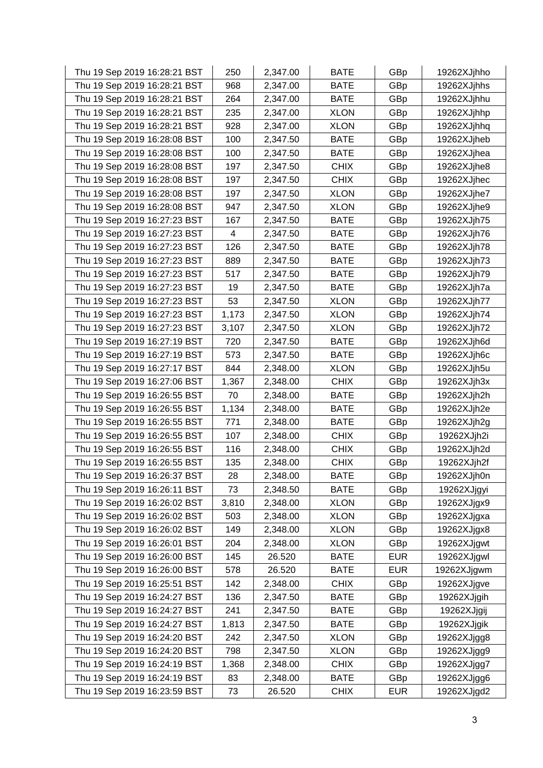| Thu 19 Sep 2019 16:28:21 BST | 250   | 2,347.00 | <b>BATE</b> | GBp        | 19262XJjhho |
|------------------------------|-------|----------|-------------|------------|-------------|
| Thu 19 Sep 2019 16:28:21 BST | 968   | 2,347.00 | <b>BATE</b> | GBp        | 19262XJjhhs |
| Thu 19 Sep 2019 16:28:21 BST | 264   | 2,347.00 | <b>BATE</b> | GBp        | 19262XJjhhu |
| Thu 19 Sep 2019 16:28:21 BST | 235   | 2,347.00 | <b>XLON</b> | GBp        | 19262XJjhhp |
| Thu 19 Sep 2019 16:28:21 BST | 928   | 2,347.00 | <b>XLON</b> | GBp        | 19262XJjhhq |
| Thu 19 Sep 2019 16:28:08 BST | 100   | 2,347.50 | <b>BATE</b> | GBp        | 19262XJjheb |
| Thu 19 Sep 2019 16:28:08 BST | 100   | 2,347.50 | <b>BATE</b> | GBp        | 19262XJjhea |
| Thu 19 Sep 2019 16:28:08 BST | 197   | 2,347.50 | <b>CHIX</b> | GBp        | 19262XJjhe8 |
| Thu 19 Sep 2019 16:28:08 BST | 197   | 2,347.50 | <b>CHIX</b> | GBp        | 19262XJjhec |
| Thu 19 Sep 2019 16:28:08 BST | 197   | 2,347.50 | <b>XLON</b> | GBp        | 19262XJjhe7 |
| Thu 19 Sep 2019 16:28:08 BST | 947   | 2,347.50 | <b>XLON</b> | GBp        | 19262XJjhe9 |
| Thu 19 Sep 2019 16:27:23 BST | 167   | 2,347.50 | <b>BATE</b> | GBp        | 19262XJjh75 |
| Thu 19 Sep 2019 16:27:23 BST | 4     | 2,347.50 | <b>BATE</b> | GBp        | 19262XJjh76 |
| Thu 19 Sep 2019 16:27:23 BST | 126   | 2,347.50 | <b>BATE</b> | GBp        | 19262XJjh78 |
| Thu 19 Sep 2019 16:27:23 BST | 889   | 2,347.50 | <b>BATE</b> | GBp        | 19262XJjh73 |
| Thu 19 Sep 2019 16:27:23 BST | 517   | 2,347.50 | <b>BATE</b> | GBp        | 19262XJjh79 |
| Thu 19 Sep 2019 16:27:23 BST | 19    | 2,347.50 | <b>BATE</b> | GBp        | 19262XJjh7a |
| Thu 19 Sep 2019 16:27:23 BST | 53    | 2,347.50 | <b>XLON</b> | GBp        | 19262XJjh77 |
| Thu 19 Sep 2019 16:27:23 BST | 1,173 | 2,347.50 | <b>XLON</b> | GBp        | 19262XJjh74 |
| Thu 19 Sep 2019 16:27:23 BST | 3,107 | 2,347.50 | <b>XLON</b> | GBp        | 19262XJjh72 |
| Thu 19 Sep 2019 16:27:19 BST | 720   | 2,347.50 | <b>BATE</b> | GBp        | 19262XJjh6d |
| Thu 19 Sep 2019 16:27:19 BST | 573   | 2,347.50 | <b>BATE</b> | GBp        | 19262XJjh6c |
| Thu 19 Sep 2019 16:27:17 BST | 844   | 2,348.00 | <b>XLON</b> | GBp        | 19262XJjh5u |
| Thu 19 Sep 2019 16:27:06 BST | 1,367 | 2,348.00 | <b>CHIX</b> | GBp        | 19262XJjh3x |
| Thu 19 Sep 2019 16:26:55 BST | 70    | 2,348.00 | <b>BATE</b> | GBp        | 19262XJjh2h |
| Thu 19 Sep 2019 16:26:55 BST | 1,134 | 2,348.00 | <b>BATE</b> | GBp        | 19262XJjh2e |
| Thu 19 Sep 2019 16:26:55 BST | 771   | 2,348.00 | <b>BATE</b> | GBp        | 19262XJjh2g |
| Thu 19 Sep 2019 16:26:55 BST | 107   | 2,348.00 | <b>CHIX</b> | GBp        | 19262XJjh2i |
| Thu 19 Sep 2019 16:26:55 BST | 116   | 2,348.00 | <b>CHIX</b> | GBp        | 19262XJjh2d |
| Thu 19 Sep 2019 16:26:55 BST | 135   | 2,348.00 | <b>CHIX</b> | GBp        | 19262XJjh2f |
| Thu 19 Sep 2019 16:26:37 BST | 28    | 2,348.00 | <b>BATE</b> | GBp        | 19262XJjh0n |
| Thu 19 Sep 2019 16:26:11 BST | 73    | 2,348.50 | <b>BATE</b> | GBp        | 19262XJjgyi |
| Thu 19 Sep 2019 16:26:02 BST | 3,810 | 2,348.00 | <b>XLON</b> | GBp        | 19262XJjgx9 |
| Thu 19 Sep 2019 16:26:02 BST | 503   | 2,348.00 | <b>XLON</b> | GBp        | 19262XJjgxa |
| Thu 19 Sep 2019 16:26:02 BST | 149   | 2,348.00 | <b>XLON</b> | GBp        | 19262XJjgx8 |
| Thu 19 Sep 2019 16:26:01 BST | 204   | 2,348.00 | <b>XLON</b> | GBp        | 19262XJjgwt |
| Thu 19 Sep 2019 16:26:00 BST | 145   | 26.520   | <b>BATE</b> | <b>EUR</b> | 19262XJjgwl |
| Thu 19 Sep 2019 16:26:00 BST | 578   | 26.520   | <b>BATE</b> | <b>EUR</b> | 19262XJjgwm |
| Thu 19 Sep 2019 16:25:51 BST | 142   | 2,348.00 | <b>CHIX</b> | GBp        | 19262XJjgve |
| Thu 19 Sep 2019 16:24:27 BST | 136   | 2,347.50 | <b>BATE</b> | GBp        | 19262XJjgih |
| Thu 19 Sep 2019 16:24:27 BST | 241   | 2,347.50 | <b>BATE</b> | GBp        | 19262XJjgij |
| Thu 19 Sep 2019 16:24:27 BST | 1,813 | 2,347.50 | <b>BATE</b> | GBp        | 19262XJjgik |
| Thu 19 Sep 2019 16:24:20 BST | 242   | 2,347.50 | <b>XLON</b> | GBp        | 19262XJjgg8 |
| Thu 19 Sep 2019 16:24:20 BST | 798   | 2,347.50 | <b>XLON</b> | GBp        | 19262XJjgg9 |
| Thu 19 Sep 2019 16:24:19 BST | 1,368 | 2,348.00 | <b>CHIX</b> | GBp        | 19262XJjgg7 |
| Thu 19 Sep 2019 16:24:19 BST | 83    | 2,348.00 | <b>BATE</b> | GBp        | 19262XJjgg6 |
| Thu 19 Sep 2019 16:23:59 BST | 73    | 26.520   | <b>CHIX</b> | <b>EUR</b> | 19262XJjgd2 |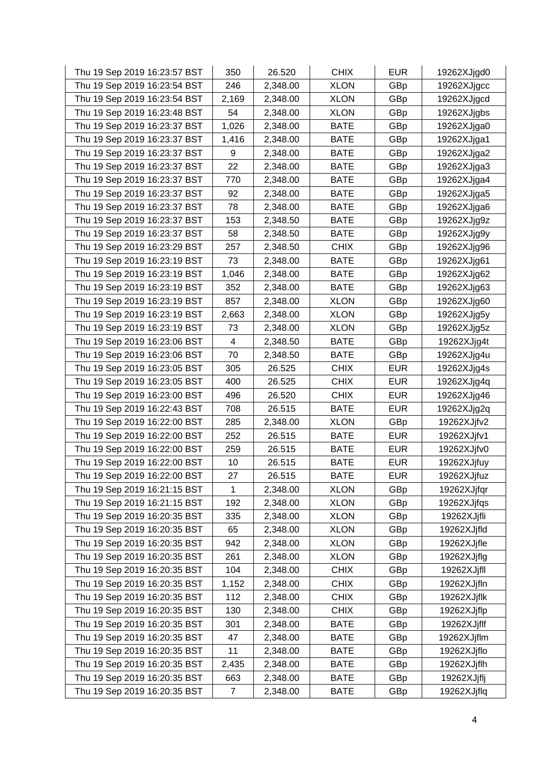| Thu 19 Sep 2019 16:23:57 BST | 350   | 26.520   | <b>CHIX</b> | <b>EUR</b> | 19262XJjgd0 |
|------------------------------|-------|----------|-------------|------------|-------------|
| Thu 19 Sep 2019 16:23:54 BST | 246   | 2,348.00 | <b>XLON</b> | GBp        | 19262XJjgcc |
| Thu 19 Sep 2019 16:23:54 BST | 2,169 | 2,348.00 | <b>XLON</b> | GBp        | 19262XJjgcd |
| Thu 19 Sep 2019 16:23:48 BST | 54    | 2,348.00 | <b>XLON</b> | GBp        | 19262XJjgbs |
| Thu 19 Sep 2019 16:23:37 BST | 1,026 | 2,348.00 | <b>BATE</b> | GBp        | 19262XJjga0 |
| Thu 19 Sep 2019 16:23:37 BST | 1,416 | 2,348.00 | <b>BATE</b> | GBp        | 19262XJjga1 |
| Thu 19 Sep 2019 16:23:37 BST | 9     | 2,348.00 | <b>BATE</b> | GBp        | 19262XJjga2 |
| Thu 19 Sep 2019 16:23:37 BST | 22    | 2,348.00 | <b>BATE</b> | GBp        | 19262XJjga3 |
| Thu 19 Sep 2019 16:23:37 BST | 770   | 2,348.00 | <b>BATE</b> | GBp        | 19262XJjga4 |
| Thu 19 Sep 2019 16:23:37 BST | 92    | 2,348.00 | <b>BATE</b> | GBp        | 19262XJjga5 |
| Thu 19 Sep 2019 16:23:37 BST | 78    | 2,348.00 | <b>BATE</b> | GBp        | 19262XJjga6 |
| Thu 19 Sep 2019 16:23:37 BST | 153   | 2,348.50 | <b>BATE</b> | GBp        | 19262XJjg9z |
| Thu 19 Sep 2019 16:23:37 BST | 58    | 2,348.50 | <b>BATE</b> | GBp        | 19262XJjg9y |
| Thu 19 Sep 2019 16:23:29 BST | 257   | 2,348.50 | <b>CHIX</b> | GBp        | 19262XJjg96 |
| Thu 19 Sep 2019 16:23:19 BST | 73    | 2,348.00 | <b>BATE</b> | GBp        | 19262XJjg61 |
| Thu 19 Sep 2019 16:23:19 BST | 1,046 | 2,348.00 | <b>BATE</b> | GBp        | 19262XJjg62 |
| Thu 19 Sep 2019 16:23:19 BST | 352   | 2,348.00 | <b>BATE</b> | GBp        | 19262XJjg63 |
| Thu 19 Sep 2019 16:23:19 BST | 857   | 2,348.00 | <b>XLON</b> | GBp        | 19262XJjg60 |
| Thu 19 Sep 2019 16:23:19 BST | 2,663 | 2,348.00 | <b>XLON</b> | GBp        | 19262XJjg5y |
| Thu 19 Sep 2019 16:23:19 BST | 73    | 2,348.00 | <b>XLON</b> | GBp        | 19262XJjg5z |
| Thu 19 Sep 2019 16:23:06 BST | 4     | 2,348.50 | <b>BATE</b> | GBp        | 19262XJjg4t |
| Thu 19 Sep 2019 16:23:06 BST | 70    | 2,348.50 | <b>BATE</b> | GBp        | 19262XJjg4u |
| Thu 19 Sep 2019 16:23:05 BST | 305   | 26.525   | <b>CHIX</b> | <b>EUR</b> | 19262XJjg4s |
| Thu 19 Sep 2019 16:23:05 BST | 400   | 26.525   | <b>CHIX</b> | <b>EUR</b> | 19262XJjg4q |
| Thu 19 Sep 2019 16:23:00 BST | 496   | 26.520   | <b>CHIX</b> | <b>EUR</b> | 19262XJjg46 |
| Thu 19 Sep 2019 16:22:43 BST | 708   | 26.515   | <b>BATE</b> | <b>EUR</b> | 19262XJjg2q |
| Thu 19 Sep 2019 16:22:00 BST | 285   | 2,348.00 | <b>XLON</b> | GBp        | 19262XJjfv2 |
| Thu 19 Sep 2019 16:22:00 BST | 252   | 26.515   | <b>BATE</b> | <b>EUR</b> | 19262XJjfv1 |
| Thu 19 Sep 2019 16:22:00 BST | 259   | 26.515   | <b>BATE</b> | <b>EUR</b> | 19262XJjfv0 |
| Thu 19 Sep 2019 16:22:00 BST | 10    | 26.515   | <b>BATE</b> | <b>EUR</b> | 19262XJjfuy |
| Thu 19 Sep 2019 16:22:00 BST | 27    | 26.515   | <b>BATE</b> | <b>EUR</b> | 19262XJjfuz |
| Thu 19 Sep 2019 16:21:15 BST | 1     | 2,348.00 | <b>XLON</b> | GBp        | 19262XJjfqr |
| Thu 19 Sep 2019 16:21:15 BST | 192   | 2,348.00 | <b>XLON</b> | GBp        | 19262XJjfqs |
| Thu 19 Sep 2019 16:20:35 BST | 335   | 2,348.00 | <b>XLON</b> | GBp        | 19262XJjfli |
| Thu 19 Sep 2019 16:20:35 BST | 65    | 2,348.00 | <b>XLON</b> | GBp        | 19262XJjfld |
| Thu 19 Sep 2019 16:20:35 BST | 942   | 2,348.00 | <b>XLON</b> | GBp        | 19262XJjfle |
| Thu 19 Sep 2019 16:20:35 BST | 261   | 2,348.00 | <b>XLON</b> | GBp        | 19262XJjflg |
| Thu 19 Sep 2019 16:20:35 BST | 104   | 2,348.00 | <b>CHIX</b> | GBp        | 19262XJjfll |
| Thu 19 Sep 2019 16:20:35 BST | 1,152 | 2,348.00 | <b>CHIX</b> | GBp        | 19262XJjfln |
| Thu 19 Sep 2019 16:20:35 BST | 112   | 2,348.00 | <b>CHIX</b> | GBp        | 19262XJjflk |
| Thu 19 Sep 2019 16:20:35 BST | 130   | 2,348.00 | <b>CHIX</b> | GBp        | 19262XJjflp |
| Thu 19 Sep 2019 16:20:35 BST | 301   | 2,348.00 | <b>BATE</b> | GBp        | 19262XJjflf |
| Thu 19 Sep 2019 16:20:35 BST | 47    | 2,348.00 | <b>BATE</b> | GBp        | 19262XJjflm |
| Thu 19 Sep 2019 16:20:35 BST | 11    | 2,348.00 | <b>BATE</b> | GBp        | 19262XJjflo |
| Thu 19 Sep 2019 16:20:35 BST | 2,435 | 2,348.00 | <b>BATE</b> | GBp        | 19262XJjflh |
| Thu 19 Sep 2019 16:20:35 BST | 663   | 2,348.00 | <b>BATE</b> | GBp        | 19262XJjflj |
| Thu 19 Sep 2019 16:20:35 BST | 7     | 2,348.00 | <b>BATE</b> | GBp        | 19262XJjflq |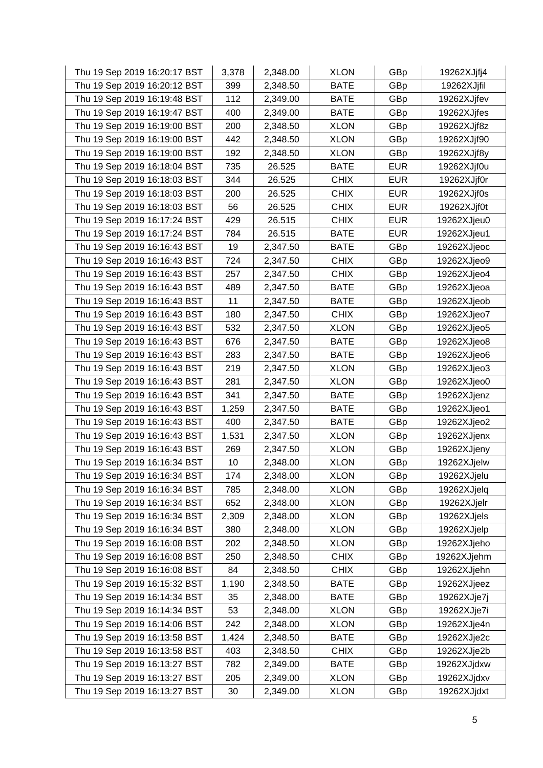| Thu 19 Sep 2019 16:20:17 BST | 3,378 | 2,348.00 | <b>XLON</b> | GBp        | 19262XJjfj4 |
|------------------------------|-------|----------|-------------|------------|-------------|
| Thu 19 Sep 2019 16:20:12 BST | 399   | 2,348.50 | <b>BATE</b> | GBp        | 19262XJjfil |
| Thu 19 Sep 2019 16:19:48 BST | 112   | 2,349.00 | <b>BATE</b> | GBp        | 19262XJjfev |
| Thu 19 Sep 2019 16:19:47 BST | 400   | 2,349.00 | <b>BATE</b> | GBp        | 19262XJjfes |
| Thu 19 Sep 2019 16:19:00 BST | 200   | 2,348.50 | <b>XLON</b> | GBp        | 19262XJjf8z |
| Thu 19 Sep 2019 16:19:00 BST | 442   | 2,348.50 | <b>XLON</b> | GBp        | 19262XJjf90 |
| Thu 19 Sep 2019 16:19:00 BST | 192   | 2,348.50 | <b>XLON</b> | GBp        | 19262XJjf8y |
| Thu 19 Sep 2019 16:18:04 BST | 735   | 26.525   | <b>BATE</b> | <b>EUR</b> | 19262XJjf0u |
| Thu 19 Sep 2019 16:18:03 BST | 344   | 26.525   | <b>CHIX</b> | <b>EUR</b> | 19262XJjf0r |
| Thu 19 Sep 2019 16:18:03 BST | 200   | 26.525   | <b>CHIX</b> | <b>EUR</b> | 19262XJjf0s |
| Thu 19 Sep 2019 16:18:03 BST | 56    | 26.525   | <b>CHIX</b> | <b>EUR</b> | 19262XJjf0t |
| Thu 19 Sep 2019 16:17:24 BST | 429   | 26.515   | <b>CHIX</b> | <b>EUR</b> | 19262XJjeu0 |
| Thu 19 Sep 2019 16:17:24 BST | 784   | 26.515   | <b>BATE</b> | <b>EUR</b> | 19262XJjeu1 |
| Thu 19 Sep 2019 16:16:43 BST | 19    | 2,347.50 | <b>BATE</b> | GBp        | 19262XJjeoc |
| Thu 19 Sep 2019 16:16:43 BST | 724   | 2,347.50 | <b>CHIX</b> | GBp        | 19262XJjeo9 |
| Thu 19 Sep 2019 16:16:43 BST | 257   | 2,347.50 | <b>CHIX</b> | GBp        | 19262XJjeo4 |
| Thu 19 Sep 2019 16:16:43 BST | 489   | 2,347.50 | <b>BATE</b> | GBp        | 19262XJjeoa |
| Thu 19 Sep 2019 16:16:43 BST | 11    | 2,347.50 | <b>BATE</b> | GBp        | 19262XJjeob |
| Thu 19 Sep 2019 16:16:43 BST | 180   | 2,347.50 | <b>CHIX</b> | GBp        | 19262XJjeo7 |
| Thu 19 Sep 2019 16:16:43 BST | 532   | 2,347.50 | <b>XLON</b> | GBp        | 19262XJjeo5 |
| Thu 19 Sep 2019 16:16:43 BST | 676   | 2,347.50 | <b>BATE</b> | GBp        | 19262XJjeo8 |
| Thu 19 Sep 2019 16:16:43 BST | 283   | 2,347.50 | <b>BATE</b> | GBp        | 19262XJjeo6 |
| Thu 19 Sep 2019 16:16:43 BST | 219   | 2,347.50 | <b>XLON</b> | GBp        | 19262XJjeo3 |
| Thu 19 Sep 2019 16:16:43 BST | 281   | 2,347.50 | <b>XLON</b> | GBp        | 19262XJjeo0 |
| Thu 19 Sep 2019 16:16:43 BST | 341   | 2,347.50 | <b>BATE</b> | GBp        | 19262XJjenz |
| Thu 19 Sep 2019 16:16:43 BST | 1,259 | 2,347.50 | <b>BATE</b> | GBp        | 19262XJjeo1 |
| Thu 19 Sep 2019 16:16:43 BST | 400   | 2,347.50 | <b>BATE</b> | GBp        | 19262XJjeo2 |
| Thu 19 Sep 2019 16:16:43 BST | 1,531 | 2,347.50 | <b>XLON</b> | GBp        | 19262XJjenx |
| Thu 19 Sep 2019 16:16:43 BST | 269   | 2,347.50 | <b>XLON</b> | GBp        | 19262XJjeny |
| Thu 19 Sep 2019 16:16:34 BST | 10    | 2,348.00 | <b>XLON</b> | GBp        | 19262XJjelw |
| Thu 19 Sep 2019 16:16:34 BST | 174   | 2,348.00 | <b>XLON</b> | GBp        | 19262XJjelu |
| Thu 19 Sep 2019 16:16:34 BST | 785   | 2,348.00 | <b>XLON</b> | GBp        | 19262XJjelq |
| Thu 19 Sep 2019 16:16:34 BST | 652   | 2,348.00 | <b>XLON</b> | GBp        | 19262XJjelr |
| Thu 19 Sep 2019 16:16:34 BST | 2,309 | 2,348.00 | <b>XLON</b> | GBp        | 19262XJjels |
| Thu 19 Sep 2019 16:16:34 BST | 380   | 2,348.00 | <b>XLON</b> | GBp        | 19262XJjelp |
| Thu 19 Sep 2019 16:16:08 BST | 202   | 2,348.50 | <b>XLON</b> | GBp        | 19262XJjeho |
| Thu 19 Sep 2019 16:16:08 BST | 250   | 2,348.50 | <b>CHIX</b> | GBp        | 19262XJjehm |
| Thu 19 Sep 2019 16:16:08 BST | 84    | 2,348.50 | <b>CHIX</b> | GBp        | 19262XJjehn |
| Thu 19 Sep 2019 16:15:32 BST | 1,190 | 2,348.50 | <b>BATE</b> | GBp        | 19262XJjeez |
| Thu 19 Sep 2019 16:14:34 BST | 35    | 2,348.00 | <b>BATE</b> | GBp        | 19262XJje7j |
| Thu 19 Sep 2019 16:14:34 BST | 53    | 2,348.00 | <b>XLON</b> | GBp        | 19262XJje7i |
| Thu 19 Sep 2019 16:14:06 BST | 242   | 2,348.00 | <b>XLON</b> | GBp        | 19262XJje4n |
| Thu 19 Sep 2019 16:13:58 BST | 1,424 | 2,348.50 | <b>BATE</b> | GBp        | 19262XJje2c |
| Thu 19 Sep 2019 16:13:58 BST | 403   | 2,348.50 | <b>CHIX</b> | GBp        | 19262XJje2b |
| Thu 19 Sep 2019 16:13:27 BST | 782   | 2,349.00 | <b>BATE</b> | GBp        | 19262XJjdxw |
| Thu 19 Sep 2019 16:13:27 BST | 205   | 2,349.00 | <b>XLON</b> | GBp        | 19262XJjdxv |
| Thu 19 Sep 2019 16:13:27 BST | 30    | 2,349.00 | <b>XLON</b> | GBp        | 19262XJjdxt |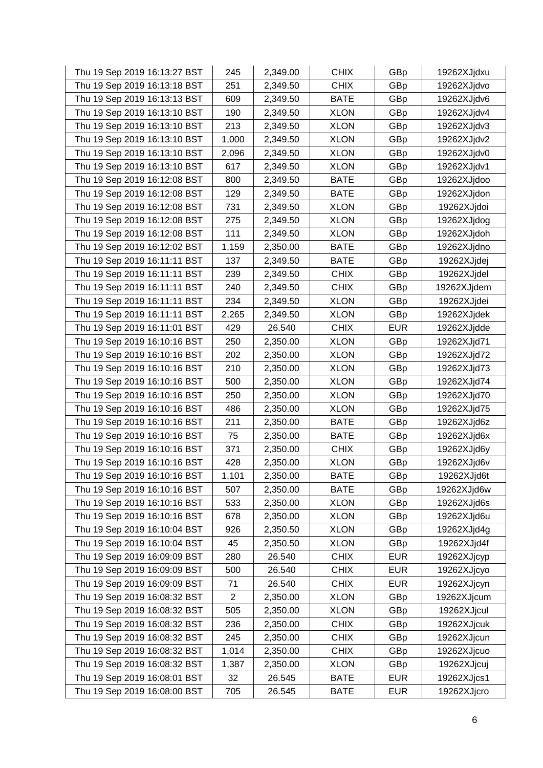| Thu 19 Sep 2019 16:13:27 BST | 245            | 2,349.00 | <b>CHIX</b> | GBp        | 19262XJjdxu |
|------------------------------|----------------|----------|-------------|------------|-------------|
| Thu 19 Sep 2019 16:13:18 BST | 251            | 2,349.50 | <b>CHIX</b> | GBp        | 19262XJjdvo |
| Thu 19 Sep 2019 16:13:13 BST | 609            | 2,349.50 | <b>BATE</b> | GBp        | 19262XJjdv6 |
| Thu 19 Sep 2019 16:13:10 BST | 190            | 2,349.50 | <b>XLON</b> | GBp        | 19262XJjdv4 |
| Thu 19 Sep 2019 16:13:10 BST | 213            | 2,349.50 | <b>XLON</b> | GBp        | 19262XJjdv3 |
| Thu 19 Sep 2019 16:13:10 BST | 1,000          | 2,349.50 | <b>XLON</b> | GBp        | 19262XJjdv2 |
| Thu 19 Sep 2019 16:13:10 BST | 2,096          | 2,349.50 | <b>XLON</b> | GBp        | 19262XJjdv0 |
| Thu 19 Sep 2019 16:13:10 BST | 617            | 2,349.50 | <b>XLON</b> | GBp        | 19262XJjdv1 |
| Thu 19 Sep 2019 16:12:08 BST | 800            | 2,349.50 | <b>BATE</b> | GBp        | 19262XJjdoo |
| Thu 19 Sep 2019 16:12:08 BST | 129            | 2,349.50 | <b>BATE</b> | GBp        | 19262XJjdon |
| Thu 19 Sep 2019 16:12:08 BST | 731            | 2,349.50 | <b>XLON</b> | GBp        | 19262XJjdoi |
| Thu 19 Sep 2019 16:12:08 BST | 275            | 2,349.50 | <b>XLON</b> | GBp        | 19262XJjdog |
| Thu 19 Sep 2019 16:12:08 BST | 111            | 2,349.50 | <b>XLON</b> | GBp        | 19262XJjdoh |
| Thu 19 Sep 2019 16:12:02 BST | 1,159          | 2,350.00 | <b>BATE</b> | GBp        | 19262XJjdno |
| Thu 19 Sep 2019 16:11:11 BST | 137            | 2,349.50 | <b>BATE</b> | GBp        | 19262XJjdej |
| Thu 19 Sep 2019 16:11:11 BST | 239            | 2,349.50 | <b>CHIX</b> | GBp        | 19262XJjdel |
| Thu 19 Sep 2019 16:11:11 BST | 240            | 2,349.50 | <b>CHIX</b> | GBp        | 19262XJjdem |
| Thu 19 Sep 2019 16:11:11 BST | 234            | 2,349.50 | <b>XLON</b> | GBp        | 19262XJjdei |
| Thu 19 Sep 2019 16:11:11 BST | 2,265          | 2,349.50 | <b>XLON</b> | GBp        | 19262XJjdek |
| Thu 19 Sep 2019 16:11:01 BST | 429            | 26.540   | <b>CHIX</b> | <b>EUR</b> | 19262XJjdde |
| Thu 19 Sep 2019 16:10:16 BST | 250            | 2,350.00 | <b>XLON</b> | GBp        | 19262XJjd71 |
| Thu 19 Sep 2019 16:10:16 BST | 202            | 2,350.00 | <b>XLON</b> | GBp        | 19262XJjd72 |
| Thu 19 Sep 2019 16:10:16 BST | 210            | 2,350.00 | <b>XLON</b> | GBp        | 19262XJjd73 |
| Thu 19 Sep 2019 16:10:16 BST | 500            | 2,350.00 | <b>XLON</b> | GBp        | 19262XJjd74 |
| Thu 19 Sep 2019 16:10:16 BST | 250            | 2,350.00 | <b>XLON</b> | GBp        | 19262XJjd70 |
| Thu 19 Sep 2019 16:10:16 BST | 486            | 2,350.00 | <b>XLON</b> | GBp        | 19262XJjd75 |
| Thu 19 Sep 2019 16:10:16 BST | 211            | 2,350.00 | <b>BATE</b> | GBp        | 19262XJjd6z |
| Thu 19 Sep 2019 16:10:16 BST | 75             | 2,350.00 | <b>BATE</b> | GBp        | 19262XJjd6x |
| Thu 19 Sep 2019 16:10:16 BST | 371            | 2,350.00 | <b>CHIX</b> | GBp        | 19262XJjd6y |
| Thu 19 Sep 2019 16:10:16 BST | 428            | 2,350.00 | <b>XLON</b> | GBp        | 19262XJjd6v |
| Thu 19 Sep 2019 16:10:16 BST | 1,101          | 2,350.00 | <b>BATE</b> | GBp        | 19262XJjd6t |
| Thu 19 Sep 2019 16:10:16 BST | 507            | 2,350.00 | <b>BATE</b> | GBp        | 19262XJjd6w |
| Thu 19 Sep 2019 16:10:16 BST | 533            | 2,350.00 | <b>XLON</b> | GBp        | 19262XJjd6s |
| Thu 19 Sep 2019 16:10:16 BST | 678            | 2,350.00 | <b>XLON</b> | GBp        | 19262XJjd6u |
| Thu 19 Sep 2019 16:10:04 BST | 926            | 2,350.50 | <b>XLON</b> | GBp        | 19262XJjd4g |
| Thu 19 Sep 2019 16:10:04 BST | 45             | 2,350.50 | <b>XLON</b> | GBp        | 19262XJjd4f |
| Thu 19 Sep 2019 16:09:09 BST | 280            | 26.540   | <b>CHIX</b> | <b>EUR</b> | 19262XJjcyp |
| Thu 19 Sep 2019 16:09:09 BST | 500            | 26.540   | <b>CHIX</b> | <b>EUR</b> | 19262XJjcyo |
| Thu 19 Sep 2019 16:09:09 BST | 71             | 26.540   | <b>CHIX</b> | <b>EUR</b> | 19262XJjcyn |
| Thu 19 Sep 2019 16:08:32 BST | $\overline{c}$ | 2,350.00 | <b>XLON</b> | GBp        | 19262XJjcum |
| Thu 19 Sep 2019 16:08:32 BST | 505            | 2,350.00 | <b>XLON</b> | GBp        | 19262XJjcul |
| Thu 19 Sep 2019 16:08:32 BST | 236            | 2,350.00 | <b>CHIX</b> | GBp        | 19262XJjcuk |
| Thu 19 Sep 2019 16:08:32 BST | 245            | 2,350.00 | <b>CHIX</b> | GBp        | 19262XJjcun |
| Thu 19 Sep 2019 16:08:32 BST | 1,014          | 2,350.00 | <b>CHIX</b> | GBp        | 19262XJjcuo |
| Thu 19 Sep 2019 16:08:32 BST | 1,387          | 2,350.00 | <b>XLON</b> | GBp        | 19262XJjcuj |
| Thu 19 Sep 2019 16:08:01 BST | 32             | 26.545   | <b>BATE</b> | <b>EUR</b> | 19262XJjcs1 |
| Thu 19 Sep 2019 16:08:00 BST | 705            | 26.545   | <b>BATE</b> | <b>EUR</b> | 19262XJjcro |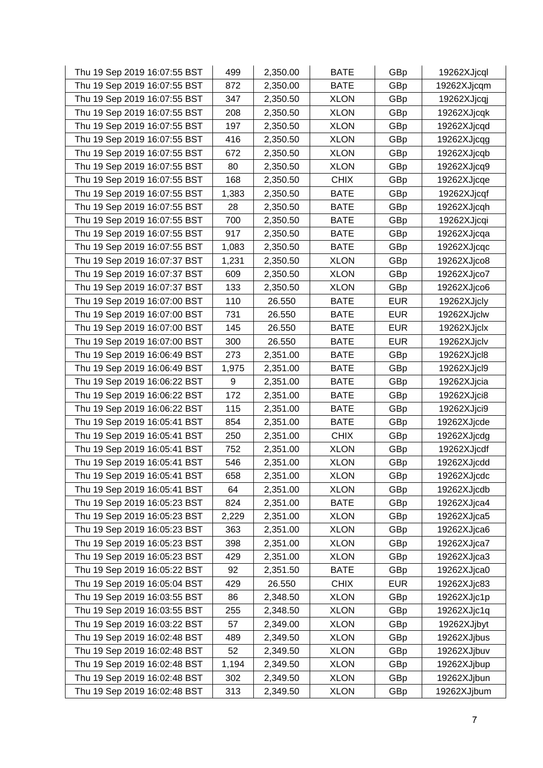| Thu 19 Sep 2019 16:07:55 BST | 499   | 2,350.00 | <b>BATE</b> | GBp        | 19262XJjcql |
|------------------------------|-------|----------|-------------|------------|-------------|
| Thu 19 Sep 2019 16:07:55 BST | 872   | 2,350.00 | <b>BATE</b> | GBp        | 19262XJjcqm |
| Thu 19 Sep 2019 16:07:55 BST | 347   | 2,350.50 | <b>XLON</b> | GBp        | 19262XJjcqj |
| Thu 19 Sep 2019 16:07:55 BST | 208   | 2,350.50 | <b>XLON</b> | GBp        | 19262XJjcqk |
| Thu 19 Sep 2019 16:07:55 BST | 197   | 2,350.50 | <b>XLON</b> | GBp        | 19262XJjcqd |
| Thu 19 Sep 2019 16:07:55 BST | 416   | 2,350.50 | <b>XLON</b> | GBp        | 19262XJjcqg |
| Thu 19 Sep 2019 16:07:55 BST | 672   | 2,350.50 | <b>XLON</b> | GBp        | 19262XJjcqb |
| Thu 19 Sep 2019 16:07:55 BST | 80    | 2,350.50 | <b>XLON</b> | GBp        | 19262XJjcq9 |
| Thu 19 Sep 2019 16:07:55 BST | 168   | 2,350.50 | <b>CHIX</b> | GBp        | 19262XJjcqe |
| Thu 19 Sep 2019 16:07:55 BST | 1,383 | 2,350.50 | <b>BATE</b> | GBp        | 19262XJjcqf |
| Thu 19 Sep 2019 16:07:55 BST | 28    | 2,350.50 | <b>BATE</b> | GBp        | 19262XJjcqh |
| Thu 19 Sep 2019 16:07:55 BST | 700   | 2,350.50 | <b>BATE</b> | GBp        | 19262XJjcqi |
| Thu 19 Sep 2019 16:07:55 BST | 917   | 2,350.50 | <b>BATE</b> | GBp        | 19262XJjcqa |
| Thu 19 Sep 2019 16:07:55 BST | 1,083 | 2,350.50 | <b>BATE</b> | GBp        | 19262XJjcqc |
| Thu 19 Sep 2019 16:07:37 BST | 1,231 | 2,350.50 | <b>XLON</b> | GBp        | 19262XJjco8 |
| Thu 19 Sep 2019 16:07:37 BST | 609   | 2,350.50 | <b>XLON</b> | GBp        | 19262XJjco7 |
| Thu 19 Sep 2019 16:07:37 BST | 133   | 2,350.50 | <b>XLON</b> | GBp        | 19262XJjco6 |
| Thu 19 Sep 2019 16:07:00 BST | 110   | 26.550   | <b>BATE</b> | <b>EUR</b> | 19262XJjcly |
| Thu 19 Sep 2019 16:07:00 BST | 731   | 26.550   | <b>BATE</b> | <b>EUR</b> | 19262XJjclw |
| Thu 19 Sep 2019 16:07:00 BST | 145   | 26.550   | <b>BATE</b> | <b>EUR</b> | 19262XJjclx |
| Thu 19 Sep 2019 16:07:00 BST | 300   | 26.550   | <b>BATE</b> | <b>EUR</b> | 19262XJjclv |
| Thu 19 Sep 2019 16:06:49 BST | 273   | 2,351.00 | <b>BATE</b> | GBp        | 19262XJjcl8 |
| Thu 19 Sep 2019 16:06:49 BST | 1,975 | 2,351.00 | <b>BATE</b> | GBp        | 19262XJjcl9 |
| Thu 19 Sep 2019 16:06:22 BST | 9     | 2,351.00 | <b>BATE</b> | GBp        | 19262XJjcia |
| Thu 19 Sep 2019 16:06:22 BST | 172   | 2,351.00 | <b>BATE</b> | GBp        | 19262XJjci8 |
| Thu 19 Sep 2019 16:06:22 BST | 115   | 2,351.00 | <b>BATE</b> | GBp        | 19262XJjci9 |
| Thu 19 Sep 2019 16:05:41 BST | 854   | 2,351.00 | <b>BATE</b> | GBp        | 19262XJjcde |
| Thu 19 Sep 2019 16:05:41 BST | 250   | 2,351.00 | <b>CHIX</b> | GBp        | 19262XJjcdg |
| Thu 19 Sep 2019 16:05:41 BST | 752   | 2,351.00 | <b>XLON</b> | GBp        | 19262XJjcdf |
| Thu 19 Sep 2019 16:05:41 BST | 546   | 2,351.00 | <b>XLON</b> | GBp        | 19262XJjcdd |
| Thu 19 Sep 2019 16:05:41 BST | 658   | 2,351.00 | <b>XLON</b> | GBp        | 19262XJjcdc |
| Thu 19 Sep 2019 16:05:41 BST | 64    | 2,351.00 | <b>XLON</b> | GBp        | 19262XJjcdb |
| Thu 19 Sep 2019 16:05:23 BST | 824   | 2,351.00 | <b>BATE</b> | GBp        | 19262XJjca4 |
| Thu 19 Sep 2019 16:05:23 BST | 2,229 | 2,351.00 | <b>XLON</b> | GBp        | 19262XJjca5 |
| Thu 19 Sep 2019 16:05:23 BST | 363   | 2,351.00 | <b>XLON</b> | GBp        | 19262XJjca6 |
| Thu 19 Sep 2019 16:05:23 BST | 398   | 2,351.00 | <b>XLON</b> | GBp        | 19262XJjca7 |
| Thu 19 Sep 2019 16:05:23 BST | 429   | 2,351.00 | <b>XLON</b> | GBp        | 19262XJjca3 |
| Thu 19 Sep 2019 16:05:22 BST | 92    | 2,351.50 | <b>BATE</b> | GBp        | 19262XJjca0 |
| Thu 19 Sep 2019 16:05:04 BST | 429   | 26.550   | <b>CHIX</b> | <b>EUR</b> | 19262XJjc83 |
| Thu 19 Sep 2019 16:03:55 BST | 86    | 2,348.50 | <b>XLON</b> | GBp        | 19262XJjc1p |
| Thu 19 Sep 2019 16:03:55 BST | 255   | 2,348.50 | <b>XLON</b> | GBp        | 19262XJjc1q |
| Thu 19 Sep 2019 16:03:22 BST | 57    | 2,349.00 | <b>XLON</b> | GBp        | 19262XJjbyt |
| Thu 19 Sep 2019 16:02:48 BST | 489   | 2,349.50 | <b>XLON</b> | GBp        | 19262XJjbus |
| Thu 19 Sep 2019 16:02:48 BST | 52    | 2,349.50 | <b>XLON</b> | GBp        | 19262XJjbuv |
| Thu 19 Sep 2019 16:02:48 BST | 1,194 | 2,349.50 | <b>XLON</b> | GBp        | 19262XJjbup |
| Thu 19 Sep 2019 16:02:48 BST | 302   | 2,349.50 | <b>XLON</b> | GBp        | 19262XJjbun |
| Thu 19 Sep 2019 16:02:48 BST | 313   | 2,349.50 | <b>XLON</b> | GBp        | 19262XJjbum |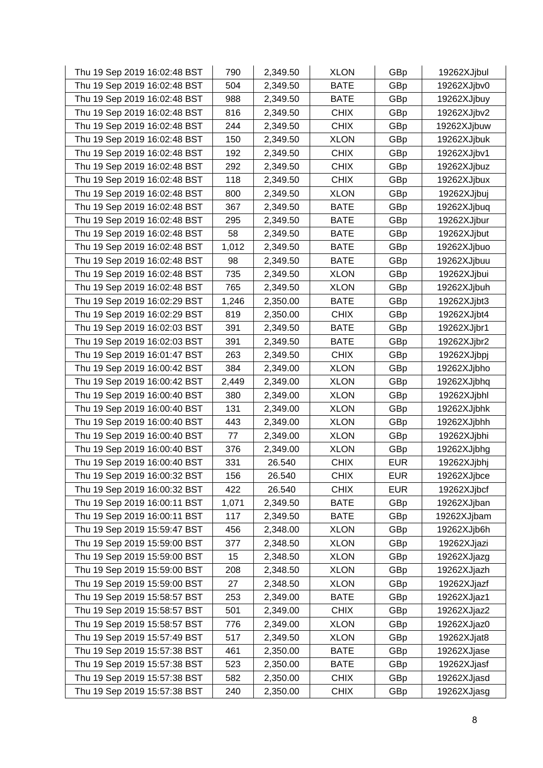| Thu 19 Sep 2019 16:02:48 BST | 790   | 2,349.50 | <b>XLON</b> | GBp        | 19262XJjbul |
|------------------------------|-------|----------|-------------|------------|-------------|
| Thu 19 Sep 2019 16:02:48 BST | 504   | 2,349.50 | <b>BATE</b> | GBp        | 19262XJjbv0 |
| Thu 19 Sep 2019 16:02:48 BST | 988   | 2,349.50 | <b>BATE</b> | GBp        | 19262XJjbuy |
| Thu 19 Sep 2019 16:02:48 BST | 816   | 2,349.50 | <b>CHIX</b> | GBp        | 19262XJjbv2 |
| Thu 19 Sep 2019 16:02:48 BST | 244   | 2,349.50 | <b>CHIX</b> | GBp        | 19262XJjbuw |
| Thu 19 Sep 2019 16:02:48 BST | 150   | 2,349.50 | <b>XLON</b> | GBp        | 19262XJjbuk |
| Thu 19 Sep 2019 16:02:48 BST | 192   | 2,349.50 | <b>CHIX</b> | GBp        | 19262XJjbv1 |
| Thu 19 Sep 2019 16:02:48 BST | 292   | 2,349.50 | <b>CHIX</b> | GBp        | 19262XJjbuz |
| Thu 19 Sep 2019 16:02:48 BST | 118   | 2,349.50 | <b>CHIX</b> | GBp        | 19262XJjbux |
| Thu 19 Sep 2019 16:02:48 BST | 800   | 2,349.50 | <b>XLON</b> | GBp        | 19262XJjbuj |
| Thu 19 Sep 2019 16:02:48 BST | 367   | 2,349.50 | <b>BATE</b> | GBp        | 19262XJjbuq |
| Thu 19 Sep 2019 16:02:48 BST | 295   | 2,349.50 | <b>BATE</b> | GBp        | 19262XJjbur |
| Thu 19 Sep 2019 16:02:48 BST | 58    | 2,349.50 | <b>BATE</b> | GBp        | 19262XJjbut |
| Thu 19 Sep 2019 16:02:48 BST | 1,012 | 2,349.50 | <b>BATE</b> | GBp        | 19262XJjbuo |
| Thu 19 Sep 2019 16:02:48 BST | 98    | 2,349.50 | <b>BATE</b> | GBp        | 19262XJjbuu |
| Thu 19 Sep 2019 16:02:48 BST | 735   | 2,349.50 | <b>XLON</b> | GBp        | 19262XJjbui |
| Thu 19 Sep 2019 16:02:48 BST | 765   | 2,349.50 | <b>XLON</b> | GBp        | 19262XJjbuh |
| Thu 19 Sep 2019 16:02:29 BST | 1,246 | 2,350.00 | <b>BATE</b> | GBp        | 19262XJjbt3 |
| Thu 19 Sep 2019 16:02:29 BST | 819   | 2,350.00 | <b>CHIX</b> | GBp        | 19262XJjbt4 |
| Thu 19 Sep 2019 16:02:03 BST | 391   | 2,349.50 | <b>BATE</b> | GBp        | 19262XJjbr1 |
| Thu 19 Sep 2019 16:02:03 BST | 391   | 2,349.50 | <b>BATE</b> | GBp        | 19262XJjbr2 |
| Thu 19 Sep 2019 16:01:47 BST | 263   | 2,349.50 | <b>CHIX</b> | GBp        | 19262XJjbpj |
| Thu 19 Sep 2019 16:00:42 BST | 384   | 2,349.00 | <b>XLON</b> | GBp        | 19262XJjbho |
| Thu 19 Sep 2019 16:00:42 BST | 2,449 | 2,349.00 | <b>XLON</b> | GBp        | 19262XJjbhq |
| Thu 19 Sep 2019 16:00:40 BST | 380   | 2,349.00 | <b>XLON</b> | GBp        | 19262XJjbhl |
| Thu 19 Sep 2019 16:00:40 BST | 131   | 2,349.00 | <b>XLON</b> | GBp        | 19262XJjbhk |
| Thu 19 Sep 2019 16:00:40 BST | 443   | 2,349.00 | <b>XLON</b> | GBp        | 19262XJjbhh |
| Thu 19 Sep 2019 16:00:40 BST | 77    | 2,349.00 | <b>XLON</b> | GBp        | 19262XJjbhi |
| Thu 19 Sep 2019 16:00:40 BST | 376   | 2,349.00 | <b>XLON</b> | GBp        | 19262XJjbhg |
| Thu 19 Sep 2019 16:00:40 BST | 331   | 26.540   | <b>CHIX</b> | <b>EUR</b> | 19262XJjbhj |
| Thu 19 Sep 2019 16:00:32 BST | 156   | 26.540   | <b>CHIX</b> | <b>EUR</b> | 19262XJjbce |
| Thu 19 Sep 2019 16:00:32 BST | 422   | 26.540   | <b>CHIX</b> | <b>EUR</b> | 19262XJjbcf |
| Thu 19 Sep 2019 16:00:11 BST | 1,071 | 2,349.50 | <b>BATE</b> | GBp        | 19262XJjban |
| Thu 19 Sep 2019 16:00:11 BST | 117   | 2,349.50 | <b>BATE</b> | GBp        | 19262XJjbam |
| Thu 19 Sep 2019 15:59:47 BST | 456   | 2,348.00 | <b>XLON</b> | GBp        | 19262XJjb6h |
| Thu 19 Sep 2019 15:59:00 BST | 377   | 2,348.50 | <b>XLON</b> | GBp        | 19262XJjazi |
| Thu 19 Sep 2019 15:59:00 BST | 15    | 2,348.50 | <b>XLON</b> | GBp        | 19262XJjazg |
| Thu 19 Sep 2019 15:59:00 BST | 208   | 2,348.50 | <b>XLON</b> | GBp        | 19262XJjazh |
| Thu 19 Sep 2019 15:59:00 BST | 27    | 2,348.50 | <b>XLON</b> | GBp        | 19262XJjazf |
| Thu 19 Sep 2019 15:58:57 BST | 253   | 2,349.00 | <b>BATE</b> | GBp        | 19262XJjaz1 |
| Thu 19 Sep 2019 15:58:57 BST | 501   | 2,349.00 | <b>CHIX</b> | GBp        | 19262XJjaz2 |
| Thu 19 Sep 2019 15:58:57 BST | 776   | 2,349.00 | <b>XLON</b> | GBp        | 19262XJjaz0 |
| Thu 19 Sep 2019 15:57:49 BST | 517   | 2,349.50 | <b>XLON</b> | GBp        | 19262XJjat8 |
| Thu 19 Sep 2019 15:57:38 BST | 461   | 2,350.00 | <b>BATE</b> | GBp        | 19262XJjase |
| Thu 19 Sep 2019 15:57:38 BST | 523   | 2,350.00 | <b>BATE</b> | GBp        | 19262XJjasf |
| Thu 19 Sep 2019 15:57:38 BST | 582   | 2,350.00 | <b>CHIX</b> | GBp        | 19262XJjasd |
| Thu 19 Sep 2019 15:57:38 BST | 240   | 2,350.00 | <b>CHIX</b> | GBp        | 19262XJjasg |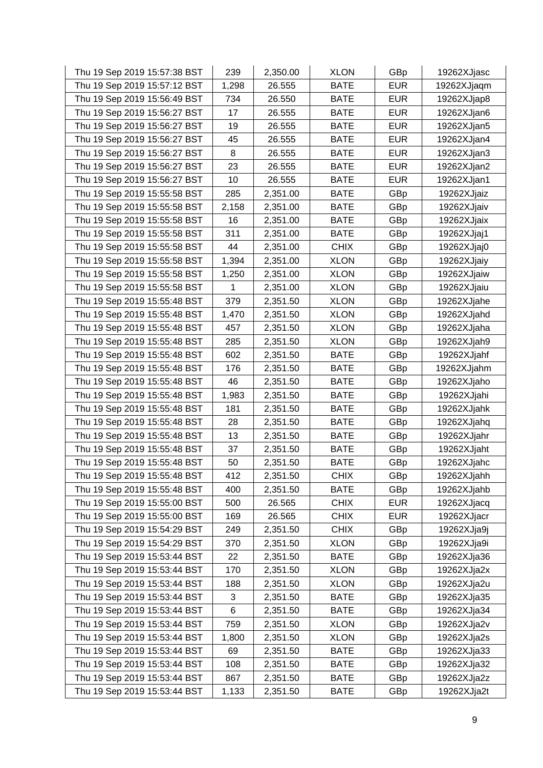| Thu 19 Sep 2019 15:57:38 BST | 239   | 2,350.00 | <b>XLON</b> | GBp        | 19262XJjasc |
|------------------------------|-------|----------|-------------|------------|-------------|
| Thu 19 Sep 2019 15:57:12 BST | 1,298 | 26.555   | <b>BATE</b> | <b>EUR</b> | 19262XJjaqm |
| Thu 19 Sep 2019 15:56:49 BST | 734   | 26.550   | <b>BATE</b> | <b>EUR</b> | 19262XJjap8 |
| Thu 19 Sep 2019 15:56:27 BST | 17    | 26.555   | <b>BATE</b> | <b>EUR</b> | 19262XJjan6 |
| Thu 19 Sep 2019 15:56:27 BST | 19    | 26.555   | <b>BATE</b> | <b>EUR</b> | 19262XJjan5 |
| Thu 19 Sep 2019 15:56:27 BST | 45    | 26.555   | <b>BATE</b> | <b>EUR</b> | 19262XJjan4 |
| Thu 19 Sep 2019 15:56:27 BST | 8     | 26.555   | <b>BATE</b> | <b>EUR</b> | 19262XJjan3 |
| Thu 19 Sep 2019 15:56:27 BST | 23    | 26.555   | <b>BATE</b> | <b>EUR</b> | 19262XJjan2 |
| Thu 19 Sep 2019 15:56:27 BST | 10    | 26.555   | <b>BATE</b> | <b>EUR</b> | 19262XJjan1 |
| Thu 19 Sep 2019 15:55:58 BST | 285   | 2,351.00 | <b>BATE</b> | GBp        | 19262XJjaiz |
| Thu 19 Sep 2019 15:55:58 BST | 2,158 | 2,351.00 | <b>BATE</b> | GBp        | 19262XJjaiv |
| Thu 19 Sep 2019 15:55:58 BST | 16    | 2,351.00 | <b>BATE</b> | GBp        | 19262XJjaix |
| Thu 19 Sep 2019 15:55:58 BST | 311   | 2,351.00 | <b>BATE</b> | GBp        | 19262XJjaj1 |
| Thu 19 Sep 2019 15:55:58 BST | 44    | 2,351.00 | <b>CHIX</b> | GBp        | 19262XJjaj0 |
| Thu 19 Sep 2019 15:55:58 BST | 1,394 | 2,351.00 | <b>XLON</b> | GBp        | 19262XJjaiy |
| Thu 19 Sep 2019 15:55:58 BST | 1,250 | 2,351.00 | <b>XLON</b> | GBp        | 19262XJjaiw |
| Thu 19 Sep 2019 15:55:58 BST | 1     | 2,351.00 | <b>XLON</b> | GBp        | 19262XJjaiu |
| Thu 19 Sep 2019 15:55:48 BST | 379   | 2,351.50 | <b>XLON</b> | GBp        | 19262XJjahe |
| Thu 19 Sep 2019 15:55:48 BST | 1,470 | 2,351.50 | <b>XLON</b> | GBp        | 19262XJjahd |
| Thu 19 Sep 2019 15:55:48 BST | 457   | 2,351.50 | <b>XLON</b> | GBp        | 19262XJjaha |
| Thu 19 Sep 2019 15:55:48 BST | 285   | 2,351.50 | <b>XLON</b> | GBp        | 19262XJjah9 |
| Thu 19 Sep 2019 15:55:48 BST | 602   | 2,351.50 | <b>BATE</b> | GBp        | 19262XJjahf |
| Thu 19 Sep 2019 15:55:48 BST | 176   | 2,351.50 | <b>BATE</b> | GBp        | 19262XJjahm |
| Thu 19 Sep 2019 15:55:48 BST | 46    | 2,351.50 | <b>BATE</b> | GBp        | 19262XJjaho |
| Thu 19 Sep 2019 15:55:48 BST | 1,983 | 2,351.50 | <b>BATE</b> | GBp        | 19262XJjahi |
| Thu 19 Sep 2019 15:55:48 BST | 181   | 2,351.50 | <b>BATE</b> | GBp        | 19262XJjahk |
| Thu 19 Sep 2019 15:55:48 BST | 28    | 2,351.50 | <b>BATE</b> | GBp        | 19262XJjahq |
| Thu 19 Sep 2019 15:55:48 BST | 13    | 2,351.50 | <b>BATE</b> | GBp        | 19262XJjahr |
| Thu 19 Sep 2019 15:55:48 BST | 37    | 2,351.50 | <b>BATE</b> | GBp        | 19262XJjaht |
| Thu 19 Sep 2019 15:55:48 BST | 50    | 2,351.50 | <b>BATE</b> | GBp        | 19262XJjahc |
| Thu 19 Sep 2019 15:55:48 BST | 412   | 2,351.50 | <b>CHIX</b> | GBp        | 19262XJjahh |
| Thu 19 Sep 2019 15:55:48 BST | 400   | 2,351.50 | <b>BATE</b> | GBp        | 19262XJjahb |
| Thu 19 Sep 2019 15:55:00 BST | 500   | 26.565   | <b>CHIX</b> | <b>EUR</b> | 19262XJjacq |
| Thu 19 Sep 2019 15:55:00 BST | 169   | 26.565   | <b>CHIX</b> | <b>EUR</b> | 19262XJjacr |
| Thu 19 Sep 2019 15:54:29 BST | 249   | 2,351.50 | <b>CHIX</b> | GBp        | 19262XJja9j |
| Thu 19 Sep 2019 15:54:29 BST | 370   | 2,351.50 | <b>XLON</b> | GBp        | 19262XJja9i |
| Thu 19 Sep 2019 15:53:44 BST | 22    | 2,351.50 | <b>BATE</b> | GBp        | 19262XJja36 |
| Thu 19 Sep 2019 15:53:44 BST | 170   | 2,351.50 | <b>XLON</b> | GBp        | 19262XJja2x |
| Thu 19 Sep 2019 15:53:44 BST | 188   | 2,351.50 | <b>XLON</b> | GBp        | 19262XJja2u |
| Thu 19 Sep 2019 15:53:44 BST | 3     | 2,351.50 | <b>BATE</b> | GBp        | 19262XJja35 |
| Thu 19 Sep 2019 15:53:44 BST | $\,6$ | 2,351.50 | <b>BATE</b> | GBp        | 19262XJja34 |
| Thu 19 Sep 2019 15:53:44 BST | 759   | 2,351.50 | <b>XLON</b> | GBp        | 19262XJja2v |
| Thu 19 Sep 2019 15:53:44 BST | 1,800 | 2,351.50 | <b>XLON</b> | GBp        | 19262XJja2s |
| Thu 19 Sep 2019 15:53:44 BST | 69    | 2,351.50 | <b>BATE</b> | GBp        | 19262XJja33 |
| Thu 19 Sep 2019 15:53:44 BST | 108   | 2,351.50 | <b>BATE</b> | GBp        | 19262XJja32 |
| Thu 19 Sep 2019 15:53:44 BST | 867   | 2,351.50 | <b>BATE</b> | GBp        | 19262XJja2z |
| Thu 19 Sep 2019 15:53:44 BST | 1,133 | 2,351.50 | BATE        | GBp        | 19262XJja2t |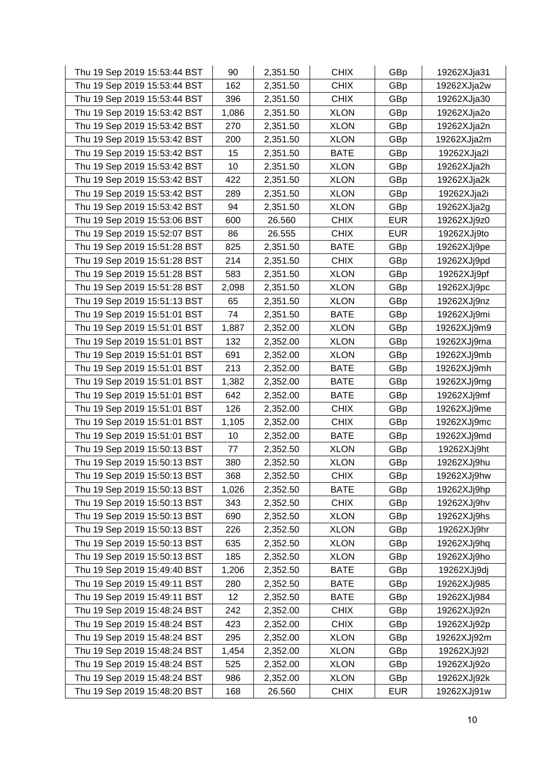| Thu 19 Sep 2019 15:53:44 BST | 90    | 2,351.50 | <b>CHIX</b> | GBp        | 19262XJja31 |
|------------------------------|-------|----------|-------------|------------|-------------|
| Thu 19 Sep 2019 15:53:44 BST | 162   | 2,351.50 | <b>CHIX</b> | GBp        | 19262XJja2w |
| Thu 19 Sep 2019 15:53:44 BST | 396   | 2,351.50 | <b>CHIX</b> | GBp        | 19262XJja30 |
| Thu 19 Sep 2019 15:53:42 BST | 1,086 | 2,351.50 | <b>XLON</b> | GBp        | 19262XJja2o |
| Thu 19 Sep 2019 15:53:42 BST | 270   | 2,351.50 | <b>XLON</b> | GBp        | 19262XJja2n |
| Thu 19 Sep 2019 15:53:42 BST | 200   | 2,351.50 | <b>XLON</b> | GBp        | 19262XJja2m |
| Thu 19 Sep 2019 15:53:42 BST | 15    | 2,351.50 | <b>BATE</b> | GBp        | 19262XJja2l |
| Thu 19 Sep 2019 15:53:42 BST | 10    | 2,351.50 | <b>XLON</b> | GBp        | 19262XJja2h |
| Thu 19 Sep 2019 15:53:42 BST | 422   | 2,351.50 | <b>XLON</b> | GBp        | 19262XJja2k |
| Thu 19 Sep 2019 15:53:42 BST | 289   | 2,351.50 | <b>XLON</b> | GBp        | 19262XJja2i |
| Thu 19 Sep 2019 15:53:42 BST | 94    | 2,351.50 | <b>XLON</b> | GBp        | 19262XJja2g |
| Thu 19 Sep 2019 15:53:06 BST | 600   | 26.560   | <b>CHIX</b> | <b>EUR</b> | 19262XJj9z0 |
| Thu 19 Sep 2019 15:52:07 BST | 86    | 26.555   | <b>CHIX</b> | <b>EUR</b> | 19262XJj9to |
| Thu 19 Sep 2019 15:51:28 BST | 825   | 2,351.50 | <b>BATE</b> | GBp        | 19262XJj9pe |
| Thu 19 Sep 2019 15:51:28 BST | 214   | 2,351.50 | <b>CHIX</b> | GBp        | 19262XJj9pd |
| Thu 19 Sep 2019 15:51:28 BST | 583   | 2,351.50 | <b>XLON</b> | GBp        | 19262XJj9pf |
| Thu 19 Sep 2019 15:51:28 BST | 2,098 | 2,351.50 | <b>XLON</b> | GBp        | 19262XJj9pc |
| Thu 19 Sep 2019 15:51:13 BST | 65    | 2,351.50 | <b>XLON</b> | GBp        | 19262XJj9nz |
| Thu 19 Sep 2019 15:51:01 BST | 74    | 2,351.50 | <b>BATE</b> | GBp        | 19262XJj9mi |
| Thu 19 Sep 2019 15:51:01 BST | 1,887 | 2,352.00 | <b>XLON</b> | GBp        | 19262XJj9m9 |
| Thu 19 Sep 2019 15:51:01 BST | 132   | 2,352.00 | <b>XLON</b> | GBp        | 19262XJj9ma |
| Thu 19 Sep 2019 15:51:01 BST | 691   | 2,352.00 | <b>XLON</b> | GBp        | 19262XJj9mb |
| Thu 19 Sep 2019 15:51:01 BST | 213   | 2,352.00 | <b>BATE</b> | GBp        | 19262XJj9mh |
| Thu 19 Sep 2019 15:51:01 BST | 1,382 | 2,352.00 | <b>BATE</b> | GBp        | 19262XJj9mg |
| Thu 19 Sep 2019 15:51:01 BST | 642   | 2,352.00 | <b>BATE</b> | GBp        | 19262XJj9mf |
| Thu 19 Sep 2019 15:51:01 BST | 126   | 2,352.00 | <b>CHIX</b> | GBp        | 19262XJj9me |
| Thu 19 Sep 2019 15:51:01 BST | 1,105 | 2,352.00 | <b>CHIX</b> | GBp        | 19262XJj9mc |
| Thu 19 Sep 2019 15:51:01 BST | 10    | 2,352.00 | <b>BATE</b> | GBp        | 19262XJj9md |
| Thu 19 Sep 2019 15:50:13 BST | 77    | 2,352.50 | <b>XLON</b> | GBp        | 19262XJj9ht |
| Thu 19 Sep 2019 15:50:13 BST | 380   | 2,352.50 | <b>XLON</b> | GBp        | 19262XJj9hu |
| Thu 19 Sep 2019 15:50:13 BST | 368   | 2,352.50 | <b>CHIX</b> | GBp        | 19262XJj9hw |
| Thu 19 Sep 2019 15:50:13 BST | 1,026 | 2,352.50 | <b>BATE</b> | GBp        | 19262XJj9hp |
| Thu 19 Sep 2019 15:50:13 BST | 343   | 2,352.50 | <b>CHIX</b> | GBp        | 19262XJj9hv |
| Thu 19 Sep 2019 15:50:13 BST | 690   | 2,352.50 | <b>XLON</b> | GBp        | 19262XJj9hs |
| Thu 19 Sep 2019 15:50:13 BST | 226   | 2,352.50 | <b>XLON</b> | GBp        | 19262XJj9hr |
| Thu 19 Sep 2019 15:50:13 BST | 635   | 2,352.50 | <b>XLON</b> | GBp        | 19262XJj9hq |
| Thu 19 Sep 2019 15:50:13 BST | 185   | 2,352.50 | <b>XLON</b> | GBp        | 19262XJj9ho |
| Thu 19 Sep 2019 15:49:40 BST | 1,206 | 2,352.50 | <b>BATE</b> | GBp        | 19262XJj9dj |
| Thu 19 Sep 2019 15:49:11 BST | 280   | 2,352.50 | <b>BATE</b> | GBp        | 19262XJj985 |
| Thu 19 Sep 2019 15:49:11 BST | 12    | 2,352.50 | <b>BATE</b> | GBp        | 19262XJj984 |
| Thu 19 Sep 2019 15:48:24 BST | 242   | 2,352.00 | <b>CHIX</b> | GBp        | 19262XJj92n |
| Thu 19 Sep 2019 15:48:24 BST | 423   | 2,352.00 | <b>CHIX</b> | GBp        | 19262XJj92p |
| Thu 19 Sep 2019 15:48:24 BST | 295   | 2,352.00 | <b>XLON</b> | GBp        | 19262XJj92m |
| Thu 19 Sep 2019 15:48:24 BST | 1,454 | 2,352.00 | <b>XLON</b> | GBp        | 19262XJj92I |
| Thu 19 Sep 2019 15:48:24 BST | 525   | 2,352.00 | <b>XLON</b> | GBp        | 19262XJj92o |
| Thu 19 Sep 2019 15:48:24 BST | 986   | 2,352.00 | <b>XLON</b> | GBp        | 19262XJj92k |
| Thu 19 Sep 2019 15:48:20 BST | 168   | 26.560   | <b>CHIX</b> | <b>EUR</b> | 19262XJj91w |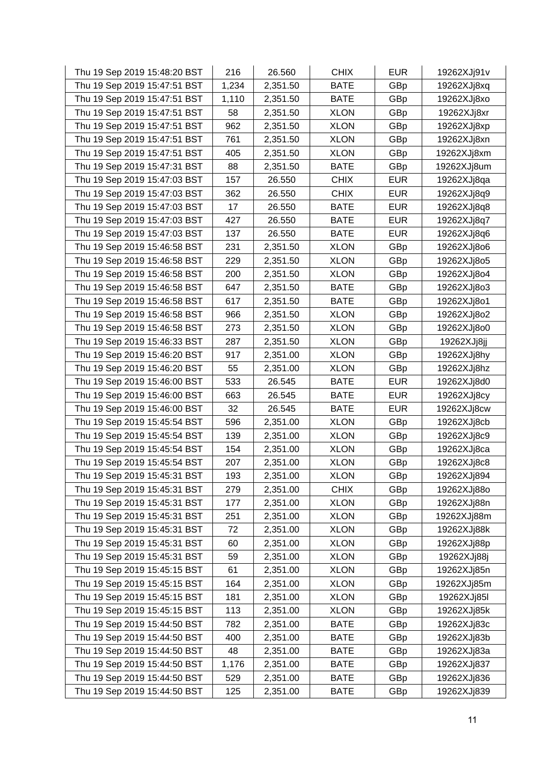| Thu 19 Sep 2019 15:48:20 BST | 216   | 26.560   | <b>CHIX</b> | <b>EUR</b> | 19262XJj91v |
|------------------------------|-------|----------|-------------|------------|-------------|
| Thu 19 Sep 2019 15:47:51 BST | 1,234 | 2,351.50 | <b>BATE</b> | GBp        | 19262XJj8xq |
| Thu 19 Sep 2019 15:47:51 BST | 1,110 | 2,351.50 | <b>BATE</b> | GBp        | 19262XJj8xo |
| Thu 19 Sep 2019 15:47:51 BST | 58    | 2,351.50 | <b>XLON</b> | GBp        | 19262XJj8xr |
| Thu 19 Sep 2019 15:47:51 BST | 962   | 2,351.50 | <b>XLON</b> | GBp        | 19262XJj8xp |
| Thu 19 Sep 2019 15:47:51 BST | 761   | 2,351.50 | <b>XLON</b> | GBp        | 19262XJj8xn |
| Thu 19 Sep 2019 15:47:51 BST | 405   | 2,351.50 | <b>XLON</b> | GBp        | 19262XJj8xm |
| Thu 19 Sep 2019 15:47:31 BST | 88    | 2,351.50 | <b>BATE</b> | GBp        | 19262XJj8um |
| Thu 19 Sep 2019 15:47:03 BST | 157   | 26.550   | <b>CHIX</b> | <b>EUR</b> | 19262XJj8qa |
| Thu 19 Sep 2019 15:47:03 BST | 362   | 26.550   | <b>CHIX</b> | <b>EUR</b> | 19262XJj8q9 |
| Thu 19 Sep 2019 15:47:03 BST | 17    | 26.550   | <b>BATE</b> | <b>EUR</b> | 19262XJj8q8 |
| Thu 19 Sep 2019 15:47:03 BST | 427   | 26.550   | <b>BATE</b> | <b>EUR</b> | 19262XJj8q7 |
| Thu 19 Sep 2019 15:47:03 BST | 137   | 26.550   | <b>BATE</b> | <b>EUR</b> | 19262XJj8q6 |
| Thu 19 Sep 2019 15:46:58 BST | 231   | 2,351.50 | <b>XLON</b> | GBp        | 19262XJj8o6 |
| Thu 19 Sep 2019 15:46:58 BST | 229   | 2,351.50 | <b>XLON</b> | GBp        | 19262XJj8o5 |
| Thu 19 Sep 2019 15:46:58 BST | 200   | 2,351.50 | <b>XLON</b> | GBp        | 19262XJj8o4 |
| Thu 19 Sep 2019 15:46:58 BST | 647   | 2,351.50 | <b>BATE</b> | GBp        | 19262XJj8o3 |
| Thu 19 Sep 2019 15:46:58 BST | 617   | 2,351.50 | <b>BATE</b> | GBp        | 19262XJj8o1 |
| Thu 19 Sep 2019 15:46:58 BST | 966   | 2,351.50 | <b>XLON</b> | GBp        | 19262XJj8o2 |
| Thu 19 Sep 2019 15:46:58 BST | 273   | 2,351.50 | <b>XLON</b> | GBp        | 19262XJj8o0 |
| Thu 19 Sep 2019 15:46:33 BST | 287   | 2,351.50 | <b>XLON</b> | GBp        | 19262XJj8jj |
| Thu 19 Sep 2019 15:46:20 BST | 917   | 2,351.00 | <b>XLON</b> | GBp        | 19262XJj8hy |
| Thu 19 Sep 2019 15:46:20 BST | 55    | 2,351.00 | <b>XLON</b> | GBp        | 19262XJj8hz |
| Thu 19 Sep 2019 15:46:00 BST | 533   | 26.545   | <b>BATE</b> | <b>EUR</b> | 19262XJj8d0 |
| Thu 19 Sep 2019 15:46:00 BST | 663   | 26.545   | <b>BATE</b> | <b>EUR</b> | 19262XJj8cy |
| Thu 19 Sep 2019 15:46:00 BST | 32    | 26.545   | <b>BATE</b> | <b>EUR</b> | 19262XJj8cw |
| Thu 19 Sep 2019 15:45:54 BST | 596   | 2,351.00 | <b>XLON</b> | GBp        | 19262XJj8cb |
| Thu 19 Sep 2019 15:45:54 BST | 139   | 2,351.00 | <b>XLON</b> | GBp        | 19262XJj8c9 |
| Thu 19 Sep 2019 15:45:54 BST | 154   | 2,351.00 | <b>XLON</b> | GBp        | 19262XJj8ca |
| Thu 19 Sep 2019 15:45:54 BST | 207   | 2,351.00 | <b>XLON</b> | GBp        | 19262XJj8c8 |
| Thu 19 Sep 2019 15:45:31 BST | 193   | 2,351.00 | <b>XLON</b> | GBp        | 19262XJj894 |
| Thu 19 Sep 2019 15:45:31 BST | 279   | 2,351.00 | <b>CHIX</b> | GBp        | 19262XJj88o |
| Thu 19 Sep 2019 15:45:31 BST | 177   | 2,351.00 | <b>XLON</b> | GBp        | 19262XJj88n |
| Thu 19 Sep 2019 15:45:31 BST | 251   | 2,351.00 | <b>XLON</b> | GBp        | 19262XJj88m |
| Thu 19 Sep 2019 15:45:31 BST | 72    | 2,351.00 | <b>XLON</b> | GBp        | 19262XJj88k |
| Thu 19 Sep 2019 15:45:31 BST | 60    | 2,351.00 | <b>XLON</b> | GBp        | 19262XJj88p |
| Thu 19 Sep 2019 15:45:31 BST | 59    | 2,351.00 | <b>XLON</b> | GBp        | 19262XJj88j |
| Thu 19 Sep 2019 15:45:15 BST | 61    | 2,351.00 | <b>XLON</b> | GBp        | 19262XJj85n |
| Thu 19 Sep 2019 15:45:15 BST | 164   | 2,351.00 | <b>XLON</b> | GBp        | 19262XJj85m |
| Thu 19 Sep 2019 15:45:15 BST | 181   | 2,351.00 | <b>XLON</b> | GBp        | 19262XJj85I |
| Thu 19 Sep 2019 15:45:15 BST | 113   | 2,351.00 | <b>XLON</b> | GBp        | 19262XJj85k |
| Thu 19 Sep 2019 15:44:50 BST | 782   | 2,351.00 | <b>BATE</b> | GBp        | 19262XJj83c |
| Thu 19 Sep 2019 15:44:50 BST | 400   | 2,351.00 | <b>BATE</b> | GBp        | 19262XJj83b |
| Thu 19 Sep 2019 15:44:50 BST | 48    | 2,351.00 | <b>BATE</b> | GBp        | 19262XJj83a |
| Thu 19 Sep 2019 15:44:50 BST | 1,176 | 2,351.00 | <b>BATE</b> | GBp        | 19262XJj837 |
| Thu 19 Sep 2019 15:44:50 BST | 529   | 2,351.00 | <b>BATE</b> | GBp        | 19262XJj836 |
| Thu 19 Sep 2019 15:44:50 BST | 125   | 2,351.00 | BATE        | GBp        | 19262XJj839 |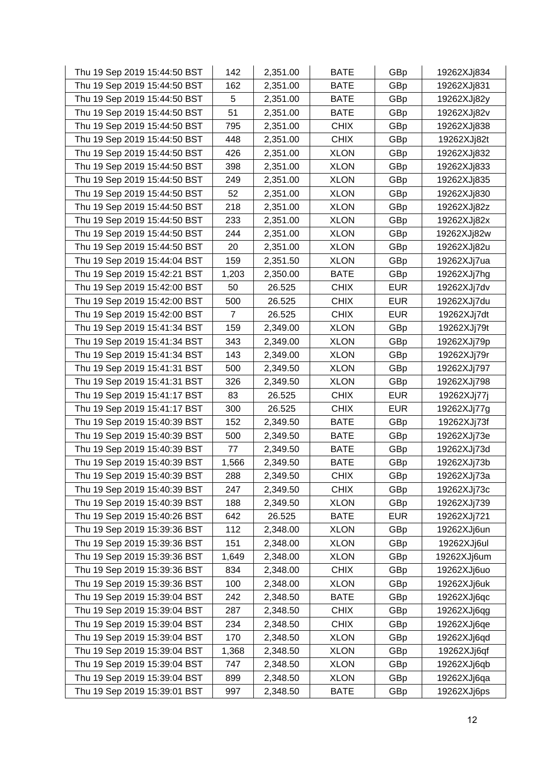| Thu 19 Sep 2019 15:44:50 BST | 142            | 2,351.00 | <b>BATE</b> | GBp        | 19262XJj834 |
|------------------------------|----------------|----------|-------------|------------|-------------|
| Thu 19 Sep 2019 15:44:50 BST | 162            | 2,351.00 | <b>BATE</b> | GBp        | 19262XJj831 |
| Thu 19 Sep 2019 15:44:50 BST | 5              | 2,351.00 | <b>BATE</b> | GBp        | 19262XJj82y |
| Thu 19 Sep 2019 15:44:50 BST | 51             | 2,351.00 | <b>BATE</b> | GBp        | 19262XJj82v |
| Thu 19 Sep 2019 15:44:50 BST | 795            | 2,351.00 | <b>CHIX</b> | GBp        | 19262XJj838 |
| Thu 19 Sep 2019 15:44:50 BST | 448            | 2,351.00 | <b>CHIX</b> | GBp        | 19262XJj82t |
| Thu 19 Sep 2019 15:44:50 BST | 426            | 2,351.00 | <b>XLON</b> | GBp        | 19262XJj832 |
| Thu 19 Sep 2019 15:44:50 BST | 398            | 2,351.00 | <b>XLON</b> | GBp        | 19262XJj833 |
| Thu 19 Sep 2019 15:44:50 BST | 249            | 2,351.00 | <b>XLON</b> | GBp        | 19262XJj835 |
| Thu 19 Sep 2019 15:44:50 BST | 52             | 2,351.00 | <b>XLON</b> | GBp        | 19262XJj830 |
| Thu 19 Sep 2019 15:44:50 BST | 218            | 2,351.00 | <b>XLON</b> | GBp        | 19262XJj82z |
| Thu 19 Sep 2019 15:44:50 BST | 233            | 2,351.00 | <b>XLON</b> | GBp        | 19262XJj82x |
| Thu 19 Sep 2019 15:44:50 BST | 244            | 2,351.00 | <b>XLON</b> | GBp        | 19262XJj82w |
| Thu 19 Sep 2019 15:44:50 BST | 20             | 2,351.00 | <b>XLON</b> | GBp        | 19262XJj82u |
| Thu 19 Sep 2019 15:44:04 BST | 159            | 2,351.50 | <b>XLON</b> | GBp        | 19262XJj7ua |
| Thu 19 Sep 2019 15:42:21 BST | 1,203          | 2,350.00 | <b>BATE</b> | GBp        | 19262XJj7hg |
| Thu 19 Sep 2019 15:42:00 BST | 50             | 26.525   | <b>CHIX</b> | <b>EUR</b> | 19262XJj7dv |
| Thu 19 Sep 2019 15:42:00 BST | 500            | 26.525   | <b>CHIX</b> | <b>EUR</b> | 19262XJj7du |
| Thu 19 Sep 2019 15:42:00 BST | $\overline{7}$ | 26.525   | <b>CHIX</b> | <b>EUR</b> | 19262XJj7dt |
| Thu 19 Sep 2019 15:41:34 BST | 159            | 2,349.00 | <b>XLON</b> | GBp        | 19262XJj79t |
| Thu 19 Sep 2019 15:41:34 BST | 343            | 2,349.00 | <b>XLON</b> | GBp        | 19262XJj79p |
| Thu 19 Sep 2019 15:41:34 BST | 143            | 2,349.00 | <b>XLON</b> | GBp        | 19262XJj79r |
| Thu 19 Sep 2019 15:41:31 BST | 500            | 2,349.50 | <b>XLON</b> | GBp        | 19262XJj797 |
| Thu 19 Sep 2019 15:41:31 BST | 326            | 2,349.50 | <b>XLON</b> | GBp        | 19262XJj798 |
| Thu 19 Sep 2019 15:41:17 BST | 83             | 26.525   | <b>CHIX</b> | <b>EUR</b> | 19262XJj77j |
| Thu 19 Sep 2019 15:41:17 BST | 300            | 26.525   | <b>CHIX</b> | <b>EUR</b> | 19262XJj77g |
| Thu 19 Sep 2019 15:40:39 BST | 152            | 2,349.50 | <b>BATE</b> | GBp        | 19262XJj73f |
| Thu 19 Sep 2019 15:40:39 BST | 500            | 2,349.50 | <b>BATE</b> | GBp        | 19262XJj73e |
| Thu 19 Sep 2019 15:40:39 BST | 77             | 2,349.50 | <b>BATE</b> | GBp        | 19262XJj73d |
| Thu 19 Sep 2019 15:40:39 BST | 1,566          | 2,349.50 | <b>BATE</b> | GBp        | 19262XJj73b |
| Thu 19 Sep 2019 15:40:39 BST | 288            | 2,349.50 | <b>CHIX</b> | GBp        | 19262XJj73a |
| Thu 19 Sep 2019 15:40:39 BST | 247            | 2,349.50 | <b>CHIX</b> | GBp        | 19262XJj73c |
| Thu 19 Sep 2019 15:40:39 BST | 188            | 2,349.50 | <b>XLON</b> | GBp        | 19262XJj739 |
| Thu 19 Sep 2019 15:40:26 BST | 642            | 26.525   | <b>BATE</b> | <b>EUR</b> | 19262XJj721 |
| Thu 19 Sep 2019 15:39:36 BST | 112            | 2,348.00 | <b>XLON</b> | GBp        | 19262XJj6un |
| Thu 19 Sep 2019 15:39:36 BST | 151            | 2,348.00 | <b>XLON</b> | GBp        | 19262XJj6ul |
| Thu 19 Sep 2019 15:39:36 BST | 1,649          | 2,348.00 | <b>XLON</b> | GBp        | 19262XJj6um |
| Thu 19 Sep 2019 15:39:36 BST | 834            | 2,348.00 | <b>CHIX</b> | GBp        | 19262XJj6uo |
| Thu 19 Sep 2019 15:39:36 BST | 100            | 2,348.00 | <b>XLON</b> | GBp        | 19262XJj6uk |
| Thu 19 Sep 2019 15:39:04 BST | 242            | 2,348.50 | <b>BATE</b> | GBp        | 19262XJj6qc |
| Thu 19 Sep 2019 15:39:04 BST | 287            | 2,348.50 | <b>CHIX</b> | GBp        | 19262XJj6qg |
| Thu 19 Sep 2019 15:39:04 BST | 234            | 2,348.50 | <b>CHIX</b> | GBp        | 19262XJj6qe |
| Thu 19 Sep 2019 15:39:04 BST | 170            | 2,348.50 | <b>XLON</b> | GBp        | 19262XJj6qd |
| Thu 19 Sep 2019 15:39:04 BST | 1,368          | 2,348.50 | <b>XLON</b> | GBp        | 19262XJj6qf |
| Thu 19 Sep 2019 15:39:04 BST | 747            | 2,348.50 | <b>XLON</b> | GBp        | 19262XJj6qb |
| Thu 19 Sep 2019 15:39:04 BST | 899            | 2,348.50 | <b>XLON</b> | GBp        | 19262XJj6qa |
| Thu 19 Sep 2019 15:39:01 BST | 997            | 2,348.50 | <b>BATE</b> | GBp        | 19262XJj6ps |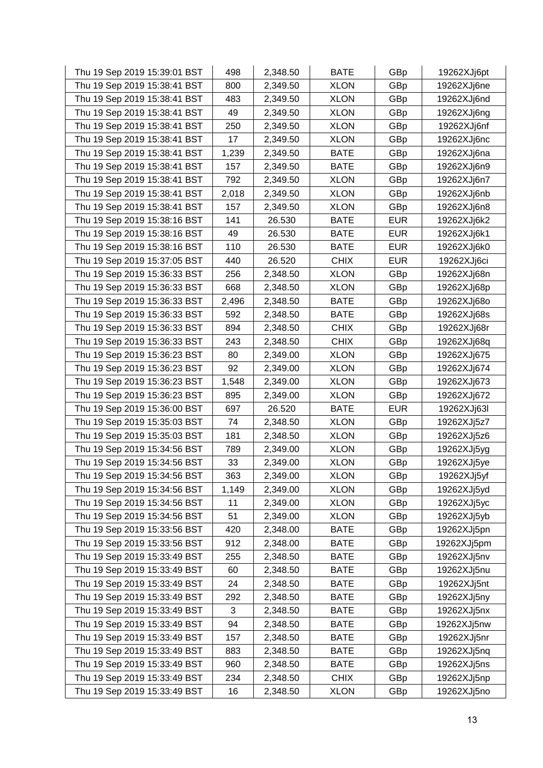| Thu 19 Sep 2019 15:39:01 BST | 498   | 2,348.50 | <b>BATE</b> | GBp        | 19262XJj6pt |
|------------------------------|-------|----------|-------------|------------|-------------|
| Thu 19 Sep 2019 15:38:41 BST | 800   | 2,349.50 | <b>XLON</b> | GBp        | 19262XJj6ne |
| Thu 19 Sep 2019 15:38:41 BST | 483   | 2,349.50 | <b>XLON</b> | GBp        | 19262XJj6nd |
| Thu 19 Sep 2019 15:38:41 BST | 49    | 2,349.50 | <b>XLON</b> | GBp        | 19262XJj6ng |
| Thu 19 Sep 2019 15:38:41 BST | 250   | 2,349.50 | <b>XLON</b> | GBp        | 19262XJj6nf |
| Thu 19 Sep 2019 15:38:41 BST | 17    | 2,349.50 | <b>XLON</b> | GBp        | 19262XJj6nc |
| Thu 19 Sep 2019 15:38:41 BST | 1,239 | 2,349.50 | <b>BATE</b> | GBp        | 19262XJj6na |
| Thu 19 Sep 2019 15:38:41 BST | 157   | 2,349.50 | <b>BATE</b> | GBp        | 19262XJj6n9 |
| Thu 19 Sep 2019 15:38:41 BST | 792   | 2,349.50 | <b>XLON</b> | GBp        | 19262XJj6n7 |
| Thu 19 Sep 2019 15:38:41 BST | 2,018 | 2,349.50 | <b>XLON</b> | GBp        | 19262XJj6nb |
| Thu 19 Sep 2019 15:38:41 BST | 157   | 2,349.50 | <b>XLON</b> | GBp        | 19262XJj6n8 |
| Thu 19 Sep 2019 15:38:16 BST | 141   | 26.530   | <b>BATE</b> | <b>EUR</b> | 19262XJj6k2 |
| Thu 19 Sep 2019 15:38:16 BST | 49    | 26.530   | <b>BATE</b> | <b>EUR</b> | 19262XJj6k1 |
| Thu 19 Sep 2019 15:38:16 BST | 110   | 26.530   | <b>BATE</b> | <b>EUR</b> | 19262XJj6k0 |
| Thu 19 Sep 2019 15:37:05 BST | 440   | 26.520   | <b>CHIX</b> | <b>EUR</b> | 19262XJj6ci |
| Thu 19 Sep 2019 15:36:33 BST | 256   | 2,348.50 | <b>XLON</b> | GBp        | 19262XJj68n |
| Thu 19 Sep 2019 15:36:33 BST | 668   | 2,348.50 | <b>XLON</b> | GBp        | 19262XJj68p |
| Thu 19 Sep 2019 15:36:33 BST | 2,496 | 2,348.50 | <b>BATE</b> | GBp        | 19262XJj68o |
| Thu 19 Sep 2019 15:36:33 BST | 592   | 2,348.50 | <b>BATE</b> | GBp        | 19262XJj68s |
| Thu 19 Sep 2019 15:36:33 BST | 894   | 2,348.50 | <b>CHIX</b> | GBp        | 19262XJj68r |
| Thu 19 Sep 2019 15:36:33 BST | 243   | 2,348.50 | <b>CHIX</b> | GBp        | 19262XJj68q |
| Thu 19 Sep 2019 15:36:23 BST | 80    | 2,349.00 | <b>XLON</b> | GBp        | 19262XJj675 |
| Thu 19 Sep 2019 15:36:23 BST | 92    | 2,349.00 | <b>XLON</b> | GBp        | 19262XJj674 |
| Thu 19 Sep 2019 15:36:23 BST | 1,548 | 2,349.00 | <b>XLON</b> | GBp        | 19262XJj673 |
| Thu 19 Sep 2019 15:36:23 BST | 895   | 2,349.00 | <b>XLON</b> | GBp        | 19262XJj672 |
| Thu 19 Sep 2019 15:36:00 BST | 697   | 26.520   | <b>BATE</b> | <b>EUR</b> | 19262XJj63I |
| Thu 19 Sep 2019 15:35:03 BST | 74    | 2,348.50 | <b>XLON</b> | GBp        | 19262XJj5z7 |
| Thu 19 Sep 2019 15:35:03 BST | 181   | 2,348.50 | <b>XLON</b> | GBp        | 19262XJj5z6 |
| Thu 19 Sep 2019 15:34:56 BST | 789   | 2,349.00 | <b>XLON</b> | GBp        | 19262XJj5yg |
| Thu 19 Sep 2019 15:34:56 BST | 33    | 2,349.00 | <b>XLON</b> | GBp        | 19262XJj5ye |
| Thu 19 Sep 2019 15:34:56 BST | 363   | 2,349.00 | <b>XLON</b> | GBp        | 19262XJj5yf |
| Thu 19 Sep 2019 15:34:56 BST | 1,149 | 2,349.00 | <b>XLON</b> | GBp        | 19262XJj5yd |
| Thu 19 Sep 2019 15:34:56 BST | 11    | 2,349.00 | <b>XLON</b> | GBp        | 19262XJj5yc |
| Thu 19 Sep 2019 15:34:56 BST | 51    | 2,349.00 | <b>XLON</b> | GBp        | 19262XJj5yb |
| Thu 19 Sep 2019 15:33:56 BST | 420   | 2,348.00 | <b>BATE</b> | GBp        | 19262XJj5pn |
| Thu 19 Sep 2019 15:33:56 BST | 912   | 2,348.00 | <b>BATE</b> | GBp        | 19262XJj5pm |
| Thu 19 Sep 2019 15:33:49 BST | 255   | 2,348.50 | <b>BATE</b> | GBp        | 19262XJj5nv |
| Thu 19 Sep 2019 15:33:49 BST | 60    | 2,348.50 | <b>BATE</b> | GBp        | 19262XJj5nu |
| Thu 19 Sep 2019 15:33:49 BST | 24    | 2,348.50 | <b>BATE</b> | GBp        | 19262XJj5nt |
| Thu 19 Sep 2019 15:33:49 BST | 292   | 2,348.50 | <b>BATE</b> | GBp        | 19262XJj5ny |
| Thu 19 Sep 2019 15:33:49 BST | 3     | 2,348.50 | <b>BATE</b> | GBp        | 19262XJj5nx |
| Thu 19 Sep 2019 15:33:49 BST | 94    | 2,348.50 | <b>BATE</b> | GBp        | 19262XJj5nw |
| Thu 19 Sep 2019 15:33:49 BST | 157   | 2,348.50 | <b>BATE</b> | GBp        | 19262XJj5nr |
| Thu 19 Sep 2019 15:33:49 BST | 883   | 2,348.50 | <b>BATE</b> | GBp        | 19262XJj5nq |
| Thu 19 Sep 2019 15:33:49 BST | 960   | 2,348.50 | <b>BATE</b> | GBp        | 19262XJj5ns |
| Thu 19 Sep 2019 15:33:49 BST | 234   | 2,348.50 | <b>CHIX</b> | GBp        | 19262XJj5np |
| Thu 19 Sep 2019 15:33:49 BST | 16    | 2,348.50 | <b>XLON</b> | GBp        | 19262XJj5no |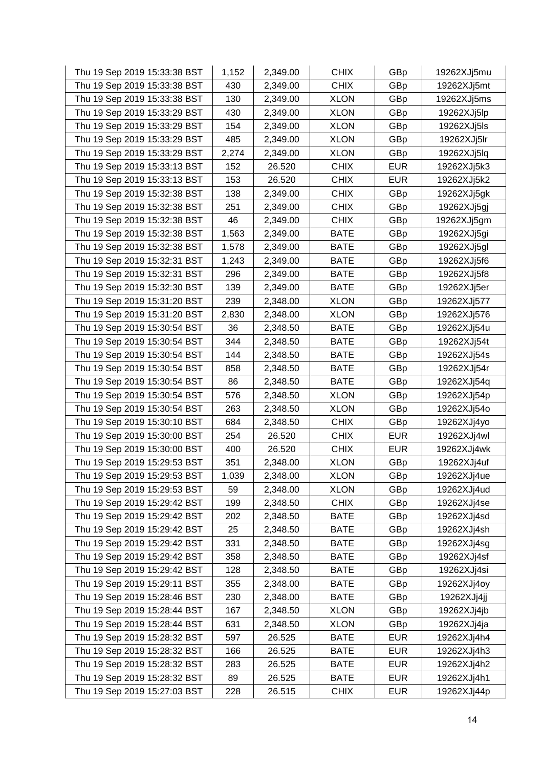| Thu 19 Sep 2019 15:33:38 BST | 1,152 | 2,349.00 | <b>CHIX</b> | GBp        | 19262XJj5mu |
|------------------------------|-------|----------|-------------|------------|-------------|
| Thu 19 Sep 2019 15:33:38 BST | 430   | 2,349.00 | <b>CHIX</b> | GBp        | 19262XJj5mt |
| Thu 19 Sep 2019 15:33:38 BST | 130   | 2,349.00 | <b>XLON</b> | GBp        | 19262XJj5ms |
| Thu 19 Sep 2019 15:33:29 BST | 430   | 2,349.00 | <b>XLON</b> | GBp        | 19262XJj5lp |
| Thu 19 Sep 2019 15:33:29 BST | 154   | 2,349.00 | <b>XLON</b> | GBp        | 19262XJj5ls |
| Thu 19 Sep 2019 15:33:29 BST | 485   | 2,349.00 | <b>XLON</b> | GBp        | 19262XJj5lr |
| Thu 19 Sep 2019 15:33:29 BST | 2,274 | 2,349.00 | <b>XLON</b> | GBp        | 19262XJj5lq |
| Thu 19 Sep 2019 15:33:13 BST | 152   | 26.520   | <b>CHIX</b> | <b>EUR</b> | 19262XJj5k3 |
| Thu 19 Sep 2019 15:33:13 BST | 153   | 26.520   | <b>CHIX</b> | <b>EUR</b> | 19262XJj5k2 |
| Thu 19 Sep 2019 15:32:38 BST | 138   | 2,349.00 | <b>CHIX</b> | GBp        | 19262XJj5gk |
| Thu 19 Sep 2019 15:32:38 BST | 251   | 2,349.00 | <b>CHIX</b> | GBp        | 19262XJj5gj |
| Thu 19 Sep 2019 15:32:38 BST | 46    | 2,349.00 | <b>CHIX</b> | GBp        | 19262XJj5gm |
| Thu 19 Sep 2019 15:32:38 BST | 1,563 | 2,349.00 | <b>BATE</b> | GBp        | 19262XJj5gi |
| Thu 19 Sep 2019 15:32:38 BST | 1,578 | 2,349.00 | <b>BATE</b> | GBp        | 19262XJj5gl |
| Thu 19 Sep 2019 15:32:31 BST | 1,243 | 2,349.00 | <b>BATE</b> | GBp        | 19262XJj5f6 |
| Thu 19 Sep 2019 15:32:31 BST | 296   | 2,349.00 | <b>BATE</b> | GBp        | 19262XJj5f8 |
| Thu 19 Sep 2019 15:32:30 BST | 139   | 2,349.00 | <b>BATE</b> | GBp        | 19262XJj5er |
| Thu 19 Sep 2019 15:31:20 BST | 239   | 2,348.00 | <b>XLON</b> | GBp        | 19262XJj577 |
| Thu 19 Sep 2019 15:31:20 BST | 2,830 | 2,348.00 | <b>XLON</b> | GBp        | 19262XJj576 |
| Thu 19 Sep 2019 15:30:54 BST | 36    | 2,348.50 | <b>BATE</b> | GBp        | 19262XJj54u |
| Thu 19 Sep 2019 15:30:54 BST | 344   | 2,348.50 | <b>BATE</b> | GBp        | 19262XJj54t |
| Thu 19 Sep 2019 15:30:54 BST | 144   | 2,348.50 | <b>BATE</b> | GBp        | 19262XJj54s |
| Thu 19 Sep 2019 15:30:54 BST | 858   | 2,348.50 | <b>BATE</b> | GBp        | 19262XJj54r |
| Thu 19 Sep 2019 15:30:54 BST | 86    | 2,348.50 | <b>BATE</b> | GBp        | 19262XJj54q |
| Thu 19 Sep 2019 15:30:54 BST | 576   | 2,348.50 | <b>XLON</b> | GBp        | 19262XJj54p |
| Thu 19 Sep 2019 15:30:54 BST | 263   | 2,348.50 | <b>XLON</b> | GBp        | 19262XJj54o |
| Thu 19 Sep 2019 15:30:10 BST | 684   | 2,348.50 | <b>CHIX</b> | GBp        | 19262XJj4yo |
| Thu 19 Sep 2019 15:30:00 BST | 254   | 26.520   | <b>CHIX</b> | <b>EUR</b> | 19262XJj4wl |
| Thu 19 Sep 2019 15:30:00 BST | 400   | 26.520   | <b>CHIX</b> | <b>EUR</b> | 19262XJj4wk |
| Thu 19 Sep 2019 15:29:53 BST | 351   | 2,348.00 | <b>XLON</b> | GBp        | 19262XJj4uf |
| Thu 19 Sep 2019 15:29:53 BST | 1,039 | 2,348.00 | <b>XLON</b> | GBp        | 19262XJj4ue |
| Thu 19 Sep 2019 15:29:53 BST | 59    | 2,348.00 | <b>XLON</b> | GBp        | 19262XJj4ud |
| Thu 19 Sep 2019 15:29:42 BST | 199   | 2,348.50 | <b>CHIX</b> | GBp        | 19262XJj4se |
| Thu 19 Sep 2019 15:29:42 BST | 202   | 2,348.50 | <b>BATE</b> | GBp        | 19262XJj4sd |
| Thu 19 Sep 2019 15:29:42 BST | 25    | 2,348.50 | <b>BATE</b> | GBp        | 19262XJj4sh |
| Thu 19 Sep 2019 15:29:42 BST | 331   | 2,348.50 | <b>BATE</b> | GBp        | 19262XJj4sg |
| Thu 19 Sep 2019 15:29:42 BST | 358   | 2,348.50 | <b>BATE</b> | GBp        | 19262XJj4sf |
| Thu 19 Sep 2019 15:29:42 BST | 128   | 2,348.50 | <b>BATE</b> | GBp        | 19262XJj4si |
| Thu 19 Sep 2019 15:29:11 BST | 355   | 2,348.00 | <b>BATE</b> | GBp        | 19262XJj4oy |
| Thu 19 Sep 2019 15:28:46 BST | 230   | 2,348.00 | <b>BATE</b> | GBp        | 19262XJj4jj |
| Thu 19 Sep 2019 15:28:44 BST | 167   | 2,348.50 | <b>XLON</b> | GBp        | 19262XJj4jb |
| Thu 19 Sep 2019 15:28:44 BST | 631   | 2,348.50 | <b>XLON</b> | GBp        | 19262XJj4ja |
| Thu 19 Sep 2019 15:28:32 BST | 597   | 26.525   | <b>BATE</b> | <b>EUR</b> | 19262XJj4h4 |
| Thu 19 Sep 2019 15:28:32 BST | 166   | 26.525   | <b>BATE</b> | <b>EUR</b> | 19262XJj4h3 |
| Thu 19 Sep 2019 15:28:32 BST | 283   | 26.525   | <b>BATE</b> | <b>EUR</b> | 19262XJj4h2 |
| Thu 19 Sep 2019 15:28:32 BST | 89    | 26.525   | <b>BATE</b> | <b>EUR</b> | 19262XJj4h1 |
| Thu 19 Sep 2019 15:27:03 BST | 228   | 26.515   | <b>CHIX</b> | <b>EUR</b> | 19262XJj44p |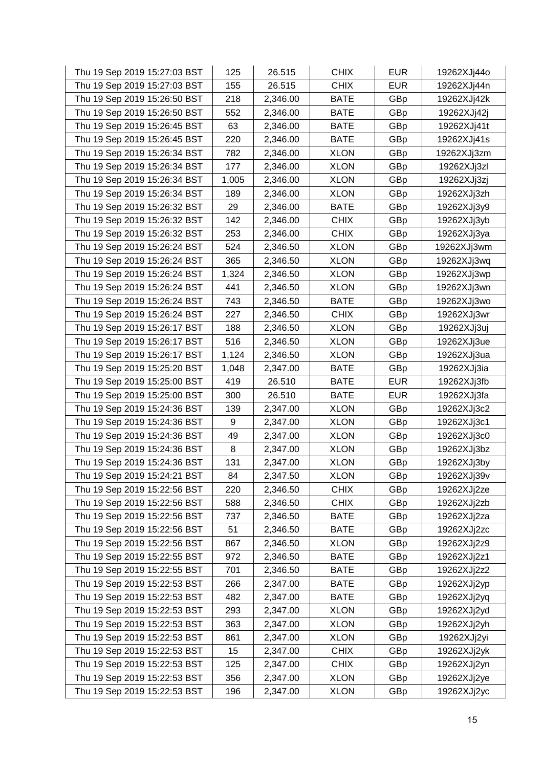| Thu 19 Sep 2019 15:27:03 BST | 125   | 26.515   | <b>CHIX</b> | <b>EUR</b> | 19262XJj44o |
|------------------------------|-------|----------|-------------|------------|-------------|
| Thu 19 Sep 2019 15:27:03 BST | 155   | 26.515   | <b>CHIX</b> | <b>EUR</b> | 19262XJj44n |
| Thu 19 Sep 2019 15:26:50 BST | 218   | 2,346.00 | <b>BATE</b> | GBp        | 19262XJj42k |
| Thu 19 Sep 2019 15:26:50 BST | 552   | 2,346.00 | <b>BATE</b> | GBp        | 19262XJj42j |
| Thu 19 Sep 2019 15:26:45 BST | 63    | 2,346.00 | <b>BATE</b> | GBp        | 19262XJj41t |
| Thu 19 Sep 2019 15:26:45 BST | 220   | 2,346.00 | <b>BATE</b> | GBp        | 19262XJj41s |
| Thu 19 Sep 2019 15:26:34 BST | 782   | 2,346.00 | <b>XLON</b> | GBp        | 19262XJj3zm |
| Thu 19 Sep 2019 15:26:34 BST | 177   | 2,346.00 | <b>XLON</b> | GBp        | 19262XJj3zl |
| Thu 19 Sep 2019 15:26:34 BST | 1,005 | 2,346.00 | <b>XLON</b> | GBp        | 19262XJj3zj |
| Thu 19 Sep 2019 15:26:34 BST | 189   | 2,346.00 | <b>XLON</b> | GBp        | 19262XJj3zh |
| Thu 19 Sep 2019 15:26:32 BST | 29    | 2,346.00 | <b>BATE</b> | GBp        | 19262XJj3y9 |
| Thu 19 Sep 2019 15:26:32 BST | 142   | 2,346.00 | <b>CHIX</b> | GBp        | 19262XJj3yb |
| Thu 19 Sep 2019 15:26:32 BST | 253   | 2,346.00 | <b>CHIX</b> | GBp        | 19262XJj3ya |
| Thu 19 Sep 2019 15:26:24 BST | 524   | 2,346.50 | <b>XLON</b> | GBp        | 19262XJj3wm |
| Thu 19 Sep 2019 15:26:24 BST | 365   | 2,346.50 | <b>XLON</b> | GBp        | 19262XJj3wq |
| Thu 19 Sep 2019 15:26:24 BST | 1,324 | 2,346.50 | <b>XLON</b> | GBp        | 19262XJj3wp |
| Thu 19 Sep 2019 15:26:24 BST | 441   | 2,346.50 | <b>XLON</b> | GBp        | 19262XJj3wn |
| Thu 19 Sep 2019 15:26:24 BST | 743   | 2,346.50 | <b>BATE</b> | GBp        | 19262XJj3wo |
| Thu 19 Sep 2019 15:26:24 BST | 227   | 2,346.50 | <b>CHIX</b> | GBp        | 19262XJj3wr |
| Thu 19 Sep 2019 15:26:17 BST | 188   | 2,346.50 | <b>XLON</b> | GBp        | 19262XJj3uj |
| Thu 19 Sep 2019 15:26:17 BST | 516   | 2,346.50 | <b>XLON</b> | GBp        | 19262XJj3ue |
| Thu 19 Sep 2019 15:26:17 BST | 1,124 | 2,346.50 | <b>XLON</b> | GBp        | 19262XJj3ua |
| Thu 19 Sep 2019 15:25:20 BST | 1,048 | 2,347.00 | <b>BATE</b> | GBp        | 19262XJj3ia |
| Thu 19 Sep 2019 15:25:00 BST | 419   | 26.510   | <b>BATE</b> | <b>EUR</b> | 19262XJj3fb |
| Thu 19 Sep 2019 15:25:00 BST | 300   | 26.510   | <b>BATE</b> | <b>EUR</b> | 19262XJj3fa |
| Thu 19 Sep 2019 15:24:36 BST | 139   | 2,347.00 | <b>XLON</b> | GBp        | 19262XJj3c2 |
| Thu 19 Sep 2019 15:24:36 BST | 9     | 2,347.00 | <b>XLON</b> | GBp        | 19262XJj3c1 |
| Thu 19 Sep 2019 15:24:36 BST | 49    | 2,347.00 | <b>XLON</b> | GBp        | 19262XJj3c0 |
| Thu 19 Sep 2019 15:24:36 BST | 8     | 2,347.00 | <b>XLON</b> | GBp        | 19262XJj3bz |
| Thu 19 Sep 2019 15:24:36 BST | 131   | 2,347.00 | <b>XLON</b> | GBp        | 19262XJj3by |
| Thu 19 Sep 2019 15:24:21 BST | 84    | 2,347.50 | <b>XLON</b> | GBp        | 19262XJj39v |
| Thu 19 Sep 2019 15:22:56 BST | 220   | 2,346.50 | <b>CHIX</b> | GBp        | 19262XJj2ze |
| Thu 19 Sep 2019 15:22:56 BST | 588   | 2,346.50 | <b>CHIX</b> | GBp        | 19262XJj2zb |
| Thu 19 Sep 2019 15:22:56 BST | 737   | 2,346.50 | <b>BATE</b> | GBp        | 19262XJj2za |
| Thu 19 Sep 2019 15:22:56 BST | 51    | 2,346.50 | <b>BATE</b> | GBp        | 19262XJj2zc |
| Thu 19 Sep 2019 15:22:56 BST | 867   | 2,346.50 | <b>XLON</b> | GBp        | 19262XJj2z9 |
| Thu 19 Sep 2019 15:22:55 BST | 972   | 2,346.50 | <b>BATE</b> | GBp        | 19262XJj2z1 |
| Thu 19 Sep 2019 15:22:55 BST | 701   | 2,346.50 | <b>BATE</b> | GBp        | 19262XJj2z2 |
| Thu 19 Sep 2019 15:22:53 BST | 266   | 2,347.00 | <b>BATE</b> | GBp        | 19262XJj2yp |
| Thu 19 Sep 2019 15:22:53 BST | 482   | 2,347.00 | <b>BATE</b> | GBp        | 19262XJj2yq |
| Thu 19 Sep 2019 15:22:53 BST | 293   | 2,347.00 | <b>XLON</b> | GBp        | 19262XJj2yd |
| Thu 19 Sep 2019 15:22:53 BST | 363   | 2,347.00 | <b>XLON</b> | GBp        | 19262XJj2yh |
| Thu 19 Sep 2019 15:22:53 BST | 861   | 2,347.00 | <b>XLON</b> | GBp        | 19262XJj2yi |
| Thu 19 Sep 2019 15:22:53 BST | 15    | 2,347.00 | <b>CHIX</b> | GBp        | 19262XJj2yk |
| Thu 19 Sep 2019 15:22:53 BST | 125   | 2,347.00 | <b>CHIX</b> | GBp        | 19262XJj2yn |
| Thu 19 Sep 2019 15:22:53 BST | 356   | 2,347.00 | <b>XLON</b> | GBp        | 19262XJj2ye |
| Thu 19 Sep 2019 15:22:53 BST | 196   | 2,347.00 | <b>XLON</b> | GBp        | 19262XJj2yc |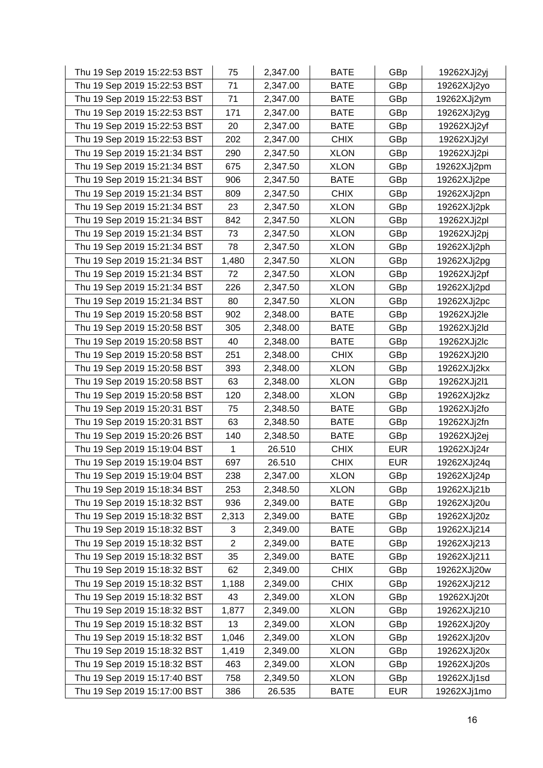| Thu 19 Sep 2019 15:22:53 BST | 75             | 2,347.00 | <b>BATE</b> | GBp        | 19262XJj2yj |
|------------------------------|----------------|----------|-------------|------------|-------------|
| Thu 19 Sep 2019 15:22:53 BST | 71             | 2,347.00 | <b>BATE</b> | GBp        | 19262XJj2yo |
| Thu 19 Sep 2019 15:22:53 BST | 71             | 2,347.00 | <b>BATE</b> | GBp        | 19262XJj2ym |
| Thu 19 Sep 2019 15:22:53 BST | 171            | 2,347.00 | <b>BATE</b> | GBp        | 19262XJj2yg |
| Thu 19 Sep 2019 15:22:53 BST | 20             | 2,347.00 | <b>BATE</b> | GBp        | 19262XJj2yf |
| Thu 19 Sep 2019 15:22:53 BST | 202            | 2,347.00 | <b>CHIX</b> | GBp        | 19262XJj2yl |
| Thu 19 Sep 2019 15:21:34 BST | 290            | 2,347.50 | <b>XLON</b> | GBp        | 19262XJj2pi |
| Thu 19 Sep 2019 15:21:34 BST | 675            | 2,347.50 | <b>XLON</b> | GBp        | 19262XJj2pm |
| Thu 19 Sep 2019 15:21:34 BST | 906            | 2,347.50 | <b>BATE</b> | GBp        | 19262XJj2pe |
| Thu 19 Sep 2019 15:21:34 BST | 809            | 2,347.50 | <b>CHIX</b> | GBp        | 19262XJj2pn |
| Thu 19 Sep 2019 15:21:34 BST | 23             | 2,347.50 | <b>XLON</b> | GBp        | 19262XJj2pk |
| Thu 19 Sep 2019 15:21:34 BST | 842            | 2,347.50 | <b>XLON</b> | GBp        | 19262XJj2pl |
| Thu 19 Sep 2019 15:21:34 BST | 73             | 2,347.50 | <b>XLON</b> | GBp        | 19262XJj2pj |
| Thu 19 Sep 2019 15:21:34 BST | 78             | 2,347.50 | <b>XLON</b> | GBp        | 19262XJj2ph |
| Thu 19 Sep 2019 15:21:34 BST | 1,480          | 2,347.50 | <b>XLON</b> | GBp        | 19262XJj2pg |
| Thu 19 Sep 2019 15:21:34 BST | 72             | 2,347.50 | <b>XLON</b> | GBp        | 19262XJj2pf |
| Thu 19 Sep 2019 15:21:34 BST | 226            | 2,347.50 | <b>XLON</b> | GBp        | 19262XJj2pd |
| Thu 19 Sep 2019 15:21:34 BST | 80             | 2,347.50 | <b>XLON</b> | GBp        | 19262XJj2pc |
| Thu 19 Sep 2019 15:20:58 BST | 902            | 2,348.00 | <b>BATE</b> | GBp        | 19262XJj2le |
| Thu 19 Sep 2019 15:20:58 BST | 305            | 2,348.00 | <b>BATE</b> | GBp        | 19262XJj2ld |
| Thu 19 Sep 2019 15:20:58 BST | 40             | 2,348.00 | <b>BATE</b> | GBp        | 19262XJj2lc |
| Thu 19 Sep 2019 15:20:58 BST | 251            | 2,348.00 | <b>CHIX</b> | GBp        | 19262XJj2l0 |
| Thu 19 Sep 2019 15:20:58 BST | 393            | 2,348.00 | <b>XLON</b> | GBp        | 19262XJj2kx |
| Thu 19 Sep 2019 15:20:58 BST | 63             | 2,348.00 | <b>XLON</b> | GBp        | 19262XJj2l1 |
| Thu 19 Sep 2019 15:20:58 BST | 120            | 2,348.00 | <b>XLON</b> | GBp        | 19262XJj2kz |
| Thu 19 Sep 2019 15:20:31 BST | 75             | 2,348.50 | <b>BATE</b> | GBp        | 19262XJj2fo |
| Thu 19 Sep 2019 15:20:31 BST | 63             | 2,348.50 | <b>BATE</b> | GBp        | 19262XJj2fn |
| Thu 19 Sep 2019 15:20:26 BST | 140            | 2,348.50 | <b>BATE</b> | GBp        | 19262XJj2ej |
| Thu 19 Sep 2019 15:19:04 BST | 1              | 26.510   | <b>CHIX</b> | <b>EUR</b> | 19262XJj24r |
| Thu 19 Sep 2019 15:19:04 BST | 697            | 26.510   | <b>CHIX</b> | <b>EUR</b> | 19262XJj24q |
| Thu 19 Sep 2019 15:19:04 BST | 238            | 2,347.00 | <b>XLON</b> | GBp        | 19262XJj24p |
| Thu 19 Sep 2019 15:18:34 BST | 253            | 2,348.50 | <b>XLON</b> | GBp        | 19262XJj21b |
| Thu 19 Sep 2019 15:18:32 BST | 936            | 2,349.00 | <b>BATE</b> | GBp        | 19262XJj20u |
| Thu 19 Sep 2019 15:18:32 BST | 2,313          | 2,349.00 | <b>BATE</b> | GBp        | 19262XJj20z |
| Thu 19 Sep 2019 15:18:32 BST | 3              | 2,349.00 | <b>BATE</b> | GBp        | 19262XJj214 |
| Thu 19 Sep 2019 15:18:32 BST | $\overline{c}$ | 2,349.00 | <b>BATE</b> | GBp        | 19262XJj213 |
| Thu 19 Sep 2019 15:18:32 BST | 35             | 2,349.00 | <b>BATE</b> | GBp        | 19262XJj211 |
| Thu 19 Sep 2019 15:18:32 BST | 62             | 2,349.00 | <b>CHIX</b> | GBp        | 19262XJj20w |
| Thu 19 Sep 2019 15:18:32 BST | 1,188          | 2,349.00 | <b>CHIX</b> | GBp        | 19262XJj212 |
| Thu 19 Sep 2019 15:18:32 BST | 43             | 2,349.00 | <b>XLON</b> | GBp        | 19262XJj20t |
| Thu 19 Sep 2019 15:18:32 BST | 1,877          | 2,349.00 | <b>XLON</b> | GBp        | 19262XJj210 |
| Thu 19 Sep 2019 15:18:32 BST | 13             | 2,349.00 | <b>XLON</b> | GBp        | 19262XJj20y |
| Thu 19 Sep 2019 15:18:32 BST | 1,046          | 2,349.00 | <b>XLON</b> | GBp        | 19262XJj20v |
| Thu 19 Sep 2019 15:18:32 BST | 1,419          | 2,349.00 | <b>XLON</b> | GBp        | 19262XJj20x |
| Thu 19 Sep 2019 15:18:32 BST | 463            | 2,349.00 | <b>XLON</b> | GBp        | 19262XJj20s |
| Thu 19 Sep 2019 15:17:40 BST | 758            | 2,349.50 | <b>XLON</b> | GBp        | 19262XJj1sd |
| Thu 19 Sep 2019 15:17:00 BST | 386            | 26.535   | <b>BATE</b> | <b>EUR</b> | 19262XJj1mo |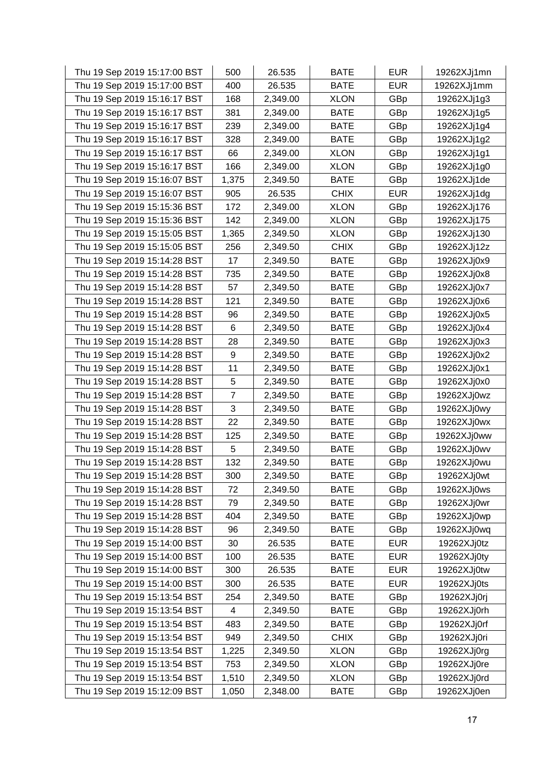| Thu 19 Sep 2019 15:17:00 BST | 500            | 26.535   | <b>BATE</b> | <b>EUR</b> | 19262XJj1mn |
|------------------------------|----------------|----------|-------------|------------|-------------|
| Thu 19 Sep 2019 15:17:00 BST | 400            | 26.535   | <b>BATE</b> | <b>EUR</b> | 19262XJj1mm |
| Thu 19 Sep 2019 15:16:17 BST | 168            | 2,349.00 | <b>XLON</b> | GBp        | 19262XJj1g3 |
| Thu 19 Sep 2019 15:16:17 BST | 381            | 2,349.00 | <b>BATE</b> | GBp        | 19262XJj1g5 |
| Thu 19 Sep 2019 15:16:17 BST | 239            | 2,349.00 | <b>BATE</b> | GBp        | 19262XJj1g4 |
| Thu 19 Sep 2019 15:16:17 BST | 328            | 2,349.00 | <b>BATE</b> | GBp        | 19262XJj1g2 |
| Thu 19 Sep 2019 15:16:17 BST | 66             | 2,349.00 | <b>XLON</b> | GBp        | 19262XJj1g1 |
| Thu 19 Sep 2019 15:16:17 BST | 166            | 2,349.00 | <b>XLON</b> | GBp        | 19262XJj1g0 |
| Thu 19 Sep 2019 15:16:07 BST | 1,375          | 2,349.50 | <b>BATE</b> | GBp        | 19262XJj1de |
| Thu 19 Sep 2019 15:16:07 BST | 905            | 26.535   | <b>CHIX</b> | <b>EUR</b> | 19262XJj1dg |
| Thu 19 Sep 2019 15:15:36 BST | 172            | 2,349.00 | <b>XLON</b> | GBp        | 19262XJj176 |
| Thu 19 Sep 2019 15:15:36 BST | 142            | 2,349.00 | <b>XLON</b> | GBp        | 19262XJj175 |
| Thu 19 Sep 2019 15:15:05 BST | 1,365          | 2,349.50 | <b>XLON</b> | GBp        | 19262XJj130 |
| Thu 19 Sep 2019 15:15:05 BST | 256            | 2,349.50 | <b>CHIX</b> | GBp        | 19262XJj12z |
| Thu 19 Sep 2019 15:14:28 BST | 17             | 2,349.50 | <b>BATE</b> | GBp        | 19262XJj0x9 |
| Thu 19 Sep 2019 15:14:28 BST | 735            | 2,349.50 | <b>BATE</b> | GBp        | 19262XJj0x8 |
| Thu 19 Sep 2019 15:14:28 BST | 57             | 2,349.50 | <b>BATE</b> | GBp        | 19262XJj0x7 |
| Thu 19 Sep 2019 15:14:28 BST | 121            | 2,349.50 | <b>BATE</b> | GBp        | 19262XJj0x6 |
| Thu 19 Sep 2019 15:14:28 BST | 96             | 2,349.50 | <b>BATE</b> | GBp        | 19262XJj0x5 |
| Thu 19 Sep 2019 15:14:28 BST | 6              | 2,349.50 | <b>BATE</b> | GBp        | 19262XJj0x4 |
| Thu 19 Sep 2019 15:14:28 BST | 28             | 2,349.50 | <b>BATE</b> | GBp        | 19262XJj0x3 |
| Thu 19 Sep 2019 15:14:28 BST | 9              | 2,349.50 | <b>BATE</b> | GBp        | 19262XJj0x2 |
| Thu 19 Sep 2019 15:14:28 BST | 11             | 2,349.50 | <b>BATE</b> | GBp        | 19262XJj0x1 |
| Thu 19 Sep 2019 15:14:28 BST | 5              | 2,349.50 | <b>BATE</b> | GBp        | 19262XJj0x0 |
| Thu 19 Sep 2019 15:14:28 BST | $\overline{7}$ | 2,349.50 | <b>BATE</b> | GBp        | 19262XJj0wz |
| Thu 19 Sep 2019 15:14:28 BST | 3              | 2,349.50 | <b>BATE</b> | GBp        | 19262XJj0wy |
| Thu 19 Sep 2019 15:14:28 BST | 22             | 2,349.50 | <b>BATE</b> | GBp        | 19262XJj0wx |
| Thu 19 Sep 2019 15:14:28 BST | 125            | 2,349.50 | <b>BATE</b> | GBp        | 19262XJj0ww |
| Thu 19 Sep 2019 15:14:28 BST | 5              | 2,349.50 | <b>BATE</b> | GBp        | 19262XJj0wv |
| Thu 19 Sep 2019 15:14:28 BST | 132            | 2,349.50 | <b>BATE</b> | GBp        | 19262XJj0wu |
| Thu 19 Sep 2019 15:14:28 BST | 300            | 2,349.50 | <b>BATE</b> | GBp        | 19262XJj0wt |
| Thu 19 Sep 2019 15:14:28 BST | 72             | 2,349.50 | <b>BATE</b> | GBp        | 19262XJj0ws |
| Thu 19 Sep 2019 15:14:28 BST | 79             | 2,349.50 | <b>BATE</b> | GBp        | 19262XJj0wr |
| Thu 19 Sep 2019 15:14:28 BST | 404            | 2,349.50 | <b>BATE</b> | GBp        | 19262XJj0wp |
| Thu 19 Sep 2019 15:14:28 BST | 96             | 2,349.50 | <b>BATE</b> | GBp        | 19262XJj0wq |
| Thu 19 Sep 2019 15:14:00 BST | 30             | 26.535   | <b>BATE</b> | <b>EUR</b> | 19262XJj0tz |
| Thu 19 Sep 2019 15:14:00 BST | 100            | 26.535   | <b>BATE</b> | <b>EUR</b> | 19262XJj0ty |
| Thu 19 Sep 2019 15:14:00 BST | 300            | 26.535   | <b>BATE</b> | <b>EUR</b> | 19262XJj0tw |
| Thu 19 Sep 2019 15:14:00 BST | 300            | 26.535   | <b>BATE</b> | <b>EUR</b> | 19262XJj0ts |
| Thu 19 Sep 2019 15:13:54 BST | 254            | 2,349.50 | <b>BATE</b> | GBp        | 19262XJj0rj |
| Thu 19 Sep 2019 15:13:54 BST | 4              | 2,349.50 | <b>BATE</b> | GBp        | 19262XJj0rh |
| Thu 19 Sep 2019 15:13:54 BST | 483            | 2,349.50 | <b>BATE</b> | GBp        | 19262XJj0rf |
| Thu 19 Sep 2019 15:13:54 BST | 949            | 2,349.50 | <b>CHIX</b> | GBp        | 19262XJj0ri |
| Thu 19 Sep 2019 15:13:54 BST | 1,225          | 2,349.50 | <b>XLON</b> | GBp        | 19262XJj0rg |
| Thu 19 Sep 2019 15:13:54 BST | 753            | 2,349.50 | <b>XLON</b> | GBp        | 19262XJj0re |
| Thu 19 Sep 2019 15:13:54 BST | 1,510          | 2,349.50 | <b>XLON</b> | GBp        | 19262XJj0rd |
| Thu 19 Sep 2019 15:12:09 BST | 1,050          | 2,348.00 | <b>BATE</b> | GBp        | 19262XJj0en |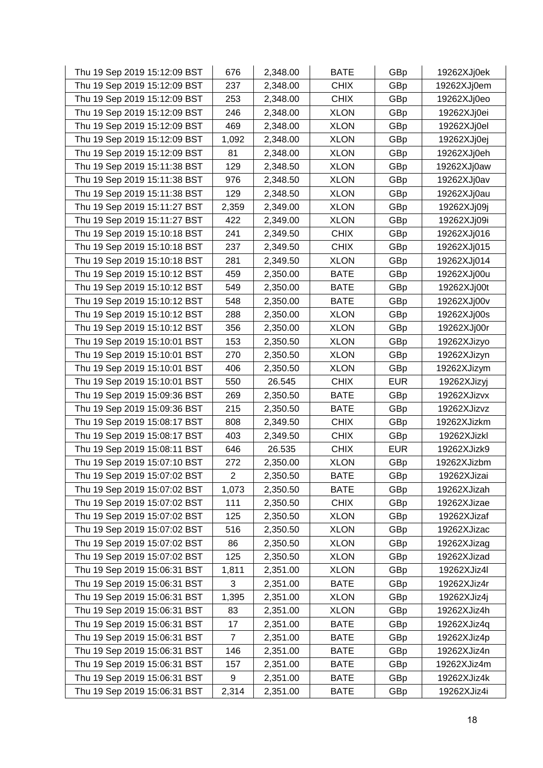| Thu 19 Sep 2019 15:12:09 BST | 676            | 2,348.00 | <b>BATE</b> | GBp        | 19262XJj0ek |
|------------------------------|----------------|----------|-------------|------------|-------------|
| Thu 19 Sep 2019 15:12:09 BST | 237            | 2,348.00 | <b>CHIX</b> | GBp        | 19262XJj0em |
| Thu 19 Sep 2019 15:12:09 BST | 253            | 2,348.00 | <b>CHIX</b> | GBp        | 19262XJj0eo |
| Thu 19 Sep 2019 15:12:09 BST | 246            | 2,348.00 | <b>XLON</b> | GBp        | 19262XJj0ei |
| Thu 19 Sep 2019 15:12:09 BST | 469            | 2,348.00 | <b>XLON</b> | GBp        | 19262XJj0el |
| Thu 19 Sep 2019 15:12:09 BST | 1,092          | 2,348.00 | <b>XLON</b> | GBp        | 19262XJj0ej |
| Thu 19 Sep 2019 15:12:09 BST | 81             | 2,348.00 | <b>XLON</b> | GBp        | 19262XJj0eh |
| Thu 19 Sep 2019 15:11:38 BST | 129            | 2,348.50 | <b>XLON</b> | GBp        | 19262XJj0aw |
| Thu 19 Sep 2019 15:11:38 BST | 976            | 2,348.50 | <b>XLON</b> | GBp        | 19262XJj0av |
| Thu 19 Sep 2019 15:11:38 BST | 129            | 2,348.50 | <b>XLON</b> | GBp        | 19262XJj0au |
| Thu 19 Sep 2019 15:11:27 BST | 2,359          | 2,349.00 | <b>XLON</b> | GBp        | 19262XJj09j |
| Thu 19 Sep 2019 15:11:27 BST | 422            | 2,349.00 | <b>XLON</b> | GBp        | 19262XJj09i |
| Thu 19 Sep 2019 15:10:18 BST | 241            | 2,349.50 | <b>CHIX</b> | GBp        | 19262XJj016 |
| Thu 19 Sep 2019 15:10:18 BST | 237            | 2,349.50 | <b>CHIX</b> | GBp        | 19262XJj015 |
| Thu 19 Sep 2019 15:10:18 BST | 281            | 2,349.50 | <b>XLON</b> | GBp        | 19262XJj014 |
| Thu 19 Sep 2019 15:10:12 BST | 459            | 2,350.00 | <b>BATE</b> | GBp        | 19262XJj00u |
| Thu 19 Sep 2019 15:10:12 BST | 549            | 2,350.00 | <b>BATE</b> | GBp        | 19262XJj00t |
| Thu 19 Sep 2019 15:10:12 BST | 548            | 2,350.00 | <b>BATE</b> | GBp        | 19262XJj00v |
| Thu 19 Sep 2019 15:10:12 BST | 288            | 2,350.00 | <b>XLON</b> | GBp        | 19262XJj00s |
| Thu 19 Sep 2019 15:10:12 BST | 356            | 2,350.00 | <b>XLON</b> | GBp        | 19262XJj00r |
| Thu 19 Sep 2019 15:10:01 BST | 153            | 2,350.50 | <b>XLON</b> | GBp        | 19262XJizyo |
| Thu 19 Sep 2019 15:10:01 BST | 270            | 2,350.50 | <b>XLON</b> | GBp        | 19262XJizyn |
| Thu 19 Sep 2019 15:10:01 BST | 406            | 2,350.50 | <b>XLON</b> | GBp        | 19262XJizym |
| Thu 19 Sep 2019 15:10:01 BST | 550            | 26.545   | <b>CHIX</b> | <b>EUR</b> | 19262XJizyj |
| Thu 19 Sep 2019 15:09:36 BST | 269            | 2,350.50 | <b>BATE</b> | GBp        | 19262XJizvx |
| Thu 19 Sep 2019 15:09:36 BST | 215            | 2,350.50 | <b>BATE</b> | GBp        | 19262XJizvz |
| Thu 19 Sep 2019 15:08:17 BST | 808            | 2,349.50 | <b>CHIX</b> | GBp        | 19262XJizkm |
| Thu 19 Sep 2019 15:08:17 BST | 403            | 2,349.50 | <b>CHIX</b> | GBp        | 19262XJizkl |
| Thu 19 Sep 2019 15:08:11 BST | 646            | 26.535   | <b>CHIX</b> | <b>EUR</b> | 19262XJizk9 |
| Thu 19 Sep 2019 15:07:10 BST | 272            | 2,350.00 | <b>XLON</b> | GBp        | 19262XJizbm |
| Thu 19 Sep 2019 15:07:02 BST | $\overline{2}$ | 2,350.50 | <b>BATE</b> | GBp        | 19262XJizai |
| Thu 19 Sep 2019 15:07:02 BST | 1,073          | 2,350.50 | <b>BATE</b> | GBp        | 19262XJizah |
| Thu 19 Sep 2019 15:07:02 BST | 111            | 2,350.50 | <b>CHIX</b> | GBp        | 19262XJizae |
| Thu 19 Sep 2019 15:07:02 BST | 125            | 2,350.50 | <b>XLON</b> | GBp        | 19262XJizaf |
| Thu 19 Sep 2019 15:07:02 BST | 516            | 2,350.50 | <b>XLON</b> | GBp        | 19262XJizac |
| Thu 19 Sep 2019 15:07:02 BST | 86             | 2,350.50 | <b>XLON</b> | GBp        | 19262XJizag |
| Thu 19 Sep 2019 15:07:02 BST | 125            | 2,350.50 | <b>XLON</b> | GBp        | 19262XJizad |
| Thu 19 Sep 2019 15:06:31 BST | 1,811          | 2,351.00 | <b>XLON</b> | GBp        | 19262XJiz4l |
| Thu 19 Sep 2019 15:06:31 BST | 3              | 2,351.00 | <b>BATE</b> | GBp        | 19262XJiz4r |
| Thu 19 Sep 2019 15:06:31 BST | 1,395          | 2,351.00 | <b>XLON</b> | GBp        | 19262XJiz4j |
| Thu 19 Sep 2019 15:06:31 BST | 83             | 2,351.00 | <b>XLON</b> | GBp        | 19262XJiz4h |
| Thu 19 Sep 2019 15:06:31 BST | 17             | 2,351.00 | <b>BATE</b> | GBp        | 19262XJiz4q |
| Thu 19 Sep 2019 15:06:31 BST | $\overline{7}$ | 2,351.00 | <b>BATE</b> | GBp        | 19262XJiz4p |
| Thu 19 Sep 2019 15:06:31 BST | 146            | 2,351.00 | <b>BATE</b> | GBp        | 19262XJiz4n |
| Thu 19 Sep 2019 15:06:31 BST | 157            | 2,351.00 | <b>BATE</b> | GBp        | 19262XJiz4m |
| Thu 19 Sep 2019 15:06:31 BST | 9              | 2,351.00 | <b>BATE</b> | GBp        | 19262XJiz4k |
| Thu 19 Sep 2019 15:06:31 BST | 2,314          | 2,351.00 | <b>BATE</b> | GBp        | 19262XJiz4i |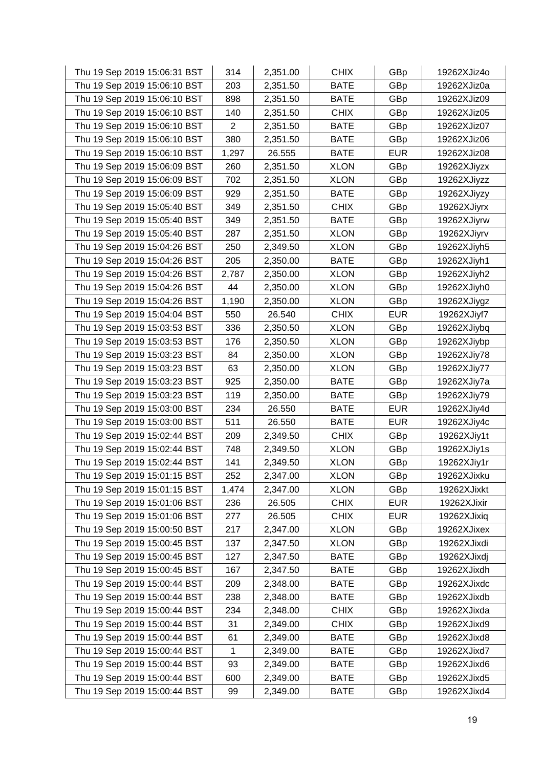| Thu 19 Sep 2019 15:06:31 BST | 314            | 2,351.00 | <b>CHIX</b> | GBp        | 19262XJiz4o |
|------------------------------|----------------|----------|-------------|------------|-------------|
| Thu 19 Sep 2019 15:06:10 BST | 203            | 2,351.50 | <b>BATE</b> | GBp        | 19262XJiz0a |
| Thu 19 Sep 2019 15:06:10 BST | 898            | 2,351.50 | <b>BATE</b> | GBp        | 19262XJiz09 |
| Thu 19 Sep 2019 15:06:10 BST | 140            | 2,351.50 | <b>CHIX</b> | GBp        | 19262XJiz05 |
| Thu 19 Sep 2019 15:06:10 BST | $\overline{2}$ | 2,351.50 | <b>BATE</b> | GBp        | 19262XJiz07 |
| Thu 19 Sep 2019 15:06:10 BST | 380            | 2,351.50 | <b>BATE</b> | GBp        | 19262XJiz06 |
| Thu 19 Sep 2019 15:06:10 BST | 1,297          | 26.555   | <b>BATE</b> | <b>EUR</b> | 19262XJiz08 |
| Thu 19 Sep 2019 15:06:09 BST | 260            | 2,351.50 | <b>XLON</b> | GBp        | 19262XJiyzx |
| Thu 19 Sep 2019 15:06:09 BST | 702            | 2,351.50 | <b>XLON</b> | GBp        | 19262XJiyzz |
| Thu 19 Sep 2019 15:06:09 BST | 929            | 2,351.50 | <b>BATE</b> | GBp        | 19262XJiyzy |
| Thu 19 Sep 2019 15:05:40 BST | 349            | 2,351.50 | <b>CHIX</b> | GBp        | 19262XJiyrx |
| Thu 19 Sep 2019 15:05:40 BST | 349            | 2,351.50 | <b>BATE</b> | GBp        | 19262XJiyrw |
| Thu 19 Sep 2019 15:05:40 BST | 287            | 2,351.50 | <b>XLON</b> | GBp        | 19262XJiyrv |
| Thu 19 Sep 2019 15:04:26 BST | 250            | 2,349.50 | <b>XLON</b> | GBp        | 19262XJiyh5 |
| Thu 19 Sep 2019 15:04:26 BST | 205            | 2,350.00 | <b>BATE</b> | GBp        | 19262XJiyh1 |
| Thu 19 Sep 2019 15:04:26 BST | 2,787          | 2,350.00 | <b>XLON</b> | GBp        | 19262XJiyh2 |
| Thu 19 Sep 2019 15:04:26 BST | 44             | 2,350.00 | <b>XLON</b> | GBp        | 19262XJiyh0 |
| Thu 19 Sep 2019 15:04:26 BST | 1,190          | 2,350.00 | <b>XLON</b> | GBp        | 19262XJiygz |
| Thu 19 Sep 2019 15:04:04 BST | 550            | 26.540   | <b>CHIX</b> | <b>EUR</b> | 19262XJiyf7 |
| Thu 19 Sep 2019 15:03:53 BST | 336            | 2,350.50 | <b>XLON</b> | GBp        | 19262XJiybq |
| Thu 19 Sep 2019 15:03:53 BST | 176            | 2,350.50 | <b>XLON</b> | GBp        | 19262XJiybp |
| Thu 19 Sep 2019 15:03:23 BST | 84             | 2,350.00 | <b>XLON</b> | GBp        | 19262XJiy78 |
| Thu 19 Sep 2019 15:03:23 BST | 63             | 2,350.00 | <b>XLON</b> | GBp        | 19262XJiy77 |
| Thu 19 Sep 2019 15:03:23 BST | 925            | 2,350.00 | <b>BATE</b> | GBp        | 19262XJiy7a |
| Thu 19 Sep 2019 15:03:23 BST | 119            | 2,350.00 | <b>BATE</b> | GBp        | 19262XJiy79 |
| Thu 19 Sep 2019 15:03:00 BST | 234            | 26.550   | <b>BATE</b> | <b>EUR</b> | 19262XJiy4d |
| Thu 19 Sep 2019 15:03:00 BST | 511            | 26.550   | <b>BATE</b> | <b>EUR</b> | 19262XJiy4c |
| Thu 19 Sep 2019 15:02:44 BST | 209            | 2,349.50 | <b>CHIX</b> | GBp        | 19262XJiy1t |
| Thu 19 Sep 2019 15:02:44 BST | 748            | 2,349.50 | <b>XLON</b> | GBp        | 19262XJiy1s |
| Thu 19 Sep 2019 15:02:44 BST | 141            | 2,349.50 | <b>XLON</b> | GBp        | 19262XJiy1r |
| Thu 19 Sep 2019 15:01:15 BST | 252            | 2,347.00 | <b>XLON</b> | GBp        | 19262XJixku |
| Thu 19 Sep 2019 15:01:15 BST | 1,474          | 2,347.00 | <b>XLON</b> | GBp        | 19262XJixkt |
| Thu 19 Sep 2019 15:01:06 BST | 236            | 26.505   | <b>CHIX</b> | <b>EUR</b> | 19262XJixir |
| Thu 19 Sep 2019 15:01:06 BST | 277            | 26.505   | <b>CHIX</b> | <b>EUR</b> | 19262XJixiq |
| Thu 19 Sep 2019 15:00:50 BST | 217            | 2,347.00 | <b>XLON</b> | GBp        | 19262XJixex |
| Thu 19 Sep 2019 15:00:45 BST | 137            | 2,347.50 | <b>XLON</b> | GBp        | 19262XJixdi |
| Thu 19 Sep 2019 15:00:45 BST | 127            | 2,347.50 | <b>BATE</b> | GBp        | 19262XJixdj |
| Thu 19 Sep 2019 15:00:45 BST | 167            | 2,347.50 | <b>BATE</b> | GBp        | 19262XJixdh |
| Thu 19 Sep 2019 15:00:44 BST | 209            | 2,348.00 | <b>BATE</b> | GBp        | 19262XJixdc |
| Thu 19 Sep 2019 15:00:44 BST | 238            | 2,348.00 | <b>BATE</b> | GBp        | 19262XJixdb |
| Thu 19 Sep 2019 15:00:44 BST | 234            | 2,348.00 | <b>CHIX</b> | GBp        | 19262XJixda |
| Thu 19 Sep 2019 15:00:44 BST | 31             | 2,349.00 | <b>CHIX</b> | GBp        | 19262XJixd9 |
| Thu 19 Sep 2019 15:00:44 BST | 61             | 2,349.00 | <b>BATE</b> | GBp        | 19262XJixd8 |
| Thu 19 Sep 2019 15:00:44 BST | 1              | 2,349.00 | <b>BATE</b> | GBp        | 19262XJixd7 |
| Thu 19 Sep 2019 15:00:44 BST | 93             | 2,349.00 | <b>BATE</b> | GBp        | 19262XJixd6 |
| Thu 19 Sep 2019 15:00:44 BST | 600            | 2,349.00 | <b>BATE</b> | GBp        | 19262XJixd5 |
| Thu 19 Sep 2019 15:00:44 BST | 99             | 2,349.00 | <b>BATE</b> | GBp        | 19262XJixd4 |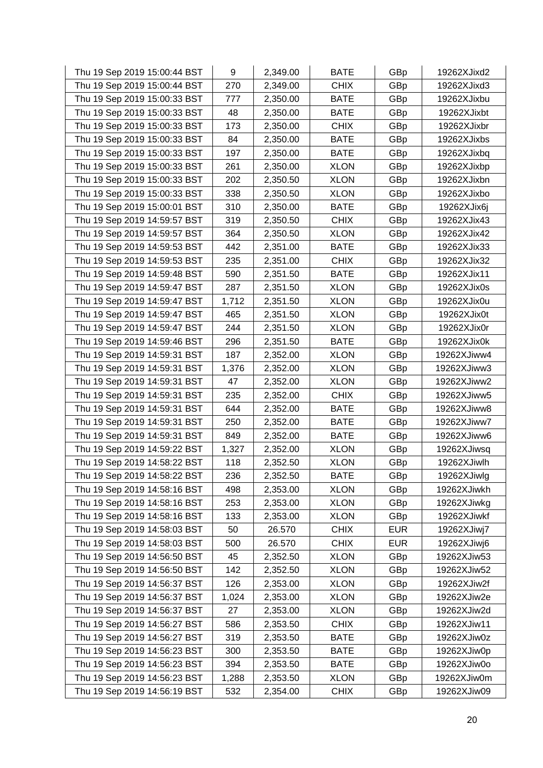| Thu 19 Sep 2019 15:00:44 BST | 9     | 2,349.00 | <b>BATE</b> | GBp        | 19262XJixd2 |
|------------------------------|-------|----------|-------------|------------|-------------|
| Thu 19 Sep 2019 15:00:44 BST | 270   | 2,349.00 | <b>CHIX</b> | GBp        | 19262XJixd3 |
| Thu 19 Sep 2019 15:00:33 BST | 777   | 2,350.00 | <b>BATE</b> | GBp        | 19262XJixbu |
| Thu 19 Sep 2019 15:00:33 BST | 48    | 2,350.00 | <b>BATE</b> | GBp        | 19262XJixbt |
| Thu 19 Sep 2019 15:00:33 BST | 173   | 2,350.00 | <b>CHIX</b> | GBp        | 19262XJixbr |
| Thu 19 Sep 2019 15:00:33 BST | 84    | 2,350.00 | <b>BATE</b> | GBp        | 19262XJixbs |
| Thu 19 Sep 2019 15:00:33 BST | 197   | 2,350.00 | <b>BATE</b> | GBp        | 19262XJixbq |
| Thu 19 Sep 2019 15:00:33 BST | 261   | 2,350.00 | <b>XLON</b> | GBp        | 19262XJixbp |
| Thu 19 Sep 2019 15:00:33 BST | 202   | 2,350.50 | <b>XLON</b> | GBp        | 19262XJixbn |
| Thu 19 Sep 2019 15:00:33 BST | 338   | 2,350.50 | <b>XLON</b> | GBp        | 19262XJixbo |
| Thu 19 Sep 2019 15:00:01 BST | 310   | 2,350.00 | <b>BATE</b> | GBp        | 19262XJix6j |
| Thu 19 Sep 2019 14:59:57 BST | 319   | 2,350.50 | <b>CHIX</b> | GBp        | 19262XJix43 |
| Thu 19 Sep 2019 14:59:57 BST | 364   | 2,350.50 | <b>XLON</b> | GBp        | 19262XJix42 |
| Thu 19 Sep 2019 14:59:53 BST | 442   | 2,351.00 | <b>BATE</b> | GBp        | 19262XJix33 |
| Thu 19 Sep 2019 14:59:53 BST | 235   | 2,351.00 | <b>CHIX</b> | GBp        | 19262XJix32 |
| Thu 19 Sep 2019 14:59:48 BST | 590   | 2,351.50 | <b>BATE</b> | GBp        | 19262XJix11 |
| Thu 19 Sep 2019 14:59:47 BST | 287   | 2,351.50 | <b>XLON</b> | GBp        | 19262XJix0s |
| Thu 19 Sep 2019 14:59:47 BST | 1,712 | 2,351.50 | <b>XLON</b> | GBp        | 19262XJix0u |
| Thu 19 Sep 2019 14:59:47 BST | 465   | 2,351.50 | <b>XLON</b> | GBp        | 19262XJix0t |
| Thu 19 Sep 2019 14:59:47 BST | 244   | 2,351.50 | <b>XLON</b> | GBp        | 19262XJix0r |
| Thu 19 Sep 2019 14:59:46 BST | 296   | 2,351.50 | <b>BATE</b> | GBp        | 19262XJix0k |
| Thu 19 Sep 2019 14:59:31 BST | 187   | 2,352.00 | <b>XLON</b> | GBp        | 19262XJiww4 |
| Thu 19 Sep 2019 14:59:31 BST | 1,376 | 2,352.00 | <b>XLON</b> | GBp        | 19262XJiww3 |
| Thu 19 Sep 2019 14:59:31 BST | 47    | 2,352.00 | <b>XLON</b> | GBp        | 19262XJiww2 |
| Thu 19 Sep 2019 14:59:31 BST | 235   | 2,352.00 | <b>CHIX</b> | GBp        | 19262XJiww5 |
| Thu 19 Sep 2019 14:59:31 BST | 644   | 2,352.00 | <b>BATE</b> | GBp        | 19262XJiww8 |
| Thu 19 Sep 2019 14:59:31 BST | 250   | 2,352.00 | <b>BATE</b> | GBp        | 19262XJiww7 |
| Thu 19 Sep 2019 14:59:31 BST | 849   | 2,352.00 | <b>BATE</b> | GBp        | 19262XJiww6 |
| Thu 19 Sep 2019 14:59:22 BST | 1,327 | 2,352.00 | <b>XLON</b> | GBp        | 19262XJiwsq |
| Thu 19 Sep 2019 14:58:22 BST | 118   | 2,352.50 | <b>XLON</b> | GBp        | 19262XJiwlh |
| Thu 19 Sep 2019 14:58:22 BST | 236   | 2,352.50 | <b>BATE</b> | GBp        | 19262XJiwlg |
| Thu 19 Sep 2019 14:58:16 BST | 498   | 2,353.00 | <b>XLON</b> | GBp        | 19262XJiwkh |
| Thu 19 Sep 2019 14:58:16 BST | 253   | 2,353.00 | <b>XLON</b> | GBp        | 19262XJiwkg |
| Thu 19 Sep 2019 14:58:16 BST | 133   | 2,353.00 | <b>XLON</b> | GBp        | 19262XJiwkf |
| Thu 19 Sep 2019 14:58:03 BST | 50    | 26.570   | <b>CHIX</b> | <b>EUR</b> | 19262XJiwj7 |
| Thu 19 Sep 2019 14:58:03 BST | 500   | 26.570   | <b>CHIX</b> | <b>EUR</b> | 19262XJiwj6 |
| Thu 19 Sep 2019 14:56:50 BST | 45    | 2,352.50 | <b>XLON</b> | GBp        | 19262XJiw53 |
| Thu 19 Sep 2019 14:56:50 BST | 142   | 2,352.50 | <b>XLON</b> | GBp        | 19262XJiw52 |
| Thu 19 Sep 2019 14:56:37 BST | 126   | 2,353.00 | <b>XLON</b> | GBp        | 19262XJiw2f |
| Thu 19 Sep 2019 14:56:37 BST | 1,024 | 2,353.00 | <b>XLON</b> | GBp        | 19262XJiw2e |
| Thu 19 Sep 2019 14:56:37 BST | 27    | 2,353.00 | <b>XLON</b> | GBp        | 19262XJiw2d |
| Thu 19 Sep 2019 14:56:27 BST | 586   | 2,353.50 | <b>CHIX</b> | GBp        | 19262XJiw11 |
| Thu 19 Sep 2019 14:56:27 BST | 319   | 2,353.50 | <b>BATE</b> | GBp        | 19262XJiw0z |
| Thu 19 Sep 2019 14:56:23 BST | 300   | 2,353.50 | <b>BATE</b> | GBp        | 19262XJiw0p |
| Thu 19 Sep 2019 14:56:23 BST | 394   | 2,353.50 | <b>BATE</b> | GBp        | 19262XJiw0o |
| Thu 19 Sep 2019 14:56:23 BST | 1,288 | 2,353.50 | <b>XLON</b> | GBp        | 19262XJiw0m |
| Thu 19 Sep 2019 14:56:19 BST | 532   | 2,354.00 | <b>CHIX</b> | GBp        | 19262XJiw09 |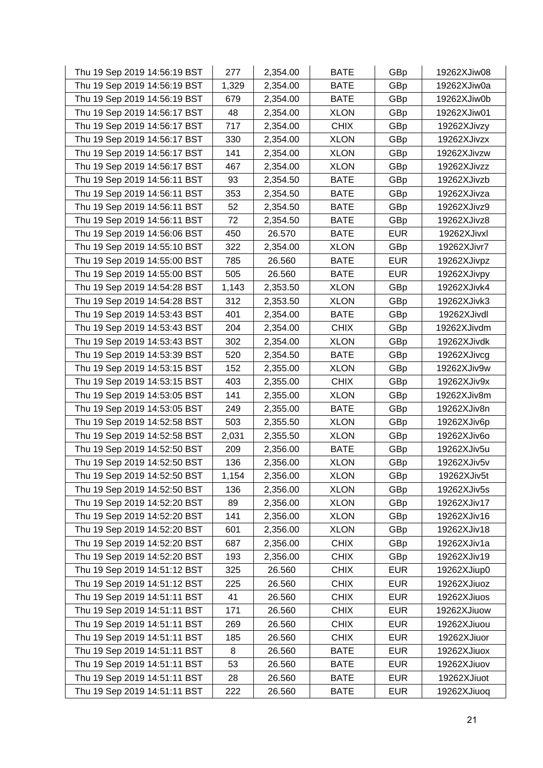| Thu 19 Sep 2019 14:56:19 BST | 277   | 2,354.00 | <b>BATE</b> | GBp        | 19262XJiw08 |
|------------------------------|-------|----------|-------------|------------|-------------|
| Thu 19 Sep 2019 14:56:19 BST | 1,329 | 2,354.00 | <b>BATE</b> | GBp        | 19262XJiw0a |
| Thu 19 Sep 2019 14:56:19 BST | 679   | 2,354.00 | <b>BATE</b> | GBp        | 19262XJiw0b |
| Thu 19 Sep 2019 14:56:17 BST | 48    | 2,354.00 | <b>XLON</b> | GBp        | 19262XJiw01 |
| Thu 19 Sep 2019 14:56:17 BST | 717   | 2,354.00 | <b>CHIX</b> | GBp        | 19262XJivzy |
| Thu 19 Sep 2019 14:56:17 BST | 330   | 2,354.00 | <b>XLON</b> | GBp        | 19262XJivzx |
| Thu 19 Sep 2019 14:56:17 BST | 141   | 2,354.00 | <b>XLON</b> | GBp        | 19262XJivzw |
| Thu 19 Sep 2019 14:56:17 BST | 467   | 2,354.00 | <b>XLON</b> | GBp        | 19262XJivzz |
| Thu 19 Sep 2019 14:56:11 BST | 93    | 2,354.50 | <b>BATE</b> | GBp        | 19262XJivzb |
| Thu 19 Sep 2019 14:56:11 BST | 353   | 2,354.50 | <b>BATE</b> | GBp        | 19262XJivza |
| Thu 19 Sep 2019 14:56:11 BST | 52    | 2,354.50 | <b>BATE</b> | GBp        | 19262XJivz9 |
| Thu 19 Sep 2019 14:56:11 BST | 72    | 2,354.50 | <b>BATE</b> | GBp        | 19262XJivz8 |
| Thu 19 Sep 2019 14:56:06 BST | 450   | 26.570   | <b>BATE</b> | <b>EUR</b> | 19262XJivxl |
| Thu 19 Sep 2019 14:55:10 BST | 322   | 2,354.00 | <b>XLON</b> | GBp        | 19262XJivr7 |
| Thu 19 Sep 2019 14:55:00 BST | 785   | 26.560   | <b>BATE</b> | <b>EUR</b> | 19262XJivpz |
| Thu 19 Sep 2019 14:55:00 BST | 505   | 26.560   | <b>BATE</b> | <b>EUR</b> | 19262XJivpy |
| Thu 19 Sep 2019 14:54:28 BST | 1,143 | 2,353.50 | <b>XLON</b> | GBp        | 19262XJivk4 |
| Thu 19 Sep 2019 14:54:28 BST | 312   | 2,353.50 | <b>XLON</b> | GBp        | 19262XJivk3 |
| Thu 19 Sep 2019 14:53:43 BST | 401   | 2,354.00 | <b>BATE</b> | GBp        | 19262XJivdl |
| Thu 19 Sep 2019 14:53:43 BST | 204   | 2,354.00 | <b>CHIX</b> | GBp        | 19262XJivdm |
| Thu 19 Sep 2019 14:53:43 BST | 302   | 2,354.00 | <b>XLON</b> | GBp        | 19262XJivdk |
| Thu 19 Sep 2019 14:53:39 BST | 520   | 2,354.50 | <b>BATE</b> | GBp        | 19262XJivcg |
| Thu 19 Sep 2019 14:53:15 BST | 152   | 2,355.00 | <b>XLON</b> | GBp        | 19262XJiv9w |
| Thu 19 Sep 2019 14:53:15 BST | 403   | 2,355.00 | <b>CHIX</b> | GBp        | 19262XJiv9x |
| Thu 19 Sep 2019 14:53:05 BST | 141   | 2,355.00 | <b>XLON</b> | GBp        | 19262XJiv8m |
| Thu 19 Sep 2019 14:53:05 BST | 249   | 2,355.00 | <b>BATE</b> | GBp        | 19262XJiv8n |
| Thu 19 Sep 2019 14:52:58 BST | 503   | 2,355.50 | <b>XLON</b> | GBp        | 19262XJiv6p |
| Thu 19 Sep 2019 14:52:58 BST | 2,031 | 2,355.50 | <b>XLON</b> | GBp        | 19262XJiv6o |
| Thu 19 Sep 2019 14:52:50 BST | 209   | 2,356.00 | <b>BATE</b> | GBp        | 19262XJiv5u |
| Thu 19 Sep 2019 14:52:50 BST | 136   | 2,356.00 | <b>XLON</b> | GBp        | 19262XJiv5v |
| Thu 19 Sep 2019 14:52:50 BST | 1,154 | 2,356.00 | <b>XLON</b> | GBp        | 19262XJiv5t |
| Thu 19 Sep 2019 14:52:50 BST | 136   | 2,356.00 | <b>XLON</b> | GBp        | 19262XJiv5s |
| Thu 19 Sep 2019 14:52:20 BST | 89    | 2,356.00 | <b>XLON</b> | GBp        | 19262XJiv17 |
| Thu 19 Sep 2019 14:52:20 BST | 141   | 2,356.00 | <b>XLON</b> | GBp        | 19262XJiv16 |
| Thu 19 Sep 2019 14:52:20 BST | 601   | 2,356.00 | <b>XLON</b> | GBp        | 19262XJiv18 |
| Thu 19 Sep 2019 14:52:20 BST | 687   | 2,356.00 | <b>CHIX</b> | GBp        | 19262XJiv1a |
| Thu 19 Sep 2019 14:52:20 BST | 193   | 2,356.00 | <b>CHIX</b> | GBp        | 19262XJiv19 |
| Thu 19 Sep 2019 14:51:12 BST | 325   | 26.560   | <b>CHIX</b> | <b>EUR</b> | 19262XJiup0 |
| Thu 19 Sep 2019 14:51:12 BST | 225   | 26.560   | <b>CHIX</b> | <b>EUR</b> | 19262XJiuoz |
| Thu 19 Sep 2019 14:51:11 BST | 41    | 26.560   | <b>CHIX</b> | <b>EUR</b> | 19262XJiuos |
| Thu 19 Sep 2019 14:51:11 BST | 171   | 26.560   | <b>CHIX</b> | <b>EUR</b> | 19262XJiuow |
| Thu 19 Sep 2019 14:51:11 BST | 269   | 26.560   | <b>CHIX</b> | <b>EUR</b> | 19262XJiuou |
| Thu 19 Sep 2019 14:51:11 BST | 185   | 26.560   | <b>CHIX</b> | <b>EUR</b> | 19262XJiuor |
| Thu 19 Sep 2019 14:51:11 BST | 8     | 26.560   | <b>BATE</b> | <b>EUR</b> | 19262XJiuox |
| Thu 19 Sep 2019 14:51:11 BST | 53    | 26.560   | <b>BATE</b> | <b>EUR</b> | 19262XJiuov |
| Thu 19 Sep 2019 14:51:11 BST | 28    | 26.560   | <b>BATE</b> | <b>EUR</b> | 19262XJiuot |
| Thu 19 Sep 2019 14:51:11 BST | 222   | 26.560   | <b>BATE</b> | <b>EUR</b> | 19262XJiuoq |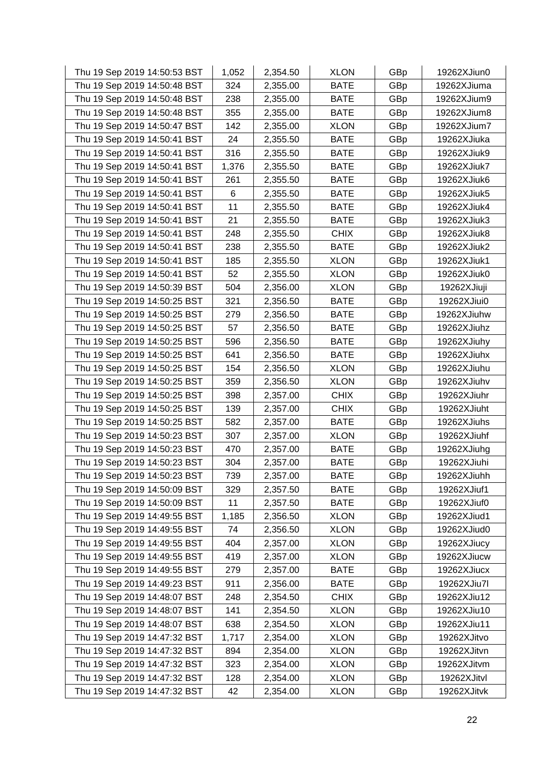| Thu 19 Sep 2019 14:50:53 BST | 1,052 | 2,354.50 | <b>XLON</b> | GBp | 19262XJiun0 |
|------------------------------|-------|----------|-------------|-----|-------------|
| Thu 19 Sep 2019 14:50:48 BST | 324   | 2,355.00 | <b>BATE</b> | GBp | 19262XJiuma |
| Thu 19 Sep 2019 14:50:48 BST | 238   | 2,355.00 | <b>BATE</b> | GBp | 19262XJium9 |
| Thu 19 Sep 2019 14:50:48 BST | 355   | 2,355.00 | <b>BATE</b> | GBp | 19262XJium8 |
| Thu 19 Sep 2019 14:50:47 BST | 142   | 2,355.00 | <b>XLON</b> | GBp | 19262XJium7 |
| Thu 19 Sep 2019 14:50:41 BST | 24    | 2,355.50 | <b>BATE</b> | GBp | 19262XJiuka |
| Thu 19 Sep 2019 14:50:41 BST | 316   | 2,355.50 | <b>BATE</b> | GBp | 19262XJiuk9 |
| Thu 19 Sep 2019 14:50:41 BST | 1,376 | 2,355.50 | <b>BATE</b> | GBp | 19262XJiuk7 |
| Thu 19 Sep 2019 14:50:41 BST | 261   | 2,355.50 | <b>BATE</b> | GBp | 19262XJiuk6 |
| Thu 19 Sep 2019 14:50:41 BST | 6     | 2,355.50 | <b>BATE</b> | GBp | 19262XJiuk5 |
| Thu 19 Sep 2019 14:50:41 BST | 11    | 2,355.50 | <b>BATE</b> | GBp | 19262XJiuk4 |
| Thu 19 Sep 2019 14:50:41 BST | 21    | 2,355.50 | <b>BATE</b> | GBp | 19262XJiuk3 |
| Thu 19 Sep 2019 14:50:41 BST | 248   | 2,355.50 | <b>CHIX</b> | GBp | 19262XJiuk8 |
| Thu 19 Sep 2019 14:50:41 BST | 238   | 2,355.50 | <b>BATE</b> | GBp | 19262XJiuk2 |
| Thu 19 Sep 2019 14:50:41 BST | 185   | 2,355.50 | <b>XLON</b> | GBp | 19262XJiuk1 |
| Thu 19 Sep 2019 14:50:41 BST | 52    | 2,355.50 | <b>XLON</b> | GBp | 19262XJiuk0 |
| Thu 19 Sep 2019 14:50:39 BST | 504   | 2,356.00 | <b>XLON</b> | GBp | 19262XJiuji |
| Thu 19 Sep 2019 14:50:25 BST | 321   | 2,356.50 | <b>BATE</b> | GBp | 19262XJiui0 |
| Thu 19 Sep 2019 14:50:25 BST | 279   | 2,356.50 | <b>BATE</b> | GBp | 19262XJiuhw |
| Thu 19 Sep 2019 14:50:25 BST | 57    | 2,356.50 | <b>BATE</b> | GBp | 19262XJiuhz |
| Thu 19 Sep 2019 14:50:25 BST | 596   | 2,356.50 | <b>BATE</b> | GBp | 19262XJiuhy |
| Thu 19 Sep 2019 14:50:25 BST | 641   | 2,356.50 | <b>BATE</b> | GBp | 19262XJiuhx |
| Thu 19 Sep 2019 14:50:25 BST | 154   | 2,356.50 | <b>XLON</b> | GBp | 19262XJiuhu |
| Thu 19 Sep 2019 14:50:25 BST | 359   | 2,356.50 | <b>XLON</b> | GBp | 19262XJiuhv |
| Thu 19 Sep 2019 14:50:25 BST | 398   | 2,357.00 | <b>CHIX</b> | GBp | 19262XJiuhr |
| Thu 19 Sep 2019 14:50:25 BST | 139   | 2,357.00 | <b>CHIX</b> | GBp | 19262XJiuht |
| Thu 19 Sep 2019 14:50:25 BST | 582   | 2,357.00 | <b>BATE</b> | GBp | 19262XJiuhs |
| Thu 19 Sep 2019 14:50:23 BST | 307   | 2,357.00 | <b>XLON</b> | GBp | 19262XJiuhf |
| Thu 19 Sep 2019 14:50:23 BST | 470   | 2,357.00 | <b>BATE</b> | GBp | 19262XJiuhg |
| Thu 19 Sep 2019 14:50:23 BST | 304   | 2,357.00 | <b>BATE</b> | GBp | 19262XJiuhi |
| Thu 19 Sep 2019 14:50:23 BST | 739   | 2,357.00 | <b>BATE</b> | GBp | 19262XJiuhh |
| Thu 19 Sep 2019 14:50:09 BST | 329   | 2,357.50 | <b>BATE</b> | GBp | 19262XJiuf1 |
| Thu 19 Sep 2019 14:50:09 BST | 11    | 2,357.50 | <b>BATE</b> | GBp | 19262XJiuf0 |
| Thu 19 Sep 2019 14:49:55 BST | 1,185 | 2,356.50 | <b>XLON</b> | GBp | 19262XJiud1 |
| Thu 19 Sep 2019 14:49:55 BST | 74    | 2,356.50 | <b>XLON</b> | GBp | 19262XJiud0 |
| Thu 19 Sep 2019 14:49:55 BST | 404   | 2,357.00 | <b>XLON</b> | GBp | 19262XJiucy |
| Thu 19 Sep 2019 14:49:55 BST | 419   | 2,357.00 | <b>XLON</b> | GBp | 19262XJiucw |
| Thu 19 Sep 2019 14:49:55 BST | 279   | 2,357.00 | <b>BATE</b> | GBp | 19262XJiucx |
| Thu 19 Sep 2019 14:49:23 BST | 911   | 2,356.00 | <b>BATE</b> | GBp | 19262XJiu7l |
| Thu 19 Sep 2019 14:48:07 BST | 248   | 2,354.50 | <b>CHIX</b> | GBp | 19262XJiu12 |
| Thu 19 Sep 2019 14:48:07 BST | 141   | 2,354.50 | <b>XLON</b> | GBp | 19262XJiu10 |
| Thu 19 Sep 2019 14:48:07 BST | 638   | 2,354.50 | <b>XLON</b> | GBp | 19262XJiu11 |
| Thu 19 Sep 2019 14:47:32 BST | 1,717 | 2,354.00 | <b>XLON</b> | GBp | 19262XJitvo |
| Thu 19 Sep 2019 14:47:32 BST | 894   | 2,354.00 | <b>XLON</b> | GBp | 19262XJitvn |
| Thu 19 Sep 2019 14:47:32 BST | 323   | 2,354.00 | <b>XLON</b> | GBp | 19262XJitvm |
| Thu 19 Sep 2019 14:47:32 BST | 128   | 2,354.00 | <b>XLON</b> | GBp | 19262XJitvl |
| Thu 19 Sep 2019 14:47:32 BST | 42    | 2,354.00 | <b>XLON</b> | GBp | 19262XJitvk |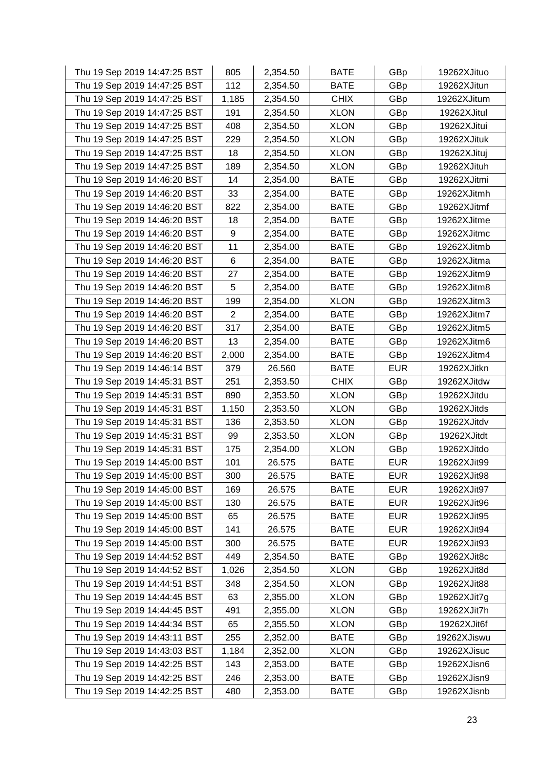| Thu 19 Sep 2019 14:47:25 BST | 805            | 2,354.50 | <b>BATE</b> | GBp        | 19262XJituo |
|------------------------------|----------------|----------|-------------|------------|-------------|
| Thu 19 Sep 2019 14:47:25 BST | 112            | 2,354.50 | <b>BATE</b> | GBp        | 19262XJitun |
| Thu 19 Sep 2019 14:47:25 BST | 1,185          | 2,354.50 | <b>CHIX</b> | GBp        | 19262XJitum |
| Thu 19 Sep 2019 14:47:25 BST | 191            | 2,354.50 | <b>XLON</b> | GBp        | 19262XJitul |
| Thu 19 Sep 2019 14:47:25 BST | 408            | 2,354.50 | <b>XLON</b> | GBp        | 19262XJitui |
| Thu 19 Sep 2019 14:47:25 BST | 229            | 2,354.50 | <b>XLON</b> | GBp        | 19262XJituk |
| Thu 19 Sep 2019 14:47:25 BST | 18             | 2,354.50 | <b>XLON</b> | GBp        | 19262XJituj |
| Thu 19 Sep 2019 14:47:25 BST | 189            | 2,354.50 | <b>XLON</b> | GBp        | 19262XJituh |
| Thu 19 Sep 2019 14:46:20 BST | 14             | 2,354.00 | <b>BATE</b> | GBp        | 19262XJitmi |
| Thu 19 Sep 2019 14:46:20 BST | 33             | 2,354.00 | <b>BATE</b> | GBp        | 19262XJitmh |
| Thu 19 Sep 2019 14:46:20 BST | 822            | 2,354.00 | <b>BATE</b> | GBp        | 19262XJitmf |
| Thu 19 Sep 2019 14:46:20 BST | 18             | 2,354.00 | <b>BATE</b> | GBp        | 19262XJitme |
| Thu 19 Sep 2019 14:46:20 BST | 9              | 2,354.00 | <b>BATE</b> | GBp        | 19262XJitmc |
| Thu 19 Sep 2019 14:46:20 BST | 11             | 2,354.00 | <b>BATE</b> | GBp        | 19262XJitmb |
| Thu 19 Sep 2019 14:46:20 BST | 6              | 2,354.00 | <b>BATE</b> | GBp        | 19262XJitma |
| Thu 19 Sep 2019 14:46:20 BST | 27             | 2,354.00 | <b>BATE</b> | GBp        | 19262XJitm9 |
| Thu 19 Sep 2019 14:46:20 BST | 5              | 2,354.00 | <b>BATE</b> | GBp        | 19262XJitm8 |
| Thu 19 Sep 2019 14:46:20 BST | 199            | 2,354.00 | <b>XLON</b> | GBp        | 19262XJitm3 |
| Thu 19 Sep 2019 14:46:20 BST | $\overline{2}$ | 2,354.00 | <b>BATE</b> | GBp        | 19262XJitm7 |
| Thu 19 Sep 2019 14:46:20 BST | 317            | 2,354.00 | <b>BATE</b> | GBp        | 19262XJitm5 |
| Thu 19 Sep 2019 14:46:20 BST | 13             | 2,354.00 | <b>BATE</b> | GBp        | 19262XJitm6 |
| Thu 19 Sep 2019 14:46:20 BST | 2,000          | 2,354.00 | <b>BATE</b> | GBp        | 19262XJitm4 |
| Thu 19 Sep 2019 14:46:14 BST | 379            | 26.560   | <b>BATE</b> | <b>EUR</b> | 19262XJitkn |
| Thu 19 Sep 2019 14:45:31 BST | 251            | 2,353.50 | <b>CHIX</b> | GBp        | 19262XJitdw |
| Thu 19 Sep 2019 14:45:31 BST | 890            | 2,353.50 | <b>XLON</b> | GBp        | 19262XJitdu |
| Thu 19 Sep 2019 14:45:31 BST | 1,150          | 2,353.50 | <b>XLON</b> | GBp        | 19262XJitds |
| Thu 19 Sep 2019 14:45:31 BST | 136            | 2,353.50 | <b>XLON</b> | GBp        | 19262XJitdv |
| Thu 19 Sep 2019 14:45:31 BST | 99             | 2,353.50 | <b>XLON</b> | GBp        | 19262XJitdt |
| Thu 19 Sep 2019 14:45:31 BST | 175            | 2,354.00 | <b>XLON</b> | GBp        | 19262XJitdo |
| Thu 19 Sep 2019 14:45:00 BST | 101            | 26.575   | <b>BATE</b> | <b>EUR</b> | 19262XJit99 |
| Thu 19 Sep 2019 14:45:00 BST | 300            | 26.575   | <b>BATE</b> | <b>EUR</b> | 19262XJit98 |
| Thu 19 Sep 2019 14:45:00 BST | 169            | 26.575   | <b>BATE</b> | <b>EUR</b> | 19262XJit97 |
| Thu 19 Sep 2019 14:45:00 BST | 130            | 26.575   | <b>BATE</b> | <b>EUR</b> | 19262XJit96 |
| Thu 19 Sep 2019 14:45:00 BST | 65             | 26.575   | <b>BATE</b> | <b>EUR</b> | 19262XJit95 |
| Thu 19 Sep 2019 14:45:00 BST | 141            | 26.575   | <b>BATE</b> | <b>EUR</b> | 19262XJit94 |
| Thu 19 Sep 2019 14:45:00 BST | 300            | 26.575   | <b>BATE</b> | <b>EUR</b> | 19262XJit93 |
| Thu 19 Sep 2019 14:44:52 BST | 449            | 2,354.50 | <b>BATE</b> | GBp        | 19262XJit8c |
| Thu 19 Sep 2019 14:44:52 BST | 1,026          | 2,354.50 | <b>XLON</b> | GBp        | 19262XJit8d |
| Thu 19 Sep 2019 14:44:51 BST | 348            | 2,354.50 | <b>XLON</b> | GBp        | 19262XJit88 |
| Thu 19 Sep 2019 14:44:45 BST | 63             | 2,355.00 | <b>XLON</b> | GBp        | 19262XJit7g |
| Thu 19 Sep 2019 14:44:45 BST | 491            | 2,355.00 | <b>XLON</b> | GBp        | 19262XJit7h |
| Thu 19 Sep 2019 14:44:34 BST | 65             | 2,355.50 | <b>XLON</b> | GBp        | 19262XJit6f |
| Thu 19 Sep 2019 14:43:11 BST | 255            | 2,352.00 | <b>BATE</b> | GBp        | 19262XJiswu |
| Thu 19 Sep 2019 14:43:03 BST | 1,184          | 2,352.00 | <b>XLON</b> | GBp        | 19262XJisuc |
| Thu 19 Sep 2019 14:42:25 BST | 143            | 2,353.00 | <b>BATE</b> | GBp        | 19262XJisn6 |
| Thu 19 Sep 2019 14:42:25 BST | 246            | 2,353.00 | <b>BATE</b> | GBp        | 19262XJisn9 |
| Thu 19 Sep 2019 14:42:25 BST | 480            | 2,353.00 | <b>BATE</b> | GBp        | 19262XJisnb |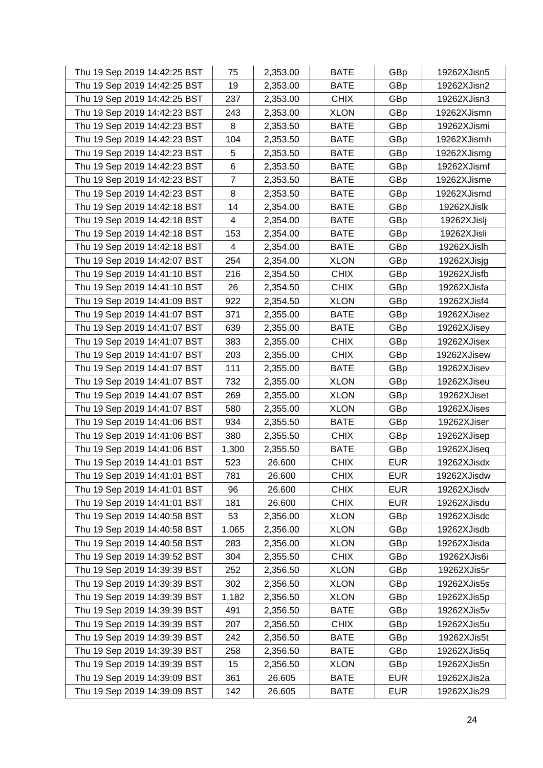| Thu 19 Sep 2019 14:42:25 BST | 75             | 2,353.00 | <b>BATE</b> | GBp        | 19262XJisn5 |
|------------------------------|----------------|----------|-------------|------------|-------------|
| Thu 19 Sep 2019 14:42:25 BST | 19             | 2,353.00 | <b>BATE</b> | GBp        | 19262XJisn2 |
| Thu 19 Sep 2019 14:42:25 BST | 237            | 2,353.00 | <b>CHIX</b> | GBp        | 19262XJisn3 |
| Thu 19 Sep 2019 14:42:23 BST | 243            | 2,353.00 | <b>XLON</b> | GBp        | 19262XJismn |
| Thu 19 Sep 2019 14:42:23 BST | 8              | 2,353.50 | <b>BATE</b> | GBp        | 19262XJismi |
| Thu 19 Sep 2019 14:42:23 BST | 104            | 2,353.50 | <b>BATE</b> | GBp        | 19262XJismh |
| Thu 19 Sep 2019 14:42:23 BST | 5              | 2,353.50 | <b>BATE</b> | GBp        | 19262XJismg |
| Thu 19 Sep 2019 14:42:23 BST | 6              | 2,353.50 | <b>BATE</b> | GBp        | 19262XJismf |
| Thu 19 Sep 2019 14:42:23 BST | $\overline{7}$ | 2,353.50 | <b>BATE</b> | GBp        | 19262XJisme |
| Thu 19 Sep 2019 14:42:23 BST | 8              | 2,353.50 | <b>BATE</b> | GBp        | 19262XJismd |
| Thu 19 Sep 2019 14:42:18 BST | 14             | 2,354.00 | <b>BATE</b> | GBp        | 19262XJislk |
| Thu 19 Sep 2019 14:42:18 BST | 4              | 2,354.00 | <b>BATE</b> | GBp        | 19262XJislj |
| Thu 19 Sep 2019 14:42:18 BST | 153            | 2,354.00 | <b>BATE</b> | GBp        | 19262XJisli |
| Thu 19 Sep 2019 14:42:18 BST | 4              | 2,354.00 | <b>BATE</b> | GBp        | 19262XJislh |
| Thu 19 Sep 2019 14:42:07 BST | 254            | 2,354.00 | <b>XLON</b> | GBp        | 19262XJisjg |
| Thu 19 Sep 2019 14:41:10 BST | 216            | 2,354.50 | <b>CHIX</b> | GBp        | 19262XJisfb |
| Thu 19 Sep 2019 14:41:10 BST | 26             | 2,354.50 | <b>CHIX</b> | GBp        | 19262XJisfa |
| Thu 19 Sep 2019 14:41:09 BST | 922            | 2,354.50 | <b>XLON</b> | GBp        | 19262XJisf4 |
| Thu 19 Sep 2019 14:41:07 BST | 371            | 2,355.00 | <b>BATE</b> | GBp        | 19262XJisez |
| Thu 19 Sep 2019 14:41:07 BST | 639            | 2,355.00 | <b>BATE</b> | GBp        | 19262XJisey |
| Thu 19 Sep 2019 14:41:07 BST | 383            | 2,355.00 | <b>CHIX</b> | GBp        | 19262XJisex |
| Thu 19 Sep 2019 14:41:07 BST | 203            | 2,355.00 | <b>CHIX</b> | GBp        | 19262XJisew |
| Thu 19 Sep 2019 14:41:07 BST | 111            | 2,355.00 | <b>BATE</b> | GBp        | 19262XJisev |
| Thu 19 Sep 2019 14:41:07 BST | 732            | 2,355.00 | <b>XLON</b> | GBp        | 19262XJiseu |
| Thu 19 Sep 2019 14:41:07 BST | 269            | 2,355.00 | <b>XLON</b> | GBp        | 19262XJiset |
| Thu 19 Sep 2019 14:41:07 BST | 580            | 2,355.00 | <b>XLON</b> | GBp        | 19262XJises |
| Thu 19 Sep 2019 14:41:06 BST | 934            | 2,355.50 | <b>BATE</b> | GBp        | 19262XJiser |
| Thu 19 Sep 2019 14:41:06 BST | 380            | 2,355.50 | <b>CHIX</b> | GBp        | 19262XJisep |
| Thu 19 Sep 2019 14:41:06 BST | 1,300          | 2,355.50 | <b>BATE</b> | GBp        | 19262XJiseq |
| Thu 19 Sep 2019 14:41:01 BST | 523            | 26.600   | <b>CHIX</b> | <b>EUR</b> | 19262XJisdx |
| Thu 19 Sep 2019 14:41:01 BST | 781            | 26.600   | <b>CHIX</b> | <b>EUR</b> | 19262XJisdw |
| Thu 19 Sep 2019 14:41:01 BST | 96             | 26.600   | <b>CHIX</b> | <b>EUR</b> | 19262XJisdv |
| Thu 19 Sep 2019 14:41:01 BST | 181            | 26.600   | <b>CHIX</b> | <b>EUR</b> | 19262XJisdu |
| Thu 19 Sep 2019 14:40:58 BST | 53             | 2,356.00 | <b>XLON</b> | GBp        | 19262XJisdc |
| Thu 19 Sep 2019 14:40:58 BST | 1,065          | 2,356.00 | <b>XLON</b> | GBp        | 19262XJisdb |
| Thu 19 Sep 2019 14:40:58 BST | 283            | 2,356.00 | <b>XLON</b> | GBp        | 19262XJisda |
| Thu 19 Sep 2019 14:39:52 BST | 304            | 2,355.50 | <b>CHIX</b> | GBp        | 19262XJis6i |
| Thu 19 Sep 2019 14:39:39 BST | 252            | 2,356.50 | <b>XLON</b> | GBp        | 19262XJis5r |
| Thu 19 Sep 2019 14:39:39 BST | 302            | 2,356.50 | <b>XLON</b> | GBp        | 19262XJis5s |
| Thu 19 Sep 2019 14:39:39 BST | 1,182          | 2,356.50 | <b>XLON</b> | GBp        | 19262XJis5p |
| Thu 19 Sep 2019 14:39:39 BST | 491            | 2,356.50 | <b>BATE</b> | GBp        | 19262XJis5v |
| Thu 19 Sep 2019 14:39:39 BST | 207            | 2,356.50 | <b>CHIX</b> | GBp        | 19262XJis5u |
| Thu 19 Sep 2019 14:39:39 BST | 242            | 2,356.50 | <b>BATE</b> | GBp        | 19262XJis5t |
| Thu 19 Sep 2019 14:39:39 BST | 258            | 2,356.50 | <b>BATE</b> | GBp        | 19262XJis5q |
| Thu 19 Sep 2019 14:39:39 BST | 15             | 2,356.50 | <b>XLON</b> | GBp        | 19262XJis5n |
| Thu 19 Sep 2019 14:39:09 BST | 361            | 26.605   | <b>BATE</b> | <b>EUR</b> | 19262XJis2a |
| Thu 19 Sep 2019 14:39:09 BST | 142            | 26.605   | <b>BATE</b> | <b>EUR</b> | 19262XJis29 |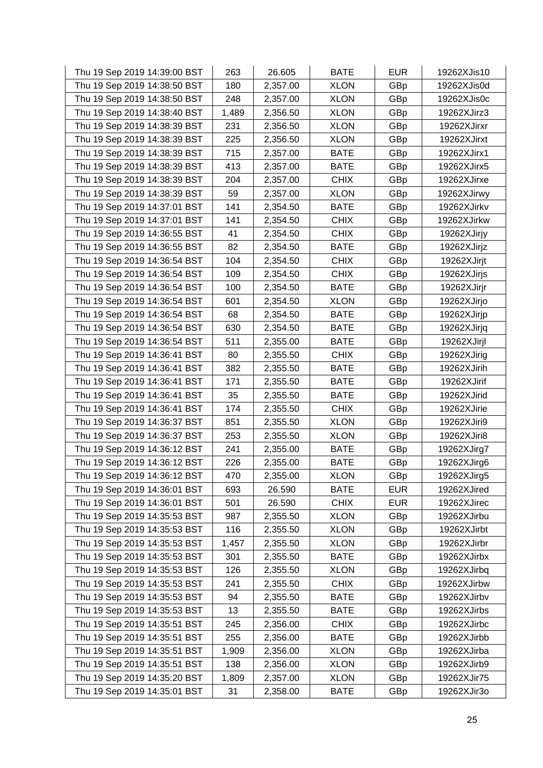| Thu 19 Sep 2019 14:39:00 BST | 263   | 26.605   | <b>BATE</b> | <b>EUR</b> | 19262XJis10 |
|------------------------------|-------|----------|-------------|------------|-------------|
| Thu 19 Sep 2019 14:38:50 BST | 180   | 2,357.00 | <b>XLON</b> | GBp        | 19262XJis0d |
| Thu 19 Sep 2019 14:38:50 BST | 248   | 2,357.00 | <b>XLON</b> | GBp        | 19262XJis0c |
| Thu 19 Sep 2019 14:38:40 BST | 1,489 | 2,356.50 | <b>XLON</b> | GBp        | 19262XJirz3 |
| Thu 19 Sep 2019 14:38:39 BST | 231   | 2,356.50 | <b>XLON</b> | GBp        | 19262XJirxr |
| Thu 19 Sep 2019 14:38:39 BST | 225   | 2,356.50 | <b>XLON</b> | GBp        | 19262XJirxt |
| Thu 19 Sep 2019 14:38:39 BST | 715   | 2,357.00 | <b>BATE</b> | GBp        | 19262XJirx1 |
| Thu 19 Sep 2019 14:38:39 BST | 413   | 2,357.00 | <b>BATE</b> | GBp        | 19262XJirx5 |
| Thu 19 Sep 2019 14:38:39 BST | 204   | 2,357.00 | <b>CHIX</b> | GBp        | 19262XJirxe |
| Thu 19 Sep 2019 14:38:39 BST | 59    | 2,357.00 | <b>XLON</b> | GBp        | 19262XJirwy |
| Thu 19 Sep 2019 14:37:01 BST | 141   | 2,354.50 | <b>BATE</b> | GBp        | 19262XJirkv |
| Thu 19 Sep 2019 14:37:01 BST | 141   | 2,354.50 | <b>CHIX</b> | GBp        | 19262XJirkw |
| Thu 19 Sep 2019 14:36:55 BST | 41    | 2,354.50 | <b>CHIX</b> | GBp        | 19262XJirjy |
| Thu 19 Sep 2019 14:36:55 BST | 82    | 2,354.50 | <b>BATE</b> | GBp        | 19262XJirjz |
| Thu 19 Sep 2019 14:36:54 BST | 104   | 2,354.50 | <b>CHIX</b> | GBp        | 19262XJirjt |
| Thu 19 Sep 2019 14:36:54 BST | 109   | 2,354.50 | <b>CHIX</b> | GBp        | 19262XJirjs |
| Thu 19 Sep 2019 14:36:54 BST | 100   | 2,354.50 | <b>BATE</b> | GBp        | 19262XJirjr |
| Thu 19 Sep 2019 14:36:54 BST | 601   | 2,354.50 | <b>XLON</b> | GBp        | 19262XJirjo |
| Thu 19 Sep 2019 14:36:54 BST | 68    | 2,354.50 | <b>BATE</b> | GBp        | 19262XJirjp |
| Thu 19 Sep 2019 14:36:54 BST | 630   | 2,354.50 | <b>BATE</b> | GBp        | 19262XJirjq |
| Thu 19 Sep 2019 14:36:54 BST | 511   | 2,355.00 | <b>BATE</b> | GBp        | 19262XJirjl |
| Thu 19 Sep 2019 14:36:41 BST | 80    | 2,355.50 | <b>CHIX</b> | GBp        | 19262XJirig |
| Thu 19 Sep 2019 14:36:41 BST | 382   | 2,355.50 | <b>BATE</b> | GBp        | 19262XJirih |
| Thu 19 Sep 2019 14:36:41 BST | 171   | 2,355.50 | <b>BATE</b> | GBp        | 19262XJirif |
| Thu 19 Sep 2019 14:36:41 BST | 35    | 2,355.50 | <b>BATE</b> | GBp        | 19262XJirid |
| Thu 19 Sep 2019 14:36:41 BST | 174   | 2,355.50 | <b>CHIX</b> | GBp        | 19262XJirie |
| Thu 19 Sep 2019 14:36:37 BST | 851   | 2,355.50 | <b>XLON</b> | GBp        | 19262XJiri9 |
| Thu 19 Sep 2019 14:36:37 BST | 253   | 2,355.50 | <b>XLON</b> | GBp        | 19262XJiri8 |
| Thu 19 Sep 2019 14:36:12 BST | 241   | 2,355.00 | <b>BATE</b> | GBp        | 19262XJirg7 |
| Thu 19 Sep 2019 14:36:12 BST | 226   | 2,355.00 | <b>BATE</b> | GBp        | 19262XJirg6 |
| Thu 19 Sep 2019 14:36:12 BST | 470   | 2,355.00 | <b>XLON</b> | GBp        | 19262XJirg5 |
| Thu 19 Sep 2019 14:36:01 BST | 693   | 26.590   | <b>BATE</b> | <b>EUR</b> | 19262XJired |
| Thu 19 Sep 2019 14:36:01 BST | 501   | 26.590   | <b>CHIX</b> | <b>EUR</b> | 19262XJirec |
| Thu 19 Sep 2019 14:35:53 BST | 987   | 2,355.50 | <b>XLON</b> | GBp        | 19262XJirbu |
| Thu 19 Sep 2019 14:35:53 BST | 116   | 2,355.50 | <b>XLON</b> | GBp        | 19262XJirbt |
| Thu 19 Sep 2019 14:35:53 BST | 1,457 | 2,355.50 | <b>XLON</b> | GBp        | 19262XJirbr |
| Thu 19 Sep 2019 14:35:53 BST | 301   | 2,355.50 | <b>BATE</b> | GBp        | 19262XJirbx |
| Thu 19 Sep 2019 14:35:53 BST | 126   | 2,355.50 | <b>XLON</b> | GBp        | 19262XJirbq |
| Thu 19 Sep 2019 14:35:53 BST | 241   | 2,355.50 | <b>CHIX</b> | GBp        | 19262XJirbw |
| Thu 19 Sep 2019 14:35:53 BST | 94    | 2,355.50 | <b>BATE</b> | GBp        | 19262XJirbv |
| Thu 19 Sep 2019 14:35:53 BST | 13    | 2,355.50 | <b>BATE</b> | GBp        | 19262XJirbs |
| Thu 19 Sep 2019 14:35:51 BST | 245   | 2,356.00 | <b>CHIX</b> | GBp        | 19262XJirbc |
| Thu 19 Sep 2019 14:35:51 BST | 255   | 2,356.00 | <b>BATE</b> | GBp        | 19262XJirbb |
| Thu 19 Sep 2019 14:35:51 BST | 1,909 | 2,356.00 | <b>XLON</b> | GBp        | 19262XJirba |
| Thu 19 Sep 2019 14:35:51 BST | 138   | 2,356.00 | <b>XLON</b> | GBp        | 19262XJirb9 |
| Thu 19 Sep 2019 14:35:20 BST | 1,809 | 2,357.00 | <b>XLON</b> | GBp        | 19262XJir75 |
| Thu 19 Sep 2019 14:35:01 BST | 31    | 2,358.00 | <b>BATE</b> | GBp        | 19262XJir3o |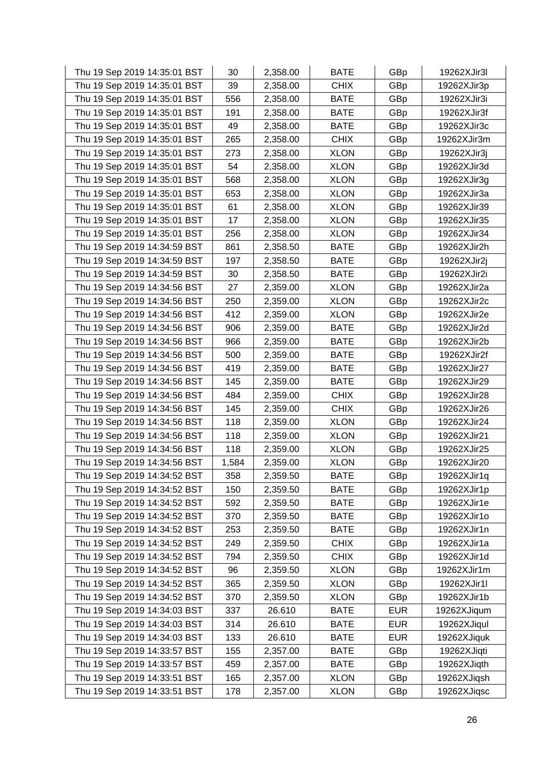| Thu 19 Sep 2019 14:35:01 BST | 30    | 2,358.00 | <b>BATE</b> | GBp        | 19262XJir3l |
|------------------------------|-------|----------|-------------|------------|-------------|
| Thu 19 Sep 2019 14:35:01 BST | 39    | 2,358.00 | <b>CHIX</b> | GBp        | 19262XJir3p |
| Thu 19 Sep 2019 14:35:01 BST | 556   | 2,358.00 | <b>BATE</b> | GBp        | 19262XJir3i |
| Thu 19 Sep 2019 14:35:01 BST | 191   | 2,358.00 | <b>BATE</b> | GBp        | 19262XJir3f |
| Thu 19 Sep 2019 14:35:01 BST | 49    | 2,358.00 | <b>BATE</b> | GBp        | 19262XJir3c |
| Thu 19 Sep 2019 14:35:01 BST | 265   | 2,358.00 | <b>CHIX</b> | GBp        | 19262XJir3m |
| Thu 19 Sep 2019 14:35:01 BST | 273   | 2,358.00 | <b>XLON</b> | GBp        | 19262XJir3j |
| Thu 19 Sep 2019 14:35:01 BST | 54    | 2,358.00 | <b>XLON</b> | GBp        | 19262XJir3d |
| Thu 19 Sep 2019 14:35:01 BST | 568   | 2,358.00 | <b>XLON</b> | GBp        | 19262XJir3g |
| Thu 19 Sep 2019 14:35:01 BST | 653   | 2,358.00 | <b>XLON</b> | GBp        | 19262XJir3a |
| Thu 19 Sep 2019 14:35:01 BST | 61    | 2,358.00 | <b>XLON</b> | GBp        | 19262XJir39 |
| Thu 19 Sep 2019 14:35:01 BST | 17    | 2,358.00 | <b>XLON</b> | GBp        | 19262XJir35 |
| Thu 19 Sep 2019 14:35:01 BST | 256   | 2,358.00 | <b>XLON</b> | GBp        | 19262XJir34 |
| Thu 19 Sep 2019 14:34:59 BST | 861   | 2,358.50 | <b>BATE</b> | GBp        | 19262XJir2h |
| Thu 19 Sep 2019 14:34:59 BST | 197   | 2,358.50 | <b>BATE</b> | GBp        | 19262XJir2j |
| Thu 19 Sep 2019 14:34:59 BST | 30    | 2,358.50 | <b>BATE</b> | GBp        | 19262XJir2i |
| Thu 19 Sep 2019 14:34:56 BST | 27    | 2,359.00 | <b>XLON</b> | GBp        | 19262XJir2a |
| Thu 19 Sep 2019 14:34:56 BST | 250   | 2,359.00 | <b>XLON</b> | GBp        | 19262XJir2c |
| Thu 19 Sep 2019 14:34:56 BST | 412   | 2,359.00 | <b>XLON</b> | GBp        | 19262XJir2e |
| Thu 19 Sep 2019 14:34:56 BST | 906   | 2,359.00 | <b>BATE</b> | GBp        | 19262XJir2d |
| Thu 19 Sep 2019 14:34:56 BST | 966   | 2,359.00 | <b>BATE</b> | GBp        | 19262XJir2b |
| Thu 19 Sep 2019 14:34:56 BST | 500   | 2,359.00 | <b>BATE</b> | GBp        | 19262XJir2f |
| Thu 19 Sep 2019 14:34:56 BST | 419   | 2,359.00 | <b>BATE</b> | GBp        | 19262XJir27 |
| Thu 19 Sep 2019 14:34:56 BST | 145   | 2,359.00 | <b>BATE</b> | GBp        | 19262XJir29 |
| Thu 19 Sep 2019 14:34:56 BST | 484   | 2,359.00 | <b>CHIX</b> | GBp        | 19262XJir28 |
| Thu 19 Sep 2019 14:34:56 BST | 145   | 2,359.00 | <b>CHIX</b> | GBp        | 19262XJir26 |
| Thu 19 Sep 2019 14:34:56 BST | 118   | 2,359.00 | <b>XLON</b> | GBp        | 19262XJir24 |
| Thu 19 Sep 2019 14:34:56 BST | 118   | 2,359.00 | <b>XLON</b> | GBp        | 19262XJir21 |
| Thu 19 Sep 2019 14:34:56 BST | 118   | 2,359.00 | <b>XLON</b> | GBp        | 19262XJir25 |
| Thu 19 Sep 2019 14:34:56 BST | 1,584 | 2,359.00 | <b>XLON</b> | GBp        | 19262XJir20 |
| Thu 19 Sep 2019 14:34:52 BST | 358   | 2,359.50 | <b>BATE</b> | GBp        | 19262XJir1q |
| Thu 19 Sep 2019 14:34:52 BST | 150   | 2,359.50 | <b>BATE</b> | GBp        | 19262XJir1p |
| Thu 19 Sep 2019 14:34:52 BST | 592   | 2,359.50 | <b>BATE</b> | GBp        | 19262XJir1e |
| Thu 19 Sep 2019 14:34:52 BST | 370   | 2,359.50 | <b>BATE</b> | GBp        | 19262XJir1o |
| Thu 19 Sep 2019 14:34:52 BST | 253   | 2,359.50 | <b>BATE</b> | GBp        | 19262XJir1n |
| Thu 19 Sep 2019 14:34:52 BST | 249   | 2,359.50 | <b>CHIX</b> | GBp        | 19262XJir1a |
| Thu 19 Sep 2019 14:34:52 BST | 794   | 2,359.50 | <b>CHIX</b> | GBp        | 19262XJir1d |
| Thu 19 Sep 2019 14:34:52 BST | 96    | 2,359.50 | <b>XLON</b> | GBp        | 19262XJir1m |
| Thu 19 Sep 2019 14:34:52 BST | 365   | 2,359.50 | <b>XLON</b> | GBp        | 19262XJir1l |
| Thu 19 Sep 2019 14:34:52 BST | 370   | 2,359.50 | <b>XLON</b> | GBp        | 19262XJir1b |
| Thu 19 Sep 2019 14:34:03 BST | 337   | 26.610   | <b>BATE</b> | <b>EUR</b> | 19262XJiqum |
| Thu 19 Sep 2019 14:34:03 BST | 314   | 26.610   | <b>BATE</b> | <b>EUR</b> | 19262XJiqul |
| Thu 19 Sep 2019 14:34:03 BST | 133   | 26.610   | <b>BATE</b> | <b>EUR</b> | 19262XJiquk |
| Thu 19 Sep 2019 14:33:57 BST | 155   | 2,357.00 | <b>BATE</b> | GBp        | 19262XJiqti |
| Thu 19 Sep 2019 14:33:57 BST | 459   | 2,357.00 | <b>BATE</b> | GBp        | 19262XJiqth |
| Thu 19 Sep 2019 14:33:51 BST | 165   | 2,357.00 | <b>XLON</b> | GBp        | 19262XJiqsh |
| Thu 19 Sep 2019 14:33:51 BST | 178   | 2,357.00 | <b>XLON</b> | GBp        | 19262XJiqsc |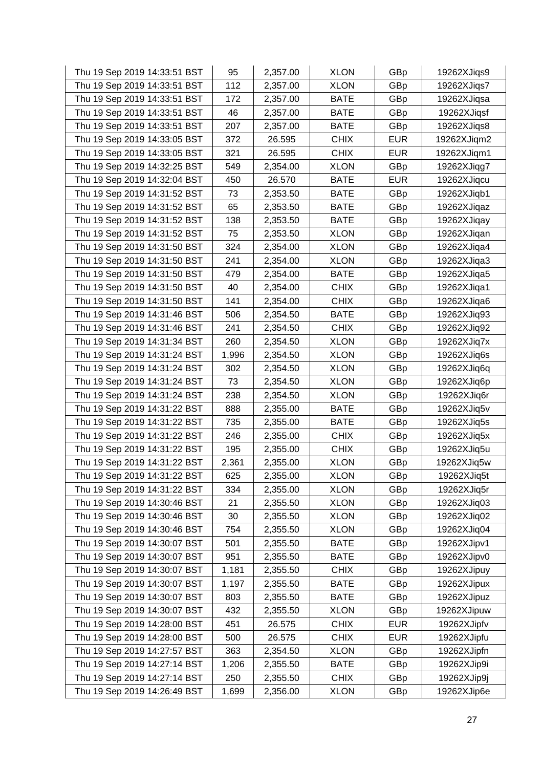| Thu 19 Sep 2019 14:33:51 BST | 95    | 2,357.00 | <b>XLON</b> | GBp        | 19262XJiqs9 |
|------------------------------|-------|----------|-------------|------------|-------------|
| Thu 19 Sep 2019 14:33:51 BST | 112   | 2,357.00 | <b>XLON</b> | GBp        | 19262XJiqs7 |
| Thu 19 Sep 2019 14:33:51 BST | 172   | 2,357.00 | <b>BATE</b> | GBp        | 19262XJiqsa |
| Thu 19 Sep 2019 14:33:51 BST | 46    | 2,357.00 | <b>BATE</b> | GBp        | 19262XJiqsf |
| Thu 19 Sep 2019 14:33:51 BST | 207   | 2,357.00 | <b>BATE</b> | GBp        | 19262XJiqs8 |
| Thu 19 Sep 2019 14:33:05 BST | 372   | 26.595   | <b>CHIX</b> | <b>EUR</b> | 19262XJiqm2 |
| Thu 19 Sep 2019 14:33:05 BST | 321   | 26.595   | <b>CHIX</b> | <b>EUR</b> | 19262XJiqm1 |
| Thu 19 Sep 2019 14:32:25 BST | 549   | 2,354.00 | <b>XLON</b> | GBp        | 19262XJiqg7 |
| Thu 19 Sep 2019 14:32:04 BST | 450   | 26.570   | <b>BATE</b> | <b>EUR</b> | 19262XJiqcu |
| Thu 19 Sep 2019 14:31:52 BST | 73    | 2,353.50 | <b>BATE</b> | GBp        | 19262XJiqb1 |
| Thu 19 Sep 2019 14:31:52 BST | 65    | 2,353.50 | <b>BATE</b> | GBp        | 19262XJiqaz |
| Thu 19 Sep 2019 14:31:52 BST | 138   | 2,353.50 | <b>BATE</b> | GBp        | 19262XJiqay |
| Thu 19 Sep 2019 14:31:52 BST | 75    | 2,353.50 | <b>XLON</b> | GBp        | 19262XJiqan |
| Thu 19 Sep 2019 14:31:50 BST | 324   | 2,354.00 | <b>XLON</b> | GBp        | 19262XJiqa4 |
| Thu 19 Sep 2019 14:31:50 BST | 241   | 2,354.00 | <b>XLON</b> | GBp        | 19262XJiqa3 |
| Thu 19 Sep 2019 14:31:50 BST | 479   | 2,354.00 | <b>BATE</b> | GBp        | 19262XJiqa5 |
| Thu 19 Sep 2019 14:31:50 BST | 40    | 2,354.00 | <b>CHIX</b> | GBp        | 19262XJiqa1 |
| Thu 19 Sep 2019 14:31:50 BST | 141   | 2,354.00 | <b>CHIX</b> | GBp        | 19262XJiqa6 |
| Thu 19 Sep 2019 14:31:46 BST | 506   | 2,354.50 | <b>BATE</b> | GBp        | 19262XJiq93 |
| Thu 19 Sep 2019 14:31:46 BST | 241   | 2,354.50 | <b>CHIX</b> | GBp        | 19262XJiq92 |
| Thu 19 Sep 2019 14:31:34 BST | 260   | 2,354.50 | <b>XLON</b> | GBp        | 19262XJiq7x |
| Thu 19 Sep 2019 14:31:24 BST | 1,996 | 2,354.50 | <b>XLON</b> | GBp        | 19262XJiq6s |
| Thu 19 Sep 2019 14:31:24 BST | 302   | 2,354.50 | <b>XLON</b> | GBp        | 19262XJiq6q |
| Thu 19 Sep 2019 14:31:24 BST | 73    | 2,354.50 | <b>XLON</b> | GBp        | 19262XJiq6p |
| Thu 19 Sep 2019 14:31:24 BST | 238   | 2,354.50 | <b>XLON</b> | GBp        | 19262XJiq6r |
| Thu 19 Sep 2019 14:31:22 BST | 888   | 2,355.00 | <b>BATE</b> | GBp        | 19262XJiq5v |
| Thu 19 Sep 2019 14:31:22 BST | 735   | 2,355.00 | <b>BATE</b> | GBp        | 19262XJiq5s |
| Thu 19 Sep 2019 14:31:22 BST | 246   | 2,355.00 | <b>CHIX</b> | GBp        | 19262XJiq5x |
| Thu 19 Sep 2019 14:31:22 BST | 195   | 2,355.00 | <b>CHIX</b> | GBp        | 19262XJiq5u |
| Thu 19 Sep 2019 14:31:22 BST | 2,361 | 2,355.00 | <b>XLON</b> | GBp        | 19262XJiq5w |
| Thu 19 Sep 2019 14:31:22 BST | 625   | 2,355.00 | <b>XLON</b> | GBp        | 19262XJiq5t |
| Thu 19 Sep 2019 14:31:22 BST | 334   | 2,355.00 | <b>XLON</b> | GBp        | 19262XJiq5r |
| Thu 19 Sep 2019 14:30:46 BST | 21    | 2,355.50 | <b>XLON</b> | GBp        | 19262XJiq03 |
| Thu 19 Sep 2019 14:30:46 BST | 30    | 2,355.50 | <b>XLON</b> | GBp        | 19262XJiq02 |
| Thu 19 Sep 2019 14:30:46 BST | 754   | 2,355.50 | <b>XLON</b> | GBp        | 19262XJiq04 |
| Thu 19 Sep 2019 14:30:07 BST | 501   | 2,355.50 | <b>BATE</b> | GBp        | 19262XJipv1 |
| Thu 19 Sep 2019 14:30:07 BST | 951   | 2,355.50 | <b>BATE</b> | GBp        | 19262XJipv0 |
| Thu 19 Sep 2019 14:30:07 BST | 1,181 | 2,355.50 | <b>CHIX</b> | GBp        | 19262XJipuy |
| Thu 19 Sep 2019 14:30:07 BST | 1,197 | 2,355.50 | <b>BATE</b> | GBp        | 19262XJipux |
| Thu 19 Sep 2019 14:30:07 BST | 803   | 2,355.50 | <b>BATE</b> | GBp        | 19262XJipuz |
| Thu 19 Sep 2019 14:30:07 BST | 432   | 2,355.50 | <b>XLON</b> | GBp        | 19262XJipuw |
| Thu 19 Sep 2019 14:28:00 BST | 451   | 26.575   | <b>CHIX</b> | <b>EUR</b> | 19262XJipfv |
| Thu 19 Sep 2019 14:28:00 BST | 500   | 26.575   | <b>CHIX</b> | <b>EUR</b> | 19262XJipfu |
| Thu 19 Sep 2019 14:27:57 BST | 363   | 2,354.50 | <b>XLON</b> | GBp        | 19262XJipfn |
| Thu 19 Sep 2019 14:27:14 BST | 1,206 | 2,355.50 | <b>BATE</b> | GBp        | 19262XJip9i |
| Thu 19 Sep 2019 14:27:14 BST | 250   | 2,355.50 | <b>CHIX</b> | GBp        | 19262XJip9j |
| Thu 19 Sep 2019 14:26:49 BST | 1,699 | 2,356.00 | <b>XLON</b> | GBp        | 19262XJip6e |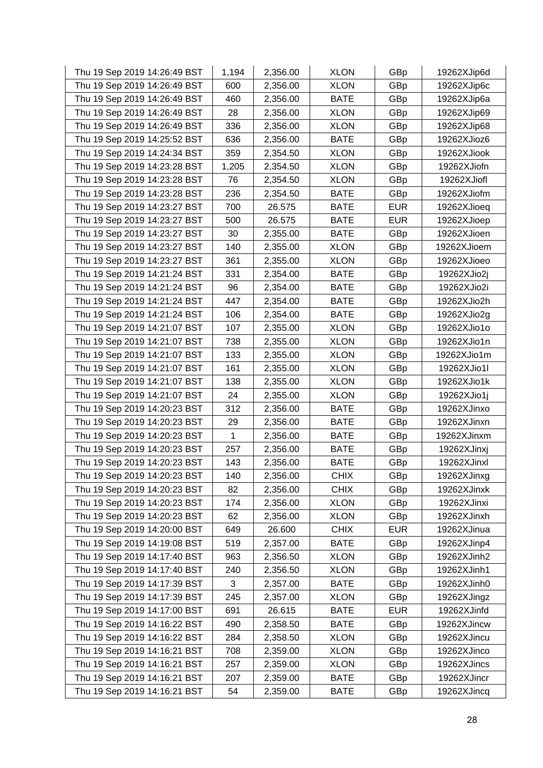| Thu 19 Sep 2019 14:26:49 BST | 1,194 | 2,356.00 | <b>XLON</b> | GBp        | 19262XJip6d |
|------------------------------|-------|----------|-------------|------------|-------------|
| Thu 19 Sep 2019 14:26:49 BST | 600   | 2,356.00 | <b>XLON</b> | GBp        | 19262XJip6c |
| Thu 19 Sep 2019 14:26:49 BST | 460   | 2,356.00 | <b>BATE</b> | GBp        | 19262XJip6a |
| Thu 19 Sep 2019 14:26:49 BST | 28    | 2,356.00 | <b>XLON</b> | GBp        | 19262XJip69 |
| Thu 19 Sep 2019 14:26:49 BST | 336   | 2,356.00 | <b>XLON</b> | GBp        | 19262XJip68 |
| Thu 19 Sep 2019 14:25:52 BST | 636   | 2,356.00 | <b>BATE</b> | GBp        | 19262XJioz6 |
| Thu 19 Sep 2019 14:24:34 BST | 359   | 2,354.50 | <b>XLON</b> | GBp        | 19262XJiook |
| Thu 19 Sep 2019 14:23:28 BST | 1,205 | 2,354.50 | <b>XLON</b> | GBp        | 19262XJiofn |
| Thu 19 Sep 2019 14:23:28 BST | 76    | 2,354.50 | <b>XLON</b> | GBp        | 19262XJiofl |
| Thu 19 Sep 2019 14:23:28 BST | 236   | 2,354.50 | <b>BATE</b> | GBp        | 19262XJiofm |
| Thu 19 Sep 2019 14:23:27 BST | 700   | 26.575   | <b>BATE</b> | <b>EUR</b> | 19262XJioeq |
| Thu 19 Sep 2019 14:23:27 BST | 500   | 26.575   | <b>BATE</b> | <b>EUR</b> | 19262XJioep |
| Thu 19 Sep 2019 14:23:27 BST | 30    | 2,355.00 | <b>BATE</b> | GBp        | 19262XJioen |
| Thu 19 Sep 2019 14:23:27 BST | 140   | 2,355.00 | <b>XLON</b> | GBp        | 19262XJioem |
| Thu 19 Sep 2019 14:23:27 BST | 361   | 2,355.00 | <b>XLON</b> | GBp        | 19262XJioeo |
| Thu 19 Sep 2019 14:21:24 BST | 331   | 2,354.00 | <b>BATE</b> | GBp        | 19262XJio2j |
| Thu 19 Sep 2019 14:21:24 BST | 96    | 2,354.00 | <b>BATE</b> | GBp        | 19262XJio2i |
| Thu 19 Sep 2019 14:21:24 BST | 447   | 2,354.00 | <b>BATE</b> | GBp        | 19262XJio2h |
| Thu 19 Sep 2019 14:21:24 BST | 106   | 2,354.00 | <b>BATE</b> | GBp        | 19262XJio2g |
| Thu 19 Sep 2019 14:21:07 BST | 107   | 2,355.00 | <b>XLON</b> | GBp        | 19262XJio1o |
| Thu 19 Sep 2019 14:21:07 BST | 738   | 2,355.00 | <b>XLON</b> | GBp        | 19262XJio1n |
| Thu 19 Sep 2019 14:21:07 BST | 133   | 2,355.00 | <b>XLON</b> | GBp        | 19262XJio1m |
| Thu 19 Sep 2019 14:21:07 BST | 161   | 2,355.00 | <b>XLON</b> | GBp        | 19262XJio1l |
| Thu 19 Sep 2019 14:21:07 BST | 138   | 2,355.00 | <b>XLON</b> | GBp        | 19262XJio1k |
| Thu 19 Sep 2019 14:21:07 BST | 24    | 2,355.00 | <b>XLON</b> | GBp        | 19262XJio1j |
| Thu 19 Sep 2019 14:20:23 BST | 312   | 2,356.00 | <b>BATE</b> | GBp        | 19262XJinxo |
| Thu 19 Sep 2019 14:20:23 BST | 29    | 2,356.00 | <b>BATE</b> | GBp        | 19262XJinxn |
| Thu 19 Sep 2019 14:20:23 BST | 1     | 2,356.00 | <b>BATE</b> | GBp        | 19262XJinxm |
| Thu 19 Sep 2019 14:20:23 BST | 257   | 2,356.00 | <b>BATE</b> | GBp        | 19262XJinxj |
| Thu 19 Sep 2019 14:20:23 BST | 143   | 2,356.00 | <b>BATE</b> | GBp        | 19262XJinxl |
| Thu 19 Sep 2019 14:20:23 BST | 140   | 2,356.00 | <b>CHIX</b> | GBp        | 19262XJinxg |
| Thu 19 Sep 2019 14:20:23 BST | 82    | 2,356.00 | <b>CHIX</b> | GBp        | 19262XJinxk |
| Thu 19 Sep 2019 14:20:23 BST | 174   | 2,356.00 | <b>XLON</b> | GBp        | 19262XJinxi |
| Thu 19 Sep 2019 14:20:23 BST | 62    | 2,356.00 | <b>XLON</b> | GBp        | 19262XJinxh |
| Thu 19 Sep 2019 14:20:00 BST | 649   | 26.600   | <b>CHIX</b> | <b>EUR</b> | 19262XJinua |
| Thu 19 Sep 2019 14:19:08 BST | 519   | 2,357.00 | <b>BATE</b> | GBp        | 19262XJinp4 |
| Thu 19 Sep 2019 14:17:40 BST | 963   | 2,356.50 | <b>XLON</b> | GBp        | 19262XJinh2 |
| Thu 19 Sep 2019 14:17:40 BST | 240   | 2,356.50 | <b>XLON</b> | GBp        | 19262XJinh1 |
| Thu 19 Sep 2019 14:17:39 BST | 3     | 2,357.00 | <b>BATE</b> | GBp        | 19262XJinh0 |
| Thu 19 Sep 2019 14:17:39 BST | 245   | 2,357.00 | <b>XLON</b> | GBp        | 19262XJingz |
| Thu 19 Sep 2019 14:17:00 BST | 691   | 26.615   | <b>BATE</b> | <b>EUR</b> | 19262XJinfd |
| Thu 19 Sep 2019 14:16:22 BST | 490   | 2,358.50 | <b>BATE</b> | GBp        | 19262XJincw |
| Thu 19 Sep 2019 14:16:22 BST | 284   | 2,358.50 | <b>XLON</b> | GBp        | 19262XJincu |
| Thu 19 Sep 2019 14:16:21 BST | 708   | 2,359.00 | <b>XLON</b> | GBp        | 19262XJinco |
| Thu 19 Sep 2019 14:16:21 BST | 257   | 2,359.00 | <b>XLON</b> | GBp        | 19262XJincs |
| Thu 19 Sep 2019 14:16:21 BST | 207   | 2,359.00 | <b>BATE</b> | GBp        | 19262XJincr |
| Thu 19 Sep 2019 14:16:21 BST | 54    | 2,359.00 | <b>BATE</b> | GBp        | 19262XJincq |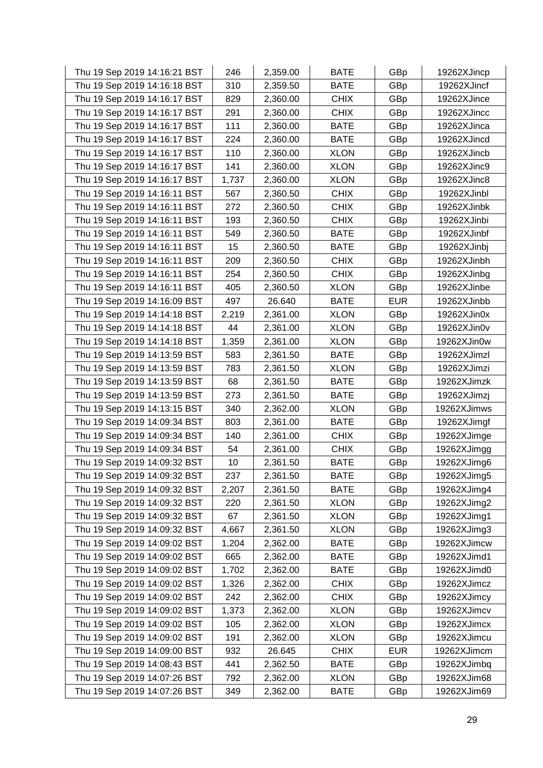| Thu 19 Sep 2019 14:16:21 BST | 246   | 2,359.00 | <b>BATE</b> | GBp        | 19262XJincp |
|------------------------------|-------|----------|-------------|------------|-------------|
| Thu 19 Sep 2019 14:16:18 BST | 310   | 2,359.50 | <b>BATE</b> | GBp        | 19262XJincf |
| Thu 19 Sep 2019 14:16:17 BST | 829   | 2,360.00 | <b>CHIX</b> | GBp        | 19262XJince |
| Thu 19 Sep 2019 14:16:17 BST | 291   | 2,360.00 | <b>CHIX</b> | GBp        | 19262XJincc |
| Thu 19 Sep 2019 14:16:17 BST | 111   | 2,360.00 | <b>BATE</b> | GBp        | 19262XJinca |
| Thu 19 Sep 2019 14:16:17 BST | 224   | 2,360.00 | <b>BATE</b> | GBp        | 19262XJincd |
| Thu 19 Sep 2019 14:16:17 BST | 110   | 2,360.00 | <b>XLON</b> | GBp        | 19262XJincb |
| Thu 19 Sep 2019 14:16:17 BST | 141   | 2,360.00 | <b>XLON</b> | GBp        | 19262XJinc9 |
| Thu 19 Sep 2019 14:16:17 BST | 1,737 | 2,360.00 | <b>XLON</b> | GBp        | 19262XJinc8 |
| Thu 19 Sep 2019 14:16:11 BST | 567   | 2,360.50 | <b>CHIX</b> | GBp        | 19262XJinbl |
| Thu 19 Sep 2019 14:16:11 BST | 272   | 2,360.50 | <b>CHIX</b> | GBp        | 19262XJinbk |
| Thu 19 Sep 2019 14:16:11 BST | 193   | 2,360.50 | <b>CHIX</b> | GBp        | 19262XJinbi |
| Thu 19 Sep 2019 14:16:11 BST | 549   | 2,360.50 | <b>BATE</b> | GBp        | 19262XJinbf |
| Thu 19 Sep 2019 14:16:11 BST | 15    | 2,360.50 | <b>BATE</b> | GBp        | 19262XJinbj |
| Thu 19 Sep 2019 14:16:11 BST | 209   | 2,360.50 | <b>CHIX</b> | GBp        | 19262XJinbh |
| Thu 19 Sep 2019 14:16:11 BST | 254   | 2,360.50 | <b>CHIX</b> | GBp        | 19262XJinbg |
| Thu 19 Sep 2019 14:16:11 BST | 405   | 2,360.50 | <b>XLON</b> | GBp        | 19262XJinbe |
| Thu 19 Sep 2019 14:16:09 BST | 497   | 26.640   | <b>BATE</b> | <b>EUR</b> | 19262XJinbb |
| Thu 19 Sep 2019 14:14:18 BST | 2,219 | 2,361.00 | <b>XLON</b> | GBp        | 19262XJin0x |
| Thu 19 Sep 2019 14:14:18 BST | 44    | 2,361.00 | <b>XLON</b> | GBp        | 19262XJin0v |
| Thu 19 Sep 2019 14:14:18 BST | 1,359 | 2,361.00 | <b>XLON</b> | GBp        | 19262XJin0w |
| Thu 19 Sep 2019 14:13:59 BST | 583   | 2,361.50 | <b>BATE</b> | GBp        | 19262XJimzl |
| Thu 19 Sep 2019 14:13:59 BST | 783   | 2,361.50 | <b>XLON</b> | GBp        | 19262XJimzi |
| Thu 19 Sep 2019 14:13:59 BST | 68    | 2,361.50 | <b>BATE</b> | GBp        | 19262XJimzk |
| Thu 19 Sep 2019 14:13:59 BST | 273   | 2,361.50 | <b>BATE</b> | GBp        | 19262XJimzj |
| Thu 19 Sep 2019 14:13:15 BST | 340   | 2,362.00 | <b>XLON</b> | GBp        | 19262XJimws |
| Thu 19 Sep 2019 14:09:34 BST | 803   | 2,361.00 | <b>BATE</b> | GBp        | 19262XJimgf |
| Thu 19 Sep 2019 14:09:34 BST | 140   | 2,361.00 | <b>CHIX</b> | GBp        | 19262XJimge |
| Thu 19 Sep 2019 14:09:34 BST | 54    | 2,361.00 | <b>CHIX</b> | GBp        | 19262XJimgg |
| Thu 19 Sep 2019 14:09:32 BST | 10    | 2,361.50 | <b>BATE</b> | GBp        | 19262XJimg6 |
| Thu 19 Sep 2019 14:09:32 BST | 237   | 2,361.50 | <b>BATE</b> | GBp        | 19262XJimg5 |
| Thu 19 Sep 2019 14:09:32 BST | 2,207 | 2,361.50 | <b>BATE</b> | GBp        | 19262XJimg4 |
| Thu 19 Sep 2019 14:09:32 BST | 220   | 2,361.50 | <b>XLON</b> | GBp        | 19262XJimg2 |
| Thu 19 Sep 2019 14:09:32 BST | 67    | 2,361.50 | <b>XLON</b> | GBp        | 19262XJimg1 |
| Thu 19 Sep 2019 14:09:32 BST | 4,667 | 2,361.50 | <b>XLON</b> | GBp        | 19262XJimg3 |
| Thu 19 Sep 2019 14:09:02 BST | 1,204 | 2,362.00 | <b>BATE</b> | GBp        | 19262XJimcw |
| Thu 19 Sep 2019 14:09:02 BST | 665   | 2,362.00 | <b>BATE</b> | GBp        | 19262XJimd1 |
| Thu 19 Sep 2019 14:09:02 BST | 1,702 | 2,362.00 | <b>BATE</b> | GBp        | 19262XJimd0 |
| Thu 19 Sep 2019 14:09:02 BST | 1,326 | 2,362.00 | <b>CHIX</b> | GBp        | 19262XJimcz |
| Thu 19 Sep 2019 14:09:02 BST | 242   | 2,362.00 | <b>CHIX</b> | GBp        | 19262XJimcy |
| Thu 19 Sep 2019 14:09:02 BST | 1,373 | 2,362.00 | <b>XLON</b> | GBp        | 19262XJimcv |
| Thu 19 Sep 2019 14:09:02 BST | 105   | 2,362.00 | <b>XLON</b> | GBp        | 19262XJimcx |
| Thu 19 Sep 2019 14:09:02 BST | 191   | 2,362.00 | <b>XLON</b> | GBp        | 19262XJimcu |
| Thu 19 Sep 2019 14:09:00 BST | 932   | 26.645   | <b>CHIX</b> | <b>EUR</b> | 19262XJimcm |
| Thu 19 Sep 2019 14:08:43 BST | 441   | 2,362.50 | <b>BATE</b> | GBp        | 19262XJimbq |
| Thu 19 Sep 2019 14:07:26 BST | 792   | 2,362.00 | <b>XLON</b> | GBp        | 19262XJim68 |
| Thu 19 Sep 2019 14:07:26 BST | 349   | 2,362.00 | <b>BATE</b> | GBp        | 19262XJim69 |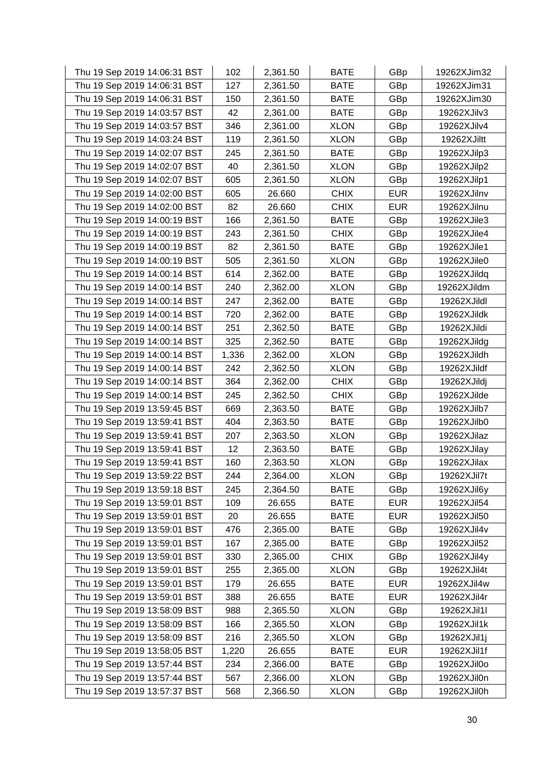| Thu 19 Sep 2019 14:06:31 BST | 102   | 2,361.50 | <b>BATE</b> | GBp        | 19262XJim32 |
|------------------------------|-------|----------|-------------|------------|-------------|
| Thu 19 Sep 2019 14:06:31 BST | 127   | 2,361.50 | <b>BATE</b> | GBp        | 19262XJim31 |
| Thu 19 Sep 2019 14:06:31 BST | 150   | 2,361.50 | <b>BATE</b> | GBp        | 19262XJim30 |
| Thu 19 Sep 2019 14:03:57 BST | 42    | 2,361.00 | <b>BATE</b> | GBp        | 19262XJilv3 |
| Thu 19 Sep 2019 14:03:57 BST | 346   | 2,361.00 | <b>XLON</b> | GBp        | 19262XJilv4 |
| Thu 19 Sep 2019 14:03:24 BST | 119   | 2,361.50 | <b>XLON</b> | GBp        | 19262XJiltt |
| Thu 19 Sep 2019 14:02:07 BST | 245   | 2,361.50 | <b>BATE</b> | GBp        | 19262XJilp3 |
| Thu 19 Sep 2019 14:02:07 BST | 40    | 2,361.50 | <b>XLON</b> | GBp        | 19262XJilp2 |
| Thu 19 Sep 2019 14:02:07 BST | 605   | 2,361.50 | <b>XLON</b> | GBp        | 19262XJilp1 |
| Thu 19 Sep 2019 14:02:00 BST | 605   | 26.660   | <b>CHIX</b> | <b>EUR</b> | 19262XJilnv |
| Thu 19 Sep 2019 14:02:00 BST | 82    | 26.660   | <b>CHIX</b> | <b>EUR</b> | 19262XJilnu |
| Thu 19 Sep 2019 14:00:19 BST | 166   | 2,361.50 | <b>BATE</b> | GBp        | 19262XJile3 |
| Thu 19 Sep 2019 14:00:19 BST | 243   | 2,361.50 | <b>CHIX</b> | GBp        | 19262XJile4 |
| Thu 19 Sep 2019 14:00:19 BST | 82    | 2,361.50 | <b>BATE</b> | GBp        | 19262XJile1 |
| Thu 19 Sep 2019 14:00:19 BST | 505   | 2,361.50 | <b>XLON</b> | GBp        | 19262XJile0 |
| Thu 19 Sep 2019 14:00:14 BST | 614   | 2,362.00 | <b>BATE</b> | GBp        | 19262XJildq |
| Thu 19 Sep 2019 14:00:14 BST | 240   | 2,362.00 | <b>XLON</b> | GBp        | 19262XJildm |
| Thu 19 Sep 2019 14:00:14 BST | 247   | 2,362.00 | <b>BATE</b> | GBp        | 19262XJildl |
| Thu 19 Sep 2019 14:00:14 BST | 720   | 2,362.00 | <b>BATE</b> | GBp        | 19262XJildk |
| Thu 19 Sep 2019 14:00:14 BST | 251   | 2,362.50 | <b>BATE</b> | GBp        | 19262XJildi |
| Thu 19 Sep 2019 14:00:14 BST | 325   | 2,362.50 | <b>BATE</b> | GBp        | 19262XJildg |
| Thu 19 Sep 2019 14:00:14 BST | 1,336 | 2,362.00 | <b>XLON</b> | GBp        | 19262XJildh |
| Thu 19 Sep 2019 14:00:14 BST | 242   | 2,362.50 | <b>XLON</b> | GBp        | 19262XJildf |
| Thu 19 Sep 2019 14:00:14 BST | 364   | 2,362.00 | <b>CHIX</b> | GBp        | 19262XJildj |
| Thu 19 Sep 2019 14:00:14 BST | 245   | 2,362.50 | <b>CHIX</b> | GBp        | 19262XJilde |
| Thu 19 Sep 2019 13:59:45 BST | 669   | 2,363.50 | <b>BATE</b> | GBp        | 19262XJilb7 |
| Thu 19 Sep 2019 13:59:41 BST | 404   | 2,363.50 | <b>BATE</b> | GBp        | 19262XJilb0 |
| Thu 19 Sep 2019 13:59:41 BST | 207   | 2,363.50 | <b>XLON</b> | GBp        | 19262XJilaz |
| Thu 19 Sep 2019 13:59:41 BST | 12    | 2,363.50 | <b>BATE</b> | GBp        | 19262XJilay |
| Thu 19 Sep 2019 13:59:41 BST | 160   | 2,363.50 | <b>XLON</b> | GBp        | 19262XJilax |
| Thu 19 Sep 2019 13:59:22 BST | 244   | 2,364.00 | <b>XLON</b> | GBp        | 19262XJil7t |
| Thu 19 Sep 2019 13:59:18 BST | 245   | 2,364.50 | <b>BATE</b> | GBp        | 19262XJil6y |
| Thu 19 Sep 2019 13:59:01 BST | 109   | 26.655   | <b>BATE</b> | <b>EUR</b> | 19262XJil54 |
| Thu 19 Sep 2019 13:59:01 BST | 20    | 26.655   | <b>BATE</b> | <b>EUR</b> | 19262XJil50 |
| Thu 19 Sep 2019 13:59:01 BST | 476   | 2,365.00 | <b>BATE</b> | GBp        | 19262XJil4v |
| Thu 19 Sep 2019 13:59:01 BST | 167   | 2,365.00 | <b>BATE</b> | GBp        | 19262XJil52 |
| Thu 19 Sep 2019 13:59:01 BST | 330   | 2,365.00 | <b>CHIX</b> | GBp        | 19262XJil4y |
| Thu 19 Sep 2019 13:59:01 BST | 255   | 2,365.00 | <b>XLON</b> | GBp        | 19262XJil4t |
| Thu 19 Sep 2019 13:59:01 BST | 179   | 26.655   | <b>BATE</b> | <b>EUR</b> | 19262XJil4w |
| Thu 19 Sep 2019 13:59:01 BST | 388   | 26.655   | <b>BATE</b> | <b>EUR</b> | 19262XJil4r |
| Thu 19 Sep 2019 13:58:09 BST | 988   | 2,365.50 | <b>XLON</b> | GBp        | 19262XJil1l |
| Thu 19 Sep 2019 13:58:09 BST | 166   | 2,365.50 | <b>XLON</b> | GBp        | 19262XJil1k |
| Thu 19 Sep 2019 13:58:09 BST | 216   | 2,365.50 | <b>XLON</b> | GBp        | 19262XJil1j |
| Thu 19 Sep 2019 13:58:05 BST | 1,220 | 26.655   | <b>BATE</b> | <b>EUR</b> | 19262XJil1f |
| Thu 19 Sep 2019 13:57:44 BST | 234   | 2,366.00 | <b>BATE</b> | GBp        | 19262XJil0o |
| Thu 19 Sep 2019 13:57:44 BST | 567   | 2,366.00 | <b>XLON</b> | GBp        | 19262XJil0n |
| Thu 19 Sep 2019 13:57:37 BST | 568   | 2,366.50 | <b>XLON</b> | GBp        | 19262XJil0h |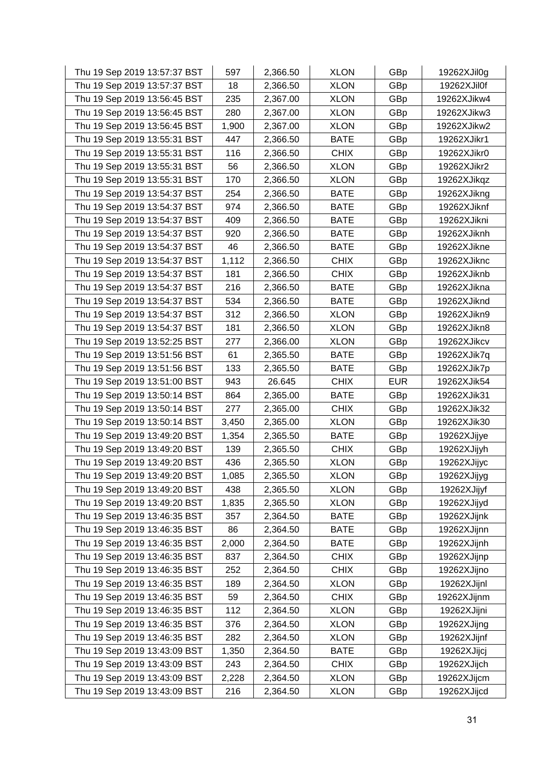| Thu 19 Sep 2019 13:57:37 BST | 597   | 2,366.50 | <b>XLON</b> | GBp        | 19262XJil0g |
|------------------------------|-------|----------|-------------|------------|-------------|
| Thu 19 Sep 2019 13:57:37 BST | 18    | 2,366.50 | <b>XLON</b> | GBp        | 19262XJil0f |
| Thu 19 Sep 2019 13:56:45 BST | 235   | 2,367.00 | <b>XLON</b> | GBp        | 19262XJikw4 |
| Thu 19 Sep 2019 13:56:45 BST | 280   | 2,367.00 | <b>XLON</b> | GBp        | 19262XJikw3 |
| Thu 19 Sep 2019 13:56:45 BST | 1,900 | 2,367.00 | <b>XLON</b> | GBp        | 19262XJikw2 |
| Thu 19 Sep 2019 13:55:31 BST | 447   | 2,366.50 | <b>BATE</b> | GBp        | 19262XJikr1 |
| Thu 19 Sep 2019 13:55:31 BST | 116   | 2,366.50 | <b>CHIX</b> | GBp        | 19262XJikr0 |
| Thu 19 Sep 2019 13:55:31 BST | 56    | 2,366.50 | <b>XLON</b> | GBp        | 19262XJikr2 |
| Thu 19 Sep 2019 13:55:31 BST | 170   | 2,366.50 | <b>XLON</b> | GBp        | 19262XJikqz |
| Thu 19 Sep 2019 13:54:37 BST | 254   | 2,366.50 | <b>BATE</b> | GBp        | 19262XJikng |
| Thu 19 Sep 2019 13:54:37 BST | 974   | 2,366.50 | <b>BATE</b> | GBp        | 19262XJiknf |
| Thu 19 Sep 2019 13:54:37 BST | 409   | 2,366.50 | <b>BATE</b> | GBp        | 19262XJikni |
| Thu 19 Sep 2019 13:54:37 BST | 920   | 2,366.50 | <b>BATE</b> | GBp        | 19262XJiknh |
| Thu 19 Sep 2019 13:54:37 BST | 46    | 2,366.50 | <b>BATE</b> | GBp        | 19262XJikne |
| Thu 19 Sep 2019 13:54:37 BST | 1,112 | 2,366.50 | <b>CHIX</b> | GBp        | 19262XJiknc |
| Thu 19 Sep 2019 13:54:37 BST | 181   | 2,366.50 | <b>CHIX</b> | GBp        | 19262XJiknb |
| Thu 19 Sep 2019 13:54:37 BST | 216   | 2,366.50 | <b>BATE</b> | GBp        | 19262XJikna |
| Thu 19 Sep 2019 13:54:37 BST | 534   | 2,366.50 | <b>BATE</b> | GBp        | 19262XJiknd |
| Thu 19 Sep 2019 13:54:37 BST | 312   | 2,366.50 | <b>XLON</b> | GBp        | 19262XJikn9 |
| Thu 19 Sep 2019 13:54:37 BST | 181   | 2,366.50 | <b>XLON</b> | GBp        | 19262XJikn8 |
| Thu 19 Sep 2019 13:52:25 BST | 277   | 2,366.00 | <b>XLON</b> | GBp        | 19262XJikcv |
| Thu 19 Sep 2019 13:51:56 BST | 61    | 2,365.50 | <b>BATE</b> | GBp        | 19262XJik7q |
| Thu 19 Sep 2019 13:51:56 BST | 133   | 2,365.50 | <b>BATE</b> | GBp        | 19262XJik7p |
| Thu 19 Sep 2019 13:51:00 BST | 943   | 26.645   | <b>CHIX</b> | <b>EUR</b> | 19262XJik54 |
| Thu 19 Sep 2019 13:50:14 BST | 864   | 2,365.00 | <b>BATE</b> | GBp        | 19262XJik31 |
| Thu 19 Sep 2019 13:50:14 BST | 277   | 2,365.00 | <b>CHIX</b> | GBp        | 19262XJik32 |
| Thu 19 Sep 2019 13:50:14 BST | 3,450 | 2,365.00 | <b>XLON</b> | GBp        | 19262XJik30 |
| Thu 19 Sep 2019 13:49:20 BST | 1,354 | 2,365.50 | <b>BATE</b> | GBp        | 19262XJijye |
| Thu 19 Sep 2019 13:49:20 BST | 139   | 2,365.50 | <b>CHIX</b> | GBp        | 19262XJijyh |
| Thu 19 Sep 2019 13:49:20 BST | 436   | 2,365.50 | <b>XLON</b> | GBp        | 19262XJijyc |
| Thu 19 Sep 2019 13:49:20 BST | 1,085 | 2,365.50 | <b>XLON</b> | GBp        | 19262XJijyg |
| Thu 19 Sep 2019 13:49:20 BST | 438   | 2,365.50 | <b>XLON</b> | GBp        | 19262XJijyf |
| Thu 19 Sep 2019 13:49:20 BST | 1,835 | 2,365.50 | <b>XLON</b> | GBp        | 19262XJijyd |
| Thu 19 Sep 2019 13:46:35 BST | 357   | 2,364.50 | <b>BATE</b> | GBp        | 19262XJijnk |
| Thu 19 Sep 2019 13:46:35 BST | 86    | 2,364.50 | <b>BATE</b> | GBp        | 19262XJijnn |
| Thu 19 Sep 2019 13:46:35 BST | 2,000 | 2,364.50 | <b>BATE</b> | GBp        | 19262XJijnh |
| Thu 19 Sep 2019 13:46:35 BST | 837   | 2,364.50 | <b>CHIX</b> | GBp        | 19262XJijnp |
| Thu 19 Sep 2019 13:46:35 BST | 252   | 2,364.50 | <b>CHIX</b> | GBp        | 19262XJijno |
| Thu 19 Sep 2019 13:46:35 BST | 189   | 2,364.50 | <b>XLON</b> | GBp        | 19262XJijnl |
| Thu 19 Sep 2019 13:46:35 BST | 59    | 2,364.50 | <b>CHIX</b> | GBp        | 19262XJijnm |
| Thu 19 Sep 2019 13:46:35 BST | 112   | 2,364.50 | <b>XLON</b> | GBp        | 19262XJijni |
| Thu 19 Sep 2019 13:46:35 BST | 376   | 2,364.50 | <b>XLON</b> | GBp        | 19262XJijng |
| Thu 19 Sep 2019 13:46:35 BST | 282   | 2,364.50 | <b>XLON</b> | GBp        | 19262XJijnf |
| Thu 19 Sep 2019 13:43:09 BST | 1,350 | 2,364.50 | <b>BATE</b> | GBp        | 19262XJijcj |
| Thu 19 Sep 2019 13:43:09 BST | 243   | 2,364.50 | <b>CHIX</b> | GBp        | 19262XJijch |
| Thu 19 Sep 2019 13:43:09 BST | 2,228 | 2,364.50 | <b>XLON</b> | GBp        | 19262XJijcm |
| Thu 19 Sep 2019 13:43:09 BST | 216   | 2,364.50 | <b>XLON</b> | GBp        | 19262XJijcd |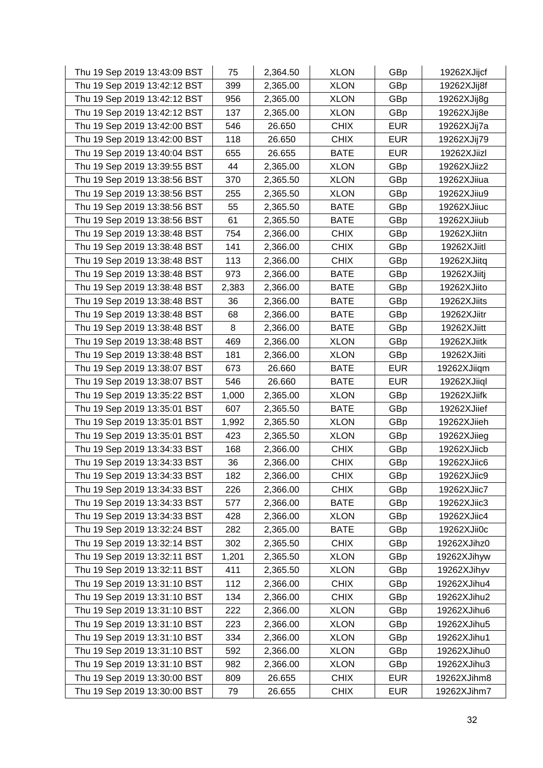| Thu 19 Sep 2019 13:43:09 BST | 75    | 2,364.50 | <b>XLON</b> | GBp        | 19262XJijcf |
|------------------------------|-------|----------|-------------|------------|-------------|
| Thu 19 Sep 2019 13:42:12 BST | 399   | 2,365.00 | <b>XLON</b> | GBp        | 19262XJij8f |
| Thu 19 Sep 2019 13:42:12 BST | 956   | 2,365.00 | <b>XLON</b> | GBp        | 19262XJij8g |
| Thu 19 Sep 2019 13:42:12 BST | 137   | 2,365.00 | <b>XLON</b> | GBp        | 19262XJij8e |
| Thu 19 Sep 2019 13:42:00 BST | 546   | 26.650   | <b>CHIX</b> | <b>EUR</b> | 19262XJij7a |
| Thu 19 Sep 2019 13:42:00 BST | 118   | 26.650   | <b>CHIX</b> | <b>EUR</b> | 19262XJij79 |
| Thu 19 Sep 2019 13:40:04 BST | 655   | 26.655   | <b>BATE</b> | <b>EUR</b> | 19262XJiizl |
| Thu 19 Sep 2019 13:39:55 BST | 44    | 2,365.00 | <b>XLON</b> | GBp        | 19262XJiiz2 |
| Thu 19 Sep 2019 13:38:56 BST | 370   | 2,365.50 | <b>XLON</b> | GBp        | 19262XJiiua |
| Thu 19 Sep 2019 13:38:56 BST | 255   | 2,365.50 | <b>XLON</b> | GBp        | 19262XJiiu9 |
| Thu 19 Sep 2019 13:38:56 BST | 55    | 2,365.50 | <b>BATE</b> | GBp        | 19262XJiiuc |
| Thu 19 Sep 2019 13:38:56 BST | 61    | 2,365.50 | <b>BATE</b> | GBp        | 19262XJiiub |
| Thu 19 Sep 2019 13:38:48 BST | 754   | 2,366.00 | <b>CHIX</b> | GBp        | 19262XJiitn |
| Thu 19 Sep 2019 13:38:48 BST | 141   | 2,366.00 | <b>CHIX</b> | GBp        | 19262XJiitl |
| Thu 19 Sep 2019 13:38:48 BST | 113   | 2,366.00 | <b>CHIX</b> | GBp        | 19262XJiitq |
| Thu 19 Sep 2019 13:38:48 BST | 973   | 2,366.00 | <b>BATE</b> | GBp        | 19262XJiitj |
| Thu 19 Sep 2019 13:38:48 BST | 2,383 | 2,366.00 | <b>BATE</b> | GBp        | 19262XJiito |
| Thu 19 Sep 2019 13:38:48 BST | 36    | 2,366.00 | <b>BATE</b> | GBp        | 19262XJiits |
| Thu 19 Sep 2019 13:38:48 BST | 68    | 2,366.00 | <b>BATE</b> | GBp        | 19262XJiitr |
| Thu 19 Sep 2019 13:38:48 BST | 8     | 2,366.00 | <b>BATE</b> | GBp        | 19262XJiitt |
| Thu 19 Sep 2019 13:38:48 BST | 469   | 2,366.00 | <b>XLON</b> | GBp        | 19262XJiitk |
| Thu 19 Sep 2019 13:38:48 BST | 181   | 2,366.00 | <b>XLON</b> | GBp        | 19262XJiiti |
| Thu 19 Sep 2019 13:38:07 BST | 673   | 26.660   | <b>BATE</b> | <b>EUR</b> | 19262XJiiqm |
| Thu 19 Sep 2019 13:38:07 BST | 546   | 26.660   | <b>BATE</b> | <b>EUR</b> | 19262XJiiql |
| Thu 19 Sep 2019 13:35:22 BST | 1,000 | 2,365.00 | <b>XLON</b> | GBp        | 19262XJiifk |
| Thu 19 Sep 2019 13:35:01 BST | 607   | 2,365.50 | <b>BATE</b> | GBp        | 19262XJiief |
| Thu 19 Sep 2019 13:35:01 BST | 1,992 | 2,365.50 | <b>XLON</b> | GBp        | 19262XJiieh |
| Thu 19 Sep 2019 13:35:01 BST | 423   | 2,365.50 | <b>XLON</b> | GBp        | 19262XJiieg |
| Thu 19 Sep 2019 13:34:33 BST | 168   | 2,366.00 | <b>CHIX</b> | GBp        | 19262XJiicb |
| Thu 19 Sep 2019 13:34:33 BST | 36    | 2,366.00 | <b>CHIX</b> | GBp        | 19262XJiic6 |
| Thu 19 Sep 2019 13:34:33 BST | 182   | 2,366.00 | <b>CHIX</b> | GBp        | 19262XJiic9 |
| Thu 19 Sep 2019 13:34:33 BST | 226   | 2,366.00 | <b>CHIX</b> | GBp        | 19262XJiic7 |
| Thu 19 Sep 2019 13:34:33 BST | 577   | 2,366.00 | <b>BATE</b> | GBp        | 19262XJiic3 |
| Thu 19 Sep 2019 13:34:33 BST | 428   | 2,366.00 | <b>XLON</b> | GBp        | 19262XJiic4 |
| Thu 19 Sep 2019 13:32:24 BST | 282   | 2,365.00 | <b>BATE</b> | GBp        | 19262XJii0c |
| Thu 19 Sep 2019 13:32:14 BST | 302   | 2,365.50 | <b>CHIX</b> | GBp        | 19262XJihz0 |
| Thu 19 Sep 2019 13:32:11 BST | 1,201 | 2,365.50 | <b>XLON</b> | GBp        | 19262XJihyw |
| Thu 19 Sep 2019 13:32:11 BST | 411   | 2,365.50 | <b>XLON</b> | GBp        | 19262XJihyv |
| Thu 19 Sep 2019 13:31:10 BST | 112   | 2,366.00 | <b>CHIX</b> | GBp        | 19262XJihu4 |
| Thu 19 Sep 2019 13:31:10 BST | 134   | 2,366.00 | <b>CHIX</b> | GBp        | 19262XJihu2 |
| Thu 19 Sep 2019 13:31:10 BST | 222   | 2,366.00 | <b>XLON</b> | GBp        | 19262XJihu6 |
| Thu 19 Sep 2019 13:31:10 BST | 223   | 2,366.00 | <b>XLON</b> | GBp        | 19262XJihu5 |
| Thu 19 Sep 2019 13:31:10 BST | 334   | 2,366.00 | <b>XLON</b> | GBp        | 19262XJihu1 |
| Thu 19 Sep 2019 13:31:10 BST | 592   | 2,366.00 | <b>XLON</b> | GBp        | 19262XJihu0 |
| Thu 19 Sep 2019 13:31:10 BST | 982   | 2,366.00 | <b>XLON</b> | GBp        | 19262XJihu3 |
| Thu 19 Sep 2019 13:30:00 BST | 809   | 26.655   | <b>CHIX</b> | <b>EUR</b> | 19262XJihm8 |
| Thu 19 Sep 2019 13:30:00 BST | 79    | 26.655   | <b>CHIX</b> | <b>EUR</b> | 19262XJihm7 |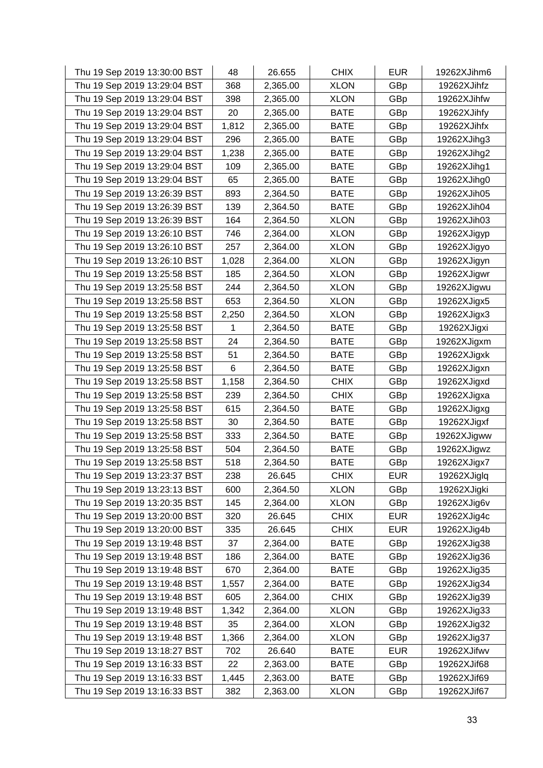| Thu 19 Sep 2019 13:30:00 BST | 48    | 26.655   | <b>CHIX</b> | <b>EUR</b> | 19262XJihm6 |
|------------------------------|-------|----------|-------------|------------|-------------|
| Thu 19 Sep 2019 13:29:04 BST | 368   | 2,365.00 | <b>XLON</b> | GBp        | 19262XJihfz |
| Thu 19 Sep 2019 13:29:04 BST | 398   | 2,365.00 | <b>XLON</b> | GBp        | 19262XJihfw |
| Thu 19 Sep 2019 13:29:04 BST | 20    | 2,365.00 | <b>BATE</b> | GBp        | 19262XJihfy |
| Thu 19 Sep 2019 13:29:04 BST | 1,812 | 2,365.00 | <b>BATE</b> | GBp        | 19262XJihfx |
| Thu 19 Sep 2019 13:29:04 BST | 296   | 2,365.00 | <b>BATE</b> | GBp        | 19262XJihg3 |
| Thu 19 Sep 2019 13:29:04 BST | 1,238 | 2,365.00 | <b>BATE</b> | GBp        | 19262XJihg2 |
| Thu 19 Sep 2019 13:29:04 BST | 109   | 2,365.00 | <b>BATE</b> | GBp        | 19262XJihg1 |
| Thu 19 Sep 2019 13:29:04 BST | 65    | 2,365.00 | <b>BATE</b> | GBp        | 19262XJihg0 |
| Thu 19 Sep 2019 13:26:39 BST | 893   | 2,364.50 | <b>BATE</b> | GBp        | 19262XJih05 |
| Thu 19 Sep 2019 13:26:39 BST | 139   | 2,364.50 | <b>BATE</b> | GBp        | 19262XJih04 |
| Thu 19 Sep 2019 13:26:39 BST | 164   | 2,364.50 | XLON        | GBp        | 19262XJih03 |
| Thu 19 Sep 2019 13:26:10 BST | 746   | 2,364.00 | <b>XLON</b> | GBp        | 19262XJigyp |
| Thu 19 Sep 2019 13:26:10 BST | 257   | 2,364.00 | <b>XLON</b> | GBp        | 19262XJigyo |
| Thu 19 Sep 2019 13:26:10 BST | 1,028 | 2,364.00 | <b>XLON</b> | GBp        | 19262XJigyn |
| Thu 19 Sep 2019 13:25:58 BST | 185   | 2,364.50 | <b>XLON</b> | GBp        | 19262XJigwr |
| Thu 19 Sep 2019 13:25:58 BST | 244   | 2,364.50 | <b>XLON</b> | GBp        | 19262XJigwu |
| Thu 19 Sep 2019 13:25:58 BST | 653   | 2,364.50 | <b>XLON</b> | GBp        | 19262XJigx5 |
| Thu 19 Sep 2019 13:25:58 BST | 2,250 | 2,364.50 | <b>XLON</b> | GBp        | 19262XJigx3 |
| Thu 19 Sep 2019 13:25:58 BST | 1     | 2,364.50 | <b>BATE</b> | GBp        | 19262XJigxi |
| Thu 19 Sep 2019 13:25:58 BST | 24    | 2,364.50 | <b>BATE</b> | GBp        | 19262XJigxm |
| Thu 19 Sep 2019 13:25:58 BST | 51    | 2,364.50 | <b>BATE</b> | GBp        | 19262XJigxk |
| Thu 19 Sep 2019 13:25:58 BST | 6     | 2,364.50 | <b>BATE</b> | GBp        | 19262XJigxn |
| Thu 19 Sep 2019 13:25:58 BST | 1,158 | 2,364.50 | <b>CHIX</b> | GBp        | 19262XJigxd |
| Thu 19 Sep 2019 13:25:58 BST | 239   | 2,364.50 | <b>CHIX</b> | GBp        | 19262XJigxa |
| Thu 19 Sep 2019 13:25:58 BST | 615   | 2,364.50 | <b>BATE</b> | GBp        | 19262XJigxg |
| Thu 19 Sep 2019 13:25:58 BST | 30    | 2,364.50 | <b>BATE</b> | GBp        | 19262XJigxf |
| Thu 19 Sep 2019 13:25:58 BST | 333   | 2,364.50 | <b>BATE</b> | GBp        | 19262XJigww |
| Thu 19 Sep 2019 13:25:58 BST | 504   | 2,364.50 | <b>BATE</b> | GBp        | 19262XJigwz |
| Thu 19 Sep 2019 13:25:58 BST | 518   | 2,364.50 | <b>BATE</b> | GBp        | 19262XJigx7 |
| Thu 19 Sep 2019 13:23:37 BST | 238   | 26.645   | <b>CHIX</b> | <b>EUR</b> | 19262XJiglq |
| Thu 19 Sep 2019 13:23:13 BST | 600   | 2,364.50 | <b>XLON</b> | GBp        | 19262XJigki |
| Thu 19 Sep 2019 13:20:35 BST | 145   | 2,364.00 | <b>XLON</b> | GBp        | 19262XJig6v |
| Thu 19 Sep 2019 13:20:00 BST | 320   | 26.645   | <b>CHIX</b> | <b>EUR</b> | 19262XJig4c |
| Thu 19 Sep 2019 13:20:00 BST | 335   | 26.645   | <b>CHIX</b> | <b>EUR</b> | 19262XJig4b |
| Thu 19 Sep 2019 13:19:48 BST | 37    | 2,364.00 | <b>BATE</b> | GBp        | 19262XJig38 |
| Thu 19 Sep 2019 13:19:48 BST | 186   | 2,364.00 | <b>BATE</b> | GBp        | 19262XJig36 |
| Thu 19 Sep 2019 13:19:48 BST | 670   | 2,364.00 | <b>BATE</b> | GBp        | 19262XJig35 |
| Thu 19 Sep 2019 13:19:48 BST | 1,557 | 2,364.00 | <b>BATE</b> | GBp        | 19262XJig34 |
| Thu 19 Sep 2019 13:19:48 BST | 605   | 2,364.00 | <b>CHIX</b> | GBp        | 19262XJig39 |
| Thu 19 Sep 2019 13:19:48 BST | 1,342 | 2,364.00 | <b>XLON</b> | GBp        | 19262XJig33 |
| Thu 19 Sep 2019 13:19:48 BST | 35    | 2,364.00 | <b>XLON</b> | GBp        | 19262XJig32 |
| Thu 19 Sep 2019 13:19:48 BST | 1,366 | 2,364.00 | <b>XLON</b> | GBp        | 19262XJig37 |
| Thu 19 Sep 2019 13:18:27 BST | 702   | 26.640   | <b>BATE</b> | <b>EUR</b> | 19262XJifwv |
| Thu 19 Sep 2019 13:16:33 BST | 22    | 2,363.00 | <b>BATE</b> | GBp        | 19262XJif68 |
| Thu 19 Sep 2019 13:16:33 BST | 1,445 | 2,363.00 | <b>BATE</b> | GBp        | 19262XJif69 |
| Thu 19 Sep 2019 13:16:33 BST | 382   | 2,363.00 | <b>XLON</b> | GBp        | 19262XJif67 |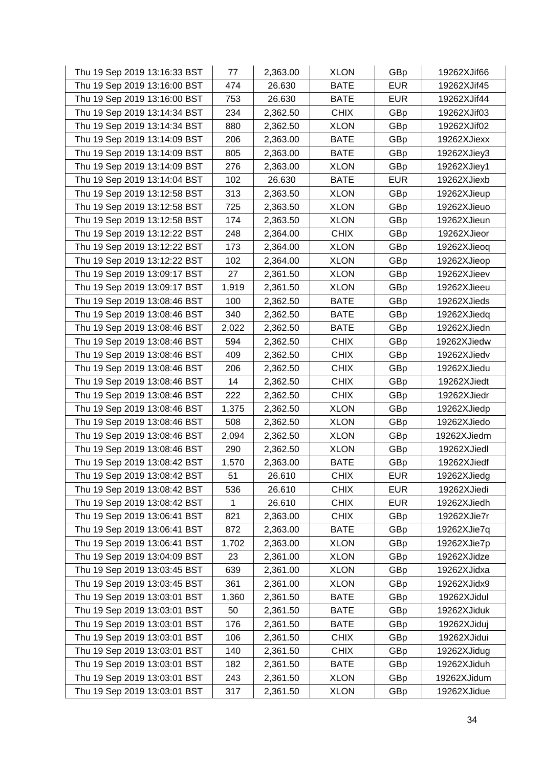| Thu 19 Sep 2019 13:16:33 BST | 77    | 2,363.00 | <b>XLON</b> | GBp        | 19262XJif66 |
|------------------------------|-------|----------|-------------|------------|-------------|
| Thu 19 Sep 2019 13:16:00 BST | 474   | 26.630   | <b>BATE</b> | <b>EUR</b> | 19262XJif45 |
| Thu 19 Sep 2019 13:16:00 BST | 753   | 26.630   | <b>BATE</b> | <b>EUR</b> | 19262XJif44 |
| Thu 19 Sep 2019 13:14:34 BST | 234   | 2,362.50 | <b>CHIX</b> | GBp        | 19262XJif03 |
| Thu 19 Sep 2019 13:14:34 BST | 880   | 2,362.50 | <b>XLON</b> | GBp        | 19262XJif02 |
| Thu 19 Sep 2019 13:14:09 BST | 206   | 2,363.00 | <b>BATE</b> | GBp        | 19262XJiexx |
| Thu 19 Sep 2019 13:14:09 BST | 805   | 2,363.00 | <b>BATE</b> | GBp        | 19262XJiey3 |
| Thu 19 Sep 2019 13:14:09 BST | 276   | 2,363.00 | <b>XLON</b> | GBp        | 19262XJiey1 |
| Thu 19 Sep 2019 13:14:04 BST | 102   | 26.630   | <b>BATE</b> | <b>EUR</b> | 19262XJiexb |
| Thu 19 Sep 2019 13:12:58 BST | 313   | 2,363.50 | <b>XLON</b> | GBp        | 19262XJieup |
| Thu 19 Sep 2019 13:12:58 BST | 725   | 2,363.50 | <b>XLON</b> | GBp        | 19262XJieuo |
| Thu 19 Sep 2019 13:12:58 BST | 174   | 2,363.50 | <b>XLON</b> | GBp        | 19262XJieun |
| Thu 19 Sep 2019 13:12:22 BST | 248   | 2,364.00 | <b>CHIX</b> | GBp        | 19262XJieor |
| Thu 19 Sep 2019 13:12:22 BST | 173   | 2,364.00 | <b>XLON</b> | GBp        | 19262XJieoq |
| Thu 19 Sep 2019 13:12:22 BST | 102   | 2,364.00 | <b>XLON</b> | GBp        | 19262XJieop |
| Thu 19 Sep 2019 13:09:17 BST | 27    | 2,361.50 | <b>XLON</b> | GBp        | 19262XJieev |
| Thu 19 Sep 2019 13:09:17 BST | 1,919 | 2,361.50 | <b>XLON</b> | GBp        | 19262XJieeu |
| Thu 19 Sep 2019 13:08:46 BST | 100   | 2,362.50 | <b>BATE</b> | GBp        | 19262XJieds |
| Thu 19 Sep 2019 13:08:46 BST | 340   | 2,362.50 | <b>BATE</b> | GBp        | 19262XJiedq |
| Thu 19 Sep 2019 13:08:46 BST | 2,022 | 2,362.50 | <b>BATE</b> | GBp        | 19262XJiedn |
| Thu 19 Sep 2019 13:08:46 BST | 594   | 2,362.50 | <b>CHIX</b> | GBp        | 19262XJiedw |
| Thu 19 Sep 2019 13:08:46 BST | 409   | 2,362.50 | <b>CHIX</b> | GBp        | 19262XJiedv |
| Thu 19 Sep 2019 13:08:46 BST | 206   | 2,362.50 | <b>CHIX</b> | GBp        | 19262XJiedu |
| Thu 19 Sep 2019 13:08:46 BST | 14    | 2,362.50 | <b>CHIX</b> | GBp        | 19262XJiedt |
| Thu 19 Sep 2019 13:08:46 BST | 222   | 2,362.50 | <b>CHIX</b> | GBp        | 19262XJiedr |
| Thu 19 Sep 2019 13:08:46 BST | 1,375 | 2,362.50 | <b>XLON</b> | GBp        | 19262XJiedp |
| Thu 19 Sep 2019 13:08:46 BST | 508   | 2,362.50 | <b>XLON</b> | GBp        | 19262XJiedo |
| Thu 19 Sep 2019 13:08:46 BST | 2,094 | 2,362.50 | <b>XLON</b> | GBp        | 19262XJiedm |
| Thu 19 Sep 2019 13:08:46 BST | 290   | 2,362.50 | <b>XLON</b> | GBp        | 19262XJiedl |
| Thu 19 Sep 2019 13:08:42 BST | 1,570 | 2,363.00 | <b>BATE</b> | GBp        | 19262XJiedf |
| Thu 19 Sep 2019 13:08:42 BST | 51    | 26.610   | <b>CHIX</b> | <b>EUR</b> | 19262XJiedg |
| Thu 19 Sep 2019 13:08:42 BST | 536   | 26.610   | <b>CHIX</b> | <b>EUR</b> | 19262XJiedi |
| Thu 19 Sep 2019 13:08:42 BST | 1     | 26.610   | <b>CHIX</b> | <b>EUR</b> | 19262XJiedh |
| Thu 19 Sep 2019 13:06:41 BST | 821   | 2,363.00 | <b>CHIX</b> | GBp        | 19262XJie7r |
| Thu 19 Sep 2019 13:06:41 BST | 872   | 2,363.00 | <b>BATE</b> | GBp        | 19262XJie7q |
| Thu 19 Sep 2019 13:06:41 BST | 1,702 | 2,363.00 | <b>XLON</b> | GBp        | 19262XJie7p |
| Thu 19 Sep 2019 13:04:09 BST | 23    | 2,361.00 | <b>XLON</b> | GBp        | 19262XJidze |
| Thu 19 Sep 2019 13:03:45 BST | 639   | 2,361.00 | <b>XLON</b> | GBp        | 19262XJidxa |
| Thu 19 Sep 2019 13:03:45 BST | 361   | 2,361.00 | <b>XLON</b> | GBp        | 19262XJidx9 |
| Thu 19 Sep 2019 13:03:01 BST | 1,360 | 2,361.50 | <b>BATE</b> | GBp        | 19262XJidul |
| Thu 19 Sep 2019 13:03:01 BST | 50    | 2,361.50 | <b>BATE</b> | GBp        | 19262XJiduk |
| Thu 19 Sep 2019 13:03:01 BST | 176   | 2,361.50 | <b>BATE</b> | GBp        | 19262XJiduj |
| Thu 19 Sep 2019 13:03:01 BST | 106   | 2,361.50 | <b>CHIX</b> | GBp        | 19262XJidui |
| Thu 19 Sep 2019 13:03:01 BST | 140   | 2,361.50 | <b>CHIX</b> | GBp        | 19262XJidug |
| Thu 19 Sep 2019 13:03:01 BST | 182   | 2,361.50 | <b>BATE</b> | GBp        | 19262XJiduh |
| Thu 19 Sep 2019 13:03:01 BST | 243   | 2,361.50 | <b>XLON</b> | GBp        | 19262XJidum |
| Thu 19 Sep 2019 13:03:01 BST | 317   | 2,361.50 | <b>XLON</b> | GBp        | 19262XJidue |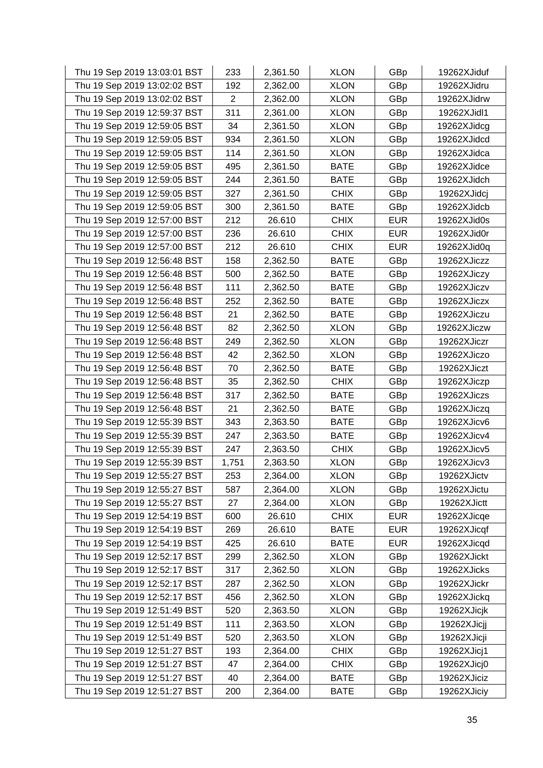| Thu 19 Sep 2019 13:03:01 BST | 233            | 2,361.50 | <b>XLON</b> | GBp        | 19262XJiduf |
|------------------------------|----------------|----------|-------------|------------|-------------|
| Thu 19 Sep 2019 13:02:02 BST | 192            | 2,362.00 | <b>XLON</b> | GBp        | 19262XJidru |
| Thu 19 Sep 2019 13:02:02 BST | $\overline{2}$ | 2,362.00 | <b>XLON</b> | GBp        | 19262XJidrw |
| Thu 19 Sep 2019 12:59:37 BST | 311            | 2,361.00 | <b>XLON</b> | GBp        | 19262XJidl1 |
| Thu 19 Sep 2019 12:59:05 BST | 34             | 2,361.50 | <b>XLON</b> | GBp        | 19262XJidcg |
| Thu 19 Sep 2019 12:59:05 BST | 934            | 2,361.50 | <b>XLON</b> | GBp        | 19262XJidcd |
| Thu 19 Sep 2019 12:59:05 BST | 114            | 2,361.50 | <b>XLON</b> | GBp        | 19262XJidca |
| Thu 19 Sep 2019 12:59:05 BST | 495            | 2,361.50 | <b>BATE</b> | GBp        | 19262XJidce |
| Thu 19 Sep 2019 12:59:05 BST | 244            | 2,361.50 | <b>BATE</b> | GBp        | 19262XJidch |
| Thu 19 Sep 2019 12:59:05 BST | 327            | 2,361.50 | <b>CHIX</b> | GBp        | 19262XJidcj |
| Thu 19 Sep 2019 12:59:05 BST | 300            | 2,361.50 | <b>BATE</b> | GBp        | 19262XJidcb |
| Thu 19 Sep 2019 12:57:00 BST | 212            | 26.610   | <b>CHIX</b> | <b>EUR</b> | 19262XJid0s |
| Thu 19 Sep 2019 12:57:00 BST | 236            | 26.610   | <b>CHIX</b> | <b>EUR</b> | 19262XJid0r |
| Thu 19 Sep 2019 12:57:00 BST | 212            | 26.610   | <b>CHIX</b> | <b>EUR</b> | 19262XJid0q |
| Thu 19 Sep 2019 12:56:48 BST | 158            | 2,362.50 | <b>BATE</b> | GBp        | 19262XJiczz |
| Thu 19 Sep 2019 12:56:48 BST | 500            | 2,362.50 | <b>BATE</b> | GBp        | 19262XJiczy |
| Thu 19 Sep 2019 12:56:48 BST | 111            | 2,362.50 | <b>BATE</b> | GBp        | 19262XJiczv |
| Thu 19 Sep 2019 12:56:48 BST | 252            | 2,362.50 | <b>BATE</b> | GBp        | 19262XJiczx |
| Thu 19 Sep 2019 12:56:48 BST | 21             | 2,362.50 | <b>BATE</b> | GBp        | 19262XJiczu |
| Thu 19 Sep 2019 12:56:48 BST | 82             | 2,362.50 | <b>XLON</b> | GBp        | 19262XJiczw |
| Thu 19 Sep 2019 12:56:48 BST | 249            | 2,362.50 | <b>XLON</b> | GBp        | 19262XJiczr |
| Thu 19 Sep 2019 12:56:48 BST | 42             | 2,362.50 | <b>XLON</b> | GBp        | 19262XJiczo |
| Thu 19 Sep 2019 12:56:48 BST | 70             | 2,362.50 | <b>BATE</b> | GBp        | 19262XJiczt |
| Thu 19 Sep 2019 12:56:48 BST | 35             | 2,362.50 | <b>CHIX</b> | GBp        | 19262XJiczp |
| Thu 19 Sep 2019 12:56:48 BST | 317            | 2,362.50 | <b>BATE</b> | GBp        | 19262XJiczs |
| Thu 19 Sep 2019 12:56:48 BST | 21             | 2,362.50 | <b>BATE</b> | GBp        | 19262XJiczq |
| Thu 19 Sep 2019 12:55:39 BST | 343            | 2,363.50 | <b>BATE</b> | GBp        | 19262XJicv6 |
| Thu 19 Sep 2019 12:55:39 BST | 247            | 2,363.50 | <b>BATE</b> | GBp        | 19262XJicv4 |
| Thu 19 Sep 2019 12:55:39 BST | 247            | 2,363.50 | <b>CHIX</b> | GBp        | 19262XJicv5 |
| Thu 19 Sep 2019 12:55:39 BST | 1,751          | 2,363.50 | <b>XLON</b> | GBp        | 19262XJicv3 |
| Thu 19 Sep 2019 12:55:27 BST | 253            | 2,364.00 | <b>XLON</b> | GBp        | 19262XJictv |
| Thu 19 Sep 2019 12:55:27 BST | 587            | 2,364.00 | <b>XLON</b> | GBp        | 19262XJictu |
| Thu 19 Sep 2019 12:55:27 BST | 27             | 2,364.00 | <b>XLON</b> | GBp        | 19262XJictt |
| Thu 19 Sep 2019 12:54:19 BST | 600            | 26.610   | <b>CHIX</b> | <b>EUR</b> | 19262XJicqe |
| Thu 19 Sep 2019 12:54:19 BST | 269            | 26.610   | <b>BATE</b> | <b>EUR</b> | 19262XJicqf |
| Thu 19 Sep 2019 12:54:19 BST | 425            | 26.610   | <b>BATE</b> | <b>EUR</b> | 19262XJicqd |
| Thu 19 Sep 2019 12:52:17 BST | 299            | 2,362.50 | <b>XLON</b> | GBp        | 19262XJickt |
| Thu 19 Sep 2019 12:52:17 BST | 317            | 2,362.50 | <b>XLON</b> | GBp        | 19262XJicks |
| Thu 19 Sep 2019 12:52:17 BST | 287            | 2,362.50 | <b>XLON</b> | GBp        | 19262XJickr |
| Thu 19 Sep 2019 12:52:17 BST | 456            | 2,362.50 | <b>XLON</b> | GBp        | 19262XJickq |
| Thu 19 Sep 2019 12:51:49 BST | 520            | 2,363.50 | <b>XLON</b> | GBp        | 19262XJicjk |
| Thu 19 Sep 2019 12:51:49 BST | 111            | 2,363.50 | <b>XLON</b> | GBp        | 19262XJicjj |
| Thu 19 Sep 2019 12:51:49 BST | 520            | 2,363.50 | <b>XLON</b> | GBp        | 19262XJicji |
| Thu 19 Sep 2019 12:51:27 BST | 193            | 2,364.00 | <b>CHIX</b> | GBp        | 19262XJicj1 |
| Thu 19 Sep 2019 12:51:27 BST | 47             | 2,364.00 | <b>CHIX</b> | GBp        | 19262XJicj0 |
| Thu 19 Sep 2019 12:51:27 BST | 40             | 2,364.00 | <b>BATE</b> | GBp        | 19262XJiciz |
| Thu 19 Sep 2019 12:51:27 BST | 200            | 2,364.00 | <b>BATE</b> | <b>GBp</b> | 19262XJiciy |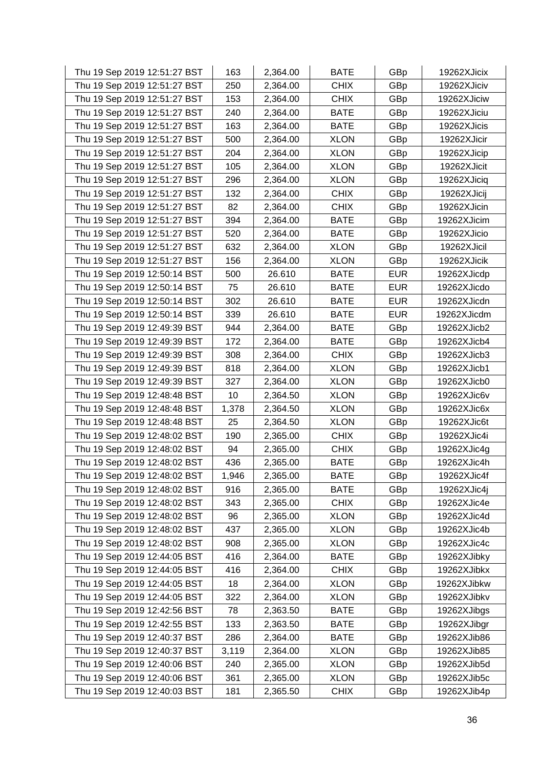| Thu 19 Sep 2019 12:51:27 BST | 163   | 2,364.00 | <b>BATE</b> | GBp        | 19262XJicix |
|------------------------------|-------|----------|-------------|------------|-------------|
| Thu 19 Sep 2019 12:51:27 BST | 250   | 2,364.00 | <b>CHIX</b> | GBp        | 19262XJiciv |
| Thu 19 Sep 2019 12:51:27 BST | 153   | 2,364.00 | <b>CHIX</b> | GBp        | 19262XJiciw |
| Thu 19 Sep 2019 12:51:27 BST | 240   | 2,364.00 | <b>BATE</b> | GBp        | 19262XJiciu |
| Thu 19 Sep 2019 12:51:27 BST | 163   | 2,364.00 | <b>BATE</b> | GBp        | 19262XJicis |
| Thu 19 Sep 2019 12:51:27 BST | 500   | 2,364.00 | <b>XLON</b> | GBp        | 19262XJicir |
| Thu 19 Sep 2019 12:51:27 BST | 204   | 2,364.00 | <b>XLON</b> | GBp        | 19262XJicip |
| Thu 19 Sep 2019 12:51:27 BST | 105   | 2,364.00 | <b>XLON</b> | GBp        | 19262XJicit |
| Thu 19 Sep 2019 12:51:27 BST | 296   | 2,364.00 | <b>XLON</b> | GBp        | 19262XJiciq |
| Thu 19 Sep 2019 12:51:27 BST | 132   | 2,364.00 | <b>CHIX</b> | GBp        | 19262XJicij |
| Thu 19 Sep 2019 12:51:27 BST | 82    | 2,364.00 | <b>CHIX</b> | GBp        | 19262XJicin |
| Thu 19 Sep 2019 12:51:27 BST | 394   | 2,364.00 | <b>BATE</b> | GBp        | 19262XJicim |
| Thu 19 Sep 2019 12:51:27 BST | 520   | 2,364.00 | <b>BATE</b> | GBp        | 19262XJicio |
| Thu 19 Sep 2019 12:51:27 BST | 632   | 2,364.00 | <b>XLON</b> | GBp        | 19262XJicil |
| Thu 19 Sep 2019 12:51:27 BST | 156   | 2,364.00 | <b>XLON</b> | GBp        | 19262XJicik |
| Thu 19 Sep 2019 12:50:14 BST | 500   | 26.610   | <b>BATE</b> | <b>EUR</b> | 19262XJicdp |
| Thu 19 Sep 2019 12:50:14 BST | 75    | 26.610   | <b>BATE</b> | <b>EUR</b> | 19262XJicdo |
| Thu 19 Sep 2019 12:50:14 BST | 302   | 26.610   | <b>BATE</b> | <b>EUR</b> | 19262XJicdn |
| Thu 19 Sep 2019 12:50:14 BST | 339   | 26.610   | <b>BATE</b> | <b>EUR</b> | 19262XJicdm |
| Thu 19 Sep 2019 12:49:39 BST | 944   | 2,364.00 | <b>BATE</b> | GBp        | 19262XJicb2 |
| Thu 19 Sep 2019 12:49:39 BST | 172   | 2,364.00 | <b>BATE</b> | GBp        | 19262XJicb4 |
| Thu 19 Sep 2019 12:49:39 BST | 308   | 2,364.00 | <b>CHIX</b> | GBp        | 19262XJicb3 |
| Thu 19 Sep 2019 12:49:39 BST | 818   | 2,364.00 | <b>XLON</b> | GBp        | 19262XJicb1 |
| Thu 19 Sep 2019 12:49:39 BST | 327   | 2,364.00 | <b>XLON</b> | GBp        | 19262XJicb0 |
| Thu 19 Sep 2019 12:48:48 BST | 10    | 2,364.50 | <b>XLON</b> | GBp        | 19262XJic6v |
| Thu 19 Sep 2019 12:48:48 BST | 1,378 | 2,364.50 | <b>XLON</b> | GBp        | 19262XJic6x |
| Thu 19 Sep 2019 12:48:48 BST | 25    | 2,364.50 | <b>XLON</b> | GBp        | 19262XJic6t |
| Thu 19 Sep 2019 12:48:02 BST | 190   | 2,365.00 | <b>CHIX</b> | GBp        | 19262XJic4i |
| Thu 19 Sep 2019 12:48:02 BST | 94    | 2,365.00 | <b>CHIX</b> | GBp        | 19262XJic4g |
| Thu 19 Sep 2019 12:48:02 BST | 436   | 2,365.00 | <b>BATE</b> | GBp        | 19262XJic4h |
| Thu 19 Sep 2019 12:48:02 BST | 1,946 | 2,365.00 | <b>BATE</b> | GBp        | 19262XJic4f |
| Thu 19 Sep 2019 12:48:02 BST | 916   | 2,365.00 | <b>BATE</b> | GBp        | 19262XJic4j |
| Thu 19 Sep 2019 12:48:02 BST | 343   | 2,365.00 | <b>CHIX</b> | GBp        | 19262XJic4e |
| Thu 19 Sep 2019 12:48:02 BST | 96    | 2,365.00 | <b>XLON</b> | GBp        | 19262XJic4d |
| Thu 19 Sep 2019 12:48:02 BST | 437   | 2,365.00 | <b>XLON</b> | GBp        | 19262XJic4b |
| Thu 19 Sep 2019 12:48:02 BST | 908   | 2,365.00 | <b>XLON</b> | GBp        | 19262XJic4c |
| Thu 19 Sep 2019 12:44:05 BST | 416   | 2,364.00 | <b>BATE</b> | GBp        | 19262XJibky |
| Thu 19 Sep 2019 12:44:05 BST | 416   | 2,364.00 | <b>CHIX</b> | GBp        | 19262XJibkx |
| Thu 19 Sep 2019 12:44:05 BST | 18    | 2,364.00 | <b>XLON</b> | GBp        | 19262XJibkw |
| Thu 19 Sep 2019 12:44:05 BST | 322   | 2,364.00 | <b>XLON</b> | GBp        | 19262XJibkv |
| Thu 19 Sep 2019 12:42:56 BST | 78    | 2,363.50 | <b>BATE</b> | GBp        | 19262XJibgs |
| Thu 19 Sep 2019 12:42:55 BST | 133   | 2,363.50 | <b>BATE</b> | GBp        | 19262XJibgr |
| Thu 19 Sep 2019 12:40:37 BST | 286   | 2,364.00 | <b>BATE</b> | GBp        | 19262XJib86 |
| Thu 19 Sep 2019 12:40:37 BST | 3,119 | 2,364.00 | <b>XLON</b> | GBp        | 19262XJib85 |
| Thu 19 Sep 2019 12:40:06 BST | 240   | 2,365.00 | <b>XLON</b> | GBp        | 19262XJib5d |
| Thu 19 Sep 2019 12:40:06 BST | 361   | 2,365.00 | <b>XLON</b> | GBp        | 19262XJib5c |
| Thu 19 Sep 2019 12:40:03 BST | 181   | 2,365.50 | <b>CHIX</b> | <b>GBp</b> | 19262XJib4p |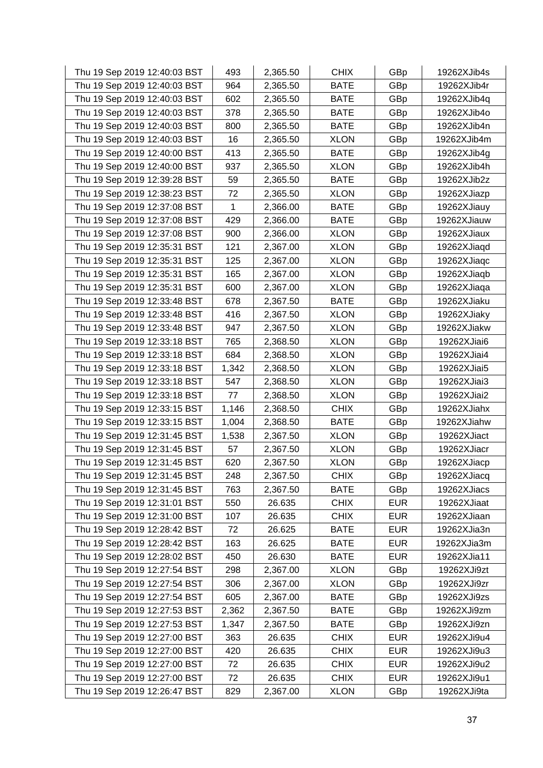| Thu 19 Sep 2019 12:40:03 BST | 493         | 2,365.50 | <b>CHIX</b> | GBp        | 19262XJib4s |
|------------------------------|-------------|----------|-------------|------------|-------------|
| Thu 19 Sep 2019 12:40:03 BST | 964         | 2,365.50 | <b>BATE</b> | GBp        | 19262XJib4r |
| Thu 19 Sep 2019 12:40:03 BST | 602         | 2,365.50 | <b>BATE</b> | GBp        | 19262XJib4q |
| Thu 19 Sep 2019 12:40:03 BST | 378         | 2,365.50 | <b>BATE</b> | GBp        | 19262XJib4o |
| Thu 19 Sep 2019 12:40:03 BST | 800         | 2,365.50 | <b>BATE</b> | GBp        | 19262XJib4n |
| Thu 19 Sep 2019 12:40:03 BST | 16          | 2,365.50 | <b>XLON</b> | GBp        | 19262XJib4m |
| Thu 19 Sep 2019 12:40:00 BST | 413         | 2,365.50 | <b>BATE</b> | GBp        | 19262XJib4g |
| Thu 19 Sep 2019 12:40:00 BST | 937         | 2,365.50 | <b>XLON</b> | GBp        | 19262XJib4h |
| Thu 19 Sep 2019 12:39:28 BST | 59          | 2,365.50 | <b>BATE</b> | GBp        | 19262XJib2z |
| Thu 19 Sep 2019 12:38:23 BST | 72          | 2,365.50 | <b>XLON</b> | GBp        | 19262XJiazp |
| Thu 19 Sep 2019 12:37:08 BST | $\mathbf 1$ | 2,366.00 | <b>BATE</b> | GBp        | 19262XJiauy |
| Thu 19 Sep 2019 12:37:08 BST | 429         | 2,366.00 | <b>BATE</b> | GBp        | 19262XJiauw |
| Thu 19 Sep 2019 12:37:08 BST | 900         | 2,366.00 | <b>XLON</b> | GBp        | 19262XJiaux |
| Thu 19 Sep 2019 12:35:31 BST | 121         | 2,367.00 | <b>XLON</b> | GBp        | 19262XJiaqd |
| Thu 19 Sep 2019 12:35:31 BST | 125         | 2,367.00 | <b>XLON</b> | GBp        | 19262XJiaqc |
| Thu 19 Sep 2019 12:35:31 BST | 165         | 2,367.00 | <b>XLON</b> | GBp        | 19262XJiaqb |
| Thu 19 Sep 2019 12:35:31 BST | 600         | 2,367.00 | <b>XLON</b> | GBp        | 19262XJiaqa |
| Thu 19 Sep 2019 12:33:48 BST | 678         | 2,367.50 | <b>BATE</b> | GBp        | 19262XJiaku |
| Thu 19 Sep 2019 12:33:48 BST | 416         | 2,367.50 | <b>XLON</b> | GBp        | 19262XJiaky |
| Thu 19 Sep 2019 12:33:48 BST | 947         | 2,367.50 | <b>XLON</b> | GBp        | 19262XJiakw |
| Thu 19 Sep 2019 12:33:18 BST | 765         | 2,368.50 | <b>XLON</b> | GBp        | 19262XJiai6 |
| Thu 19 Sep 2019 12:33:18 BST | 684         | 2,368.50 | <b>XLON</b> | GBp        | 19262XJiai4 |
| Thu 19 Sep 2019 12:33:18 BST | 1,342       | 2,368.50 | <b>XLON</b> | GBp        | 19262XJiai5 |
| Thu 19 Sep 2019 12:33:18 BST | 547         | 2,368.50 | <b>XLON</b> | GBp        | 19262XJiai3 |
| Thu 19 Sep 2019 12:33:18 BST | 77          | 2,368.50 | <b>XLON</b> | GBp        | 19262XJiai2 |
| Thu 19 Sep 2019 12:33:15 BST | 1,146       | 2,368.50 | <b>CHIX</b> | GBp        | 19262XJiahx |
| Thu 19 Sep 2019 12:33:15 BST | 1,004       | 2,368.50 | <b>BATE</b> | GBp        | 19262XJiahw |
| Thu 19 Sep 2019 12:31:45 BST | 1,538       | 2,367.50 | <b>XLON</b> | GBp        | 19262XJiact |
| Thu 19 Sep 2019 12:31:45 BST | 57          | 2,367.50 | <b>XLON</b> | GBp        | 19262XJiacr |
| Thu 19 Sep 2019 12:31:45 BST | 620         | 2,367.50 | <b>XLON</b> | GBp        | 19262XJiacp |
| Thu 19 Sep 2019 12:31:45 BST | 248         | 2,367.50 | <b>CHIX</b> | GBp        | 19262XJiacq |
| Thu 19 Sep 2019 12:31:45 BST | 763         | 2,367.50 | <b>BATE</b> | GBp        | 19262XJiacs |
| Thu 19 Sep 2019 12:31:01 BST | 550         | 26.635   | <b>CHIX</b> | <b>EUR</b> | 19262XJiaat |
| Thu 19 Sep 2019 12:31:00 BST | 107         | 26.635   | <b>CHIX</b> | <b>EUR</b> | 19262XJiaan |
| Thu 19 Sep 2019 12:28:42 BST | 72          | 26.625   | <b>BATE</b> | <b>EUR</b> | 19262XJia3n |
| Thu 19 Sep 2019 12:28:42 BST | 163         | 26.625   | <b>BATE</b> | <b>EUR</b> | 19262XJia3m |
| Thu 19 Sep 2019 12:28:02 BST | 450         | 26.630   | <b>BATE</b> | <b>EUR</b> | 19262XJia11 |
| Thu 19 Sep 2019 12:27:54 BST | 298         | 2,367.00 | <b>XLON</b> | GBp        | 19262XJi9zt |
| Thu 19 Sep 2019 12:27:54 BST | 306         | 2,367.00 | <b>XLON</b> | GBp        | 19262XJi9zr |
| Thu 19 Sep 2019 12:27:54 BST | 605         | 2,367.00 | <b>BATE</b> | GBp        | 19262XJi9zs |
| Thu 19 Sep 2019 12:27:53 BST | 2,362       | 2,367.50 | <b>BATE</b> | GBp        | 19262XJi9zm |
| Thu 19 Sep 2019 12:27:53 BST | 1,347       | 2,367.50 | <b>BATE</b> | GBp        | 19262XJi9zn |
| Thu 19 Sep 2019 12:27:00 BST | 363         | 26.635   | <b>CHIX</b> | <b>EUR</b> | 19262XJi9u4 |
| Thu 19 Sep 2019 12:27:00 BST | 420         | 26.635   | <b>CHIX</b> | <b>EUR</b> | 19262XJi9u3 |
| Thu 19 Sep 2019 12:27:00 BST | 72          | 26.635   | <b>CHIX</b> | <b>EUR</b> | 19262XJi9u2 |
| Thu 19 Sep 2019 12:27:00 BST | 72          | 26.635   | <b>CHIX</b> | <b>EUR</b> | 19262XJi9u1 |
| Thu 19 Sep 2019 12:26:47 BST | 829         | 2,367.00 | <b>XLON</b> | GBp        | 19262XJi9ta |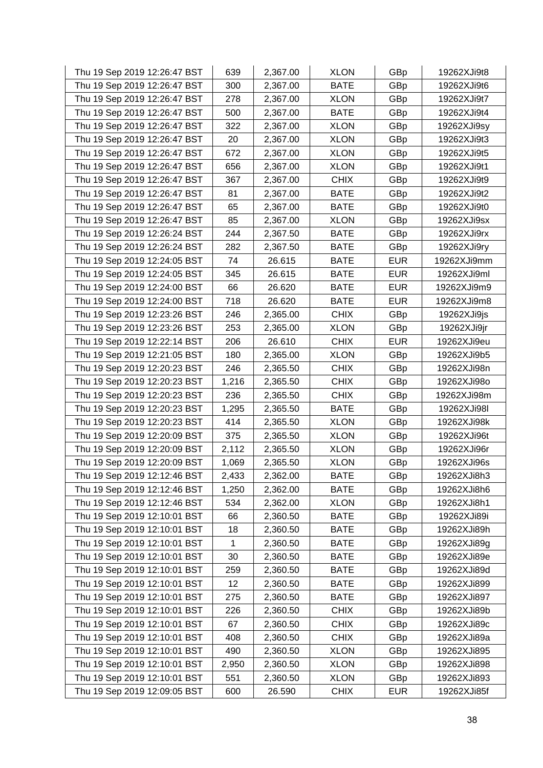| Thu 19 Sep 2019 12:26:47 BST | 639   | 2,367.00 | <b>XLON</b> | GBp        | 19262XJi9t8 |
|------------------------------|-------|----------|-------------|------------|-------------|
| Thu 19 Sep 2019 12:26:47 BST | 300   | 2,367.00 | <b>BATE</b> | GBp        | 19262XJi9t6 |
| Thu 19 Sep 2019 12:26:47 BST | 278   | 2,367.00 | <b>XLON</b> | GBp        | 19262XJi9t7 |
| Thu 19 Sep 2019 12:26:47 BST | 500   | 2,367.00 | <b>BATE</b> | GBp        | 19262XJi9t4 |
| Thu 19 Sep 2019 12:26:47 BST | 322   | 2,367.00 | <b>XLON</b> | GBp        | 19262XJi9sy |
| Thu 19 Sep 2019 12:26:47 BST | 20    | 2,367.00 | <b>XLON</b> | GBp        | 19262XJi9t3 |
| Thu 19 Sep 2019 12:26:47 BST | 672   | 2,367.00 | <b>XLON</b> | GBp        | 19262XJi9t5 |
| Thu 19 Sep 2019 12:26:47 BST | 656   | 2,367.00 | <b>XLON</b> | GBp        | 19262XJi9t1 |
| Thu 19 Sep 2019 12:26:47 BST | 367   | 2,367.00 | <b>CHIX</b> | GBp        | 19262XJi9t9 |
| Thu 19 Sep 2019 12:26:47 BST | 81    | 2,367.00 | <b>BATE</b> | GBp        | 19262XJi9t2 |
| Thu 19 Sep 2019 12:26:47 BST | 65    | 2,367.00 | <b>BATE</b> | GBp        | 19262XJi9t0 |
| Thu 19 Sep 2019 12:26:47 BST | 85    | 2,367.00 | XLON        | GBp        | 19262XJi9sx |
| Thu 19 Sep 2019 12:26:24 BST | 244   | 2,367.50 | <b>BATE</b> | GBp        | 19262XJi9rx |
| Thu 19 Sep 2019 12:26:24 BST | 282   | 2,367.50 | <b>BATE</b> | GBp        | 19262XJi9ry |
| Thu 19 Sep 2019 12:24:05 BST | 74    | 26.615   | <b>BATE</b> | <b>EUR</b> | 19262XJi9mm |
| Thu 19 Sep 2019 12:24:05 BST | 345   | 26.615   | <b>BATE</b> | <b>EUR</b> | 19262XJi9ml |
| Thu 19 Sep 2019 12:24:00 BST | 66    | 26.620   | <b>BATE</b> | <b>EUR</b> | 19262XJi9m9 |
| Thu 19 Sep 2019 12:24:00 BST | 718   | 26.620   | <b>BATE</b> | <b>EUR</b> | 19262XJi9m8 |
| Thu 19 Sep 2019 12:23:26 BST | 246   | 2,365.00 | <b>CHIX</b> | GBp        | 19262XJi9js |
| Thu 19 Sep 2019 12:23:26 BST | 253   | 2,365.00 | <b>XLON</b> | GBp        | 19262XJi9jr |
| Thu 19 Sep 2019 12:22:14 BST | 206   | 26.610   | <b>CHIX</b> | <b>EUR</b> | 19262XJi9eu |
| Thu 19 Sep 2019 12:21:05 BST | 180   | 2,365.00 | <b>XLON</b> | GBp        | 19262XJi9b5 |
| Thu 19 Sep 2019 12:20:23 BST | 246   | 2,365.50 | <b>CHIX</b> | GBp        | 19262XJi98n |
| Thu 19 Sep 2019 12:20:23 BST | 1,216 | 2,365.50 | <b>CHIX</b> | GBp        | 19262XJi98o |
| Thu 19 Sep 2019 12:20:23 BST | 236   | 2,365.50 | <b>CHIX</b> | GBp        | 19262XJi98m |
| Thu 19 Sep 2019 12:20:23 BST | 1,295 | 2,365.50 | <b>BATE</b> | GBp        | 19262XJi98I |
| Thu 19 Sep 2019 12:20:23 BST | 414   | 2,365.50 | <b>XLON</b> | GBp        | 19262XJi98k |
| Thu 19 Sep 2019 12:20:09 BST | 375   | 2,365.50 | <b>XLON</b> | GBp        | 19262XJi96t |
| Thu 19 Sep 2019 12:20:09 BST | 2,112 | 2,365.50 | <b>XLON</b> | GBp        | 19262XJi96r |
| Thu 19 Sep 2019 12:20:09 BST | 1,069 | 2,365.50 | <b>XLON</b> | GBp        | 19262XJi96s |
| Thu 19 Sep 2019 12:12:46 BST | 2,433 | 2,362.00 | <b>BATE</b> | GBp        | 19262XJi8h3 |
| Thu 19 Sep 2019 12:12:46 BST | 1,250 | 2,362.00 | <b>BATE</b> | GBp        | 19262XJi8h6 |
| Thu 19 Sep 2019 12:12:46 BST | 534   | 2,362.00 | <b>XLON</b> | GBp        | 19262XJi8h1 |
| Thu 19 Sep 2019 12:10:01 BST | 66    | 2,360.50 | <b>BATE</b> | GBp        | 19262XJi89i |
| Thu 19 Sep 2019 12:10:01 BST | 18    | 2,360.50 | <b>BATE</b> | GBp        | 19262XJi89h |
| Thu 19 Sep 2019 12:10:01 BST | 1     | 2,360.50 | <b>BATE</b> | GBp        | 19262XJi89g |
| Thu 19 Sep 2019 12:10:01 BST | 30    | 2,360.50 | <b>BATE</b> | GBp        | 19262XJi89e |
| Thu 19 Sep 2019 12:10:01 BST | 259   | 2,360.50 | <b>BATE</b> | GBp        | 19262XJi89d |
| Thu 19 Sep 2019 12:10:01 BST | 12    | 2,360.50 | <b>BATE</b> | GBp        | 19262XJi899 |
| Thu 19 Sep 2019 12:10:01 BST | 275   | 2,360.50 | <b>BATE</b> | GBp        | 19262XJi897 |
| Thu 19 Sep 2019 12:10:01 BST | 226   | 2,360.50 | <b>CHIX</b> | GBp        | 19262XJi89b |
| Thu 19 Sep 2019 12:10:01 BST | 67    | 2,360.50 | <b>CHIX</b> | GBp        | 19262XJi89c |
| Thu 19 Sep 2019 12:10:01 BST | 408   | 2,360.50 | <b>CHIX</b> | GBp        | 19262XJi89a |
| Thu 19 Sep 2019 12:10:01 BST | 490   | 2,360.50 | <b>XLON</b> | GBp        | 19262XJi895 |
| Thu 19 Sep 2019 12:10:01 BST | 2,950 | 2,360.50 | <b>XLON</b> | GBp        | 19262XJi898 |
| Thu 19 Sep 2019 12:10:01 BST | 551   | 2,360.50 | <b>XLON</b> | GBp        | 19262XJi893 |
| Thu 19 Sep 2019 12:09:05 BST | 600   | 26.590   | <b>CHIX</b> | <b>EUR</b> | 19262XJi85f |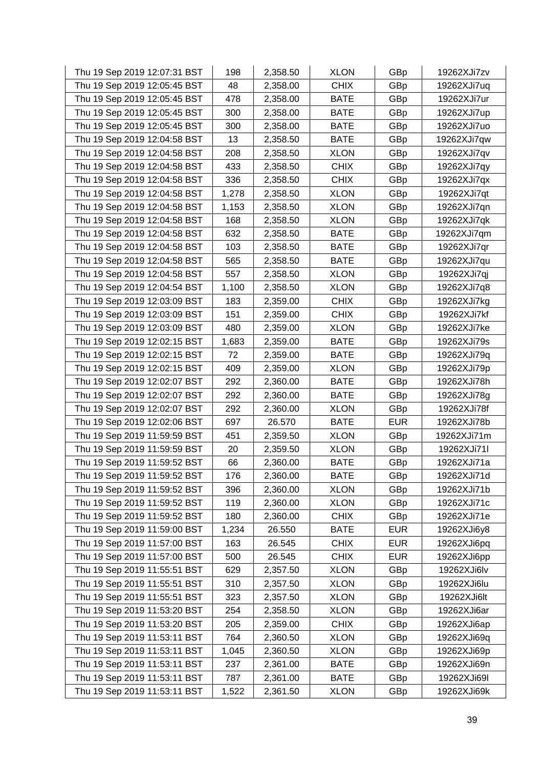| Thu 19 Sep 2019 12:07:31 BST | 198   | 2,358.50 | <b>XLON</b> | GBp        | 19262XJi7zv |
|------------------------------|-------|----------|-------------|------------|-------------|
| Thu 19 Sep 2019 12:05:45 BST | 48    | 2,358.00 | <b>CHIX</b> | GBp        | 19262XJi7uq |
| Thu 19 Sep 2019 12:05:45 BST | 478   | 2,358.00 | <b>BATE</b> | GBp        | 19262XJi7ur |
| Thu 19 Sep 2019 12:05:45 BST | 300   | 2,358.00 | <b>BATE</b> | GBp        | 19262XJi7up |
| Thu 19 Sep 2019 12:05:45 BST | 300   | 2,358.00 | <b>BATE</b> | GBp        | 19262XJi7uo |
| Thu 19 Sep 2019 12:04:58 BST | 13    | 2,358.50 | <b>BATE</b> | GBp        | 19262XJi7qw |
| Thu 19 Sep 2019 12:04:58 BST | 208   | 2,358.50 | <b>XLON</b> | GBp        | 19262XJi7qv |
| Thu 19 Sep 2019 12:04:58 BST | 433   | 2,358.50 | <b>CHIX</b> | GBp        | 19262XJi7qy |
| Thu 19 Sep 2019 12:04:58 BST | 336   | 2,358.50 | <b>CHIX</b> | GBp        | 19262XJi7qx |
| Thu 19 Sep 2019 12:04:58 BST | 1,278 | 2,358.50 | <b>XLON</b> | GBp        | 19262XJi7qt |
| Thu 19 Sep 2019 12:04:58 BST | 1,153 | 2,358.50 | <b>XLON</b> | GBp        | 19262XJi7qn |
| Thu 19 Sep 2019 12:04:58 BST | 168   | 2,358.50 | <b>XLON</b> | GBp        | 19262XJi7qk |
| Thu 19 Sep 2019 12:04:58 BST | 632   | 2,358.50 | <b>BATE</b> | GBp        | 19262XJi7qm |
| Thu 19 Sep 2019 12:04:58 BST | 103   | 2,358.50 | <b>BATE</b> | GBp        | 19262XJi7qr |
| Thu 19 Sep 2019 12:04:58 BST | 565   | 2,358.50 | <b>BATE</b> | GBp        | 19262XJi7qu |
| Thu 19 Sep 2019 12:04:58 BST | 557   | 2,358.50 | <b>XLON</b> | GBp        | 19262XJi7qj |
| Thu 19 Sep 2019 12:04:54 BST | 1,100 | 2,358.50 | <b>XLON</b> | GBp        | 19262XJi7q8 |
| Thu 19 Sep 2019 12:03:09 BST | 183   | 2,359.00 | <b>CHIX</b> | GBp        | 19262XJi7kg |
| Thu 19 Sep 2019 12:03:09 BST | 151   | 2,359.00 | <b>CHIX</b> | GBp        | 19262XJi7kf |
| Thu 19 Sep 2019 12:03:09 BST | 480   | 2,359.00 | <b>XLON</b> | GBp        | 19262XJi7ke |
| Thu 19 Sep 2019 12:02:15 BST | 1,683 | 2,359.00 | <b>BATE</b> | GBp        | 19262XJi79s |
| Thu 19 Sep 2019 12:02:15 BST | 72    | 2,359.00 | <b>BATE</b> | GBp        | 19262XJi79q |
| Thu 19 Sep 2019 12:02:15 BST | 409   | 2,359.00 | <b>XLON</b> | GBp        | 19262XJi79p |
| Thu 19 Sep 2019 12:02:07 BST | 292   | 2,360.00 | <b>BATE</b> | GBp        | 19262XJi78h |
| Thu 19 Sep 2019 12:02:07 BST | 292   | 2,360.00 | <b>BATE</b> | GBp        | 19262XJi78g |
| Thu 19 Sep 2019 12:02:07 BST | 292   | 2,360.00 | <b>XLON</b> | GBp        | 19262XJi78f |
| Thu 19 Sep 2019 12:02:06 BST | 697   | 26.570   | <b>BATE</b> | <b>EUR</b> | 19262XJi78b |
| Thu 19 Sep 2019 11:59:59 BST | 451   | 2,359.50 | <b>XLON</b> | GBp        | 19262XJi71m |
| Thu 19 Sep 2019 11:59:59 BST | 20    | 2,359.50 | <b>XLON</b> | GBp        | 19262XJi71l |
| Thu 19 Sep 2019 11:59:52 BST | 66    | 2,360.00 | <b>BATE</b> | GBp        | 19262XJi71a |
| Thu 19 Sep 2019 11:59:52 BST | 176   | 2,360.00 | <b>BATE</b> | GBp        | 19262XJi71d |
| Thu 19 Sep 2019 11:59:52 BST | 396   | 2,360.00 | <b>XLON</b> | GBp        | 19262XJi71b |
| Thu 19 Sep 2019 11:59:52 BST | 119   | 2,360.00 | <b>XLON</b> | GBp        | 19262XJi71c |
| Thu 19 Sep 2019 11:59:52 BST | 180   | 2,360.00 | <b>CHIX</b> | GBp        | 19262XJi71e |
| Thu 19 Sep 2019 11:59:00 BST | 1,234 | 26.550   | <b>BATE</b> | <b>EUR</b> | 19262XJi6y8 |
| Thu 19 Sep 2019 11:57:00 BST | 163   | 26.545   | <b>CHIX</b> | <b>EUR</b> | 19262XJi6pq |
| Thu 19 Sep 2019 11:57:00 BST | 500   | 26.545   | <b>CHIX</b> | <b>EUR</b> | 19262XJi6pp |
| Thu 19 Sep 2019 11:55:51 BST | 629   | 2,357.50 | <b>XLON</b> | GBp        | 19262XJi6lv |
| Thu 19 Sep 2019 11:55:51 BST | 310   | 2,357.50 | <b>XLON</b> | GBp        | 19262XJi6lu |
| Thu 19 Sep 2019 11:55:51 BST | 323   | 2,357.50 | <b>XLON</b> | GBp        | 19262XJi6lt |
| Thu 19 Sep 2019 11:53:20 BST | 254   | 2,358.50 | <b>XLON</b> | GBp        | 19262XJi6ar |
| Thu 19 Sep 2019 11:53:20 BST | 205   | 2,359.00 | <b>CHIX</b> | GBp        | 19262XJi6ap |
| Thu 19 Sep 2019 11:53:11 BST | 764   | 2,360.50 | <b>XLON</b> | GBp        | 19262XJi69q |
| Thu 19 Sep 2019 11:53:11 BST | 1,045 | 2,360.50 | <b>XLON</b> | GBp        | 19262XJi69p |
| Thu 19 Sep 2019 11:53:11 BST | 237   | 2,361.00 | <b>BATE</b> | GBp        | 19262XJi69n |
| Thu 19 Sep 2019 11:53:11 BST | 787   | 2,361.00 | <b>BATE</b> | GBp        | 19262XJi69I |
| Thu 19 Sep 2019 11:53:11 BST | 1,522 | 2,361.50 | <b>XLON</b> | GBp        | 19262XJi69k |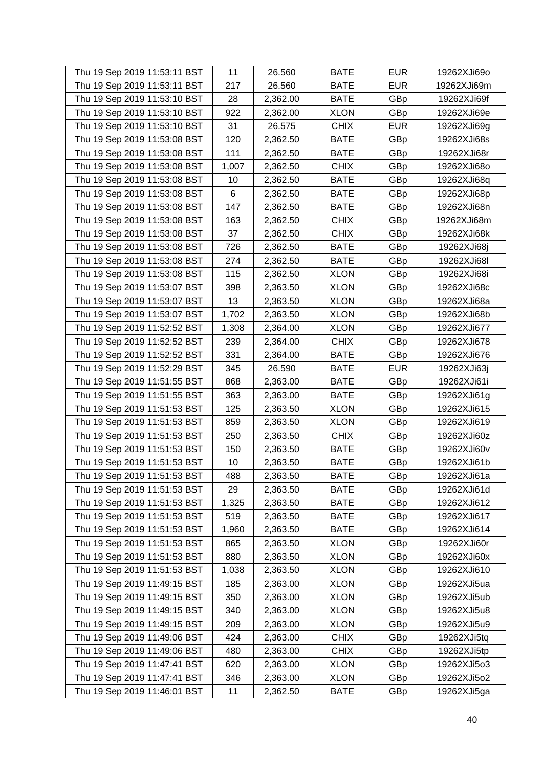| Thu 19 Sep 2019 11:53:11 BST | 11    | 26.560   | <b>BATE</b> | <b>EUR</b> | 19262XJi69o |
|------------------------------|-------|----------|-------------|------------|-------------|
| Thu 19 Sep 2019 11:53:11 BST | 217   | 26.560   | <b>BATE</b> | <b>EUR</b> | 19262XJi69m |
| Thu 19 Sep 2019 11:53:10 BST | 28    | 2,362.00 | <b>BATE</b> | GBp        | 19262XJi69f |
| Thu 19 Sep 2019 11:53:10 BST | 922   | 2,362.00 | <b>XLON</b> | GBp        | 19262XJi69e |
| Thu 19 Sep 2019 11:53:10 BST | 31    | 26.575   | <b>CHIX</b> | <b>EUR</b> | 19262XJi69g |
| Thu 19 Sep 2019 11:53:08 BST | 120   | 2,362.50 | <b>BATE</b> | GBp        | 19262XJi68s |
| Thu 19 Sep 2019 11:53:08 BST | 111   | 2,362.50 | <b>BATE</b> | GBp        | 19262XJi68r |
| Thu 19 Sep 2019 11:53:08 BST | 1,007 | 2,362.50 | <b>CHIX</b> | GBp        | 19262XJi68o |
| Thu 19 Sep 2019 11:53:08 BST | 10    | 2,362.50 | <b>BATE</b> | GBp        | 19262XJi68q |
| Thu 19 Sep 2019 11:53:08 BST | 6     | 2,362.50 | <b>BATE</b> | GBp        | 19262XJi68p |
| Thu 19 Sep 2019 11:53:08 BST | 147   | 2,362.50 | <b>BATE</b> | GBp        | 19262XJi68n |
| Thu 19 Sep 2019 11:53:08 BST | 163   | 2,362.50 | <b>CHIX</b> | GBp        | 19262XJi68m |
| Thu 19 Sep 2019 11:53:08 BST | 37    | 2,362.50 | <b>CHIX</b> | GBp        | 19262XJi68k |
| Thu 19 Sep 2019 11:53:08 BST | 726   | 2,362.50 | <b>BATE</b> | GBp        | 19262XJi68j |
| Thu 19 Sep 2019 11:53:08 BST | 274   | 2,362.50 | <b>BATE</b> | GBp        | 19262XJi68I |
| Thu 19 Sep 2019 11:53:08 BST | 115   | 2,362.50 | <b>XLON</b> | GBp        | 19262XJi68i |
| Thu 19 Sep 2019 11:53:07 BST | 398   | 2,363.50 | <b>XLON</b> | GBp        | 19262XJi68c |
| Thu 19 Sep 2019 11:53:07 BST | 13    | 2,363.50 | <b>XLON</b> | GBp        | 19262XJi68a |
| Thu 19 Sep 2019 11:53:07 BST | 1,702 | 2,363.50 | <b>XLON</b> | GBp        | 19262XJi68b |
| Thu 19 Sep 2019 11:52:52 BST | 1,308 | 2,364.00 | <b>XLON</b> | GBp        | 19262XJi677 |
| Thu 19 Sep 2019 11:52:52 BST | 239   | 2,364.00 | <b>CHIX</b> | GBp        | 19262XJi678 |
| Thu 19 Sep 2019 11:52:52 BST | 331   | 2,364.00 | <b>BATE</b> | GBp        | 19262XJi676 |
| Thu 19 Sep 2019 11:52:29 BST | 345   | 26.590   | <b>BATE</b> | <b>EUR</b> | 19262XJi63j |
| Thu 19 Sep 2019 11:51:55 BST | 868   | 2,363.00 | <b>BATE</b> | GBp        | 19262XJi61i |
| Thu 19 Sep 2019 11:51:55 BST | 363   | 2,363.00 | <b>BATE</b> | GBp        | 19262XJi61g |
| Thu 19 Sep 2019 11:51:53 BST | 125   | 2,363.50 | <b>XLON</b> | GBp        | 19262XJi615 |
| Thu 19 Sep 2019 11:51:53 BST | 859   | 2,363.50 | <b>XLON</b> | GBp        | 19262XJi619 |
| Thu 19 Sep 2019 11:51:53 BST | 250   | 2,363.50 | <b>CHIX</b> | GBp        | 19262XJi60z |
| Thu 19 Sep 2019 11:51:53 BST | 150   | 2,363.50 | <b>BATE</b> | GBp        | 19262XJi60v |
| Thu 19 Sep 2019 11:51:53 BST | 10    | 2,363.50 | <b>BATE</b> | GBp        | 19262XJi61b |
| Thu 19 Sep 2019 11:51:53 BST | 488   | 2,363.50 | <b>BATE</b> | GBp        | 19262XJi61a |
| Thu 19 Sep 2019 11:51:53 BST | 29    | 2,363.50 | <b>BATE</b> | GBp        | 19262XJi61d |
| Thu 19 Sep 2019 11:51:53 BST | 1,325 | 2,363.50 | <b>BATE</b> | GBp        | 19262XJi612 |
| Thu 19 Sep 2019 11:51:53 BST | 519   | 2,363.50 | <b>BATE</b> | GBp        | 19262XJi617 |
| Thu 19 Sep 2019 11:51:53 BST | 1,960 | 2,363.50 | <b>BATE</b> | GBp        | 19262XJi614 |
| Thu 19 Sep 2019 11:51:53 BST | 865   | 2,363.50 | <b>XLON</b> | GBp        | 19262XJi60r |
| Thu 19 Sep 2019 11:51:53 BST | 880   | 2,363.50 | <b>XLON</b> | GBp        | 19262XJi60x |
| Thu 19 Sep 2019 11:51:53 BST | 1,038 | 2,363.50 | <b>XLON</b> | GBp        | 19262XJi610 |
| Thu 19 Sep 2019 11:49:15 BST | 185   | 2,363.00 | <b>XLON</b> | GBp        | 19262XJi5ua |
| Thu 19 Sep 2019 11:49:15 BST | 350   | 2,363.00 | <b>XLON</b> | GBp        | 19262XJi5ub |
| Thu 19 Sep 2019 11:49:15 BST | 340   | 2,363.00 | <b>XLON</b> | GBp        | 19262XJi5u8 |
| Thu 19 Sep 2019 11:49:15 BST | 209   | 2,363.00 | <b>XLON</b> | GBp        | 19262XJi5u9 |
| Thu 19 Sep 2019 11:49:06 BST | 424   | 2,363.00 | <b>CHIX</b> | GBp        | 19262XJi5tq |
| Thu 19 Sep 2019 11:49:06 BST | 480   | 2,363.00 | <b>CHIX</b> | GBp        | 19262XJi5tp |
| Thu 19 Sep 2019 11:47:41 BST | 620   | 2,363.00 | <b>XLON</b> | GBp        | 19262XJi5o3 |
| Thu 19 Sep 2019 11:47:41 BST | 346   | 2,363.00 | <b>XLON</b> | GBp        | 19262XJi5o2 |
| Thu 19 Sep 2019 11:46:01 BST | 11    | 2,362.50 | <b>BATE</b> | GBp        | 19262XJi5ga |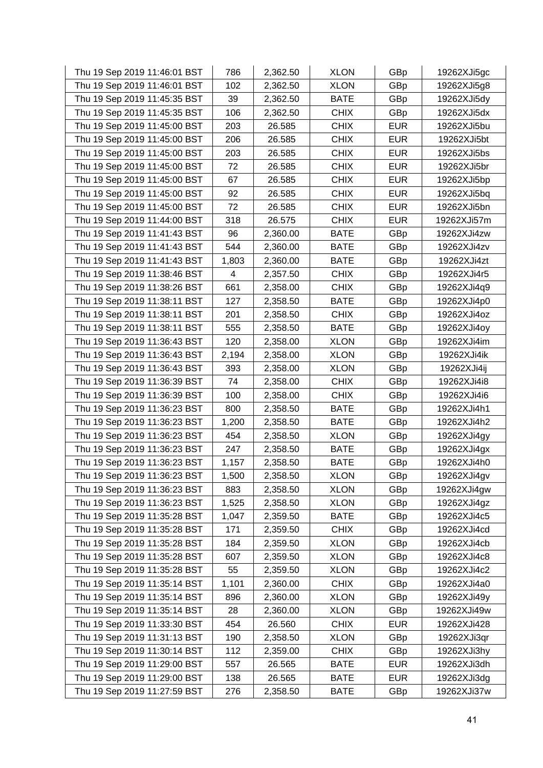| Thu 19 Sep 2019 11:46:01 BST | 786   | 2,362.50 | <b>XLON</b> | GBp        | 19262XJi5gc |
|------------------------------|-------|----------|-------------|------------|-------------|
| Thu 19 Sep 2019 11:46:01 BST | 102   | 2,362.50 | <b>XLON</b> | GBp        | 19262XJi5g8 |
| Thu 19 Sep 2019 11:45:35 BST | 39    | 2,362.50 | <b>BATE</b> | GBp        | 19262XJi5dy |
| Thu 19 Sep 2019 11:45:35 BST | 106   | 2,362.50 | <b>CHIX</b> | GBp        | 19262XJi5dx |
| Thu 19 Sep 2019 11:45:00 BST | 203   | 26.585   | <b>CHIX</b> | <b>EUR</b> | 19262XJi5bu |
| Thu 19 Sep 2019 11:45:00 BST | 206   | 26.585   | <b>CHIX</b> | <b>EUR</b> | 19262XJi5bt |
| Thu 19 Sep 2019 11:45:00 BST | 203   | 26.585   | <b>CHIX</b> | <b>EUR</b> | 19262XJi5bs |
| Thu 19 Sep 2019 11:45:00 BST | 72    | 26.585   | <b>CHIX</b> | <b>EUR</b> | 19262XJi5br |
| Thu 19 Sep 2019 11:45:00 BST | 67    | 26.585   | <b>CHIX</b> | <b>EUR</b> | 19262XJi5bp |
| Thu 19 Sep 2019 11:45:00 BST | 92    | 26.585   | <b>CHIX</b> | <b>EUR</b> | 19262XJi5bq |
| Thu 19 Sep 2019 11:45:00 BST | 72    | 26.585   | <b>CHIX</b> | <b>EUR</b> | 19262XJi5bn |
| Thu 19 Sep 2019 11:44:00 BST | 318   | 26.575   | <b>CHIX</b> | <b>EUR</b> | 19262XJi57m |
| Thu 19 Sep 2019 11:41:43 BST | 96    | 2,360.00 | <b>BATE</b> | GBp        | 19262XJi4zw |
| Thu 19 Sep 2019 11:41:43 BST | 544   | 2,360.00 | <b>BATE</b> | GBp        | 19262XJi4zv |
| Thu 19 Sep 2019 11:41:43 BST | 1,803 | 2,360.00 | <b>BATE</b> | GBp        | 19262XJi4zt |
| Thu 19 Sep 2019 11:38:46 BST | 4     | 2,357.50 | <b>CHIX</b> | GBp        | 19262XJi4r5 |
| Thu 19 Sep 2019 11:38:26 BST | 661   | 2,358.00 | <b>CHIX</b> | GBp        | 19262XJi4q9 |
| Thu 19 Sep 2019 11:38:11 BST | 127   | 2,358.50 | <b>BATE</b> | GBp        | 19262XJi4p0 |
| Thu 19 Sep 2019 11:38:11 BST | 201   | 2,358.50 | <b>CHIX</b> | GBp        | 19262XJi4oz |
| Thu 19 Sep 2019 11:38:11 BST | 555   | 2,358.50 | <b>BATE</b> | GBp        | 19262XJi4oy |
| Thu 19 Sep 2019 11:36:43 BST | 120   | 2,358.00 | <b>XLON</b> | GBp        | 19262XJi4im |
| Thu 19 Sep 2019 11:36:43 BST | 2,194 | 2,358.00 | <b>XLON</b> | GBp        | 19262XJi4ik |
| Thu 19 Sep 2019 11:36:43 BST | 393   | 2,358.00 | <b>XLON</b> | GBp        | 19262XJi4ij |
| Thu 19 Sep 2019 11:36:39 BST | 74    | 2,358.00 | <b>CHIX</b> | GBp        | 19262XJi4i8 |
| Thu 19 Sep 2019 11:36:39 BST | 100   | 2,358.00 | <b>CHIX</b> | GBp        | 19262XJi4i6 |
| Thu 19 Sep 2019 11:36:23 BST | 800   | 2,358.50 | <b>BATE</b> | GBp        | 19262XJi4h1 |
| Thu 19 Sep 2019 11:36:23 BST | 1,200 | 2,358.50 | <b>BATE</b> | GBp        | 19262XJi4h2 |
| Thu 19 Sep 2019 11:36:23 BST | 454   | 2,358.50 | <b>XLON</b> | GBp        | 19262XJi4gy |
| Thu 19 Sep 2019 11:36:23 BST | 247   | 2,358.50 | <b>BATE</b> | GBp        | 19262XJi4gx |
| Thu 19 Sep 2019 11:36:23 BST | 1,157 | 2,358.50 | <b>BATE</b> | GBp        | 19262XJi4h0 |
| Thu 19 Sep 2019 11:36:23 BST | 1,500 | 2,358.50 | <b>XLON</b> | GBp        | 19262XJi4gv |
| Thu 19 Sep 2019 11:36:23 BST | 883   | 2,358.50 | <b>XLON</b> | GBp        | 19262XJi4gw |
| Thu 19 Sep 2019 11:36:23 BST | 1,525 | 2,358.50 | <b>XLON</b> | GBp        | 19262XJi4gz |
| Thu 19 Sep 2019 11:35:28 BST | 1,047 | 2,359.50 | <b>BATE</b> | GBp        | 19262XJi4c5 |
| Thu 19 Sep 2019 11:35:28 BST | 171   | 2,359.50 | <b>CHIX</b> | GBp        | 19262XJi4cd |
| Thu 19 Sep 2019 11:35:28 BST | 184   | 2,359.50 | <b>XLON</b> | GBp        | 19262XJi4cb |
| Thu 19 Sep 2019 11:35:28 BST | 607   | 2,359.50 | <b>XLON</b> | GBp        | 19262XJi4c8 |
| Thu 19 Sep 2019 11:35:28 BST | 55    | 2,359.50 | <b>XLON</b> | GBp        | 19262XJi4c2 |
| Thu 19 Sep 2019 11:35:14 BST | 1,101 | 2,360.00 | <b>CHIX</b> | GBp        | 19262XJi4a0 |
| Thu 19 Sep 2019 11:35:14 BST | 896   | 2,360.00 | <b>XLON</b> | GBp        | 19262XJi49y |
| Thu 19 Sep 2019 11:35:14 BST | 28    | 2,360.00 | <b>XLON</b> | GBp        | 19262XJi49w |
| Thu 19 Sep 2019 11:33:30 BST | 454   | 26.560   | <b>CHIX</b> | <b>EUR</b> | 19262XJi428 |
| Thu 19 Sep 2019 11:31:13 BST | 190   | 2,358.50 | <b>XLON</b> | GBp        | 19262XJi3qr |
| Thu 19 Sep 2019 11:30:14 BST | 112   | 2,359.00 | <b>CHIX</b> | GBp        | 19262XJi3hy |
| Thu 19 Sep 2019 11:29:00 BST | 557   | 26.565   | <b>BATE</b> | <b>EUR</b> | 19262XJi3dh |
| Thu 19 Sep 2019 11:29:00 BST | 138   | 26.565   | <b>BATE</b> | <b>EUR</b> | 19262XJi3dg |
| Thu 19 Sep 2019 11:27:59 BST | 276   | 2,358.50 | <b>BATE</b> | GBp        | 19262XJi37w |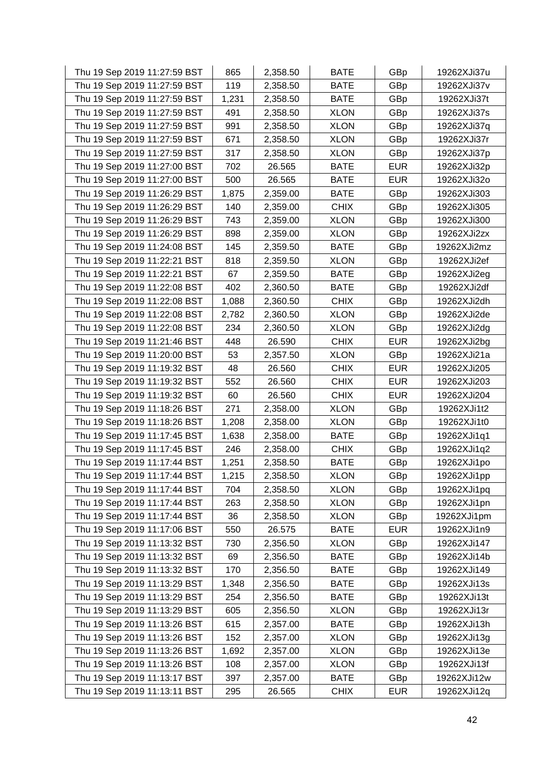| Thu 19 Sep 2019 11:27:59 BST | 865   | 2,358.50 | <b>BATE</b> | GBp        | 19262XJi37u |
|------------------------------|-------|----------|-------------|------------|-------------|
| Thu 19 Sep 2019 11:27:59 BST | 119   | 2,358.50 | <b>BATE</b> | GBp        | 19262XJi37v |
| Thu 19 Sep 2019 11:27:59 BST | 1,231 | 2,358.50 | <b>BATE</b> | GBp        | 19262XJi37t |
| Thu 19 Sep 2019 11:27:59 BST | 491   | 2,358.50 | <b>XLON</b> | GBp        | 19262XJi37s |
| Thu 19 Sep 2019 11:27:59 BST | 991   | 2,358.50 | <b>XLON</b> | GBp        | 19262XJi37q |
| Thu 19 Sep 2019 11:27:59 BST | 671   | 2,358.50 | <b>XLON</b> | GBp        | 19262XJi37r |
| Thu 19 Sep 2019 11:27:59 BST | 317   | 2,358.50 | <b>XLON</b> | GBp        | 19262XJi37p |
| Thu 19 Sep 2019 11:27:00 BST | 702   | 26.565   | <b>BATE</b> | <b>EUR</b> | 19262XJi32p |
| Thu 19 Sep 2019 11:27:00 BST | 500   | 26.565   | <b>BATE</b> | <b>EUR</b> | 19262XJi32o |
| Thu 19 Sep 2019 11:26:29 BST | 1,875 | 2,359.00 | <b>BATE</b> | GBp        | 19262XJi303 |
| Thu 19 Sep 2019 11:26:29 BST | 140   | 2,359.00 | <b>CHIX</b> | GBp        | 19262XJi305 |
| Thu 19 Sep 2019 11:26:29 BST | 743   | 2,359.00 | <b>XLON</b> | GBp        | 19262XJi300 |
| Thu 19 Sep 2019 11:26:29 BST | 898   | 2,359.00 | <b>XLON</b> | GBp        | 19262XJi2zx |
| Thu 19 Sep 2019 11:24:08 BST | 145   | 2,359.50 | <b>BATE</b> | GBp        | 19262XJi2mz |
| Thu 19 Sep 2019 11:22:21 BST | 818   | 2,359.50 | <b>XLON</b> | GBp        | 19262XJi2ef |
| Thu 19 Sep 2019 11:22:21 BST | 67    | 2,359.50 | <b>BATE</b> | GBp        | 19262XJi2eg |
| Thu 19 Sep 2019 11:22:08 BST | 402   | 2,360.50 | <b>BATE</b> | GBp        | 19262XJi2df |
| Thu 19 Sep 2019 11:22:08 BST | 1,088 | 2,360.50 | <b>CHIX</b> | GBp        | 19262XJi2dh |
| Thu 19 Sep 2019 11:22:08 BST | 2,782 | 2,360.50 | <b>XLON</b> | GBp        | 19262XJi2de |
| Thu 19 Sep 2019 11:22:08 BST | 234   | 2,360.50 | <b>XLON</b> | GBp        | 19262XJi2dg |
| Thu 19 Sep 2019 11:21:46 BST | 448   | 26.590   | <b>CHIX</b> | <b>EUR</b> | 19262XJi2bg |
| Thu 19 Sep 2019 11:20:00 BST | 53    | 2,357.50 | <b>XLON</b> | GBp        | 19262XJi21a |
| Thu 19 Sep 2019 11:19:32 BST | 48    | 26.560   | <b>CHIX</b> | <b>EUR</b> | 19262XJi205 |
| Thu 19 Sep 2019 11:19:32 BST | 552   | 26.560   | <b>CHIX</b> | <b>EUR</b> | 19262XJi203 |
| Thu 19 Sep 2019 11:19:32 BST | 60    | 26.560   | <b>CHIX</b> | <b>EUR</b> | 19262XJi204 |
| Thu 19 Sep 2019 11:18:26 BST | 271   | 2,358.00 | <b>XLON</b> | GBp        | 19262XJi1t2 |
| Thu 19 Sep 2019 11:18:26 BST | 1,208 | 2,358.00 | <b>XLON</b> | GBp        | 19262XJi1t0 |
| Thu 19 Sep 2019 11:17:45 BST | 1,638 | 2,358.00 | <b>BATE</b> | GBp        | 19262XJi1q1 |
| Thu 19 Sep 2019 11:17:45 BST | 246   | 2,358.00 | <b>CHIX</b> | GBp        | 19262XJi1q2 |
| Thu 19 Sep 2019 11:17:44 BST | 1,251 | 2,358.50 | <b>BATE</b> | GBp        | 19262XJi1po |
| Thu 19 Sep 2019 11:17:44 BST | 1,215 | 2,358.50 | <b>XLON</b> | GBp        | 19262XJi1pp |
| Thu 19 Sep 2019 11:17:44 BST | 704   | 2,358.50 | <b>XLON</b> | GBp        | 19262XJi1pq |
| Thu 19 Sep 2019 11:17:44 BST | 263   | 2,358.50 | <b>XLON</b> | GBp        | 19262XJi1pn |
| Thu 19 Sep 2019 11:17:44 BST | 36    | 2,358.50 | <b>XLON</b> | GBp        | 19262XJi1pm |
| Thu 19 Sep 2019 11:17:06 BST | 550   | 26.575   | <b>BATE</b> | <b>EUR</b> | 19262XJi1n9 |
| Thu 19 Sep 2019 11:13:32 BST | 730   | 2,356.50 | <b>XLON</b> | GBp        | 19262XJi147 |
| Thu 19 Sep 2019 11:13:32 BST | 69    | 2,356.50 | <b>BATE</b> | GBp        | 19262XJi14b |
| Thu 19 Sep 2019 11:13:32 BST | 170   | 2,356.50 | <b>BATE</b> | GBp        | 19262XJi149 |
| Thu 19 Sep 2019 11:13:29 BST | 1,348 | 2,356.50 | <b>BATE</b> | GBp        | 19262XJi13s |
| Thu 19 Sep 2019 11:13:29 BST | 254   | 2,356.50 | <b>BATE</b> | GBp        | 19262XJi13t |
| Thu 19 Sep 2019 11:13:29 BST | 605   | 2,356.50 | <b>XLON</b> | GBp        | 19262XJi13r |
| Thu 19 Sep 2019 11:13:26 BST | 615   | 2,357.00 | <b>BATE</b> | GBp        | 19262XJi13h |
| Thu 19 Sep 2019 11:13:26 BST | 152   | 2,357.00 | <b>XLON</b> | GBp        | 19262XJi13g |
| Thu 19 Sep 2019 11:13:26 BST | 1,692 | 2,357.00 | <b>XLON</b> | GBp        | 19262XJi13e |
| Thu 19 Sep 2019 11:13:26 BST | 108   | 2,357.00 | <b>XLON</b> | GBp        | 19262XJi13f |
| Thu 19 Sep 2019 11:13:17 BST | 397   | 2,357.00 | <b>BATE</b> | GBp        | 19262XJi12w |
| Thu 19 Sep 2019 11:13:11 BST | 295   | 26.565   | <b>CHIX</b> | <b>EUR</b> | 19262XJi12q |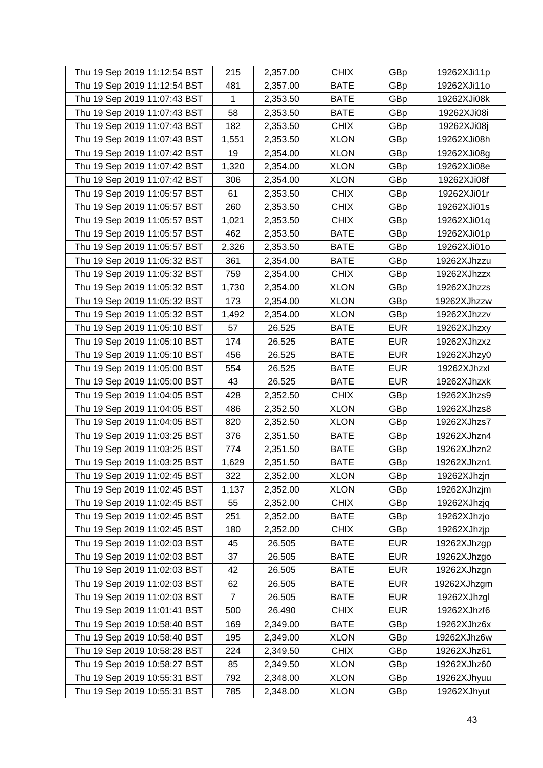| Thu 19 Sep 2019 11:12:54 BST | 215   | 2,357.00 | <b>CHIX</b> | GBp        | 19262XJi11p |
|------------------------------|-------|----------|-------------|------------|-------------|
| Thu 19 Sep 2019 11:12:54 BST | 481   | 2,357.00 | <b>BATE</b> | GBp        | 19262XJi11o |
| Thu 19 Sep 2019 11:07:43 BST | 1     | 2,353.50 | <b>BATE</b> | GBp        | 19262XJi08k |
| Thu 19 Sep 2019 11:07:43 BST | 58    | 2,353.50 | <b>BATE</b> | GBp        | 19262XJi08i |
| Thu 19 Sep 2019 11:07:43 BST | 182   | 2,353.50 | <b>CHIX</b> | GBp        | 19262XJi08j |
| Thu 19 Sep 2019 11:07:43 BST | 1,551 | 2,353.50 | <b>XLON</b> | GBp        | 19262XJi08h |
| Thu 19 Sep 2019 11:07:42 BST | 19    | 2,354.00 | <b>XLON</b> | GBp        | 19262XJi08g |
| Thu 19 Sep 2019 11:07:42 BST | 1,320 | 2,354.00 | <b>XLON</b> | GBp        | 19262XJi08e |
| Thu 19 Sep 2019 11:07:42 BST | 306   | 2,354.00 | <b>XLON</b> | GBp        | 19262XJi08f |
| Thu 19 Sep 2019 11:05:57 BST | 61    | 2,353.50 | <b>CHIX</b> | GBp        | 19262XJi01r |
| Thu 19 Sep 2019 11:05:57 BST | 260   | 2,353.50 | <b>CHIX</b> | GBp        | 19262XJi01s |
| Thu 19 Sep 2019 11:05:57 BST | 1,021 | 2,353.50 | <b>CHIX</b> | GBp        | 19262XJi01q |
| Thu 19 Sep 2019 11:05:57 BST | 462   | 2,353.50 | <b>BATE</b> | GBp        | 19262XJi01p |
| Thu 19 Sep 2019 11:05:57 BST | 2,326 | 2,353.50 | <b>BATE</b> | GBp        | 19262XJi01o |
| Thu 19 Sep 2019 11:05:32 BST | 361   | 2,354.00 | <b>BATE</b> | GBp        | 19262XJhzzu |
| Thu 19 Sep 2019 11:05:32 BST | 759   | 2,354.00 | <b>CHIX</b> | GBp        | 19262XJhzzx |
| Thu 19 Sep 2019 11:05:32 BST | 1,730 | 2,354.00 | <b>XLON</b> | GBp        | 19262XJhzzs |
| Thu 19 Sep 2019 11:05:32 BST | 173   | 2,354.00 | <b>XLON</b> | GBp        | 19262XJhzzw |
| Thu 19 Sep 2019 11:05:32 BST | 1,492 | 2,354.00 | <b>XLON</b> | GBp        | 19262XJhzzv |
| Thu 19 Sep 2019 11:05:10 BST | 57    | 26.525   | <b>BATE</b> | <b>EUR</b> | 19262XJhzxy |
| Thu 19 Sep 2019 11:05:10 BST | 174   | 26.525   | <b>BATE</b> | <b>EUR</b> | 19262XJhzxz |
| Thu 19 Sep 2019 11:05:10 BST | 456   | 26.525   | <b>BATE</b> | <b>EUR</b> | 19262XJhzy0 |
| Thu 19 Sep 2019 11:05:00 BST | 554   | 26.525   | <b>BATE</b> | <b>EUR</b> | 19262XJhzxl |
| Thu 19 Sep 2019 11:05:00 BST | 43    | 26.525   | <b>BATE</b> | <b>EUR</b> | 19262XJhzxk |
| Thu 19 Sep 2019 11:04:05 BST | 428   | 2,352.50 | <b>CHIX</b> | GBp        | 19262XJhzs9 |
| Thu 19 Sep 2019 11:04:05 BST | 486   | 2,352.50 | <b>XLON</b> | GBp        | 19262XJhzs8 |
| Thu 19 Sep 2019 11:04:05 BST | 820   | 2,352.50 | <b>XLON</b> | GBp        | 19262XJhzs7 |
| Thu 19 Sep 2019 11:03:25 BST | 376   | 2,351.50 | <b>BATE</b> | GBp        | 19262XJhzn4 |
| Thu 19 Sep 2019 11:03:25 BST | 774   | 2,351.50 | <b>BATE</b> | GBp        | 19262XJhzn2 |
| Thu 19 Sep 2019 11:03:25 BST | 1,629 | 2,351.50 | <b>BATE</b> | GBp        | 19262XJhzn1 |
| Thu 19 Sep 2019 11:02:45 BST | 322   | 2,352.00 | <b>XLON</b> | GBp        | 19262XJhzjn |
| Thu 19 Sep 2019 11:02:45 BST | 1,137 | 2,352.00 | <b>XLON</b> | GBp        | 19262XJhzjm |
| Thu 19 Sep 2019 11:02:45 BST | 55    | 2,352.00 | <b>CHIX</b> | GBp        | 19262XJhzjq |
| Thu 19 Sep 2019 11:02:45 BST | 251   | 2,352.00 | <b>BATE</b> | GBp        | 19262XJhzjo |
| Thu 19 Sep 2019 11:02:45 BST | 180   | 2,352.00 | <b>CHIX</b> | GBp        | 19262XJhzjp |
| Thu 19 Sep 2019 11:02:03 BST | 45    | 26.505   | <b>BATE</b> | <b>EUR</b> | 19262XJhzgp |
| Thu 19 Sep 2019 11:02:03 BST | 37    | 26.505   | <b>BATE</b> | <b>EUR</b> | 19262XJhzgo |
| Thu 19 Sep 2019 11:02:03 BST | 42    | 26.505   | <b>BATE</b> | <b>EUR</b> | 19262XJhzgn |
| Thu 19 Sep 2019 11:02:03 BST | 62    | 26.505   | <b>BATE</b> | <b>EUR</b> | 19262XJhzgm |
| Thu 19 Sep 2019 11:02:03 BST | 7     | 26.505   | <b>BATE</b> | <b>EUR</b> | 19262XJhzgl |
| Thu 19 Sep 2019 11:01:41 BST | 500   | 26.490   | <b>CHIX</b> | <b>EUR</b> | 19262XJhzf6 |
| Thu 19 Sep 2019 10:58:40 BST | 169   | 2,349.00 | <b>BATE</b> | GBp        | 19262XJhz6x |
| Thu 19 Sep 2019 10:58:40 BST | 195   | 2,349.00 | <b>XLON</b> | GBp        | 19262XJhz6w |
| Thu 19 Sep 2019 10:58:28 BST | 224   | 2,349.50 | <b>CHIX</b> | GBp        | 19262XJhz61 |
| Thu 19 Sep 2019 10:58:27 BST | 85    | 2,349.50 | <b>XLON</b> | GBp        | 19262XJhz60 |
| Thu 19 Sep 2019 10:55:31 BST | 792   | 2,348.00 | <b>XLON</b> | GBp        | 19262XJhyuu |
| Thu 19 Sep 2019 10:55:31 BST | 785   | 2,348.00 | <b>XLON</b> | GBp        | 19262XJhyut |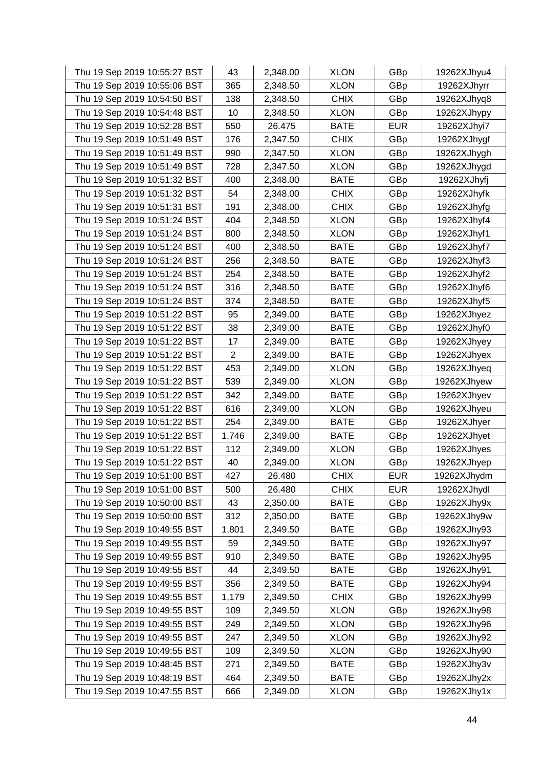| Thu 19 Sep 2019 10:55:27 BST | 43             | 2,348.00 | <b>XLON</b> | GBp        | 19262XJhyu4 |
|------------------------------|----------------|----------|-------------|------------|-------------|
| Thu 19 Sep 2019 10:55:06 BST | 365            | 2,348.50 | <b>XLON</b> | GBp        | 19262XJhyrr |
| Thu 19 Sep 2019 10:54:50 BST | 138            | 2,348.50 | <b>CHIX</b> | GBp        | 19262XJhyq8 |
| Thu 19 Sep 2019 10:54:48 BST | 10             | 2,348.50 | <b>XLON</b> | GBp        | 19262XJhypy |
| Thu 19 Sep 2019 10:52:28 BST | 550            | 26.475   | <b>BATE</b> | <b>EUR</b> | 19262XJhyi7 |
| Thu 19 Sep 2019 10:51:49 BST | 176            | 2,347.50 | <b>CHIX</b> | GBp        | 19262XJhygf |
| Thu 19 Sep 2019 10:51:49 BST | 990            | 2,347.50 | <b>XLON</b> | GBp        | 19262XJhygh |
| Thu 19 Sep 2019 10:51:49 BST | 728            | 2,347.50 | <b>XLON</b> | GBp        | 19262XJhygd |
| Thu 19 Sep 2019 10:51:32 BST | 400            | 2,348.00 | <b>BATE</b> | GBp        | 19262XJhyfj |
| Thu 19 Sep 2019 10:51:32 BST | 54             | 2,348.00 | <b>CHIX</b> | GBp        | 19262XJhyfk |
| Thu 19 Sep 2019 10:51:31 BST | 191            | 2,348.00 | <b>CHIX</b> | GBp        | 19262XJhyfg |
| Thu 19 Sep 2019 10:51:24 BST | 404            | 2,348.50 | <b>XLON</b> | GBp        | 19262XJhyf4 |
| Thu 19 Sep 2019 10:51:24 BST | 800            | 2,348.50 | <b>XLON</b> | GBp        | 19262XJhyf1 |
| Thu 19 Sep 2019 10:51:24 BST | 400            | 2,348.50 | <b>BATE</b> | GBp        | 19262XJhyf7 |
| Thu 19 Sep 2019 10:51:24 BST | 256            | 2,348.50 | <b>BATE</b> | GBp        | 19262XJhyf3 |
| Thu 19 Sep 2019 10:51:24 BST | 254            | 2,348.50 | <b>BATE</b> | GBp        | 19262XJhyf2 |
| Thu 19 Sep 2019 10:51:24 BST | 316            | 2,348.50 | <b>BATE</b> | GBp        | 19262XJhyf6 |
| Thu 19 Sep 2019 10:51:24 BST | 374            | 2,348.50 | <b>BATE</b> | GBp        | 19262XJhyf5 |
| Thu 19 Sep 2019 10:51:22 BST | 95             | 2,349.00 | <b>BATE</b> | GBp        | 19262XJhyez |
| Thu 19 Sep 2019 10:51:22 BST | 38             | 2,349.00 | <b>BATE</b> | GBp        | 19262XJhyf0 |
| Thu 19 Sep 2019 10:51:22 BST | 17             | 2,349.00 | <b>BATE</b> | GBp        | 19262XJhyey |
| Thu 19 Sep 2019 10:51:22 BST | $\overline{2}$ | 2,349.00 | <b>BATE</b> | GBp        | 19262XJhyex |
| Thu 19 Sep 2019 10:51:22 BST | 453            | 2,349.00 | <b>XLON</b> | GBp        | 19262XJhyeq |
| Thu 19 Sep 2019 10:51:22 BST | 539            | 2,349.00 | <b>XLON</b> | GBp        | 19262XJhyew |
| Thu 19 Sep 2019 10:51:22 BST | 342            | 2,349.00 | <b>BATE</b> | GBp        | 19262XJhyev |
| Thu 19 Sep 2019 10:51:22 BST | 616            | 2,349.00 | <b>XLON</b> | GBp        | 19262XJhyeu |
| Thu 19 Sep 2019 10:51:22 BST | 254            | 2,349.00 | <b>BATE</b> | GBp        | 19262XJhyer |
| Thu 19 Sep 2019 10:51:22 BST | 1,746          | 2,349.00 | <b>BATE</b> | GBp        | 19262XJhyet |
| Thu 19 Sep 2019 10:51:22 BST | 112            | 2,349.00 | <b>XLON</b> | GBp        | 19262XJhyes |
| Thu 19 Sep 2019 10:51:22 BST | 40             | 2,349.00 | <b>XLON</b> | GBp        | 19262XJhyep |
| Thu 19 Sep 2019 10:51:00 BST | 427            | 26.480   | <b>CHIX</b> | <b>EUR</b> | 19262XJhydm |
| Thu 19 Sep 2019 10:51:00 BST | 500            | 26.480   | <b>CHIX</b> | <b>EUR</b> | 19262XJhydl |
| Thu 19 Sep 2019 10:50:00 BST | 43             | 2,350.00 | <b>BATE</b> | GBp        | 19262XJhy9x |
| Thu 19 Sep 2019 10:50:00 BST | 312            | 2,350.00 | <b>BATE</b> | GBp        | 19262XJhy9w |
| Thu 19 Sep 2019 10:49:55 BST | 1,801          | 2,349.50 | <b>BATE</b> | GBp        | 19262XJhy93 |
| Thu 19 Sep 2019 10:49:55 BST | 59             | 2,349.50 | <b>BATE</b> | GBp        | 19262XJhy97 |
| Thu 19 Sep 2019 10:49:55 BST | 910            | 2,349.50 | <b>BATE</b> | GBp        | 19262XJhy95 |
| Thu 19 Sep 2019 10:49:55 BST | 44             | 2,349.50 | <b>BATE</b> | GBp        | 19262XJhy91 |
| Thu 19 Sep 2019 10:49:55 BST | 356            | 2,349.50 | <b>BATE</b> | GBp        | 19262XJhy94 |
| Thu 19 Sep 2019 10:49:55 BST | 1,179          | 2,349.50 | <b>CHIX</b> | GBp        | 19262XJhy99 |
| Thu 19 Sep 2019 10:49:55 BST | 109            | 2,349.50 | <b>XLON</b> | GBp        | 19262XJhy98 |
| Thu 19 Sep 2019 10:49:55 BST | 249            | 2,349.50 | <b>XLON</b> | GBp        | 19262XJhy96 |
| Thu 19 Sep 2019 10:49:55 BST | 247            | 2,349.50 | <b>XLON</b> | GBp        | 19262XJhy92 |
| Thu 19 Sep 2019 10:49:55 BST | 109            | 2,349.50 | <b>XLON</b> | GBp        | 19262XJhy90 |
| Thu 19 Sep 2019 10:48:45 BST | 271            | 2,349.50 | <b>BATE</b> | GBp        | 19262XJhy3v |
| Thu 19 Sep 2019 10:48:19 BST | 464            | 2,349.50 | <b>BATE</b> | GBp        | 19262XJhy2x |
| Thu 19 Sep 2019 10:47:55 BST | 666            | 2,349.00 | <b>XLON</b> | GBp        | 19262XJhy1x |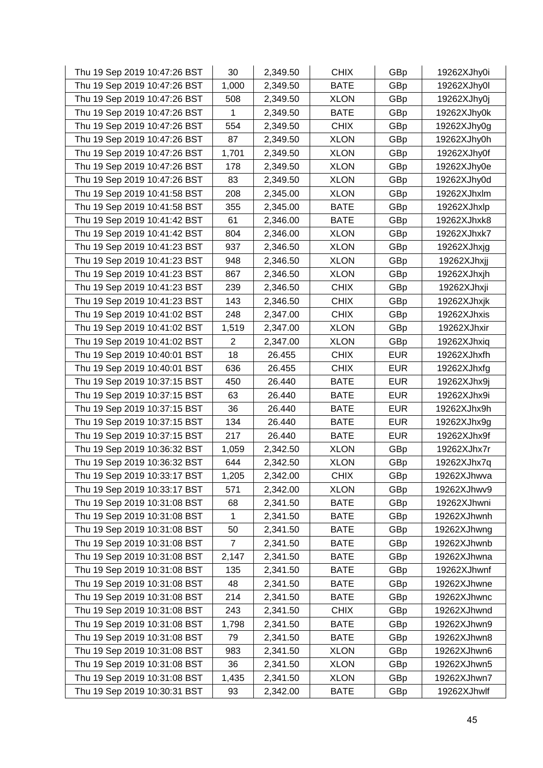| Thu 19 Sep 2019 10:47:26 BST | 30             | 2,349.50 | <b>CHIX</b> | GBp        | 19262XJhy0i |
|------------------------------|----------------|----------|-------------|------------|-------------|
| Thu 19 Sep 2019 10:47:26 BST | 1,000          | 2,349.50 | <b>BATE</b> | GBp        | 19262XJhy0l |
| Thu 19 Sep 2019 10:47:26 BST | 508            | 2,349.50 | <b>XLON</b> | GBp        | 19262XJhy0j |
| Thu 19 Sep 2019 10:47:26 BST | 1              | 2,349.50 | <b>BATE</b> | GBp        | 19262XJhy0k |
| Thu 19 Sep 2019 10:47:26 BST | 554            | 2,349.50 | <b>CHIX</b> | GBp        | 19262XJhy0g |
| Thu 19 Sep 2019 10:47:26 BST | 87             | 2,349.50 | <b>XLON</b> | GBp        | 19262XJhy0h |
| Thu 19 Sep 2019 10:47:26 BST | 1,701          | 2,349.50 | <b>XLON</b> | GBp        | 19262XJhy0f |
| Thu 19 Sep 2019 10:47:26 BST | 178            | 2,349.50 | <b>XLON</b> | GBp        | 19262XJhy0e |
| Thu 19 Sep 2019 10:47:26 BST | 83             | 2,349.50 | <b>XLON</b> | GBp        | 19262XJhy0d |
| Thu 19 Sep 2019 10:41:58 BST | 208            | 2,345.00 | <b>XLON</b> | GBp        | 19262XJhxlm |
| Thu 19 Sep 2019 10:41:58 BST | 355            | 2,345.00 | <b>BATE</b> | GBp        | 19262XJhxlp |
| Thu 19 Sep 2019 10:41:42 BST | 61             | 2,346.00 | <b>BATE</b> | GBp        | 19262XJhxk8 |
| Thu 19 Sep 2019 10:41:42 BST | 804            | 2,346.00 | <b>XLON</b> | GBp        | 19262XJhxk7 |
| Thu 19 Sep 2019 10:41:23 BST | 937            | 2,346.50 | <b>XLON</b> | GBp        | 19262XJhxjg |
| Thu 19 Sep 2019 10:41:23 BST | 948            | 2,346.50 | <b>XLON</b> | GBp        | 19262XJhxjj |
| Thu 19 Sep 2019 10:41:23 BST | 867            | 2,346.50 | <b>XLON</b> | GBp        | 19262XJhxjh |
| Thu 19 Sep 2019 10:41:23 BST | 239            | 2,346.50 | <b>CHIX</b> | GBp        | 19262XJhxji |
| Thu 19 Sep 2019 10:41:23 BST | 143            | 2,346.50 | <b>CHIX</b> | GBp        | 19262XJhxjk |
| Thu 19 Sep 2019 10:41:02 BST | 248            | 2,347.00 | <b>CHIX</b> | GBp        | 19262XJhxis |
| Thu 19 Sep 2019 10:41:02 BST | 1,519          | 2,347.00 | <b>XLON</b> | GBp        | 19262XJhxir |
| Thu 19 Sep 2019 10:41:02 BST | $\overline{2}$ | 2,347.00 | <b>XLON</b> | GBp        | 19262XJhxiq |
| Thu 19 Sep 2019 10:40:01 BST | 18             | 26.455   | <b>CHIX</b> | <b>EUR</b> | 19262XJhxfh |
| Thu 19 Sep 2019 10:40:01 BST | 636            | 26.455   | <b>CHIX</b> | <b>EUR</b> | 19262XJhxfg |
| Thu 19 Sep 2019 10:37:15 BST | 450            | 26.440   | <b>BATE</b> | <b>EUR</b> | 19262XJhx9j |
| Thu 19 Sep 2019 10:37:15 BST | 63             | 26.440   | <b>BATE</b> | <b>EUR</b> | 19262XJhx9i |
| Thu 19 Sep 2019 10:37:15 BST | 36             | 26.440   | <b>BATE</b> | <b>EUR</b> | 19262XJhx9h |
| Thu 19 Sep 2019 10:37:15 BST | 134            | 26.440   | <b>BATE</b> | <b>EUR</b> | 19262XJhx9g |
| Thu 19 Sep 2019 10:37:15 BST | 217            | 26.440   | <b>BATE</b> | <b>EUR</b> | 19262XJhx9f |
| Thu 19 Sep 2019 10:36:32 BST | 1,059          | 2,342.50 | <b>XLON</b> | GBp        | 19262XJhx7r |
| Thu 19 Sep 2019 10:36:32 BST | 644            | 2,342.50 | <b>XLON</b> | GBp        | 19262XJhx7q |
| Thu 19 Sep 2019 10:33:17 BST | 1,205          | 2,342.00 | <b>CHIX</b> | GBp        | 19262XJhwva |
| Thu 19 Sep 2019 10:33:17 BST | 571            | 2,342.00 | <b>XLON</b> | GBp        | 19262XJhwv9 |
| Thu 19 Sep 2019 10:31:08 BST | 68             | 2,341.50 | <b>BATE</b> | GBp        | 19262XJhwni |
| Thu 19 Sep 2019 10:31:08 BST | 1              | 2,341.50 | <b>BATE</b> | GBp        | 19262XJhwnh |
| Thu 19 Sep 2019 10:31:08 BST | 50             | 2,341.50 | <b>BATE</b> | GBp        | 19262XJhwng |
| Thu 19 Sep 2019 10:31:08 BST | 7              | 2,341.50 | <b>BATE</b> | GBp        | 19262XJhwnb |
| Thu 19 Sep 2019 10:31:08 BST | 2,147          | 2,341.50 | <b>BATE</b> | GBp        | 19262XJhwna |
| Thu 19 Sep 2019 10:31:08 BST | 135            | 2,341.50 | <b>BATE</b> | GBp        | 19262XJhwnf |
| Thu 19 Sep 2019 10:31:08 BST | 48             | 2,341.50 | <b>BATE</b> | GBp        | 19262XJhwne |
| Thu 19 Sep 2019 10:31:08 BST | 214            | 2,341.50 | <b>BATE</b> | GBp        | 19262XJhwnc |
| Thu 19 Sep 2019 10:31:08 BST | 243            | 2,341.50 | <b>CHIX</b> | GBp        | 19262XJhwnd |
| Thu 19 Sep 2019 10:31:08 BST | 1,798          | 2,341.50 | <b>BATE</b> | GBp        | 19262XJhwn9 |
| Thu 19 Sep 2019 10:31:08 BST | 79             | 2,341.50 | <b>BATE</b> | GBp        | 19262XJhwn8 |
| Thu 19 Sep 2019 10:31:08 BST | 983            | 2,341.50 | <b>XLON</b> | GBp        | 19262XJhwn6 |
| Thu 19 Sep 2019 10:31:08 BST | 36             | 2,341.50 | <b>XLON</b> | GBp        | 19262XJhwn5 |
| Thu 19 Sep 2019 10:31:08 BST | 1,435          | 2,341.50 | <b>XLON</b> | GBp        | 19262XJhwn7 |
| Thu 19 Sep 2019 10:30:31 BST | 93             | 2,342.00 | <b>BATE</b> | GBp        | 19262XJhwlf |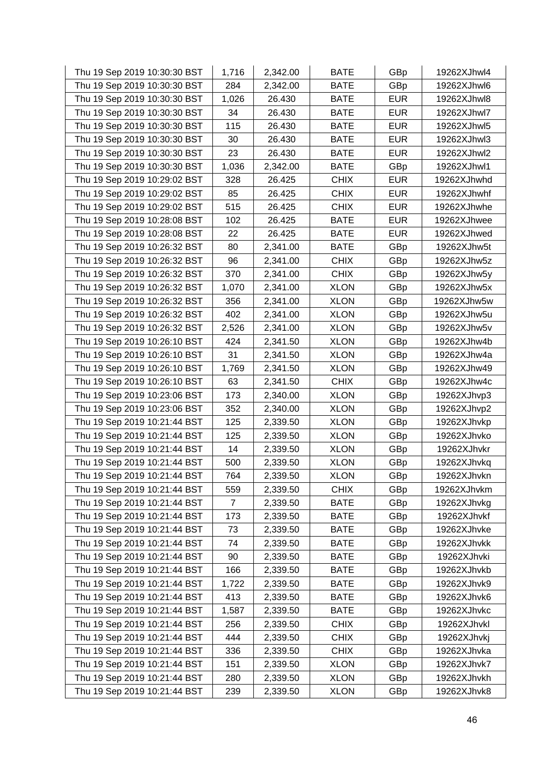| Thu 19 Sep 2019 10:30:30 BST | 1,716 | 2,342.00 | <b>BATE</b> | GBp        | 19262XJhwl4 |
|------------------------------|-------|----------|-------------|------------|-------------|
| Thu 19 Sep 2019 10:30:30 BST | 284   | 2,342.00 | <b>BATE</b> | GBp        | 19262XJhwl6 |
| Thu 19 Sep 2019 10:30:30 BST | 1,026 | 26.430   | <b>BATE</b> | <b>EUR</b> | 19262XJhwl8 |
| Thu 19 Sep 2019 10:30:30 BST | 34    | 26.430   | <b>BATE</b> | <b>EUR</b> | 19262XJhwl7 |
| Thu 19 Sep 2019 10:30:30 BST | 115   | 26.430   | <b>BATE</b> | <b>EUR</b> | 19262XJhwl5 |
| Thu 19 Sep 2019 10:30:30 BST | 30    | 26.430   | <b>BATE</b> | <b>EUR</b> | 19262XJhwl3 |
| Thu 19 Sep 2019 10:30:30 BST | 23    | 26.430   | <b>BATE</b> | <b>EUR</b> | 19262XJhwl2 |
| Thu 19 Sep 2019 10:30:30 BST | 1,036 | 2,342.00 | <b>BATE</b> | GBp        | 19262XJhwl1 |
| Thu 19 Sep 2019 10:29:02 BST | 328   | 26.425   | <b>CHIX</b> | <b>EUR</b> | 19262XJhwhd |
| Thu 19 Sep 2019 10:29:02 BST | 85    | 26.425   | <b>CHIX</b> | <b>EUR</b> | 19262XJhwhf |
| Thu 19 Sep 2019 10:29:02 BST | 515   | 26.425   | <b>CHIX</b> | <b>EUR</b> | 19262XJhwhe |
| Thu 19 Sep 2019 10:28:08 BST | 102   | 26.425   | <b>BATE</b> | <b>EUR</b> | 19262XJhwee |
| Thu 19 Sep 2019 10:28:08 BST | 22    | 26.425   | <b>BATE</b> | <b>EUR</b> | 19262XJhwed |
| Thu 19 Sep 2019 10:26:32 BST | 80    | 2,341.00 | <b>BATE</b> | GBp        | 19262XJhw5t |
| Thu 19 Sep 2019 10:26:32 BST | 96    | 2,341.00 | <b>CHIX</b> | GBp        | 19262XJhw5z |
| Thu 19 Sep 2019 10:26:32 BST | 370   | 2,341.00 | <b>CHIX</b> | GBp        | 19262XJhw5y |
| Thu 19 Sep 2019 10:26:32 BST | 1,070 | 2,341.00 | <b>XLON</b> | GBp        | 19262XJhw5x |
| Thu 19 Sep 2019 10:26:32 BST | 356   | 2,341.00 | <b>XLON</b> | GBp        | 19262XJhw5w |
| Thu 19 Sep 2019 10:26:32 BST | 402   | 2,341.00 | <b>XLON</b> | GBp        | 19262XJhw5u |
| Thu 19 Sep 2019 10:26:32 BST | 2,526 | 2,341.00 | <b>XLON</b> | GBp        | 19262XJhw5v |
| Thu 19 Sep 2019 10:26:10 BST | 424   | 2,341.50 | <b>XLON</b> | GBp        | 19262XJhw4b |
| Thu 19 Sep 2019 10:26:10 BST | 31    | 2,341.50 | <b>XLON</b> | GBp        | 19262XJhw4a |
| Thu 19 Sep 2019 10:26:10 BST | 1,769 | 2,341.50 | <b>XLON</b> | GBp        | 19262XJhw49 |
| Thu 19 Sep 2019 10:26:10 BST | 63    | 2,341.50 | <b>CHIX</b> | GBp        | 19262XJhw4c |
| Thu 19 Sep 2019 10:23:06 BST | 173   | 2,340.00 | <b>XLON</b> | GBp        | 19262XJhvp3 |
| Thu 19 Sep 2019 10:23:06 BST | 352   | 2,340.00 | <b>XLON</b> | GBp        | 19262XJhvp2 |
| Thu 19 Sep 2019 10:21:44 BST | 125   | 2,339.50 | <b>XLON</b> | GBp        | 19262XJhvkp |
| Thu 19 Sep 2019 10:21:44 BST | 125   | 2,339.50 | <b>XLON</b> | GBp        | 19262XJhvko |
| Thu 19 Sep 2019 10:21:44 BST | 14    | 2,339.50 | <b>XLON</b> | GBp        | 19262XJhvkr |
| Thu 19 Sep 2019 10:21:44 BST | 500   | 2,339.50 | <b>XLON</b> | GBp        | 19262XJhvkq |
| Thu 19 Sep 2019 10:21:44 BST | 764   | 2,339.50 | <b>XLON</b> | GBp        | 19262XJhvkn |
| Thu 19 Sep 2019 10:21:44 BST | 559   | 2,339.50 | <b>CHIX</b> | GBp        | 19262XJhvkm |
| Thu 19 Sep 2019 10:21:44 BST | 7     | 2,339.50 | BATE        | GBp        | 19262XJhvkg |
| Thu 19 Sep 2019 10:21:44 BST | 173   | 2,339.50 | <b>BATE</b> | GBp        | 19262XJhvkf |
| Thu 19 Sep 2019 10:21:44 BST | 73    | 2,339.50 | <b>BATE</b> | GBp        | 19262XJhvke |
| Thu 19 Sep 2019 10:21:44 BST | 74    | 2,339.50 | <b>BATE</b> | GBp        | 19262XJhvkk |
| Thu 19 Sep 2019 10:21:44 BST | 90    | 2,339.50 | <b>BATE</b> | GBp        | 19262XJhvki |
| Thu 19 Sep 2019 10:21:44 BST | 166   | 2,339.50 | <b>BATE</b> | GBp        | 19262XJhvkb |
| Thu 19 Sep 2019 10:21:44 BST | 1,722 | 2,339.50 | <b>BATE</b> | GBp        | 19262XJhvk9 |
| Thu 19 Sep 2019 10:21:44 BST | 413   | 2,339.50 | <b>BATE</b> | GBp        | 19262XJhvk6 |
| Thu 19 Sep 2019 10:21:44 BST | 1,587 | 2,339.50 | <b>BATE</b> | GBp        | 19262XJhvkc |
| Thu 19 Sep 2019 10:21:44 BST | 256   | 2,339.50 | <b>CHIX</b> | GBp        | 19262XJhvkl |
| Thu 19 Sep 2019 10:21:44 BST | 444   | 2,339.50 | <b>CHIX</b> | GBp        | 19262XJhvkj |
| Thu 19 Sep 2019 10:21:44 BST | 336   | 2,339.50 | <b>CHIX</b> | GBp        | 19262XJhvka |
| Thu 19 Sep 2019 10:21:44 BST | 151   | 2,339.50 | <b>XLON</b> | GBp        | 19262XJhvk7 |
| Thu 19 Sep 2019 10:21:44 BST | 280   | 2,339.50 | <b>XLON</b> | GBp        | 19262XJhvkh |
| Thu 19 Sep 2019 10:21:44 BST | 239   | 2,339.50 | <b>XLON</b> | GBp        | 19262XJhvk8 |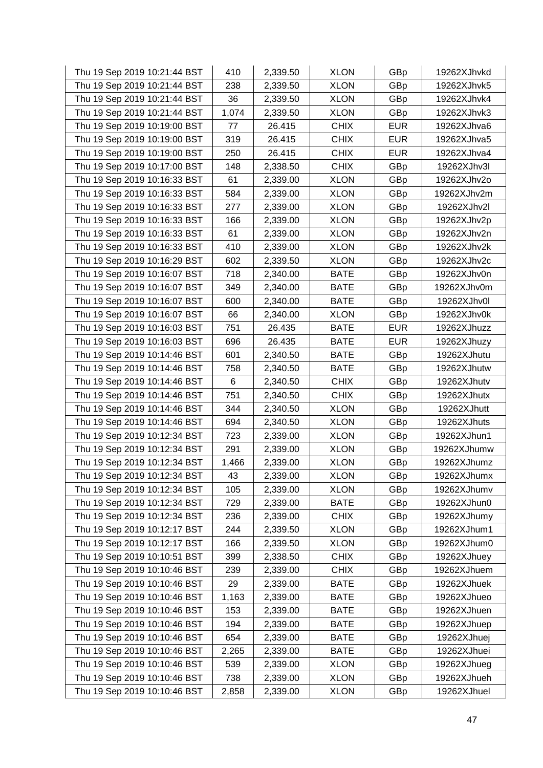| Thu 19 Sep 2019 10:21:44 BST | 410   | 2,339.50 | <b>XLON</b> | GBp        | 19262XJhvkd |
|------------------------------|-------|----------|-------------|------------|-------------|
| Thu 19 Sep 2019 10:21:44 BST | 238   | 2,339.50 | <b>XLON</b> | GBp        | 19262XJhvk5 |
| Thu 19 Sep 2019 10:21:44 BST | 36    | 2,339.50 | <b>XLON</b> | GBp        | 19262XJhvk4 |
| Thu 19 Sep 2019 10:21:44 BST | 1,074 | 2,339.50 | <b>XLON</b> | GBp        | 19262XJhvk3 |
| Thu 19 Sep 2019 10:19:00 BST | 77    | 26.415   | <b>CHIX</b> | <b>EUR</b> | 19262XJhva6 |
| Thu 19 Sep 2019 10:19:00 BST | 319   | 26.415   | <b>CHIX</b> | <b>EUR</b> | 19262XJhva5 |
| Thu 19 Sep 2019 10:19:00 BST | 250   | 26.415   | <b>CHIX</b> | <b>EUR</b> | 19262XJhva4 |
| Thu 19 Sep 2019 10:17:00 BST | 148   | 2,338.50 | <b>CHIX</b> | GBp        | 19262XJhv3l |
| Thu 19 Sep 2019 10:16:33 BST | 61    | 2,339.00 | <b>XLON</b> | GBp        | 19262XJhv2o |
| Thu 19 Sep 2019 10:16:33 BST | 584   | 2,339.00 | <b>XLON</b> | GBp        | 19262XJhv2m |
| Thu 19 Sep 2019 10:16:33 BST | 277   | 2,339.00 | <b>XLON</b> | GBp        | 19262XJhv2l |
| Thu 19 Sep 2019 10:16:33 BST | 166   | 2,339.00 | <b>XLON</b> | GBp        | 19262XJhv2p |
| Thu 19 Sep 2019 10:16:33 BST | 61    | 2,339.00 | <b>XLON</b> | GBp        | 19262XJhv2n |
| Thu 19 Sep 2019 10:16:33 BST | 410   | 2,339.00 | <b>XLON</b> | GBp        | 19262XJhv2k |
| Thu 19 Sep 2019 10:16:29 BST | 602   | 2,339.50 | <b>XLON</b> | GBp        | 19262XJhv2c |
| Thu 19 Sep 2019 10:16:07 BST | 718   | 2,340.00 | <b>BATE</b> | GBp        | 19262XJhv0n |
| Thu 19 Sep 2019 10:16:07 BST | 349   | 2,340.00 | <b>BATE</b> | GBp        | 19262XJhv0m |
| Thu 19 Sep 2019 10:16:07 BST | 600   | 2,340.00 | <b>BATE</b> | GBp        | 19262XJhv0l |
| Thu 19 Sep 2019 10:16:07 BST | 66    | 2,340.00 | <b>XLON</b> | GBp        | 19262XJhv0k |
| Thu 19 Sep 2019 10:16:03 BST | 751   | 26.435   | <b>BATE</b> | <b>EUR</b> | 19262XJhuzz |
| Thu 19 Sep 2019 10:16:03 BST | 696   | 26.435   | <b>BATE</b> | <b>EUR</b> | 19262XJhuzy |
| Thu 19 Sep 2019 10:14:46 BST | 601   | 2,340.50 | <b>BATE</b> | GBp        | 19262XJhutu |
| Thu 19 Sep 2019 10:14:46 BST | 758   | 2,340.50 | <b>BATE</b> | GBp        | 19262XJhutw |
| Thu 19 Sep 2019 10:14:46 BST | 6     | 2,340.50 | <b>CHIX</b> | GBp        | 19262XJhutv |
| Thu 19 Sep 2019 10:14:46 BST | 751   | 2,340.50 | <b>CHIX</b> | GBp        | 19262XJhutx |
| Thu 19 Sep 2019 10:14:46 BST | 344   | 2,340.50 | <b>XLON</b> | GBp        | 19262XJhutt |
| Thu 19 Sep 2019 10:14:46 BST | 694   | 2,340.50 | <b>XLON</b> | GBp        | 19262XJhuts |
| Thu 19 Sep 2019 10:12:34 BST | 723   | 2,339.00 | <b>XLON</b> | GBp        | 19262XJhun1 |
| Thu 19 Sep 2019 10:12:34 BST | 291   | 2,339.00 | <b>XLON</b> | GBp        | 19262XJhumw |
| Thu 19 Sep 2019 10:12:34 BST | 1,466 | 2,339.00 | <b>XLON</b> | GBp        | 19262XJhumz |
| Thu 19 Sep 2019 10:12:34 BST | 43    | 2,339.00 | <b>XLON</b> | GBp        | 19262XJhumx |
| Thu 19 Sep 2019 10:12:34 BST | 105   | 2,339.00 | <b>XLON</b> | GBp        | 19262XJhumv |
| Thu 19 Sep 2019 10:12:34 BST | 729   | 2,339.00 | <b>BATE</b> | GBp        | 19262XJhun0 |
| Thu 19 Sep 2019 10:12:34 BST | 236   | 2,339.00 | <b>CHIX</b> | GBp        | 19262XJhumy |
| Thu 19 Sep 2019 10:12:17 BST | 244   | 2,339.50 | <b>XLON</b> | GBp        | 19262XJhum1 |
| Thu 19 Sep 2019 10:12:17 BST | 166   | 2,339.50 | <b>XLON</b> | GBp        | 19262XJhum0 |
| Thu 19 Sep 2019 10:10:51 BST | 399   | 2,338.50 | <b>CHIX</b> | GBp        | 19262XJhuey |
| Thu 19 Sep 2019 10:10:46 BST | 239   | 2,339.00 | <b>CHIX</b> | GBp        | 19262XJhuem |
| Thu 19 Sep 2019 10:10:46 BST | 29    | 2,339.00 | <b>BATE</b> | GBp        | 19262XJhuek |
| Thu 19 Sep 2019 10:10:46 BST | 1,163 | 2,339.00 | <b>BATE</b> | GBp        | 19262XJhueo |
| Thu 19 Sep 2019 10:10:46 BST | 153   | 2,339.00 | <b>BATE</b> | GBp        | 19262XJhuen |
| Thu 19 Sep 2019 10:10:46 BST | 194   | 2,339.00 | <b>BATE</b> | GBp        | 19262XJhuep |
| Thu 19 Sep 2019 10:10:46 BST | 654   | 2,339.00 | <b>BATE</b> | GBp        | 19262XJhuej |
| Thu 19 Sep 2019 10:10:46 BST | 2,265 | 2,339.00 | <b>BATE</b> | GBp        | 19262XJhuei |
| Thu 19 Sep 2019 10:10:46 BST | 539   | 2,339.00 | <b>XLON</b> | GBp        | 19262XJhueg |
| Thu 19 Sep 2019 10:10:46 BST | 738   | 2,339.00 | <b>XLON</b> | GBp        | 19262XJhueh |
| Thu 19 Sep 2019 10:10:46 BST | 2,858 | 2,339.00 | <b>XLON</b> | GBp        | 19262XJhuel |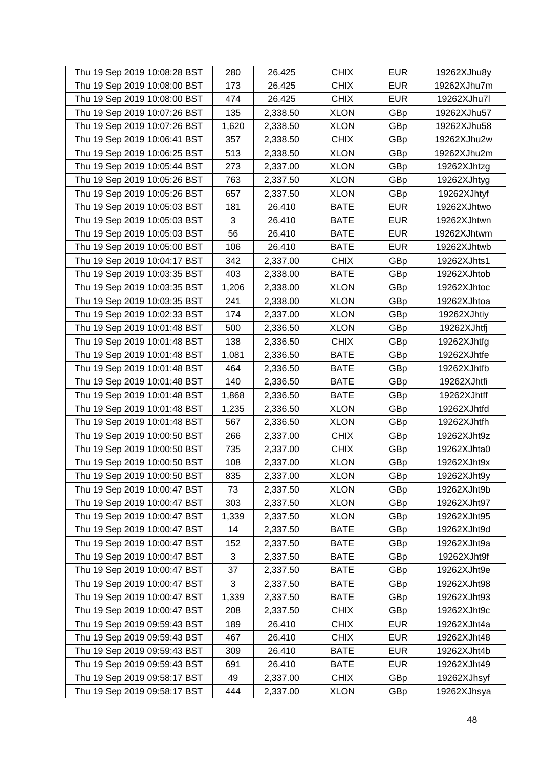| Thu 19 Sep 2019 10:08:28 BST | 280   | 26.425   | <b>CHIX</b> | <b>EUR</b> | 19262XJhu8y |
|------------------------------|-------|----------|-------------|------------|-------------|
| Thu 19 Sep 2019 10:08:00 BST | 173   | 26.425   | <b>CHIX</b> | <b>EUR</b> | 19262XJhu7m |
| Thu 19 Sep 2019 10:08:00 BST | 474   | 26.425   | <b>CHIX</b> | <b>EUR</b> | 19262XJhu7l |
| Thu 19 Sep 2019 10:07:26 BST | 135   | 2,338.50 | <b>XLON</b> | GBp        | 19262XJhu57 |
| Thu 19 Sep 2019 10:07:26 BST | 1,620 | 2,338.50 | <b>XLON</b> | GBp        | 19262XJhu58 |
| Thu 19 Sep 2019 10:06:41 BST | 357   | 2,338.50 | <b>CHIX</b> | GBp        | 19262XJhu2w |
| Thu 19 Sep 2019 10:06:25 BST | 513   | 2,338.50 | <b>XLON</b> | GBp        | 19262XJhu2m |
| Thu 19 Sep 2019 10:05:44 BST | 273   | 2,337.00 | <b>XLON</b> | GBp        | 19262XJhtzg |
| Thu 19 Sep 2019 10:05:26 BST | 763   | 2,337.50 | <b>XLON</b> | GBp        | 19262XJhtyg |
| Thu 19 Sep 2019 10:05:26 BST | 657   | 2,337.50 | <b>XLON</b> | GBp        | 19262XJhtyf |
| Thu 19 Sep 2019 10:05:03 BST | 181   | 26.410   | <b>BATE</b> | <b>EUR</b> | 19262XJhtwo |
| Thu 19 Sep 2019 10:05:03 BST | 3     | 26.410   | <b>BATE</b> | <b>EUR</b> | 19262XJhtwn |
| Thu 19 Sep 2019 10:05:03 BST | 56    | 26.410   | <b>BATE</b> | <b>EUR</b> | 19262XJhtwm |
| Thu 19 Sep 2019 10:05:00 BST | 106   | 26.410   | <b>BATE</b> | <b>EUR</b> | 19262XJhtwb |
| Thu 19 Sep 2019 10:04:17 BST | 342   | 2,337.00 | <b>CHIX</b> | GBp        | 19262XJhts1 |
| Thu 19 Sep 2019 10:03:35 BST | 403   | 2,338.00 | <b>BATE</b> | GBp        | 19262XJhtob |
| Thu 19 Sep 2019 10:03:35 BST | 1,206 | 2,338.00 | <b>XLON</b> | GBp        | 19262XJhtoc |
| Thu 19 Sep 2019 10:03:35 BST | 241   | 2,338.00 | <b>XLON</b> | GBp        | 19262XJhtoa |
| Thu 19 Sep 2019 10:02:33 BST | 174   | 2,337.00 | <b>XLON</b> | GBp        | 19262XJhtiy |
| Thu 19 Sep 2019 10:01:48 BST | 500   | 2,336.50 | <b>XLON</b> | GBp        | 19262XJhtfj |
| Thu 19 Sep 2019 10:01:48 BST | 138   | 2,336.50 | <b>CHIX</b> | GBp        | 19262XJhtfg |
| Thu 19 Sep 2019 10:01:48 BST | 1,081 | 2,336.50 | <b>BATE</b> | GBp        | 19262XJhtfe |
| Thu 19 Sep 2019 10:01:48 BST | 464   | 2,336.50 | <b>BATE</b> | GBp        | 19262XJhtfb |
| Thu 19 Sep 2019 10:01:48 BST | 140   | 2,336.50 | <b>BATE</b> | GBp        | 19262XJhtfi |
| Thu 19 Sep 2019 10:01:48 BST | 1,868 | 2,336.50 | <b>BATE</b> | GBp        | 19262XJhtff |
| Thu 19 Sep 2019 10:01:48 BST | 1,235 | 2,336.50 | <b>XLON</b> | GBp        | 19262XJhtfd |
| Thu 19 Sep 2019 10:01:48 BST | 567   | 2,336.50 | <b>XLON</b> | GBp        | 19262XJhtfh |
| Thu 19 Sep 2019 10:00:50 BST | 266   | 2,337.00 | <b>CHIX</b> | GBp        | 19262XJht9z |
| Thu 19 Sep 2019 10:00:50 BST | 735   | 2,337.00 | <b>CHIX</b> | GBp        | 19262XJhta0 |
| Thu 19 Sep 2019 10:00:50 BST | 108   | 2,337.00 | <b>XLON</b> | GBp        | 19262XJht9x |
| Thu 19 Sep 2019 10:00:50 BST | 835   | 2,337.00 | <b>XLON</b> | GBp        | 19262XJht9y |
| Thu 19 Sep 2019 10:00:47 BST | 73    | 2,337.50 | <b>XLON</b> | GBp        | 19262XJht9b |
| Thu 19 Sep 2019 10:00:47 BST | 303   | 2,337.50 | <b>XLON</b> | GBp        | 19262XJht97 |
| Thu 19 Sep 2019 10:00:47 BST | 1,339 | 2,337.50 | <b>XLON</b> | GBp        | 19262XJht95 |
| Thu 19 Sep 2019 10:00:47 BST | 14    | 2,337.50 | <b>BATE</b> | GBp        | 19262XJht9d |
| Thu 19 Sep 2019 10:00:47 BST | 152   | 2,337.50 | <b>BATE</b> | GBp        | 19262XJht9a |
| Thu 19 Sep 2019 10:00:47 BST | 3     | 2,337.50 | <b>BATE</b> | GBp        | 19262XJht9f |
| Thu 19 Sep 2019 10:00:47 BST | 37    | 2,337.50 | <b>BATE</b> | GBp        | 19262XJht9e |
| Thu 19 Sep 2019 10:00:47 BST | 3     | 2,337.50 | <b>BATE</b> | GBp        | 19262XJht98 |
| Thu 19 Sep 2019 10:00:47 BST | 1,339 | 2,337.50 | <b>BATE</b> | GBp        | 19262XJht93 |
| Thu 19 Sep 2019 10:00:47 BST | 208   | 2,337.50 | <b>CHIX</b> | GBp        | 19262XJht9c |
| Thu 19 Sep 2019 09:59:43 BST | 189   | 26.410   | <b>CHIX</b> | <b>EUR</b> | 19262XJht4a |
| Thu 19 Sep 2019 09:59:43 BST | 467   | 26.410   | <b>CHIX</b> | <b>EUR</b> | 19262XJht48 |
| Thu 19 Sep 2019 09:59:43 BST | 309   | 26.410   | <b>BATE</b> | <b>EUR</b> | 19262XJht4b |
| Thu 19 Sep 2019 09:59:43 BST | 691   | 26.410   | <b>BATE</b> | <b>EUR</b> | 19262XJht49 |
| Thu 19 Sep 2019 09:58:17 BST | 49    | 2,337.00 | <b>CHIX</b> | GBp        | 19262XJhsyf |
| Thu 19 Sep 2019 09:58:17 BST | 444   | 2,337.00 | <b>XLON</b> | GBp        | 19262XJhsya |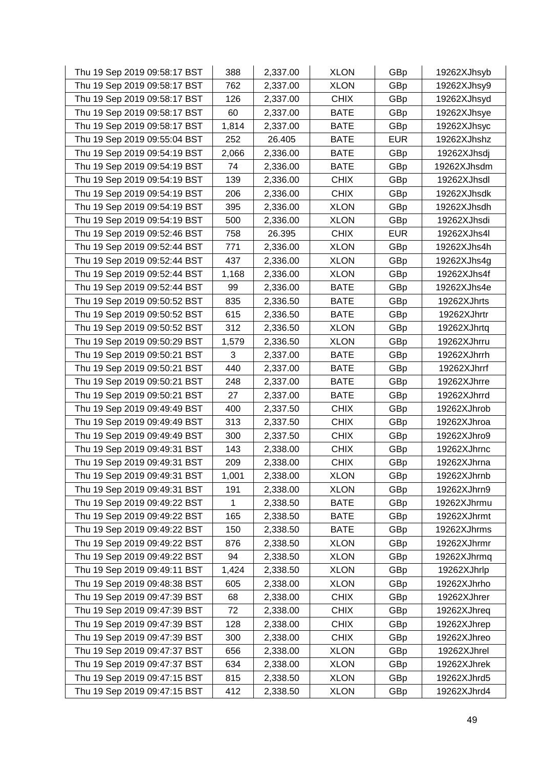| Thu 19 Sep 2019 09:58:17 BST | 388   | 2,337.00 | <b>XLON</b> | GBp        | 19262XJhsyb |
|------------------------------|-------|----------|-------------|------------|-------------|
| Thu 19 Sep 2019 09:58:17 BST | 762   | 2,337.00 | <b>XLON</b> | GBp        | 19262XJhsy9 |
| Thu 19 Sep 2019 09:58:17 BST | 126   | 2,337.00 | <b>CHIX</b> | GBp        | 19262XJhsyd |
| Thu 19 Sep 2019 09:58:17 BST | 60    | 2,337.00 | <b>BATE</b> | GBp        | 19262XJhsye |
| Thu 19 Sep 2019 09:58:17 BST | 1,814 | 2,337.00 | <b>BATE</b> | GBp        | 19262XJhsyc |
| Thu 19 Sep 2019 09:55:04 BST | 252   | 26.405   | <b>BATE</b> | <b>EUR</b> | 19262XJhshz |
| Thu 19 Sep 2019 09:54:19 BST | 2,066 | 2,336.00 | <b>BATE</b> | GBp        | 19262XJhsdj |
| Thu 19 Sep 2019 09:54:19 BST | 74    | 2,336.00 | <b>BATE</b> | GBp        | 19262XJhsdm |
| Thu 19 Sep 2019 09:54:19 BST | 139   | 2,336.00 | <b>CHIX</b> | GBp        | 19262XJhsdl |
| Thu 19 Sep 2019 09:54:19 BST | 206   | 2,336.00 | <b>CHIX</b> | GBp        | 19262XJhsdk |
| Thu 19 Sep 2019 09:54:19 BST | 395   | 2,336.00 | <b>XLON</b> | GBp        | 19262XJhsdh |
| Thu 19 Sep 2019 09:54:19 BST | 500   | 2,336.00 | <b>XLON</b> | GBp        | 19262XJhsdi |
| Thu 19 Sep 2019 09:52:46 BST | 758   | 26.395   | <b>CHIX</b> | <b>EUR</b> | 19262XJhs4l |
| Thu 19 Sep 2019 09:52:44 BST | 771   | 2,336.00 | <b>XLON</b> | GBp        | 19262XJhs4h |
| Thu 19 Sep 2019 09:52:44 BST | 437   | 2,336.00 | <b>XLON</b> | GBp        | 19262XJhs4g |
| Thu 19 Sep 2019 09:52:44 BST | 1,168 | 2,336.00 | <b>XLON</b> | GBp        | 19262XJhs4f |
| Thu 19 Sep 2019 09:52:44 BST | 99    | 2,336.00 | <b>BATE</b> | GBp        | 19262XJhs4e |
| Thu 19 Sep 2019 09:50:52 BST | 835   | 2,336.50 | <b>BATE</b> | GBp        | 19262XJhrts |
| Thu 19 Sep 2019 09:50:52 BST | 615   | 2,336.50 | <b>BATE</b> | GBp        | 19262XJhrtr |
| Thu 19 Sep 2019 09:50:52 BST | 312   | 2,336.50 | <b>XLON</b> | GBp        | 19262XJhrtq |
| Thu 19 Sep 2019 09:50:29 BST | 1,579 | 2,336.50 | <b>XLON</b> | GBp        | 19262XJhrru |
| Thu 19 Sep 2019 09:50:21 BST | 3     | 2,337.00 | <b>BATE</b> | GBp        | 19262XJhrrh |
| Thu 19 Sep 2019 09:50:21 BST | 440   | 2,337.00 | <b>BATE</b> | GBp        | 19262XJhrrf |
| Thu 19 Sep 2019 09:50:21 BST | 248   | 2,337.00 | <b>BATE</b> | GBp        | 19262XJhrre |
| Thu 19 Sep 2019 09:50:21 BST | 27    | 2,337.00 | <b>BATE</b> | GBp        | 19262XJhrrd |
| Thu 19 Sep 2019 09:49:49 BST | 400   | 2,337.50 | <b>CHIX</b> | GBp        | 19262XJhrob |
| Thu 19 Sep 2019 09:49:49 BST | 313   | 2,337.50 | <b>CHIX</b> | GBp        | 19262XJhroa |
| Thu 19 Sep 2019 09:49:49 BST | 300   | 2,337.50 | <b>CHIX</b> | GBp        | 19262XJhro9 |
| Thu 19 Sep 2019 09:49:31 BST | 143   | 2,338.00 | <b>CHIX</b> | GBp        | 19262XJhrnc |
| Thu 19 Sep 2019 09:49:31 BST | 209   | 2,338.00 | <b>CHIX</b> | GBp        | 19262XJhrna |
| Thu 19 Sep 2019 09:49:31 BST | 1,001 | 2,338.00 | <b>XLON</b> | GBp        | 19262XJhrnb |
| Thu 19 Sep 2019 09:49:31 BST | 191   | 2,338.00 | <b>XLON</b> | GBp        | 19262XJhrn9 |
| Thu 19 Sep 2019 09:49:22 BST | 1     | 2,338.50 | <b>BATE</b> | GBp        | 19262XJhrmu |
| Thu 19 Sep 2019 09:49:22 BST | 165   | 2,338.50 | <b>BATE</b> | GBp        | 19262XJhrmt |
| Thu 19 Sep 2019 09:49:22 BST | 150   | 2,338.50 | <b>BATE</b> | GBp        | 19262XJhrms |
| Thu 19 Sep 2019 09:49:22 BST | 876   | 2,338.50 | <b>XLON</b> | GBp        | 19262XJhrmr |
| Thu 19 Sep 2019 09:49:22 BST | 94    | 2,338.50 | <b>XLON</b> | GBp        | 19262XJhrmq |
| Thu 19 Sep 2019 09:49:11 BST | 1,424 | 2,338.50 | <b>XLON</b> | GBp        | 19262XJhrlp |
| Thu 19 Sep 2019 09:48:38 BST | 605   | 2,338.00 | <b>XLON</b> | GBp        | 19262XJhrho |
| Thu 19 Sep 2019 09:47:39 BST | 68    | 2,338.00 | <b>CHIX</b> | GBp        | 19262XJhrer |
| Thu 19 Sep 2019 09:47:39 BST | 72    | 2,338.00 | <b>CHIX</b> | GBp        | 19262XJhreq |
| Thu 19 Sep 2019 09:47:39 BST | 128   | 2,338.00 | <b>CHIX</b> | GBp        | 19262XJhrep |
| Thu 19 Sep 2019 09:47:39 BST | 300   | 2,338.00 | <b>CHIX</b> | GBp        | 19262XJhreo |
| Thu 19 Sep 2019 09:47:37 BST | 656   | 2,338.00 | <b>XLON</b> | GBp        | 19262XJhrel |
| Thu 19 Sep 2019 09:47:37 BST | 634   | 2,338.00 | <b>XLON</b> | GBp        | 19262XJhrek |
| Thu 19 Sep 2019 09:47:15 BST | 815   | 2,338.50 | <b>XLON</b> | GBp        | 19262XJhrd5 |
| Thu 19 Sep 2019 09:47:15 BST | 412   | 2,338.50 | <b>XLON</b> | GBp        | 19262XJhrd4 |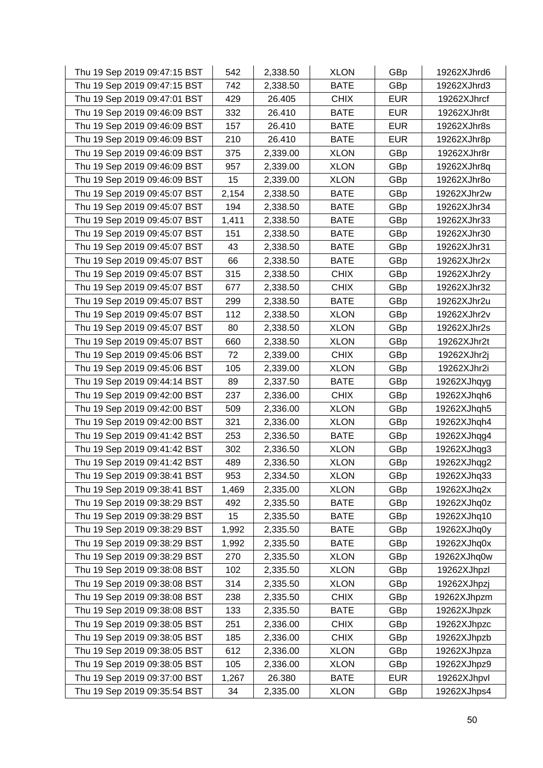| Thu 19 Sep 2019 09:47:15 BST | 542   | 2,338.50 | <b>XLON</b> | GBp        | 19262XJhrd6 |
|------------------------------|-------|----------|-------------|------------|-------------|
| Thu 19 Sep 2019 09:47:15 BST | 742   | 2,338.50 | <b>BATE</b> | GBp        | 19262XJhrd3 |
| Thu 19 Sep 2019 09:47:01 BST | 429   | 26.405   | <b>CHIX</b> | <b>EUR</b> | 19262XJhrcf |
| Thu 19 Sep 2019 09:46:09 BST | 332   | 26.410   | <b>BATE</b> | <b>EUR</b> | 19262XJhr8t |
| Thu 19 Sep 2019 09:46:09 BST | 157   | 26.410   | <b>BATE</b> | <b>EUR</b> | 19262XJhr8s |
| Thu 19 Sep 2019 09:46:09 BST | 210   | 26.410   | <b>BATE</b> | <b>EUR</b> | 19262XJhr8p |
| Thu 19 Sep 2019 09:46:09 BST | 375   | 2,339.00 | <b>XLON</b> | GBp        | 19262XJhr8r |
| Thu 19 Sep 2019 09:46:09 BST | 957   | 2,339.00 | <b>XLON</b> | GBp        | 19262XJhr8q |
| Thu 19 Sep 2019 09:46:09 BST | 15    | 2,339.00 | <b>XLON</b> | GBp        | 19262XJhr8o |
| Thu 19 Sep 2019 09:45:07 BST | 2,154 | 2,338.50 | <b>BATE</b> | GBp        | 19262XJhr2w |
| Thu 19 Sep 2019 09:45:07 BST | 194   | 2,338.50 | <b>BATE</b> | GBp        | 19262XJhr34 |
| Thu 19 Sep 2019 09:45:07 BST | 1,411 | 2,338.50 | <b>BATE</b> | GBp        | 19262XJhr33 |
| Thu 19 Sep 2019 09:45:07 BST | 151   | 2,338.50 | <b>BATE</b> | GBp        | 19262XJhr30 |
| Thu 19 Sep 2019 09:45:07 BST | 43    | 2,338.50 | <b>BATE</b> | GBp        | 19262XJhr31 |
| Thu 19 Sep 2019 09:45:07 BST | 66    | 2,338.50 | <b>BATE</b> | GBp        | 19262XJhr2x |
| Thu 19 Sep 2019 09:45:07 BST | 315   | 2,338.50 | <b>CHIX</b> | GBp        | 19262XJhr2y |
| Thu 19 Sep 2019 09:45:07 BST | 677   | 2,338.50 | <b>CHIX</b> | GBp        | 19262XJhr32 |
| Thu 19 Sep 2019 09:45:07 BST | 299   | 2,338.50 | <b>BATE</b> | GBp        | 19262XJhr2u |
| Thu 19 Sep 2019 09:45:07 BST | 112   | 2,338.50 | <b>XLON</b> | GBp        | 19262XJhr2v |
| Thu 19 Sep 2019 09:45:07 BST | 80    | 2,338.50 | <b>XLON</b> | GBp        | 19262XJhr2s |
| Thu 19 Sep 2019 09:45:07 BST | 660   | 2,338.50 | <b>XLON</b> | GBp        | 19262XJhr2t |
| Thu 19 Sep 2019 09:45:06 BST | 72    | 2,339.00 | <b>CHIX</b> | GBp        | 19262XJhr2j |
| Thu 19 Sep 2019 09:45:06 BST | 105   | 2,339.00 | <b>XLON</b> | GBp        | 19262XJhr2i |
| Thu 19 Sep 2019 09:44:14 BST | 89    | 2,337.50 | <b>BATE</b> | GBp        | 19262XJhqyg |
| Thu 19 Sep 2019 09:42:00 BST | 237   | 2,336.00 | <b>CHIX</b> | GBp        | 19262XJhqh6 |
| Thu 19 Sep 2019 09:42:00 BST | 509   | 2,336.00 | <b>XLON</b> | GBp        | 19262XJhqh5 |
| Thu 19 Sep 2019 09:42:00 BST | 321   | 2,336.00 | <b>XLON</b> | GBp        | 19262XJhqh4 |
| Thu 19 Sep 2019 09:41:42 BST | 253   | 2,336.50 | <b>BATE</b> | GBp        | 19262XJhqg4 |
| Thu 19 Sep 2019 09:41:42 BST | 302   | 2,336.50 | <b>XLON</b> | GBp        | 19262XJhqg3 |
| Thu 19 Sep 2019 09:41:42 BST | 489   | 2,336.50 | <b>XLON</b> | GBp        | 19262XJhqg2 |
| Thu 19 Sep 2019 09:38:41 BST | 953   | 2,334.50 | <b>XLON</b> | GBp        | 19262XJhq33 |
| Thu 19 Sep 2019 09:38:41 BST | 1,469 | 2,335.00 | <b>XLON</b> | GBp        | 19262XJhq2x |
| Thu 19 Sep 2019 09:38:29 BST | 492   | 2,335.50 | <b>BATE</b> | GBp        | 19262XJhq0z |
| Thu 19 Sep 2019 09:38:29 BST | 15    | 2,335.50 | <b>BATE</b> | GBp        | 19262XJhq10 |
| Thu 19 Sep 2019 09:38:29 BST | 1,992 | 2,335.50 | <b>BATE</b> | GBp        | 19262XJhq0y |
| Thu 19 Sep 2019 09:38:29 BST | 1,992 | 2,335.50 | <b>BATE</b> | GBp        | 19262XJhq0x |
| Thu 19 Sep 2019 09:38:29 BST | 270   | 2,335.50 | <b>XLON</b> | GBp        | 19262XJhq0w |
| Thu 19 Sep 2019 09:38:08 BST | 102   | 2,335.50 | <b>XLON</b> | GBp        | 19262XJhpzl |
| Thu 19 Sep 2019 09:38:08 BST | 314   | 2,335.50 | <b>XLON</b> | GBp        | 19262XJhpzj |
| Thu 19 Sep 2019 09:38:08 BST | 238   | 2,335.50 | <b>CHIX</b> | GBp        | 19262XJhpzm |
| Thu 19 Sep 2019 09:38:08 BST | 133   | 2,335.50 | <b>BATE</b> | GBp        | 19262XJhpzk |
| Thu 19 Sep 2019 09:38:05 BST | 251   | 2,336.00 | <b>CHIX</b> | GBp        | 19262XJhpzc |
| Thu 19 Sep 2019 09:38:05 BST | 185   | 2,336.00 | <b>CHIX</b> | GBp        | 19262XJhpzb |
| Thu 19 Sep 2019 09:38:05 BST | 612   | 2,336.00 | <b>XLON</b> | GBp        | 19262XJhpza |
| Thu 19 Sep 2019 09:38:05 BST | 105   | 2,336.00 | <b>XLON</b> | <b>GBp</b> | 19262XJhpz9 |
| Thu 19 Sep 2019 09:37:00 BST | 1,267 | 26.380   | <b>BATE</b> | <b>EUR</b> | 19262XJhpvl |
| Thu 19 Sep 2019 09:35:54 BST | 34    | 2,335.00 | <b>XLON</b> | <b>GBp</b> | 19262XJhps4 |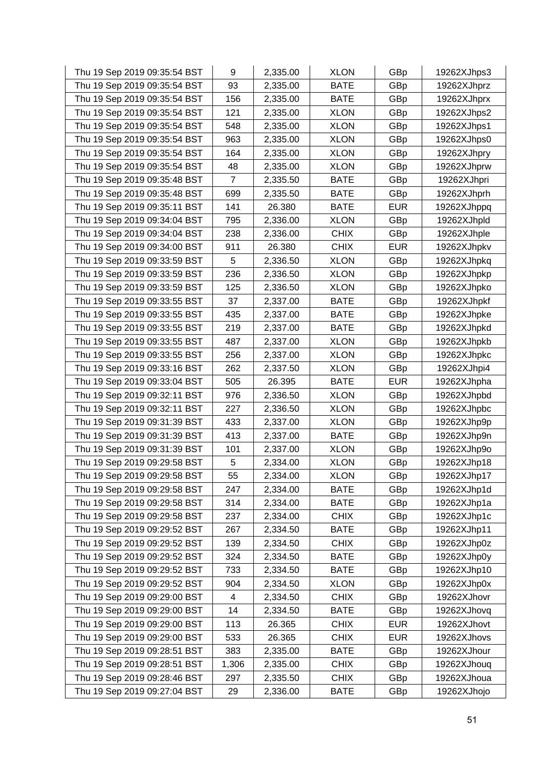| Thu 19 Sep 2019 09:35:54 BST | 9     | 2,335.00 | <b>XLON</b> | GBp        | 19262XJhps3 |
|------------------------------|-------|----------|-------------|------------|-------------|
| Thu 19 Sep 2019 09:35:54 BST | 93    | 2,335.00 | <b>BATE</b> | GBp        | 19262XJhprz |
| Thu 19 Sep 2019 09:35:54 BST | 156   | 2,335.00 | <b>BATE</b> | GBp        | 19262XJhprx |
| Thu 19 Sep 2019 09:35:54 BST | 121   | 2,335.00 | <b>XLON</b> | GBp        | 19262XJhps2 |
| Thu 19 Sep 2019 09:35:54 BST | 548   | 2,335.00 | <b>XLON</b> | GBp        | 19262XJhps1 |
| Thu 19 Sep 2019 09:35:54 BST | 963   | 2,335.00 | <b>XLON</b> | GBp        | 19262XJhps0 |
| Thu 19 Sep 2019 09:35:54 BST | 164   | 2,335.00 | <b>XLON</b> | GBp        | 19262XJhpry |
| Thu 19 Sep 2019 09:35:54 BST | 48    | 2,335.00 | <b>XLON</b> | GBp        | 19262XJhprw |
| Thu 19 Sep 2019 09:35:48 BST | 7     | 2,335.50 | <b>BATE</b> | GBp        | 19262XJhpri |
| Thu 19 Sep 2019 09:35:48 BST | 699   | 2,335.50 | <b>BATE</b> | GBp        | 19262XJhprh |
| Thu 19 Sep 2019 09:35:11 BST | 141   | 26.380   | <b>BATE</b> | <b>EUR</b> | 19262XJhppq |
| Thu 19 Sep 2019 09:34:04 BST | 795   | 2,336.00 | <b>XLON</b> | GBp        | 19262XJhpld |
| Thu 19 Sep 2019 09:34:04 BST | 238   | 2,336.00 | <b>CHIX</b> | GBp        | 19262XJhple |
| Thu 19 Sep 2019 09:34:00 BST | 911   | 26.380   | <b>CHIX</b> | <b>EUR</b> | 19262XJhpkv |
| Thu 19 Sep 2019 09:33:59 BST | 5     | 2,336.50 | <b>XLON</b> | GBp        | 19262XJhpkq |
| Thu 19 Sep 2019 09:33:59 BST | 236   | 2,336.50 | <b>XLON</b> | GBp        | 19262XJhpkp |
| Thu 19 Sep 2019 09:33:59 BST | 125   | 2,336.50 | <b>XLON</b> | GBp        | 19262XJhpko |
| Thu 19 Sep 2019 09:33:55 BST | 37    | 2,337.00 | <b>BATE</b> | GBp        | 19262XJhpkf |
| Thu 19 Sep 2019 09:33:55 BST | 435   | 2,337.00 | <b>BATE</b> | GBp        | 19262XJhpke |
| Thu 19 Sep 2019 09:33:55 BST | 219   | 2,337.00 | <b>BATE</b> | GBp        | 19262XJhpkd |
| Thu 19 Sep 2019 09:33:55 BST | 487   | 2,337.00 | <b>XLON</b> | GBp        | 19262XJhpkb |
| Thu 19 Sep 2019 09:33:55 BST | 256   | 2,337.00 | <b>XLON</b> | GBp        | 19262XJhpkc |
| Thu 19 Sep 2019 09:33:16 BST | 262   | 2,337.50 | <b>XLON</b> | GBp        | 19262XJhpi4 |
| Thu 19 Sep 2019 09:33:04 BST | 505   | 26.395   | <b>BATE</b> | <b>EUR</b> | 19262XJhpha |
| Thu 19 Sep 2019 09:32:11 BST | 976   | 2,336.50 | <b>XLON</b> | GBp        | 19262XJhpbd |
| Thu 19 Sep 2019 09:32:11 BST | 227   | 2,336.50 | <b>XLON</b> | GBp        | 19262XJhpbc |
| Thu 19 Sep 2019 09:31:39 BST | 433   | 2,337.00 | <b>XLON</b> | GBp        | 19262XJhp9p |
| Thu 19 Sep 2019 09:31:39 BST | 413   | 2,337.00 | <b>BATE</b> | GBp        | 19262XJhp9n |
| Thu 19 Sep 2019 09:31:39 BST | 101   | 2,337.00 | <b>XLON</b> | GBp        | 19262XJhp9o |
| Thu 19 Sep 2019 09:29:58 BST | 5     | 2,334.00 | <b>XLON</b> | GBp        | 19262XJhp18 |
| Thu 19 Sep 2019 09:29:58 BST | 55    | 2,334.00 | <b>XLON</b> | GBp        | 19262XJhp17 |
| Thu 19 Sep 2019 09:29:58 BST | 247   | 2,334.00 | <b>BATE</b> | GBp        | 19262XJhp1d |
| Thu 19 Sep 2019 09:29:58 BST | 314   | 2,334.00 | <b>BATE</b> | GBp        | 19262XJhp1a |
| Thu 19 Sep 2019 09:29:58 BST | 237   | 2,334.00 | <b>CHIX</b> | GBp        | 19262XJhp1c |
| Thu 19 Sep 2019 09:29:52 BST | 267   | 2,334.50 | <b>BATE</b> | GBp        | 19262XJhp11 |
| Thu 19 Sep 2019 09:29:52 BST | 139   | 2,334.50 | <b>CHIX</b> | GBp        | 19262XJhp0z |
| Thu 19 Sep 2019 09:29:52 BST | 324   | 2,334.50 | <b>BATE</b> | GBp        | 19262XJhp0y |
| Thu 19 Sep 2019 09:29:52 BST | 733   | 2,334.50 | <b>BATE</b> | GBp        | 19262XJhp10 |
| Thu 19 Sep 2019 09:29:52 BST | 904   | 2,334.50 | <b>XLON</b> | GBp        | 19262XJhp0x |
| Thu 19 Sep 2019 09:29:00 BST | 4     | 2,334.50 | <b>CHIX</b> | GBp        | 19262XJhovr |
| Thu 19 Sep 2019 09:29:00 BST | 14    | 2,334.50 | <b>BATE</b> | GBp        | 19262XJhovq |
| Thu 19 Sep 2019 09:29:00 BST | 113   | 26.365   | <b>CHIX</b> | <b>EUR</b> | 19262XJhovt |
| Thu 19 Sep 2019 09:29:00 BST | 533   | 26.365   | <b>CHIX</b> | <b>EUR</b> | 19262XJhovs |
| Thu 19 Sep 2019 09:28:51 BST | 383   | 2,335.00 | <b>BATE</b> | GBp        | 19262XJhour |
| Thu 19 Sep 2019 09:28:51 BST | 1,306 | 2,335.00 | <b>CHIX</b> | GBp        | 19262XJhouq |
| Thu 19 Sep 2019 09:28:46 BST | 297   | 2,335.50 | <b>CHIX</b> | GBp        | 19262XJhoua |
| Thu 19 Sep 2019 09:27:04 BST | 29    | 2,336.00 | <b>BATE</b> | GBp        | 19262XJhojo |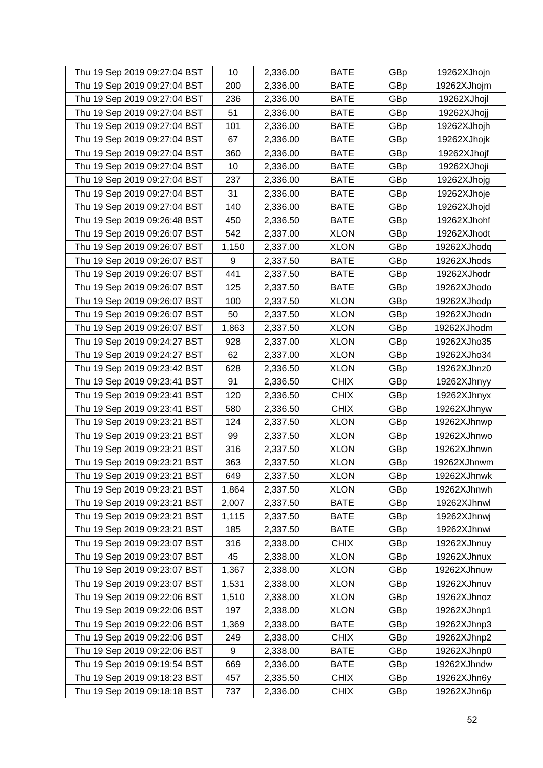| Thu 19 Sep 2019 09:27:04 BST | 10    | 2,336.00 | <b>BATE</b> | GBp | 19262XJhojn |
|------------------------------|-------|----------|-------------|-----|-------------|
| Thu 19 Sep 2019 09:27:04 BST | 200   | 2,336.00 | <b>BATE</b> | GBp | 19262XJhojm |
| Thu 19 Sep 2019 09:27:04 BST | 236   | 2,336.00 | <b>BATE</b> | GBp | 19262XJhojl |
| Thu 19 Sep 2019 09:27:04 BST | 51    | 2,336.00 | <b>BATE</b> | GBp | 19262XJhojj |
| Thu 19 Sep 2019 09:27:04 BST | 101   | 2,336.00 | <b>BATE</b> | GBp | 19262XJhojh |
| Thu 19 Sep 2019 09:27:04 BST | 67    | 2,336.00 | <b>BATE</b> | GBp | 19262XJhojk |
| Thu 19 Sep 2019 09:27:04 BST | 360   | 2,336.00 | <b>BATE</b> | GBp | 19262XJhojf |
| Thu 19 Sep 2019 09:27:04 BST | 10    | 2,336.00 | <b>BATE</b> | GBp | 19262XJhoji |
| Thu 19 Sep 2019 09:27:04 BST | 237   | 2,336.00 | <b>BATE</b> | GBp | 19262XJhojg |
| Thu 19 Sep 2019 09:27:04 BST | 31    | 2,336.00 | <b>BATE</b> | GBp | 19262XJhoje |
| Thu 19 Sep 2019 09:27:04 BST | 140   | 2,336.00 | <b>BATE</b> | GBp | 19262XJhojd |
| Thu 19 Sep 2019 09:26:48 BST | 450   | 2,336.50 | <b>BATE</b> | GBp | 19262XJhohf |
| Thu 19 Sep 2019 09:26:07 BST | 542   | 2,337.00 | <b>XLON</b> | GBp | 19262XJhodt |
| Thu 19 Sep 2019 09:26:07 BST | 1,150 | 2,337.00 | <b>XLON</b> | GBp | 19262XJhodq |
| Thu 19 Sep 2019 09:26:07 BST | 9     | 2,337.50 | <b>BATE</b> | GBp | 19262XJhods |
| Thu 19 Sep 2019 09:26:07 BST | 441   | 2,337.50 | <b>BATE</b> | GBp | 19262XJhodr |
| Thu 19 Sep 2019 09:26:07 BST | 125   | 2,337.50 | <b>BATE</b> | GBp | 19262XJhodo |
| Thu 19 Sep 2019 09:26:07 BST | 100   | 2,337.50 | <b>XLON</b> | GBp | 19262XJhodp |
| Thu 19 Sep 2019 09:26:07 BST | 50    | 2,337.50 | <b>XLON</b> | GBp | 19262XJhodn |
| Thu 19 Sep 2019 09:26:07 BST | 1,863 | 2,337.50 | <b>XLON</b> | GBp | 19262XJhodm |
| Thu 19 Sep 2019 09:24:27 BST | 928   | 2,337.00 | <b>XLON</b> | GBp | 19262XJho35 |
| Thu 19 Sep 2019 09:24:27 BST | 62    | 2,337.00 | <b>XLON</b> | GBp | 19262XJho34 |
| Thu 19 Sep 2019 09:23:42 BST | 628   | 2,336.50 | <b>XLON</b> | GBp | 19262XJhnz0 |
| Thu 19 Sep 2019 09:23:41 BST | 91    | 2,336.50 | <b>CHIX</b> | GBp | 19262XJhnyy |
| Thu 19 Sep 2019 09:23:41 BST | 120   | 2,336.50 | <b>CHIX</b> | GBp | 19262XJhnyx |
| Thu 19 Sep 2019 09:23:41 BST | 580   | 2,336.50 | <b>CHIX</b> | GBp | 19262XJhnyw |
| Thu 19 Sep 2019 09:23:21 BST | 124   | 2,337.50 | <b>XLON</b> | GBp | 19262XJhnwp |
| Thu 19 Sep 2019 09:23:21 BST | 99    | 2,337.50 | <b>XLON</b> | GBp | 19262XJhnwo |
| Thu 19 Sep 2019 09:23:21 BST | 316   | 2,337.50 | <b>XLON</b> | GBp | 19262XJhnwn |
| Thu 19 Sep 2019 09:23:21 BST | 363   | 2,337.50 | <b>XLON</b> | GBp | 19262XJhnwm |
| Thu 19 Sep 2019 09:23:21 BST | 649   | 2,337.50 | <b>XLON</b> | GBp | 19262XJhnwk |
| Thu 19 Sep 2019 09:23:21 BST | 1,864 | 2,337.50 | <b>XLON</b> | GBp | 19262XJhnwh |
| Thu 19 Sep 2019 09:23:21 BST | 2,007 | 2,337.50 | <b>BATE</b> | GBp | 19262XJhnwl |
| Thu 19 Sep 2019 09:23:21 BST | 1,115 | 2,337.50 | <b>BATE</b> | GBp | 19262XJhnwj |
| Thu 19 Sep 2019 09:23:21 BST | 185   | 2,337.50 | <b>BATE</b> | GBp | 19262XJhnwi |
| Thu 19 Sep 2019 09:23:07 BST | 316   | 2,338.00 | <b>CHIX</b> | GBp | 19262XJhnuy |
| Thu 19 Sep 2019 09:23:07 BST | 45    | 2,338.00 | <b>XLON</b> | GBp | 19262XJhnux |
| Thu 19 Sep 2019 09:23:07 BST | 1,367 | 2,338.00 | <b>XLON</b> | GBp | 19262XJhnuw |
| Thu 19 Sep 2019 09:23:07 BST | 1,531 | 2,338.00 | <b>XLON</b> | GBp | 19262XJhnuv |
| Thu 19 Sep 2019 09:22:06 BST | 1,510 | 2,338.00 | <b>XLON</b> | GBp | 19262XJhnoz |
| Thu 19 Sep 2019 09:22:06 BST | 197   | 2,338.00 | <b>XLON</b> | GBp | 19262XJhnp1 |
| Thu 19 Sep 2019 09:22:06 BST | 1,369 | 2,338.00 | <b>BATE</b> | GBp | 19262XJhnp3 |
| Thu 19 Sep 2019 09:22:06 BST | 249   | 2,338.00 | <b>CHIX</b> | GBp | 19262XJhnp2 |
| Thu 19 Sep 2019 09:22:06 BST | 9     | 2,338.00 | <b>BATE</b> | GBp | 19262XJhnp0 |
| Thu 19 Sep 2019 09:19:54 BST | 669   | 2,336.00 | <b>BATE</b> | GBp | 19262XJhndw |
| Thu 19 Sep 2019 09:18:23 BST | 457   | 2,335.50 | <b>CHIX</b> | GBp | 19262XJhn6y |
| Thu 19 Sep 2019 09:18:18 BST | 737   | 2,336.00 | <b>CHIX</b> | GBp | 19262XJhn6p |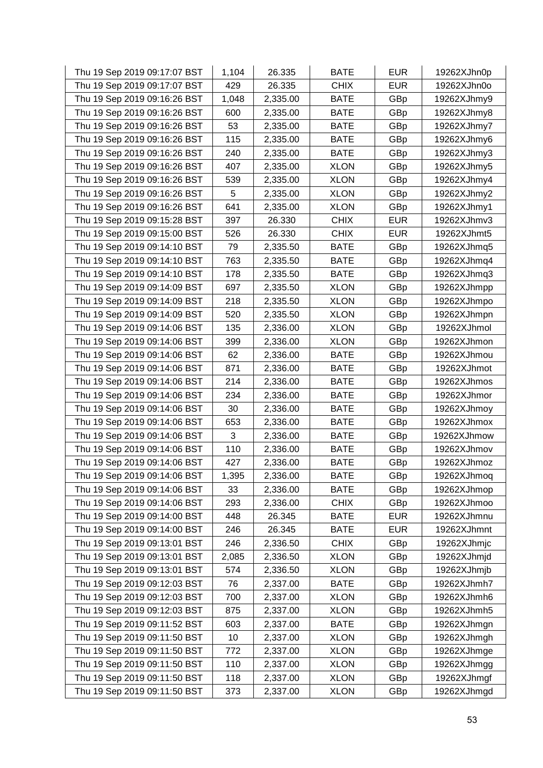| Thu 19 Sep 2019 09:17:07 BST | 1,104 | 26.335   | <b>BATE</b> | <b>EUR</b> | 19262XJhn0p |
|------------------------------|-------|----------|-------------|------------|-------------|
| Thu 19 Sep 2019 09:17:07 BST | 429   | 26.335   | <b>CHIX</b> | <b>EUR</b> | 19262XJhn0o |
| Thu 19 Sep 2019 09:16:26 BST | 1,048 | 2,335.00 | <b>BATE</b> | GBp        | 19262XJhmy9 |
| Thu 19 Sep 2019 09:16:26 BST | 600   | 2,335.00 | <b>BATE</b> | GBp        | 19262XJhmy8 |
| Thu 19 Sep 2019 09:16:26 BST | 53    | 2,335.00 | <b>BATE</b> | GBp        | 19262XJhmy7 |
| Thu 19 Sep 2019 09:16:26 BST | 115   | 2,335.00 | <b>BATE</b> | GBp        | 19262XJhmy6 |
| Thu 19 Sep 2019 09:16:26 BST | 240   | 2,335.00 | <b>BATE</b> | GBp        | 19262XJhmy3 |
| Thu 19 Sep 2019 09:16:26 BST | 407   | 2,335.00 | <b>XLON</b> | GBp        | 19262XJhmy5 |
| Thu 19 Sep 2019 09:16:26 BST | 539   | 2,335.00 | <b>XLON</b> | GBp        | 19262XJhmy4 |
| Thu 19 Sep 2019 09:16:26 BST | 5     | 2,335.00 | <b>XLON</b> | GBp        | 19262XJhmy2 |
| Thu 19 Sep 2019 09:16:26 BST | 641   | 2,335.00 | <b>XLON</b> | GBp        | 19262XJhmy1 |
| Thu 19 Sep 2019 09:15:28 BST | 397   | 26.330   | <b>CHIX</b> | <b>EUR</b> | 19262XJhmv3 |
| Thu 19 Sep 2019 09:15:00 BST | 526   | 26.330   | <b>CHIX</b> | <b>EUR</b> | 19262XJhmt5 |
| Thu 19 Sep 2019 09:14:10 BST | 79    | 2,335.50 | <b>BATE</b> | GBp        | 19262XJhmq5 |
| Thu 19 Sep 2019 09:14:10 BST | 763   | 2,335.50 | <b>BATE</b> | GBp        | 19262XJhmq4 |
| Thu 19 Sep 2019 09:14:10 BST | 178   | 2,335.50 | <b>BATE</b> | GBp        | 19262XJhmq3 |
| Thu 19 Sep 2019 09:14:09 BST | 697   | 2,335.50 | <b>XLON</b> | GBp        | 19262XJhmpp |
| Thu 19 Sep 2019 09:14:09 BST | 218   | 2,335.50 | <b>XLON</b> | GBp        | 19262XJhmpo |
| Thu 19 Sep 2019 09:14:09 BST | 520   | 2,335.50 | <b>XLON</b> | GBp        | 19262XJhmpn |
| Thu 19 Sep 2019 09:14:06 BST | 135   | 2,336.00 | <b>XLON</b> | GBp        | 19262XJhmol |
| Thu 19 Sep 2019 09:14:06 BST | 399   | 2,336.00 | <b>XLON</b> | GBp        | 19262XJhmon |
| Thu 19 Sep 2019 09:14:06 BST | 62    | 2,336.00 | <b>BATE</b> | GBp        | 19262XJhmou |
| Thu 19 Sep 2019 09:14:06 BST | 871   | 2,336.00 | <b>BATE</b> | GBp        | 19262XJhmot |
| Thu 19 Sep 2019 09:14:06 BST | 214   | 2,336.00 | <b>BATE</b> | GBp        | 19262XJhmos |
| Thu 19 Sep 2019 09:14:06 BST | 234   | 2,336.00 | <b>BATE</b> | GBp        | 19262XJhmor |
| Thu 19 Sep 2019 09:14:06 BST | 30    | 2,336.00 | <b>BATE</b> | GBp        | 19262XJhmoy |
| Thu 19 Sep 2019 09:14:06 BST | 653   | 2,336.00 | <b>BATE</b> | GBp        | 19262XJhmox |
| Thu 19 Sep 2019 09:14:06 BST | 3     | 2,336.00 | <b>BATE</b> | GBp        | 19262XJhmow |
| Thu 19 Sep 2019 09:14:06 BST | 110   | 2,336.00 | <b>BATE</b> | GBp        | 19262XJhmov |
| Thu 19 Sep 2019 09:14:06 BST | 427   | 2,336.00 | <b>BATE</b> | GBp        | 19262XJhmoz |
| Thu 19 Sep 2019 09:14:06 BST | 1,395 | 2,336.00 | <b>BATE</b> | GBp        | 19262XJhmoq |
| Thu 19 Sep 2019 09:14:06 BST | 33    | 2,336.00 | <b>BATE</b> | GBp        | 19262XJhmop |
| Thu 19 Sep 2019 09:14:06 BST | 293   | 2,336.00 | <b>CHIX</b> | GBp        | 19262XJhmoo |
| Thu 19 Sep 2019 09:14:00 BST | 448   | 26.345   | <b>BATE</b> | <b>EUR</b> | 19262XJhmnu |
| Thu 19 Sep 2019 09:14:00 BST | 246   | 26.345   | <b>BATE</b> | <b>EUR</b> | 19262XJhmnt |
| Thu 19 Sep 2019 09:13:01 BST | 246   | 2,336.50 | <b>CHIX</b> | GBp        | 19262XJhmjc |
| Thu 19 Sep 2019 09:13:01 BST | 2,085 | 2,336.50 | <b>XLON</b> | GBp        | 19262XJhmjd |
| Thu 19 Sep 2019 09:13:01 BST | 574   | 2,336.50 | <b>XLON</b> | GBp        | 19262XJhmjb |
| Thu 19 Sep 2019 09:12:03 BST | 76    | 2,337.00 | <b>BATE</b> | GBp        | 19262XJhmh7 |
| Thu 19 Sep 2019 09:12:03 BST | 700   | 2,337.00 | <b>XLON</b> | GBp        | 19262XJhmh6 |
| Thu 19 Sep 2019 09:12:03 BST | 875   | 2,337.00 | <b>XLON</b> | GBp        | 19262XJhmh5 |
| Thu 19 Sep 2019 09:11:52 BST | 603   | 2,337.00 | <b>BATE</b> | GBp        | 19262XJhmgn |
| Thu 19 Sep 2019 09:11:50 BST | 10    | 2,337.00 | <b>XLON</b> | GBp        | 19262XJhmgh |
| Thu 19 Sep 2019 09:11:50 BST | 772   | 2,337.00 | <b>XLON</b> | GBp        | 19262XJhmge |
| Thu 19 Sep 2019 09:11:50 BST | 110   | 2,337.00 | <b>XLON</b> | GBp        | 19262XJhmgg |
| Thu 19 Sep 2019 09:11:50 BST | 118   | 2,337.00 | <b>XLON</b> | GBp        | 19262XJhmgf |
| Thu 19 Sep 2019 09:11:50 BST | 373   | 2,337.00 | <b>XLON</b> | GBp        | 19262XJhmgd |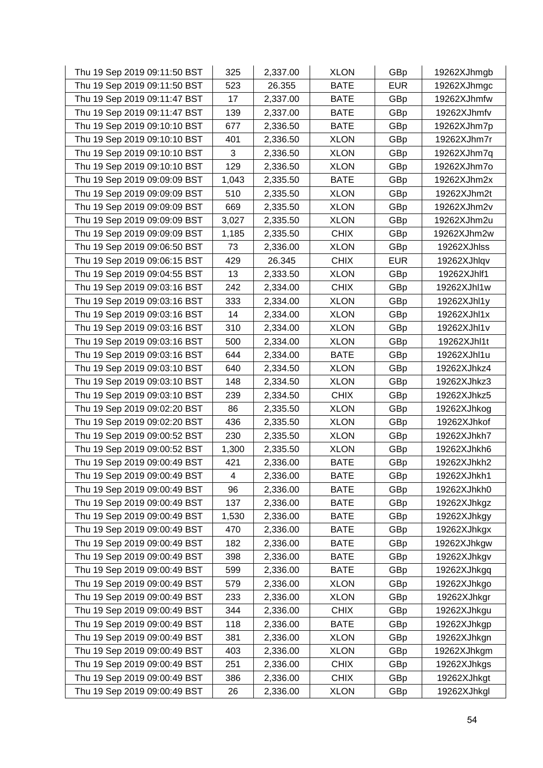| Thu 19 Sep 2019 09:11:50 BST | 325   | 2,337.00 | <b>XLON</b> | GBp        | 19262XJhmgb |
|------------------------------|-------|----------|-------------|------------|-------------|
| Thu 19 Sep 2019 09:11:50 BST | 523   | 26.355   | <b>BATE</b> | <b>EUR</b> | 19262XJhmgc |
| Thu 19 Sep 2019 09:11:47 BST | 17    | 2,337.00 | <b>BATE</b> | GBp        | 19262XJhmfw |
| Thu 19 Sep 2019 09:11:47 BST | 139   | 2,337.00 | <b>BATE</b> | GBp        | 19262XJhmfv |
| Thu 19 Sep 2019 09:10:10 BST | 677   | 2,336.50 | <b>BATE</b> | GBp        | 19262XJhm7p |
| Thu 19 Sep 2019 09:10:10 BST | 401   | 2,336.50 | <b>XLON</b> | GBp        | 19262XJhm7r |
| Thu 19 Sep 2019 09:10:10 BST | 3     | 2,336.50 | <b>XLON</b> | GBp        | 19262XJhm7q |
| Thu 19 Sep 2019 09:10:10 BST | 129   | 2,336.50 | <b>XLON</b> | GBp        | 19262XJhm7o |
| Thu 19 Sep 2019 09:09:09 BST | 1,043 | 2,335.50 | <b>BATE</b> | GBp        | 19262XJhm2x |
| Thu 19 Sep 2019 09:09:09 BST | 510   | 2,335.50 | <b>XLON</b> | GBp        | 19262XJhm2t |
| Thu 19 Sep 2019 09:09:09 BST | 669   | 2,335.50 | <b>XLON</b> | GBp        | 19262XJhm2v |
| Thu 19 Sep 2019 09:09:09 BST | 3,027 | 2,335.50 | <b>XLON</b> | GBp        | 19262XJhm2u |
| Thu 19 Sep 2019 09:09:09 BST | 1,185 | 2,335.50 | <b>CHIX</b> | GBp        | 19262XJhm2w |
| Thu 19 Sep 2019 09:06:50 BST | 73    | 2,336.00 | <b>XLON</b> | GBp        | 19262XJhlss |
| Thu 19 Sep 2019 09:06:15 BST | 429   | 26.345   | <b>CHIX</b> | <b>EUR</b> | 19262XJhlqv |
| Thu 19 Sep 2019 09:04:55 BST | 13    | 2,333.50 | <b>XLON</b> | GBp        | 19262XJhlf1 |
| Thu 19 Sep 2019 09:03:16 BST | 242   | 2,334.00 | <b>CHIX</b> | GBp        | 19262XJhl1w |
| Thu 19 Sep 2019 09:03:16 BST | 333   | 2,334.00 | <b>XLON</b> | GBp        | 19262XJhl1y |
| Thu 19 Sep 2019 09:03:16 BST | 14    | 2,334.00 | <b>XLON</b> | GBp        | 19262XJhl1x |
| Thu 19 Sep 2019 09:03:16 BST | 310   | 2,334.00 | <b>XLON</b> | GBp        | 19262XJhl1v |
| Thu 19 Sep 2019 09:03:16 BST | 500   | 2,334.00 | <b>XLON</b> | GBp        | 19262XJhl1t |
| Thu 19 Sep 2019 09:03:16 BST | 644   | 2,334.00 | <b>BATE</b> | GBp        | 19262XJhl1u |
| Thu 19 Sep 2019 09:03:10 BST | 640   | 2,334.50 | <b>XLON</b> | GBp        | 19262XJhkz4 |
| Thu 19 Sep 2019 09:03:10 BST | 148   | 2,334.50 | <b>XLON</b> | GBp        | 19262XJhkz3 |
| Thu 19 Sep 2019 09:03:10 BST | 239   | 2,334.50 | <b>CHIX</b> | GBp        | 19262XJhkz5 |
| Thu 19 Sep 2019 09:02:20 BST | 86    | 2,335.50 | <b>XLON</b> | GBp        | 19262XJhkog |
| Thu 19 Sep 2019 09:02:20 BST | 436   | 2,335.50 | <b>XLON</b> | GBp        | 19262XJhkof |
| Thu 19 Sep 2019 09:00:52 BST | 230   | 2,335.50 | <b>XLON</b> | GBp        | 19262XJhkh7 |
| Thu 19 Sep 2019 09:00:52 BST | 1,300 | 2,335.50 | <b>XLON</b> | GBp        | 19262XJhkh6 |
| Thu 19 Sep 2019 09:00:49 BST | 421   | 2,336.00 | <b>BATE</b> | GBp        | 19262XJhkh2 |
| Thu 19 Sep 2019 09:00:49 BST | 4     | 2,336.00 | <b>BATE</b> | GBp        | 19262XJhkh1 |
| Thu 19 Sep 2019 09:00:49 BST | 96    | 2,336.00 | <b>BATE</b> | GBp        | 19262XJhkh0 |
| Thu 19 Sep 2019 09:00:49 BST | 137   | 2,336.00 | <b>BATE</b> | GBp        | 19262XJhkgz |
| Thu 19 Sep 2019 09:00:49 BST | 1,530 | 2,336.00 | <b>BATE</b> | GBp        | 19262XJhkgy |
| Thu 19 Sep 2019 09:00:49 BST | 470   | 2,336.00 | <b>BATE</b> | GBp        | 19262XJhkgx |
| Thu 19 Sep 2019 09:00:49 BST | 182   | 2,336.00 | <b>BATE</b> | GBp        | 19262XJhkgw |
| Thu 19 Sep 2019 09:00:49 BST | 398   | 2,336.00 | <b>BATE</b> | GBp        | 19262XJhkgv |
| Thu 19 Sep 2019 09:00:49 BST | 599   | 2,336.00 | <b>BATE</b> | GBp        | 19262XJhkgq |
| Thu 19 Sep 2019 09:00:49 BST | 579   | 2,336.00 | <b>XLON</b> | GBp        | 19262XJhkgo |
| Thu 19 Sep 2019 09:00:49 BST | 233   | 2,336.00 | <b>XLON</b> | GBp        | 19262XJhkgr |
| Thu 19 Sep 2019 09:00:49 BST | 344   | 2,336.00 | <b>CHIX</b> | GBp        | 19262XJhkgu |
| Thu 19 Sep 2019 09:00:49 BST | 118   | 2,336.00 | <b>BATE</b> | GBp        | 19262XJhkgp |
| Thu 19 Sep 2019 09:00:49 BST | 381   | 2,336.00 | <b>XLON</b> | GBp        | 19262XJhkgn |
| Thu 19 Sep 2019 09:00:49 BST | 403   | 2,336.00 | <b>XLON</b> | GBp        | 19262XJhkgm |
| Thu 19 Sep 2019 09:00:49 BST | 251   | 2,336.00 | <b>CHIX</b> | GBp        | 19262XJhkgs |
| Thu 19 Sep 2019 09:00:49 BST | 386   | 2,336.00 | <b>CHIX</b> | GBp        | 19262XJhkgt |
| Thu 19 Sep 2019 09:00:49 BST | 26    | 2,336.00 | <b>XLON</b> | GBp        | 19262XJhkgl |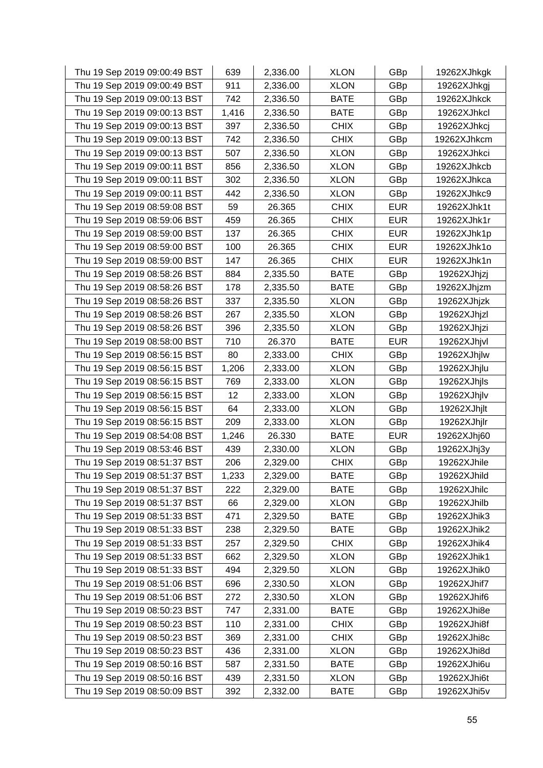| Thu 19 Sep 2019 09:00:49 BST | 639   | 2,336.00 | <b>XLON</b> | GBp        | 19262XJhkgk |
|------------------------------|-------|----------|-------------|------------|-------------|
| Thu 19 Sep 2019 09:00:49 BST | 911   | 2,336.00 | <b>XLON</b> | GBp        | 19262XJhkgj |
| Thu 19 Sep 2019 09:00:13 BST | 742   | 2,336.50 | <b>BATE</b> | GBp        | 19262XJhkck |
| Thu 19 Sep 2019 09:00:13 BST | 1,416 | 2,336.50 | <b>BATE</b> | GBp        | 19262XJhkcl |
| Thu 19 Sep 2019 09:00:13 BST | 397   | 2,336.50 | <b>CHIX</b> | GBp        | 19262XJhkcj |
| Thu 19 Sep 2019 09:00:13 BST | 742   | 2,336.50 | <b>CHIX</b> | GBp        | 19262XJhkcm |
| Thu 19 Sep 2019 09:00:13 BST | 507   | 2,336.50 | <b>XLON</b> | GBp        | 19262XJhkci |
| Thu 19 Sep 2019 09:00:11 BST | 856   | 2,336.50 | <b>XLON</b> | GBp        | 19262XJhkcb |
| Thu 19 Sep 2019 09:00:11 BST | 302   | 2,336.50 | <b>XLON</b> | GBp        | 19262XJhkca |
| Thu 19 Sep 2019 09:00:11 BST | 442   | 2,336.50 | <b>XLON</b> | GBp        | 19262XJhkc9 |
| Thu 19 Sep 2019 08:59:08 BST | 59    | 26.365   | <b>CHIX</b> | <b>EUR</b> | 19262XJhk1t |
| Thu 19 Sep 2019 08:59:06 BST | 459   | 26.365   | <b>CHIX</b> | <b>EUR</b> | 19262XJhk1r |
| Thu 19 Sep 2019 08:59:00 BST | 137   | 26.365   | <b>CHIX</b> | <b>EUR</b> | 19262XJhk1p |
| Thu 19 Sep 2019 08:59:00 BST | 100   | 26.365   | <b>CHIX</b> | <b>EUR</b> | 19262XJhk1o |
| Thu 19 Sep 2019 08:59:00 BST | 147   | 26.365   | <b>CHIX</b> | <b>EUR</b> | 19262XJhk1n |
| Thu 19 Sep 2019 08:58:26 BST | 884   | 2,335.50 | <b>BATE</b> | GBp        | 19262XJhjzj |
| Thu 19 Sep 2019 08:58:26 BST | 178   | 2,335.50 | <b>BATE</b> | GBp        | 19262XJhjzm |
| Thu 19 Sep 2019 08:58:26 BST | 337   | 2,335.50 | <b>XLON</b> | GBp        | 19262XJhjzk |
| Thu 19 Sep 2019 08:58:26 BST | 267   | 2,335.50 | <b>XLON</b> | GBp        | 19262XJhjzl |
| Thu 19 Sep 2019 08:58:26 BST | 396   | 2,335.50 | <b>XLON</b> | GBp        | 19262XJhjzi |
| Thu 19 Sep 2019 08:58:00 BST | 710   | 26.370   | <b>BATE</b> | <b>EUR</b> | 19262XJhjvl |
| Thu 19 Sep 2019 08:56:15 BST | 80    | 2,333.00 | <b>CHIX</b> | GBp        | 19262XJhjlw |
| Thu 19 Sep 2019 08:56:15 BST | 1,206 | 2,333.00 | <b>XLON</b> | GBp        | 19262XJhjlu |
| Thu 19 Sep 2019 08:56:15 BST | 769   | 2,333.00 | <b>XLON</b> | GBp        | 19262XJhjls |
| Thu 19 Sep 2019 08:56:15 BST | 12    | 2,333.00 | <b>XLON</b> | GBp        | 19262XJhjlv |
| Thu 19 Sep 2019 08:56:15 BST | 64    | 2,333.00 | <b>XLON</b> | GBp        | 19262XJhjlt |
| Thu 19 Sep 2019 08:56:15 BST | 209   | 2,333.00 | <b>XLON</b> | GBp        | 19262XJhjlr |
| Thu 19 Sep 2019 08:54:08 BST | 1,246 | 26.330   | <b>BATE</b> | <b>EUR</b> | 19262XJhj60 |
| Thu 19 Sep 2019 08:53:46 BST | 439   | 2,330.00 | <b>XLON</b> | GBp        | 19262XJhj3y |
| Thu 19 Sep 2019 08:51:37 BST | 206   | 2,329.00 | <b>CHIX</b> | GBp        | 19262XJhile |
| Thu 19 Sep 2019 08:51:37 BST | 1,233 | 2,329.00 | <b>BATE</b> | GBp        | 19262XJhild |
| Thu 19 Sep 2019 08:51:37 BST | 222   | 2,329.00 | <b>BATE</b> | GBp        | 19262XJhilc |
| Thu 19 Sep 2019 08:51:37 BST | 66    | 2,329.00 | <b>XLON</b> | GBp        | 19262XJhilb |
| Thu 19 Sep 2019 08:51:33 BST | 471   | 2,329.50 | <b>BATE</b> | GBp        | 19262XJhik3 |
| Thu 19 Sep 2019 08:51:33 BST | 238   | 2,329.50 | <b>BATE</b> | GBp        | 19262XJhik2 |
| Thu 19 Sep 2019 08:51:33 BST | 257   | 2,329.50 | <b>CHIX</b> | GBp        | 19262XJhik4 |
| Thu 19 Sep 2019 08:51:33 BST | 662   | 2,329.50 | <b>XLON</b> | GBp        | 19262XJhik1 |
| Thu 19 Sep 2019 08:51:33 BST | 494   | 2,329.50 | <b>XLON</b> | GBp        | 19262XJhik0 |
| Thu 19 Sep 2019 08:51:06 BST | 696   | 2,330.50 | <b>XLON</b> | GBp        | 19262XJhif7 |
| Thu 19 Sep 2019 08:51:06 BST | 272   | 2,330.50 | <b>XLON</b> | GBp        | 19262XJhif6 |
| Thu 19 Sep 2019 08:50:23 BST | 747   | 2,331.00 | <b>BATE</b> | GBp        | 19262XJhi8e |
| Thu 19 Sep 2019 08:50:23 BST | 110   | 2,331.00 | <b>CHIX</b> | GBp        | 19262XJhi8f |
| Thu 19 Sep 2019 08:50:23 BST | 369   | 2,331.00 | <b>CHIX</b> | GBp        | 19262XJhi8c |
| Thu 19 Sep 2019 08:50:23 BST | 436   | 2,331.00 | <b>XLON</b> | GBp        | 19262XJhi8d |
| Thu 19 Sep 2019 08:50:16 BST | 587   | 2,331.50 | <b>BATE</b> | GBp        | 19262XJhi6u |
| Thu 19 Sep 2019 08:50:16 BST | 439   | 2,331.50 | <b>XLON</b> | GBp        | 19262XJhi6t |
| Thu 19 Sep 2019 08:50:09 BST | 392   | 2,332.00 | <b>BATE</b> | GBp        | 19262XJhi5v |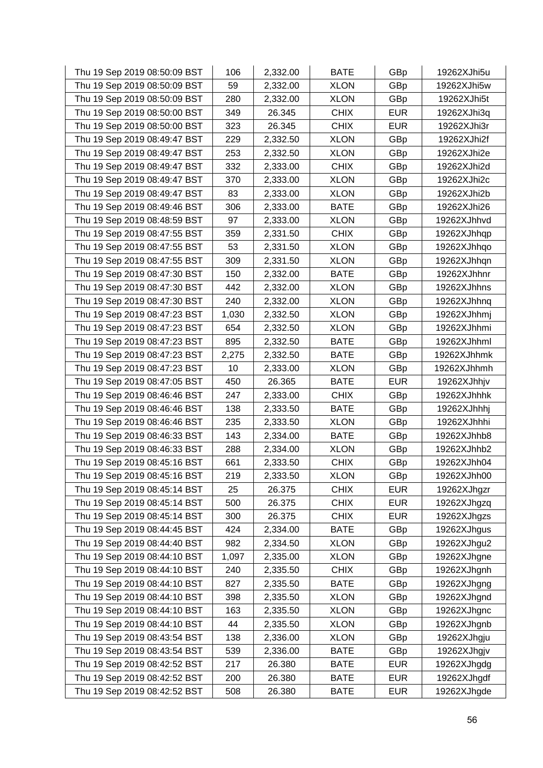| Thu 19 Sep 2019 08:50:09 BST | 106   | 2,332.00 | <b>BATE</b> | GBp        | 19262XJhi5u |
|------------------------------|-------|----------|-------------|------------|-------------|
| Thu 19 Sep 2019 08:50:09 BST | 59    | 2,332.00 | <b>XLON</b> | GBp        | 19262XJhi5w |
| Thu 19 Sep 2019 08:50:09 BST | 280   | 2,332.00 | <b>XLON</b> | GBp        | 19262XJhi5t |
| Thu 19 Sep 2019 08:50:00 BST | 349   | 26.345   | <b>CHIX</b> | <b>EUR</b> | 19262XJhi3q |
| Thu 19 Sep 2019 08:50:00 BST | 323   | 26.345   | <b>CHIX</b> | <b>EUR</b> | 19262XJhi3r |
| Thu 19 Sep 2019 08:49:47 BST | 229   | 2,332.50 | <b>XLON</b> | GBp        | 19262XJhi2f |
| Thu 19 Sep 2019 08:49:47 BST | 253   | 2,332.50 | <b>XLON</b> | GBp        | 19262XJhi2e |
| Thu 19 Sep 2019 08:49:47 BST | 332   | 2,333.00 | <b>CHIX</b> | GBp        | 19262XJhi2d |
| Thu 19 Sep 2019 08:49:47 BST | 370   | 2,333.00 | <b>XLON</b> | GBp        | 19262XJhi2c |
| Thu 19 Sep 2019 08:49:47 BST | 83    | 2,333.00 | <b>XLON</b> | GBp        | 19262XJhi2b |
| Thu 19 Sep 2019 08:49:46 BST | 306   | 2,333.00 | <b>BATE</b> | GBp        | 19262XJhi26 |
| Thu 19 Sep 2019 08:48:59 BST | 97    | 2,333.00 | XLON        | GBp        | 19262XJhhvd |
| Thu 19 Sep 2019 08:47:55 BST | 359   | 2,331.50 | <b>CHIX</b> | GBp        | 19262XJhhqp |
| Thu 19 Sep 2019 08:47:55 BST | 53    | 2,331.50 | <b>XLON</b> | GBp        | 19262XJhhqo |
| Thu 19 Sep 2019 08:47:55 BST | 309   | 2,331.50 | <b>XLON</b> | GBp        | 19262XJhhqn |
| Thu 19 Sep 2019 08:47:30 BST | 150   | 2,332.00 | <b>BATE</b> | GBp        | 19262XJhhnr |
| Thu 19 Sep 2019 08:47:30 BST | 442   | 2,332.00 | <b>XLON</b> | GBp        | 19262XJhhns |
| Thu 19 Sep 2019 08:47:30 BST | 240   | 2,332.00 | <b>XLON</b> | GBp        | 19262XJhhnq |
| Thu 19 Sep 2019 08:47:23 BST | 1,030 | 2,332.50 | <b>XLON</b> | GBp        | 19262XJhhmj |
| Thu 19 Sep 2019 08:47:23 BST | 654   | 2,332.50 | <b>XLON</b> | GBp        | 19262XJhhmi |
| Thu 19 Sep 2019 08:47:23 BST | 895   | 2,332.50 | <b>BATE</b> | GBp        | 19262XJhhml |
| Thu 19 Sep 2019 08:47:23 BST | 2,275 | 2,332.50 | <b>BATE</b> | GBp        | 19262XJhhmk |
| Thu 19 Sep 2019 08:47:23 BST | 10    | 2,333.00 | <b>XLON</b> | GBp        | 19262XJhhmh |
| Thu 19 Sep 2019 08:47:05 BST | 450   | 26.365   | <b>BATE</b> | <b>EUR</b> | 19262XJhhjv |
| Thu 19 Sep 2019 08:46:46 BST | 247   | 2,333.00 | <b>CHIX</b> | GBp        | 19262XJhhhk |
| Thu 19 Sep 2019 08:46:46 BST | 138   | 2,333.50 | <b>BATE</b> | GBp        | 19262XJhhhj |
| Thu 19 Sep 2019 08:46:46 BST | 235   | 2,333.50 | <b>XLON</b> | GBp        | 19262XJhhhi |
| Thu 19 Sep 2019 08:46:33 BST | 143   | 2,334.00 | <b>BATE</b> | GBp        | 19262XJhhb8 |
| Thu 19 Sep 2019 08:46:33 BST | 288   | 2,334.00 | <b>XLON</b> | GBp        | 19262XJhhb2 |
| Thu 19 Sep 2019 08:45:16 BST | 661   | 2,333.50 | <b>CHIX</b> | GBp        | 19262XJhh04 |
| Thu 19 Sep 2019 08:45:16 BST | 219   | 2,333.50 | <b>XLON</b> | GBp        | 19262XJhh00 |
| Thu 19 Sep 2019 08:45:14 BST | 25    | 26.375   | <b>CHIX</b> | <b>EUR</b> | 19262XJhgzr |
| Thu 19 Sep 2019 08:45:14 BST | 500   | 26.375   | <b>CHIX</b> | <b>EUR</b> | 19262XJhgzq |
| Thu 19 Sep 2019 08:45:14 BST | 300   | 26.375   | <b>CHIX</b> | <b>EUR</b> | 19262XJhgzs |
| Thu 19 Sep 2019 08:44:45 BST | 424   | 2,334.00 | <b>BATE</b> | GBp        | 19262XJhgus |
| Thu 19 Sep 2019 08:44:40 BST | 982   | 2,334.50 | <b>XLON</b> | GBp        | 19262XJhgu2 |
| Thu 19 Sep 2019 08:44:10 BST | 1,097 | 2,335.00 | <b>XLON</b> | GBp        | 19262XJhgne |
| Thu 19 Sep 2019 08:44:10 BST | 240   | 2,335.50 | <b>CHIX</b> | GBp        | 19262XJhgnh |
| Thu 19 Sep 2019 08:44:10 BST | 827   | 2,335.50 | <b>BATE</b> | GBp        | 19262XJhgng |
| Thu 19 Sep 2019 08:44:10 BST | 398   | 2,335.50 | <b>XLON</b> | GBp        | 19262XJhgnd |
| Thu 19 Sep 2019 08:44:10 BST | 163   | 2,335.50 | <b>XLON</b> | GBp        | 19262XJhgnc |
| Thu 19 Sep 2019 08:44:10 BST | 44    | 2,335.50 | <b>XLON</b> | GBp        | 19262XJhgnb |
| Thu 19 Sep 2019 08:43:54 BST | 138   | 2,336.00 | <b>XLON</b> | GBp        | 19262XJhgju |
| Thu 19 Sep 2019 08:43:54 BST | 539   | 2,336.00 | <b>BATE</b> | GBp        | 19262XJhgjv |
| Thu 19 Sep 2019 08:42:52 BST | 217   | 26.380   | <b>BATE</b> | <b>EUR</b> | 19262XJhgdg |
| Thu 19 Sep 2019 08:42:52 BST | 200   | 26.380   | <b>BATE</b> | <b>EUR</b> | 19262XJhgdf |
| Thu 19 Sep 2019 08:42:52 BST | 508   | 26.380   | <b>BATE</b> | <b>EUR</b> | 19262XJhgde |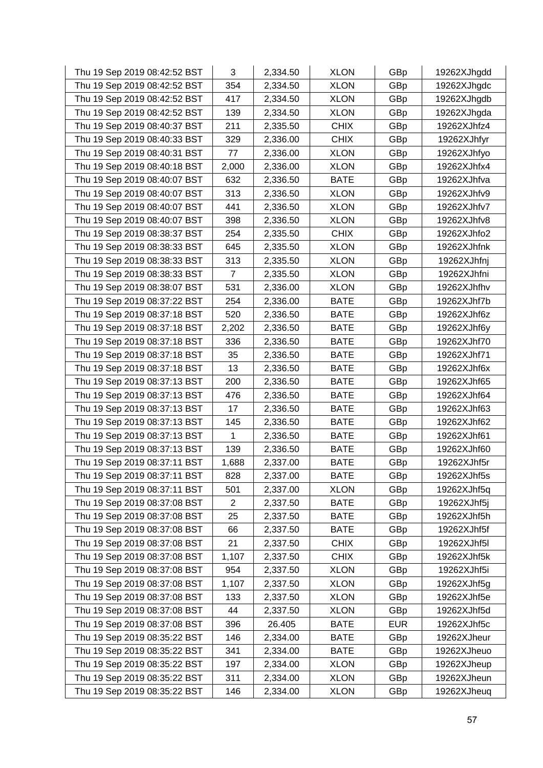| Thu 19 Sep 2019 08:42:52 BST | 3              | 2,334.50 | <b>XLON</b> | GBp        | 19262XJhgdd |
|------------------------------|----------------|----------|-------------|------------|-------------|
| Thu 19 Sep 2019 08:42:52 BST | 354            | 2,334.50 | <b>XLON</b> | GBp        | 19262XJhgdc |
| Thu 19 Sep 2019 08:42:52 BST | 417            | 2,334.50 | <b>XLON</b> | GBp        | 19262XJhgdb |
| Thu 19 Sep 2019 08:42:52 BST | 139            | 2,334.50 | <b>XLON</b> | GBp        | 19262XJhgda |
| Thu 19 Sep 2019 08:40:37 BST | 211            | 2,335.50 | <b>CHIX</b> | GBp        | 19262XJhfz4 |
| Thu 19 Sep 2019 08:40:33 BST | 329            | 2,336.00 | <b>CHIX</b> | GBp        | 19262XJhfyr |
| Thu 19 Sep 2019 08:40:31 BST | 77             | 2,336.00 | <b>XLON</b> | GBp        | 19262XJhfyo |
| Thu 19 Sep 2019 08:40:18 BST | 2,000          | 2,336.00 | <b>XLON</b> | GBp        | 19262XJhfx4 |
| Thu 19 Sep 2019 08:40:07 BST | 632            | 2,336.50 | <b>BATE</b> | GBp        | 19262XJhfva |
| Thu 19 Sep 2019 08:40:07 BST | 313            | 2,336.50 | <b>XLON</b> | GBp        | 19262XJhfv9 |
| Thu 19 Sep 2019 08:40:07 BST | 441            | 2,336.50 | <b>XLON</b> | GBp        | 19262XJhfv7 |
| Thu 19 Sep 2019 08:40:07 BST | 398            | 2,336.50 | <b>XLON</b> | GBp        | 19262XJhfv8 |
| Thu 19 Sep 2019 08:38:37 BST | 254            | 2,335.50 | <b>CHIX</b> | GBp        | 19262XJhfo2 |
| Thu 19 Sep 2019 08:38:33 BST | 645            | 2,335.50 | <b>XLON</b> | GBp        | 19262XJhfnk |
| Thu 19 Sep 2019 08:38:33 BST | 313            | 2,335.50 | <b>XLON</b> | GBp        | 19262XJhfnj |
| Thu 19 Sep 2019 08:38:33 BST | 7              | 2,335.50 | <b>XLON</b> | GBp        | 19262XJhfni |
| Thu 19 Sep 2019 08:38:07 BST | 531            | 2,336.00 | <b>XLON</b> | GBp        | 19262XJhfhv |
| Thu 19 Sep 2019 08:37:22 BST | 254            | 2,336.00 | <b>BATE</b> | GBp        | 19262XJhf7b |
| Thu 19 Sep 2019 08:37:18 BST | 520            | 2,336.50 | <b>BATE</b> | GBp        | 19262XJhf6z |
| Thu 19 Sep 2019 08:37:18 BST | 2,202          | 2,336.50 | <b>BATE</b> | GBp        | 19262XJhf6y |
| Thu 19 Sep 2019 08:37:18 BST | 336            | 2,336.50 | <b>BATE</b> | GBp        | 19262XJhf70 |
| Thu 19 Sep 2019 08:37:18 BST | 35             | 2,336.50 | <b>BATE</b> | GBp        | 19262XJhf71 |
| Thu 19 Sep 2019 08:37:18 BST | 13             | 2,336.50 | BATE        | GBp        | 19262XJhf6x |
| Thu 19 Sep 2019 08:37:13 BST | 200            | 2,336.50 | <b>BATE</b> | GBp        | 19262XJhf65 |
| Thu 19 Sep 2019 08:37:13 BST | 476            | 2,336.50 | BATE        | GBp        | 19262XJhf64 |
| Thu 19 Sep 2019 08:37:13 BST | 17             | 2,336.50 | <b>BATE</b> | GBp        | 19262XJhf63 |
| Thu 19 Sep 2019 08:37:13 BST | 145            | 2,336.50 | <b>BATE</b> | GBp        | 19262XJhf62 |
| Thu 19 Sep 2019 08:37:13 BST | 1              | 2,336.50 | <b>BATE</b> | GBp        | 19262XJhf61 |
| Thu 19 Sep 2019 08:37:13 BST | 139            | 2,336.50 | <b>BATE</b> | GBp        | 19262XJhf60 |
| Thu 19 Sep 2019 08:37:11 BST | 1,688          | 2,337.00 | <b>BATE</b> | GBp        | 19262XJhf5r |
| Thu 19 Sep 2019 08:37:11 BST | 828            | 2,337.00 | <b>BATE</b> | GBp        | 19262XJhf5s |
| Thu 19 Sep 2019 08:37:11 BST | 501            | 2,337.00 | <b>XLON</b> | GBp        | 19262XJhf5q |
| Thu 19 Sep 2019 08:37:08 BST | $\overline{2}$ | 2,337.50 | <b>BATE</b> | GBp        | 19262XJhf5j |
| Thu 19 Sep 2019 08:37:08 BST | 25             | 2,337.50 | <b>BATE</b> | GBp        | 19262XJhf5h |
| Thu 19 Sep 2019 08:37:08 BST | 66             | 2,337.50 | <b>BATE</b> | GBp        | 19262XJhf5f |
| Thu 19 Sep 2019 08:37:08 BST | 21             | 2,337.50 | <b>CHIX</b> | GBp        | 19262XJhf5l |
| Thu 19 Sep 2019 08:37:08 BST | 1,107          | 2,337.50 | <b>CHIX</b> | GBp        | 19262XJhf5k |
| Thu 19 Sep 2019 08:37:08 BST | 954            | 2,337.50 | <b>XLON</b> | GBp        | 19262XJhf5i |
| Thu 19 Sep 2019 08:37:08 BST | 1,107          | 2,337.50 | <b>XLON</b> | GBp        | 19262XJhf5g |
| Thu 19 Sep 2019 08:37:08 BST | 133            | 2,337.50 | <b>XLON</b> | GBp        | 19262XJhf5e |
| Thu 19 Sep 2019 08:37:08 BST | 44             | 2,337.50 | <b>XLON</b> | GBp        | 19262XJhf5d |
| Thu 19 Sep 2019 08:37:08 BST | 396            | 26.405   | <b>BATE</b> | <b>EUR</b> | 19262XJhf5c |
| Thu 19 Sep 2019 08:35:22 BST | 146            | 2,334.00 | <b>BATE</b> | GBp        | 19262XJheur |
| Thu 19 Sep 2019 08:35:22 BST | 341            | 2,334.00 | <b>BATE</b> | GBp        | 19262XJheuo |
| Thu 19 Sep 2019 08:35:22 BST | 197            | 2,334.00 | <b>XLON</b> | GBp        | 19262XJheup |
| Thu 19 Sep 2019 08:35:22 BST | 311            | 2,334.00 | <b>XLON</b> | GBp        | 19262XJheun |
| Thu 19 Sep 2019 08:35:22 BST | 146            | 2,334.00 | <b>XLON</b> | GBp        | 19262XJheuq |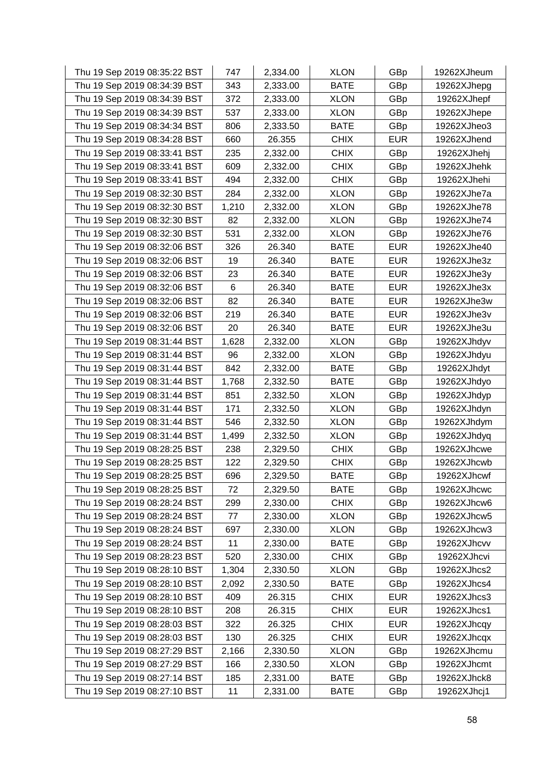| Thu 19 Sep 2019 08:35:22 BST | 747   | 2,334.00 | <b>XLON</b> | GBp        | 19262XJheum |
|------------------------------|-------|----------|-------------|------------|-------------|
| Thu 19 Sep 2019 08:34:39 BST | 343   | 2,333.00 | <b>BATE</b> | GBp        | 19262XJhepg |
| Thu 19 Sep 2019 08:34:39 BST | 372   | 2,333.00 | <b>XLON</b> | GBp        | 19262XJhepf |
| Thu 19 Sep 2019 08:34:39 BST | 537   | 2,333.00 | <b>XLON</b> | GBp        | 19262XJhepe |
| Thu 19 Sep 2019 08:34:34 BST | 806   | 2,333.50 | <b>BATE</b> | GBp        | 19262XJheo3 |
| Thu 19 Sep 2019 08:34:28 BST | 660   | 26.355   | <b>CHIX</b> | <b>EUR</b> | 19262XJhend |
| Thu 19 Sep 2019 08:33:41 BST | 235   | 2,332.00 | <b>CHIX</b> | GBp        | 19262XJhehj |
| Thu 19 Sep 2019 08:33:41 BST | 609   | 2,332.00 | <b>CHIX</b> | GBp        | 19262XJhehk |
| Thu 19 Sep 2019 08:33:41 BST | 494   | 2,332.00 | <b>CHIX</b> | GBp        | 19262XJhehi |
| Thu 19 Sep 2019 08:32:30 BST | 284   | 2,332.00 | <b>XLON</b> | GBp        | 19262XJhe7a |
| Thu 19 Sep 2019 08:32:30 BST | 1,210 | 2,332.00 | <b>XLON</b> | GBp        | 19262XJhe78 |
| Thu 19 Sep 2019 08:32:30 BST | 82    | 2,332.00 | <b>XLON</b> | GBp        | 19262XJhe74 |
| Thu 19 Sep 2019 08:32:30 BST | 531   | 2,332.00 | <b>XLON</b> | GBp        | 19262XJhe76 |
| Thu 19 Sep 2019 08:32:06 BST | 326   | 26.340   | <b>BATE</b> | <b>EUR</b> | 19262XJhe40 |
| Thu 19 Sep 2019 08:32:06 BST | 19    | 26.340   | <b>BATE</b> | <b>EUR</b> | 19262XJhe3z |
| Thu 19 Sep 2019 08:32:06 BST | 23    | 26.340   | <b>BATE</b> | <b>EUR</b> | 19262XJhe3y |
| Thu 19 Sep 2019 08:32:06 BST | 6     | 26.340   | <b>BATE</b> | <b>EUR</b> | 19262XJhe3x |
| Thu 19 Sep 2019 08:32:06 BST | 82    | 26.340   | <b>BATE</b> | <b>EUR</b> | 19262XJhe3w |
| Thu 19 Sep 2019 08:32:06 BST | 219   | 26.340   | <b>BATE</b> | <b>EUR</b> | 19262XJhe3v |
| Thu 19 Sep 2019 08:32:06 BST | 20    | 26.340   | <b>BATE</b> | <b>EUR</b> | 19262XJhe3u |
| Thu 19 Sep 2019 08:31:44 BST | 1,628 | 2,332.00 | <b>XLON</b> | GBp        | 19262XJhdyv |
| Thu 19 Sep 2019 08:31:44 BST | 96    | 2,332.00 | <b>XLON</b> | GBp        | 19262XJhdyu |
| Thu 19 Sep 2019 08:31:44 BST | 842   | 2,332.00 | <b>BATE</b> | GBp        | 19262XJhdyt |
| Thu 19 Sep 2019 08:31:44 BST | 1,768 | 2,332.50 | <b>BATE</b> | GBp        | 19262XJhdyo |
| Thu 19 Sep 2019 08:31:44 BST | 851   | 2,332.50 | <b>XLON</b> | GBp        | 19262XJhdyp |
| Thu 19 Sep 2019 08:31:44 BST | 171   | 2,332.50 | <b>XLON</b> | GBp        | 19262XJhdyn |
| Thu 19 Sep 2019 08:31:44 BST | 546   | 2,332.50 | <b>XLON</b> | GBp        | 19262XJhdym |
| Thu 19 Sep 2019 08:31:44 BST | 1,499 | 2,332.50 | <b>XLON</b> | GBp        | 19262XJhdyq |
| Thu 19 Sep 2019 08:28:25 BST | 238   | 2,329.50 | <b>CHIX</b> | GBp        | 19262XJhcwe |
| Thu 19 Sep 2019 08:28:25 BST | 122   | 2,329.50 | <b>CHIX</b> | GBp        | 19262XJhcwb |
| Thu 19 Sep 2019 08:28:25 BST | 696   | 2,329.50 | <b>BATE</b> | GBp        | 19262XJhcwf |
| Thu 19 Sep 2019 08:28:25 BST | 72    | 2,329.50 | <b>BATE</b> | GBp        | 19262XJhcwc |
| Thu 19 Sep 2019 08:28:24 BST | 299   | 2,330.00 | <b>CHIX</b> | GBp        | 19262XJhcw6 |
| Thu 19 Sep 2019 08:28:24 BST | 77    | 2,330.00 | <b>XLON</b> | GBp        | 19262XJhcw5 |
| Thu 19 Sep 2019 08:28:24 BST | 697   | 2,330.00 | <b>XLON</b> | GBp        | 19262XJhcw3 |
| Thu 19 Sep 2019 08:28:24 BST | 11    | 2,330.00 | <b>BATE</b> | GBp        | 19262XJhcvv |
| Thu 19 Sep 2019 08:28:23 BST | 520   | 2,330.00 | <b>CHIX</b> | GBp        | 19262XJhcvi |
| Thu 19 Sep 2019 08:28:10 BST | 1,304 | 2,330.50 | <b>XLON</b> | GBp        | 19262XJhcs2 |
| Thu 19 Sep 2019 08:28:10 BST | 2,092 | 2,330.50 | <b>BATE</b> | GBp        | 19262XJhcs4 |
| Thu 19 Sep 2019 08:28:10 BST | 409   | 26.315   | <b>CHIX</b> | <b>EUR</b> | 19262XJhcs3 |
| Thu 19 Sep 2019 08:28:10 BST | 208   | 26.315   | <b>CHIX</b> | <b>EUR</b> | 19262XJhcs1 |
| Thu 19 Sep 2019 08:28:03 BST | 322   | 26.325   | <b>CHIX</b> | <b>EUR</b> | 19262XJhcqy |
| Thu 19 Sep 2019 08:28:03 BST | 130   | 26.325   | <b>CHIX</b> | <b>EUR</b> | 19262XJhcqx |
| Thu 19 Sep 2019 08:27:29 BST | 2,166 | 2,330.50 | <b>XLON</b> | GBp        | 19262XJhcmu |
| Thu 19 Sep 2019 08:27:29 BST | 166   | 2,330.50 | <b>XLON</b> | GBp        | 19262XJhcmt |
| Thu 19 Sep 2019 08:27:14 BST | 185   | 2,331.00 | <b>BATE</b> | GBp        | 19262XJhck8 |
| Thu 19 Sep 2019 08:27:10 BST | 11    | 2,331.00 | <b>BATE</b> | GBp        | 19262XJhcj1 |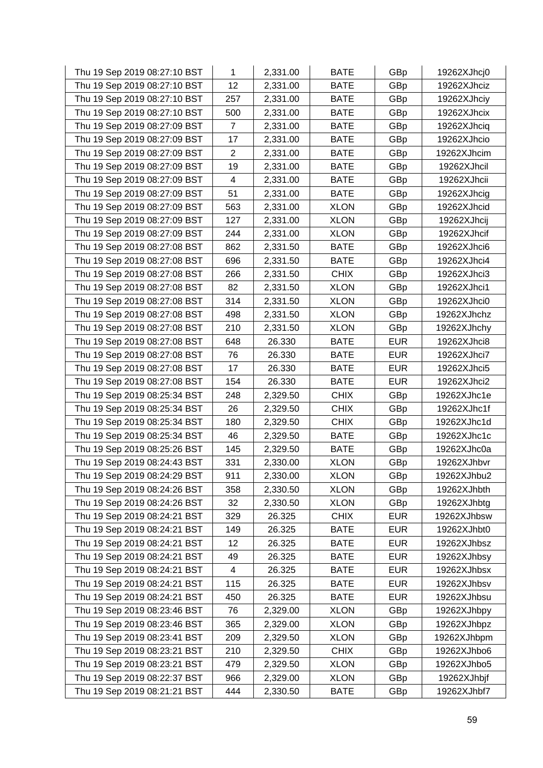| Thu 19 Sep 2019 08:27:10 BST | 1              | 2,331.00 | <b>BATE</b> | GBp        | 19262XJhcj0 |
|------------------------------|----------------|----------|-------------|------------|-------------|
| Thu 19 Sep 2019 08:27:10 BST | 12             | 2,331.00 | <b>BATE</b> | GBp        | 19262XJhciz |
| Thu 19 Sep 2019 08:27:10 BST | 257            | 2,331.00 | <b>BATE</b> | GBp        | 19262XJhciy |
| Thu 19 Sep 2019 08:27:10 BST | 500            | 2,331.00 | <b>BATE</b> | GBp        | 19262XJhcix |
| Thu 19 Sep 2019 08:27:09 BST | 7              | 2,331.00 | <b>BATE</b> | GBp        | 19262XJhciq |
| Thu 19 Sep 2019 08:27:09 BST | 17             | 2,331.00 | <b>BATE</b> | GBp        | 19262XJhcio |
| Thu 19 Sep 2019 08:27:09 BST | $\overline{2}$ | 2,331.00 | <b>BATE</b> | GBp        | 19262XJhcim |
| Thu 19 Sep 2019 08:27:09 BST | 19             | 2,331.00 | <b>BATE</b> | GBp        | 19262XJhcil |
| Thu 19 Sep 2019 08:27:09 BST | 4              | 2,331.00 | <b>BATE</b> | GBp        | 19262XJhcii |
| Thu 19 Sep 2019 08:27:09 BST | 51             | 2,331.00 | <b>BATE</b> | GBp        | 19262XJhcig |
| Thu 19 Sep 2019 08:27:09 BST | 563            | 2,331.00 | <b>XLON</b> | GBp        | 19262XJhcid |
| Thu 19 Sep 2019 08:27:09 BST | 127            | 2,331.00 | <b>XLON</b> | GBp        | 19262XJhcij |
| Thu 19 Sep 2019 08:27:09 BST | 244            | 2,331.00 | <b>XLON</b> | GBp        | 19262XJhcif |
| Thu 19 Sep 2019 08:27:08 BST | 862            | 2,331.50 | <b>BATE</b> | GBp        | 19262XJhci6 |
| Thu 19 Sep 2019 08:27:08 BST | 696            | 2,331.50 | <b>BATE</b> | GBp        | 19262XJhci4 |
| Thu 19 Sep 2019 08:27:08 BST | 266            | 2,331.50 | <b>CHIX</b> | GBp        | 19262XJhci3 |
| Thu 19 Sep 2019 08:27:08 BST | 82             | 2,331.50 | <b>XLON</b> | GBp        | 19262XJhci1 |
| Thu 19 Sep 2019 08:27:08 BST | 314            | 2,331.50 | <b>XLON</b> | GBp        | 19262XJhci0 |
| Thu 19 Sep 2019 08:27:08 BST | 498            | 2,331.50 | <b>XLON</b> | GBp        | 19262XJhchz |
| Thu 19 Sep 2019 08:27:08 BST | 210            | 2,331.50 | <b>XLON</b> | GBp        | 19262XJhchy |
| Thu 19 Sep 2019 08:27:08 BST | 648            | 26.330   | <b>BATE</b> | <b>EUR</b> | 19262XJhci8 |
| Thu 19 Sep 2019 08:27:08 BST | 76             | 26.330   | <b>BATE</b> | <b>EUR</b> | 19262XJhci7 |
| Thu 19 Sep 2019 08:27:08 BST | 17             | 26.330   | <b>BATE</b> | <b>EUR</b> | 19262XJhci5 |
| Thu 19 Sep 2019 08:27:08 BST | 154            | 26.330   | <b>BATE</b> | <b>EUR</b> | 19262XJhci2 |
| Thu 19 Sep 2019 08:25:34 BST | 248            | 2,329.50 | <b>CHIX</b> | GBp        | 19262XJhc1e |
| Thu 19 Sep 2019 08:25:34 BST | 26             | 2,329.50 | <b>CHIX</b> | GBp        | 19262XJhc1f |
| Thu 19 Sep 2019 08:25:34 BST | 180            | 2,329.50 | <b>CHIX</b> | GBp        | 19262XJhc1d |
| Thu 19 Sep 2019 08:25:34 BST | 46             | 2,329.50 | <b>BATE</b> | GBp        | 19262XJhc1c |
| Thu 19 Sep 2019 08:25:26 BST | 145            | 2,329.50 | <b>BATE</b> | GBp        | 19262XJhc0a |
| Thu 19 Sep 2019 08:24:43 BST | 331            | 2,330.00 | <b>XLON</b> | GBp        | 19262XJhbvr |
| Thu 19 Sep 2019 08:24:29 BST | 911            | 2,330.00 | <b>XLON</b> | GBp        | 19262XJhbu2 |
| Thu 19 Sep 2019 08:24:26 BST | 358            | 2,330.50 | <b>XLON</b> | GBp        | 19262XJhbth |
| Thu 19 Sep 2019 08:24:26 BST | 32             | 2,330.50 | <b>XLON</b> | GBp        | 19262XJhbtg |
| Thu 19 Sep 2019 08:24:21 BST | 329            | 26.325   | <b>CHIX</b> | <b>EUR</b> | 19262XJhbsw |
| Thu 19 Sep 2019 08:24:21 BST | 149            | 26.325   | <b>BATE</b> | <b>EUR</b> | 19262XJhbt0 |
| Thu 19 Sep 2019 08:24:21 BST | 12             | 26.325   | <b>BATE</b> | <b>EUR</b> | 19262XJhbsz |
| Thu 19 Sep 2019 08:24:21 BST | 49             | 26.325   | <b>BATE</b> | <b>EUR</b> | 19262XJhbsy |
| Thu 19 Sep 2019 08:24:21 BST | 4              | 26.325   | <b>BATE</b> | <b>EUR</b> | 19262XJhbsx |
| Thu 19 Sep 2019 08:24:21 BST | 115            | 26.325   | <b>BATE</b> | <b>EUR</b> | 19262XJhbsv |
| Thu 19 Sep 2019 08:24:21 BST | 450            | 26.325   | <b>BATE</b> | <b>EUR</b> | 19262XJhbsu |
| Thu 19 Sep 2019 08:23:46 BST | 76             | 2,329.00 | <b>XLON</b> | GBp        | 19262XJhbpy |
| Thu 19 Sep 2019 08:23:46 BST | 365            | 2,329.00 | <b>XLON</b> | GBp        | 19262XJhbpz |
| Thu 19 Sep 2019 08:23:41 BST | 209            | 2,329.50 | <b>XLON</b> | GBp        | 19262XJhbpm |
| Thu 19 Sep 2019 08:23:21 BST | 210            | 2,329.50 | <b>CHIX</b> | GBp        | 19262XJhbo6 |
| Thu 19 Sep 2019 08:23:21 BST | 479            | 2,329.50 | <b>XLON</b> | GBp        | 19262XJhbo5 |
| Thu 19 Sep 2019 08:22:37 BST | 966            | 2,329.00 | <b>XLON</b> | GBp        | 19262XJhbjf |
| Thu 19 Sep 2019 08:21:21 BST | 444            | 2,330.50 | <b>BATE</b> | GBp        | 19262XJhbf7 |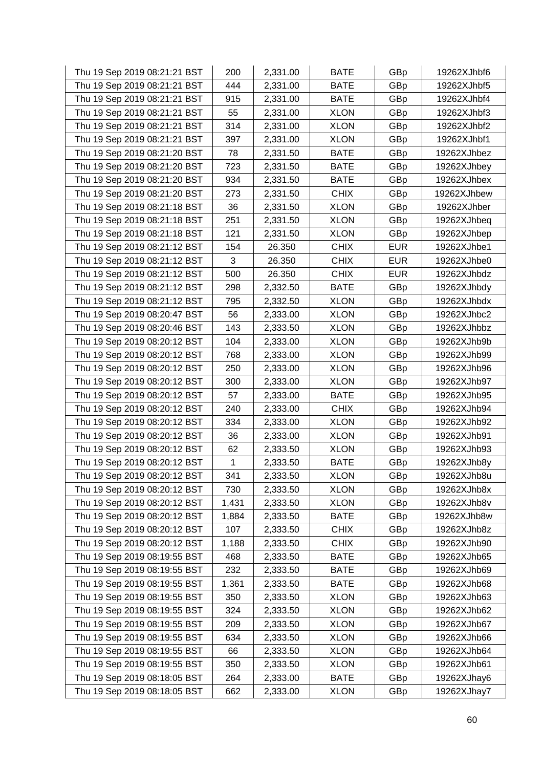| Thu 19 Sep 2019 08:21:21 BST | 200   | 2,331.00 | <b>BATE</b> | GBp        | 19262XJhbf6 |
|------------------------------|-------|----------|-------------|------------|-------------|
| Thu 19 Sep 2019 08:21:21 BST | 444   | 2,331.00 | <b>BATE</b> | GBp        | 19262XJhbf5 |
| Thu 19 Sep 2019 08:21:21 BST | 915   | 2,331.00 | <b>BATE</b> | GBp        | 19262XJhbf4 |
| Thu 19 Sep 2019 08:21:21 BST | 55    | 2,331.00 | <b>XLON</b> | GBp        | 19262XJhbf3 |
| Thu 19 Sep 2019 08:21:21 BST | 314   | 2,331.00 | <b>XLON</b> | GBp        | 19262XJhbf2 |
| Thu 19 Sep 2019 08:21:21 BST | 397   | 2,331.00 | <b>XLON</b> | GBp        | 19262XJhbf1 |
| Thu 19 Sep 2019 08:21:20 BST | 78    | 2,331.50 | <b>BATE</b> | GBp        | 19262XJhbez |
| Thu 19 Sep 2019 08:21:20 BST | 723   | 2,331.50 | <b>BATE</b> | GBp        | 19262XJhbey |
| Thu 19 Sep 2019 08:21:20 BST | 934   | 2,331.50 | <b>BATE</b> | GBp        | 19262XJhbex |
| Thu 19 Sep 2019 08:21:20 BST | 273   | 2,331.50 | <b>CHIX</b> | GBp        | 19262XJhbew |
| Thu 19 Sep 2019 08:21:18 BST | 36    | 2,331.50 | <b>XLON</b> | GBp        | 19262XJhber |
| Thu 19 Sep 2019 08:21:18 BST | 251   | 2,331.50 | <b>XLON</b> | GBp        | 19262XJhbeq |
| Thu 19 Sep 2019 08:21:18 BST | 121   | 2,331.50 | <b>XLON</b> | GBp        | 19262XJhbep |
| Thu 19 Sep 2019 08:21:12 BST | 154   | 26.350   | <b>CHIX</b> | <b>EUR</b> | 19262XJhbe1 |
| Thu 19 Sep 2019 08:21:12 BST | 3     | 26.350   | <b>CHIX</b> | <b>EUR</b> | 19262XJhbe0 |
| Thu 19 Sep 2019 08:21:12 BST | 500   | 26.350   | <b>CHIX</b> | <b>EUR</b> | 19262XJhbdz |
| Thu 19 Sep 2019 08:21:12 BST | 298   | 2,332.50 | <b>BATE</b> | GBp        | 19262XJhbdy |
| Thu 19 Sep 2019 08:21:12 BST | 795   | 2,332.50 | <b>XLON</b> | GBp        | 19262XJhbdx |
| Thu 19 Sep 2019 08:20:47 BST | 56    | 2,333.00 | <b>XLON</b> | GBp        | 19262XJhbc2 |
| Thu 19 Sep 2019 08:20:46 BST | 143   | 2,333.50 | <b>XLON</b> | GBp        | 19262XJhbbz |
| Thu 19 Sep 2019 08:20:12 BST | 104   | 2,333.00 | <b>XLON</b> | GBp        | 19262XJhb9b |
| Thu 19 Sep 2019 08:20:12 BST | 768   | 2,333.00 | <b>XLON</b> | GBp        | 19262XJhb99 |
| Thu 19 Sep 2019 08:20:12 BST | 250   | 2,333.00 | <b>XLON</b> | GBp        | 19262XJhb96 |
| Thu 19 Sep 2019 08:20:12 BST | 300   | 2,333.00 | <b>XLON</b> | GBp        | 19262XJhb97 |
| Thu 19 Sep 2019 08:20:12 BST | 57    | 2,333.00 | <b>BATE</b> | GBp        | 19262XJhb95 |
| Thu 19 Sep 2019 08:20:12 BST | 240   | 2,333.00 | <b>CHIX</b> | GBp        | 19262XJhb94 |
| Thu 19 Sep 2019 08:20:12 BST | 334   | 2,333.00 | <b>XLON</b> | GBp        | 19262XJhb92 |
| Thu 19 Sep 2019 08:20:12 BST | 36    | 2,333.00 | <b>XLON</b> | GBp        | 19262XJhb91 |
| Thu 19 Sep 2019 08:20:12 BST | 62    | 2,333.50 | <b>XLON</b> | GBp        | 19262XJhb93 |
| Thu 19 Sep 2019 08:20:12 BST | 1     | 2,333.50 | <b>BATE</b> | GBp        | 19262XJhb8y |
| Thu 19 Sep 2019 08:20:12 BST | 341   | 2,333.50 | <b>XLON</b> | GBp        | 19262XJhb8u |
| Thu 19 Sep 2019 08:20:12 BST | 730   | 2,333.50 | <b>XLON</b> | GBp        | 19262XJhb8x |
| Thu 19 Sep 2019 08:20:12 BST | 1,431 | 2,333.50 | <b>XLON</b> | GBp        | 19262XJhb8v |
| Thu 19 Sep 2019 08:20:12 BST | 1,884 | 2,333.50 | <b>BATE</b> | GBp        | 19262XJhb8w |
| Thu 19 Sep 2019 08:20:12 BST | 107   | 2,333.50 | <b>CHIX</b> | GBp        | 19262XJhb8z |
| Thu 19 Sep 2019 08:20:12 BST | 1,188 | 2,333.50 | <b>CHIX</b> | GBp        | 19262XJhb90 |
| Thu 19 Sep 2019 08:19:55 BST | 468   | 2,333.50 | <b>BATE</b> | GBp        | 19262XJhb65 |
| Thu 19 Sep 2019 08:19:55 BST | 232   | 2,333.50 | <b>BATE</b> | GBp        | 19262XJhb69 |
| Thu 19 Sep 2019 08:19:55 BST | 1,361 | 2,333.50 | <b>BATE</b> | GBp        | 19262XJhb68 |
| Thu 19 Sep 2019 08:19:55 BST | 350   | 2,333.50 | <b>XLON</b> | GBp        | 19262XJhb63 |
| Thu 19 Sep 2019 08:19:55 BST | 324   | 2,333.50 | <b>XLON</b> | GBp        | 19262XJhb62 |
| Thu 19 Sep 2019 08:19:55 BST | 209   | 2,333.50 | <b>XLON</b> | GBp        | 19262XJhb67 |
| Thu 19 Sep 2019 08:19:55 BST | 634   | 2,333.50 | <b>XLON</b> | GBp        | 19262XJhb66 |
| Thu 19 Sep 2019 08:19:55 BST | 66    | 2,333.50 | <b>XLON</b> | GBp        | 19262XJhb64 |
| Thu 19 Sep 2019 08:19:55 BST | 350   | 2,333.50 | <b>XLON</b> | GBp        | 19262XJhb61 |
| Thu 19 Sep 2019 08:18:05 BST | 264   | 2,333.00 | <b>BATE</b> | GBp        | 19262XJhay6 |
| Thu 19 Sep 2019 08:18:05 BST | 662   | 2,333.00 | <b>XLON</b> | GBp        | 19262XJhay7 |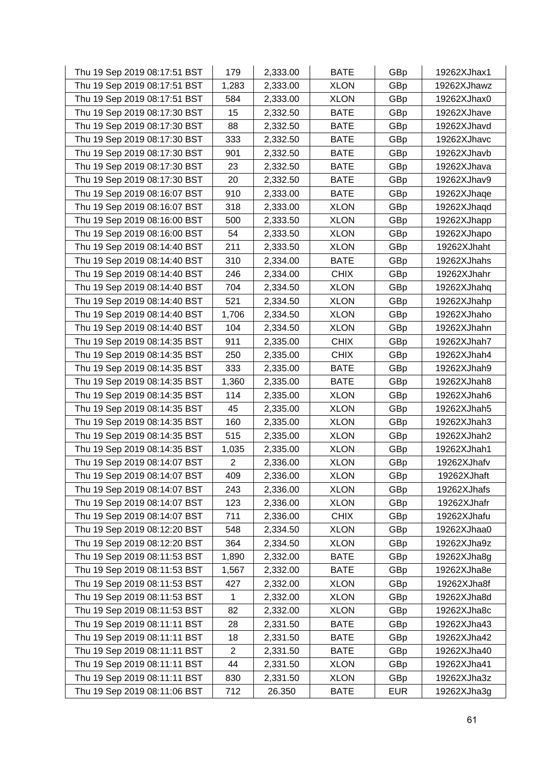| Thu 19 Sep 2019 08:17:51 BST | 179            | 2,333.00 | <b>BATE</b> | GBp        | 19262XJhax1 |
|------------------------------|----------------|----------|-------------|------------|-------------|
| Thu 19 Sep 2019 08:17:51 BST | 1,283          | 2,333.00 | <b>XLON</b> | GBp        | 19262XJhawz |
| Thu 19 Sep 2019 08:17:51 BST | 584            | 2,333.00 | <b>XLON</b> | GBp        | 19262XJhax0 |
| Thu 19 Sep 2019 08:17:30 BST | 15             | 2,332.50 | <b>BATE</b> | GBp        | 19262XJhave |
| Thu 19 Sep 2019 08:17:30 BST | 88             | 2,332.50 | <b>BATE</b> | GBp        | 19262XJhavd |
| Thu 19 Sep 2019 08:17:30 BST | 333            | 2,332.50 | <b>BATE</b> | GBp        | 19262XJhavc |
| Thu 19 Sep 2019 08:17:30 BST | 901            | 2,332.50 | <b>BATE</b> | GBp        | 19262XJhavb |
| Thu 19 Sep 2019 08:17:30 BST | 23             | 2,332.50 | <b>BATE</b> | GBp        | 19262XJhava |
| Thu 19 Sep 2019 08:17:30 BST | 20             | 2,332.50 | <b>BATE</b> | GBp        | 19262XJhav9 |
| Thu 19 Sep 2019 08:16:07 BST | 910            | 2,333.00 | <b>BATE</b> | GBp        | 19262XJhaqe |
| Thu 19 Sep 2019 08:16:07 BST | 318            | 2,333.00 | <b>XLON</b> | GBp        | 19262XJhaqd |
| Thu 19 Sep 2019 08:16:00 BST | 500            | 2,333.50 | <b>XLON</b> | GBp        | 19262XJhapp |
| Thu 19 Sep 2019 08:16:00 BST | 54             | 2,333.50 | <b>XLON</b> | GBp        | 19262XJhapo |
| Thu 19 Sep 2019 08:14:40 BST | 211            | 2,333.50 | <b>XLON</b> | GBp        | 19262XJhaht |
| Thu 19 Sep 2019 08:14:40 BST | 310            | 2,334.00 | <b>BATE</b> | GBp        | 19262XJhahs |
| Thu 19 Sep 2019 08:14:40 BST | 246            | 2,334.00 | <b>CHIX</b> | GBp        | 19262XJhahr |
| Thu 19 Sep 2019 08:14:40 BST | 704            | 2,334.50 | <b>XLON</b> | GBp        | 19262XJhahq |
| Thu 19 Sep 2019 08:14:40 BST | 521            | 2,334.50 | <b>XLON</b> | GBp        | 19262XJhahp |
| Thu 19 Sep 2019 08:14:40 BST | 1,706          | 2,334.50 | <b>XLON</b> | GBp        | 19262XJhaho |
| Thu 19 Sep 2019 08:14:40 BST | 104            | 2,334.50 | <b>XLON</b> | GBp        | 19262XJhahn |
| Thu 19 Sep 2019 08:14:35 BST | 911            | 2,335.00 | <b>CHIX</b> | GBp        | 19262XJhah7 |
| Thu 19 Sep 2019 08:14:35 BST | 250            | 2,335.00 | <b>CHIX</b> | GBp        | 19262XJhah4 |
| Thu 19 Sep 2019 08:14:35 BST | 333            | 2,335.00 | <b>BATE</b> | GBp        | 19262XJhah9 |
| Thu 19 Sep 2019 08:14:35 BST | 1,360          | 2,335.00 | <b>BATE</b> | GBp        | 19262XJhah8 |
| Thu 19 Sep 2019 08:14:35 BST | 114            | 2,335.00 | <b>XLON</b> | GBp        | 19262XJhah6 |
| Thu 19 Sep 2019 08:14:35 BST | 45             | 2,335.00 | <b>XLON</b> | GBp        | 19262XJhah5 |
| Thu 19 Sep 2019 08:14:35 BST | 160            | 2,335.00 | <b>XLON</b> | GBp        | 19262XJhah3 |
| Thu 19 Sep 2019 08:14:35 BST | 515            | 2,335.00 | <b>XLON</b> | GBp        | 19262XJhah2 |
| Thu 19 Sep 2019 08:14:35 BST | 1,035          | 2,335.00 | <b>XLON</b> | GBp        | 19262XJhah1 |
| Thu 19 Sep 2019 08:14:07 BST | $\overline{2}$ | 2,336.00 | <b>XLON</b> | GBp        | 19262XJhafv |
| Thu 19 Sep 2019 08:14:07 BST | 409            | 2,336.00 | <b>XLON</b> | GBp        | 19262XJhaft |
| Thu 19 Sep 2019 08:14:07 BST | 243            | 2,336.00 | <b>XLON</b> | GBp        | 19262XJhafs |
| Thu 19 Sep 2019 08:14:07 BST | 123            | 2,336.00 | <b>XLON</b> | GBp        | 19262XJhafr |
| Thu 19 Sep 2019 08:14:07 BST | 711            | 2,336.00 | <b>CHIX</b> | GBp        | 19262XJhafu |
| Thu 19 Sep 2019 08:12:20 BST | 548            | 2,334.50 | <b>XLON</b> | GBp        | 19262XJhaa0 |
| Thu 19 Sep 2019 08:12:20 BST | 364            | 2,334.50 | <b>XLON</b> | GBp        | 19262XJha9z |
| Thu 19 Sep 2019 08:11:53 BST | 1,890          | 2,332.00 | <b>BATE</b> | GBp        | 19262XJha8g |
| Thu 19 Sep 2019 08:11:53 BST | 1,567          | 2,332.00 | <b>BATE</b> | GBp        | 19262XJha8e |
| Thu 19 Sep 2019 08:11:53 BST | 427            | 2,332.00 | <b>XLON</b> | GBp        | 19262XJha8f |
| Thu 19 Sep 2019 08:11:53 BST | 1              | 2,332.00 | <b>XLON</b> | GBp        | 19262XJha8d |
| Thu 19 Sep 2019 08:11:53 BST | 82             | 2,332.00 | <b>XLON</b> | GBp        | 19262XJha8c |
| Thu 19 Sep 2019 08:11:11 BST | 28             | 2,331.50 | <b>BATE</b> | GBp        | 19262XJha43 |
| Thu 19 Sep 2019 08:11:11 BST | 18             | 2,331.50 | <b>BATE</b> | GBp        | 19262XJha42 |
| Thu 19 Sep 2019 08:11:11 BST | $\overline{2}$ | 2,331.50 | <b>BATE</b> | GBp        | 19262XJha40 |
| Thu 19 Sep 2019 08:11:11 BST | 44             | 2,331.50 | <b>XLON</b> | GBp        | 19262XJha41 |
| Thu 19 Sep 2019 08:11:11 BST | 830            | 2,331.50 | <b>XLON</b> | GBp        | 19262XJha3z |
| Thu 19 Sep 2019 08:11:06 BST | 712            | 26.350   | <b>BATE</b> | <b>EUR</b> | 19262XJha3g |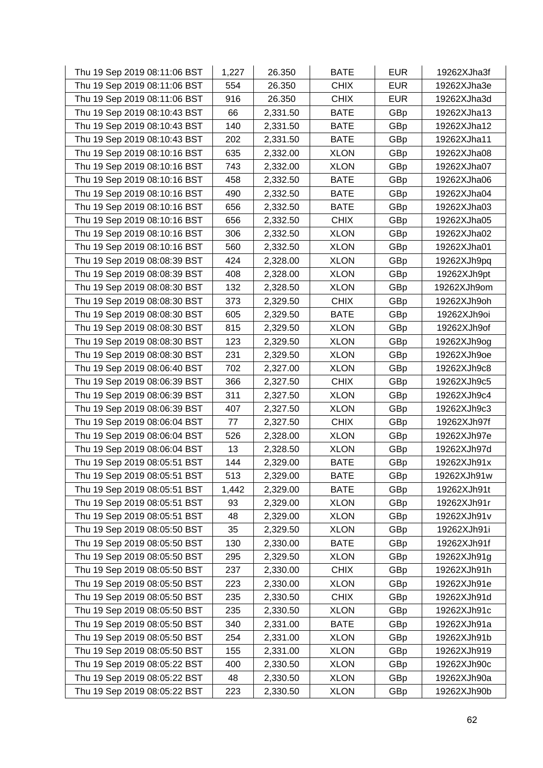| Thu 19 Sep 2019 08:11:06 BST | 1,227 | 26.350   | <b>BATE</b> | <b>EUR</b> | 19262XJha3f |
|------------------------------|-------|----------|-------------|------------|-------------|
| Thu 19 Sep 2019 08:11:06 BST | 554   | 26.350   | <b>CHIX</b> | <b>EUR</b> | 19262XJha3e |
| Thu 19 Sep 2019 08:11:06 BST | 916   | 26.350   | <b>CHIX</b> | <b>EUR</b> | 19262XJha3d |
| Thu 19 Sep 2019 08:10:43 BST | 66    | 2,331.50 | <b>BATE</b> | GBp        | 19262XJha13 |
| Thu 19 Sep 2019 08:10:43 BST | 140   | 2,331.50 | <b>BATE</b> | GBp        | 19262XJha12 |
| Thu 19 Sep 2019 08:10:43 BST | 202   | 2,331.50 | <b>BATE</b> | GBp        | 19262XJha11 |
| Thu 19 Sep 2019 08:10:16 BST | 635   | 2,332.00 | <b>XLON</b> | GBp        | 19262XJha08 |
| Thu 19 Sep 2019 08:10:16 BST | 743   | 2,332.00 | <b>XLON</b> | GBp        | 19262XJha07 |
| Thu 19 Sep 2019 08:10:16 BST | 458   | 2,332.50 | <b>BATE</b> | GBp        | 19262XJha06 |
| Thu 19 Sep 2019 08:10:16 BST | 490   | 2,332.50 | <b>BATE</b> | GBp        | 19262XJha04 |
| Thu 19 Sep 2019 08:10:16 BST | 656   | 2,332.50 | <b>BATE</b> | GBp        | 19262XJha03 |
| Thu 19 Sep 2019 08:10:16 BST | 656   | 2,332.50 | <b>CHIX</b> | GBp        | 19262XJha05 |
| Thu 19 Sep 2019 08:10:16 BST | 306   | 2,332.50 | <b>XLON</b> | GBp        | 19262XJha02 |
| Thu 19 Sep 2019 08:10:16 BST | 560   | 2,332.50 | <b>XLON</b> | GBp        | 19262XJha01 |
| Thu 19 Sep 2019 08:08:39 BST | 424   | 2,328.00 | <b>XLON</b> | GBp        | 19262XJh9pq |
| Thu 19 Sep 2019 08:08:39 BST | 408   | 2,328.00 | <b>XLON</b> | GBp        | 19262XJh9pt |
| Thu 19 Sep 2019 08:08:30 BST | 132   | 2,328.50 | <b>XLON</b> | GBp        | 19262XJh9om |
| Thu 19 Sep 2019 08:08:30 BST | 373   | 2,329.50 | <b>CHIX</b> | GBp        | 19262XJh9oh |
| Thu 19 Sep 2019 08:08:30 BST | 605   | 2,329.50 | <b>BATE</b> | GBp        | 19262XJh9oi |
| Thu 19 Sep 2019 08:08:30 BST | 815   | 2,329.50 | <b>XLON</b> | GBp        | 19262XJh9of |
| Thu 19 Sep 2019 08:08:30 BST | 123   | 2,329.50 | <b>XLON</b> | GBp        | 19262XJh9og |
| Thu 19 Sep 2019 08:08:30 BST | 231   | 2,329.50 | <b>XLON</b> | GBp        | 19262XJh9oe |
| Thu 19 Sep 2019 08:06:40 BST | 702   | 2,327.00 | <b>XLON</b> | GBp        | 19262XJh9c8 |
| Thu 19 Sep 2019 08:06:39 BST | 366   | 2,327.50 | <b>CHIX</b> | GBp        | 19262XJh9c5 |
| Thu 19 Sep 2019 08:06:39 BST | 311   | 2,327.50 | <b>XLON</b> | GBp        | 19262XJh9c4 |
| Thu 19 Sep 2019 08:06:39 BST | 407   | 2,327.50 | <b>XLON</b> | GBp        | 19262XJh9c3 |
| Thu 19 Sep 2019 08:06:04 BST | 77    | 2,327.50 | <b>CHIX</b> | GBp        | 19262XJh97f |
| Thu 19 Sep 2019 08:06:04 BST | 526   | 2,328.00 | <b>XLON</b> | GBp        | 19262XJh97e |
| Thu 19 Sep 2019 08:06:04 BST | 13    | 2,328.50 | <b>XLON</b> | GBp        | 19262XJh97d |
| Thu 19 Sep 2019 08:05:51 BST | 144   | 2,329.00 | <b>BATE</b> | GBp        | 19262XJh91x |
| Thu 19 Sep 2019 08:05:51 BST | 513   | 2,329.00 | <b>BATE</b> | GBp        | 19262XJh91w |
| Thu 19 Sep 2019 08:05:51 BST | 1,442 | 2,329.00 | <b>BATE</b> | GBp        | 19262XJh91t |
| Thu 19 Sep 2019 08:05:51 BST | 93    | 2,329.00 | <b>XLON</b> | GBp        | 19262XJh91r |
| Thu 19 Sep 2019 08:05:51 BST | 48    | 2,329.00 | <b>XLON</b> | GBp        | 19262XJh91v |
| Thu 19 Sep 2019 08:05:50 BST | 35    | 2,329.50 | <b>XLON</b> | GBp        | 19262XJh91i |
| Thu 19 Sep 2019 08:05:50 BST | 130   | 2,330.00 | <b>BATE</b> | GBp        | 19262XJh91f |
| Thu 19 Sep 2019 08:05:50 BST | 295   | 2,329.50 | <b>XLON</b> | GBp        | 19262XJh91g |
| Thu 19 Sep 2019 08:05:50 BST | 237   | 2,330.00 | <b>CHIX</b> | GBp        | 19262XJh91h |
| Thu 19 Sep 2019 08:05:50 BST | 223   | 2,330.00 | <b>XLON</b> | GBp        | 19262XJh91e |
| Thu 19 Sep 2019 08:05:50 BST | 235   | 2,330.50 | <b>CHIX</b> | GBp        | 19262XJh91d |
| Thu 19 Sep 2019 08:05:50 BST | 235   | 2,330.50 | <b>XLON</b> | GBp        | 19262XJh91c |
| Thu 19 Sep 2019 08:05:50 BST | 340   | 2,331.00 | <b>BATE</b> | GBp        | 19262XJh91a |
| Thu 19 Sep 2019 08:05:50 BST | 254   | 2,331.00 | <b>XLON</b> | GBp        | 19262XJh91b |
| Thu 19 Sep 2019 08:05:50 BST | 155   | 2,331.00 | <b>XLON</b> | GBp        | 19262XJh919 |
| Thu 19 Sep 2019 08:05:22 BST | 400   | 2,330.50 | <b>XLON</b> | GBp        | 19262XJh90c |
| Thu 19 Sep 2019 08:05:22 BST | 48    | 2,330.50 | <b>XLON</b> | GBp        | 19262XJh90a |
| Thu 19 Sep 2019 08:05:22 BST | 223   | 2,330.50 | <b>XLON</b> | GBp        | 19262XJh90b |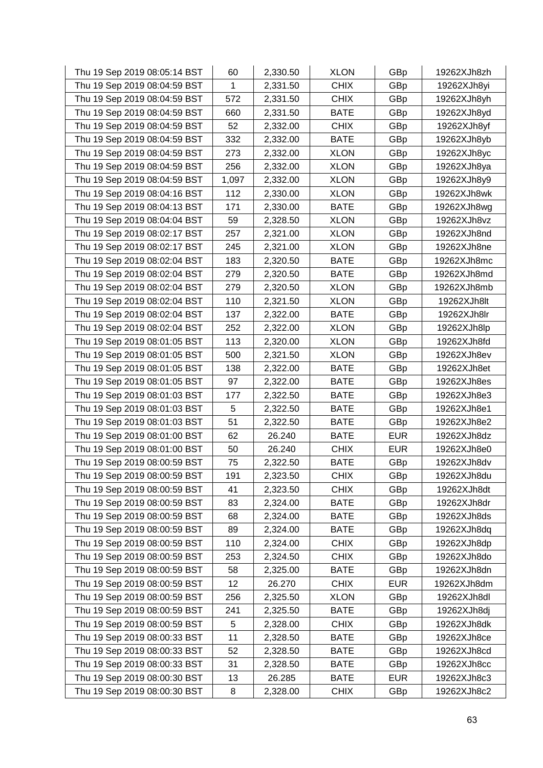| Thu 19 Sep 2019 08:05:14 BST | 60    | 2,330.50 | <b>XLON</b> | GBp        | 19262XJh8zh |
|------------------------------|-------|----------|-------------|------------|-------------|
| Thu 19 Sep 2019 08:04:59 BST | 1     | 2,331.50 | <b>CHIX</b> | GBp        | 19262XJh8yi |
| Thu 19 Sep 2019 08:04:59 BST | 572   | 2,331.50 | <b>CHIX</b> | GBp        | 19262XJh8yh |
| Thu 19 Sep 2019 08:04:59 BST | 660   | 2,331.50 | <b>BATE</b> | GBp        | 19262XJh8yd |
| Thu 19 Sep 2019 08:04:59 BST | 52    | 2,332.00 | <b>CHIX</b> | GBp        | 19262XJh8yf |
| Thu 19 Sep 2019 08:04:59 BST | 332   | 2,332.00 | <b>BATE</b> | GBp        | 19262XJh8yb |
| Thu 19 Sep 2019 08:04:59 BST | 273   | 2,332.00 | <b>XLON</b> | GBp        | 19262XJh8yc |
| Thu 19 Sep 2019 08:04:59 BST | 256   | 2,332.00 | <b>XLON</b> | GBp        | 19262XJh8ya |
| Thu 19 Sep 2019 08:04:59 BST | 1,097 | 2,332.00 | <b>XLON</b> | GBp        | 19262XJh8y9 |
| Thu 19 Sep 2019 08:04:16 BST | 112   | 2,330.00 | <b>XLON</b> | GBp        | 19262XJh8wk |
| Thu 19 Sep 2019 08:04:13 BST | 171   | 2,330.00 | <b>BATE</b> | GBp        | 19262XJh8wg |
| Thu 19 Sep 2019 08:04:04 BST | 59    | 2,328.50 | <b>XLON</b> | GBp        | 19262XJh8vz |
| Thu 19 Sep 2019 08:02:17 BST | 257   | 2,321.00 | <b>XLON</b> | GBp        | 19262XJh8nd |
| Thu 19 Sep 2019 08:02:17 BST | 245   | 2,321.00 | <b>XLON</b> | GBp        | 19262XJh8ne |
| Thu 19 Sep 2019 08:02:04 BST | 183   | 2,320.50 | <b>BATE</b> | GBp        | 19262XJh8mc |
| Thu 19 Sep 2019 08:02:04 BST | 279   | 2,320.50 | <b>BATE</b> | GBp        | 19262XJh8md |
| Thu 19 Sep 2019 08:02:04 BST | 279   | 2,320.50 | <b>XLON</b> | GBp        | 19262XJh8mb |
| Thu 19 Sep 2019 08:02:04 BST | 110   | 2,321.50 | <b>XLON</b> | GBp        | 19262XJh8lt |
| Thu 19 Sep 2019 08:02:04 BST | 137   | 2,322.00 | <b>BATE</b> | GBp        | 19262XJh8lr |
| Thu 19 Sep 2019 08:02:04 BST | 252   | 2,322.00 | <b>XLON</b> | GBp        | 19262XJh8lp |
| Thu 19 Sep 2019 08:01:05 BST | 113   | 2,320.00 | <b>XLON</b> | GBp        | 19262XJh8fd |
| Thu 19 Sep 2019 08:01:05 BST | 500   | 2,321.50 | <b>XLON</b> | GBp        | 19262XJh8ev |
| Thu 19 Sep 2019 08:01:05 BST | 138   | 2,322.00 | <b>BATE</b> | GBp        | 19262XJh8et |
| Thu 19 Sep 2019 08:01:05 BST | 97    | 2,322.00 | <b>BATE</b> | GBp        | 19262XJh8es |
| Thu 19 Sep 2019 08:01:03 BST | 177   | 2,322.50 | <b>BATE</b> | GBp        | 19262XJh8e3 |
| Thu 19 Sep 2019 08:01:03 BST | 5     | 2,322.50 | <b>BATE</b> | GBp        | 19262XJh8e1 |
| Thu 19 Sep 2019 08:01:03 BST | 51    | 2,322.50 | <b>BATE</b> | GBp        | 19262XJh8e2 |
| Thu 19 Sep 2019 08:01:00 BST | 62    | 26.240   | <b>BATE</b> | <b>EUR</b> | 19262XJh8dz |
| Thu 19 Sep 2019 08:01:00 BST | 50    | 26.240   | <b>CHIX</b> | <b>EUR</b> | 19262XJh8e0 |
| Thu 19 Sep 2019 08:00:59 BST | 75    | 2,322.50 | <b>BATE</b> | GBp        | 19262XJh8dv |
| Thu 19 Sep 2019 08:00:59 BST | 191   | 2,323.50 | <b>CHIX</b> | GBp        | 19262XJh8du |
| Thu 19 Sep 2019 08:00:59 BST | 41    | 2,323.50 | <b>CHIX</b> | GBp        | 19262XJh8dt |
| Thu 19 Sep 2019 08:00:59 BST | 83    | 2,324.00 | <b>BATE</b> | GBp        | 19262XJh8dr |
| Thu 19 Sep 2019 08:00:59 BST | 68    | 2,324.00 | <b>BATE</b> | GBp        | 19262XJh8ds |
| Thu 19 Sep 2019 08:00:59 BST | 89    | 2,324.00 | <b>BATE</b> | GBp        | 19262XJh8dq |
| Thu 19 Sep 2019 08:00:59 BST | 110   | 2,324.00 | <b>CHIX</b> | GBp        | 19262XJh8dp |
| Thu 19 Sep 2019 08:00:59 BST | 253   | 2,324.50 | <b>CHIX</b> | GBp        | 19262XJh8do |
| Thu 19 Sep 2019 08:00:59 BST | 58    | 2,325.00 | <b>BATE</b> | GBp        | 19262XJh8dn |
| Thu 19 Sep 2019 08:00:59 BST | 12    | 26.270   | <b>CHIX</b> | <b>EUR</b> | 19262XJh8dm |
| Thu 19 Sep 2019 08:00:59 BST | 256   | 2,325.50 | <b>XLON</b> | GBp        | 19262XJh8dl |
| Thu 19 Sep 2019 08:00:59 BST | 241   | 2,325.50 | <b>BATE</b> | GBp        | 19262XJh8dj |
| Thu 19 Sep 2019 08:00:59 BST | 5     | 2,328.00 | <b>CHIX</b> | GBp        | 19262XJh8dk |
| Thu 19 Sep 2019 08:00:33 BST | 11    | 2,328.50 | <b>BATE</b> | GBp        | 19262XJh8ce |
| Thu 19 Sep 2019 08:00:33 BST | 52    | 2,328.50 | <b>BATE</b> | GBp        | 19262XJh8cd |
| Thu 19 Sep 2019 08:00:33 BST | 31    | 2,328.50 | <b>BATE</b> | GBp        | 19262XJh8cc |
| Thu 19 Sep 2019 08:00:30 BST | 13    | 26.285   | <b>BATE</b> | <b>EUR</b> | 19262XJh8c3 |
| Thu 19 Sep 2019 08:00:30 BST | 8     | 2,328.00 | <b>CHIX</b> | GBp        | 19262XJh8c2 |